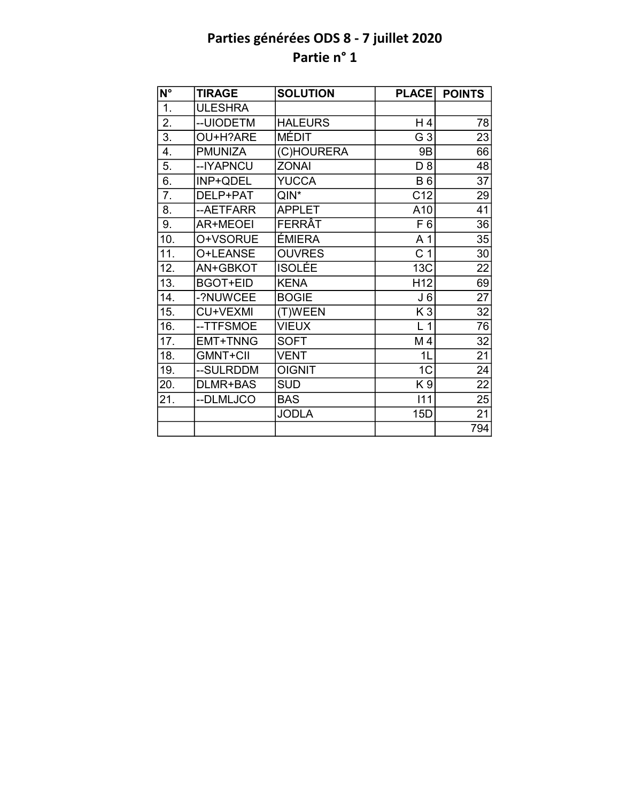| $N^{\circ}$ | <b>TIRAGE</b>   | <b>SOLUTION</b> | <b>PLACE</b>    | <b>POINTS</b>   |
|-------------|-----------------|-----------------|-----------------|-----------------|
| 1.          | <b>ULESHRA</b>  |                 |                 |                 |
| 2.          | --UIODETM       | <b>HALEURS</b>  | H 4             | 78              |
| 3.          | OU+H?ARE        | <b>MÉDIT</b>    | G <sub>3</sub>  | 23              |
| 4.          | <b>PMUNIZA</b>  | (C)HOURERA      | 9B              | 66              |
| 5.          | --IYAPNCU       | <b>ZONAI</b>    | D 8             | 48              |
| 6.          | INP+QDEL        | <b>YUCCA</b>    | <b>B6</b>       | $\overline{37}$ |
| 7.          | DELP+PAT        | $QIN^*$         | C <sub>12</sub> | 29              |
| 8.          | --AETFARR       | <b>APPLET</b>   | A10             | 41              |
| 9.          | <b>AR+MEOEI</b> | FERRÂT          | F <sub>6</sub>  | 36              |
| 10.         | O+VSORUE        | ÉMIERA          | A 1             | 35              |
| 11.         | O+LEANSE        | <b>OUVRES</b>   | C <sub>1</sub>  | 30              |
| 12.         | AN+GBKOT        | <b>ISOLÉE</b>   | <b>13C</b>      | 22              |
| 13.         | <b>BGOT+EID</b> | <b>KENA</b>     | H <sub>12</sub> | 69              |
| 14.         | -?NUWCEE        | <b>BOGIE</b>    | J 6             | 27              |
| 15.         | CU+VEXMI        | (T)WEEN         | K <sub>3</sub>  | $\overline{32}$ |
| 16.         | --TTFSMOE       | <b>VIEUX</b>    | L <sub>1</sub>  | $\overline{76}$ |
| 17.         | <b>EMT+TNNG</b> | <b>SOFT</b>     | M4              | 32              |
| 18.         | <b>GMNT+CII</b> | <b>VENT</b>     | 1 <sub>L</sub>  | $\overline{21}$ |
| 19.         | --SULRDDM       | <b>OIGNIT</b>   | 1 <sub>C</sub>  | 24              |
| 20.         | DLMR+BAS        | <b>SUD</b>      | K <sub>9</sub>  | $\overline{22}$ |
| 21.         | --DLMLJCO       | <b>BAS</b>      | 111             | 25              |
|             |                 | <b>JODLA</b>    | 15D             | 21              |
|             |                 |                 |                 | 794             |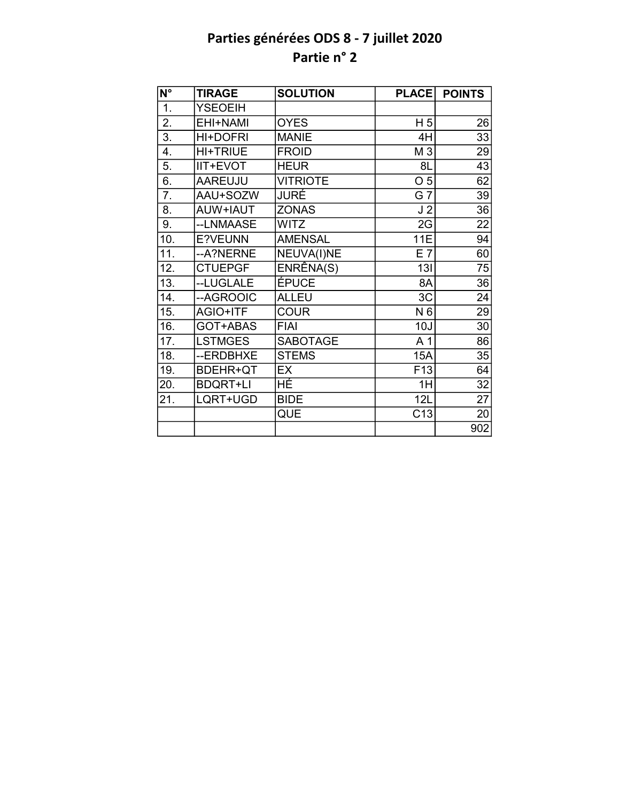| $\overline{\mathsf{N}^{\circ}}$ | <b>TIRAGE</b>   | <b>SOLUTION</b> | <b>PLACE</b>    | <b>POINTS</b>   |
|---------------------------------|-----------------|-----------------|-----------------|-----------------|
| 1.                              | <b>YSEOEIH</b>  |                 |                 |                 |
| 2.                              | EHI+NAMI        | <b>OYES</b>     | H <sub>5</sub>  | 26              |
| $\overline{3}$ .                | HI+DOFRI        | <b>MANIE</b>    | 4H              | $\overline{33}$ |
| 4.                              | <b>HI+TRIUE</b> | <b>FROID</b>    | M 3             | 29              |
| 5.                              | IIT+EVOT        | <b>HEUR</b>     | 8L              | 43              |
| 6.                              | <b>AAREUJU</b>  | <b>VITRIOTE</b> | O <sub>5</sub>  | 62              |
| 7.                              | AAU+SOZW        | JURÉ            | G 7             | 39              |
| 8.                              | AUW+IAUT        | <b>ZONAS</b>    | J <sub>2</sub>  | 36              |
| 9.                              | --LNMAASE       | <b>WITZ</b>     | 2G              | 22              |
| 10.                             | E?VEUNN         | <b>AMENSAL</b>  | 11E             | 94              |
| 11.                             | --A?NERNE       | NEUVA(I)NE      | E 7             | 60              |
| 12.                             | <b>CTUEPGF</b>  | ENRÊNA(S)       | 13I             | 75              |
| 13.                             | --LUGLALE       | ÉPUCE           | 8A              | $\overline{36}$ |
| 14.                             | --AGROOIC       | <b>ALLEU</b>    | 3C              | 24              |
| 15.                             | AGIO+ITF        | <b>COUR</b>     | N 6             | 29              |
| 16.                             | GOT+ABAS        | <b>FIAI</b>     | 10J             | 30              |
| 17.                             | <b>LSTMGES</b>  | <b>SABOTAGE</b> | A <sub>1</sub>  | 86              |
| 18.                             | --ERDBHXE       | <b>STEMS</b>    | 15A             | 35              |
| 19.                             | BDEHR+QT        | EX              | F <sub>13</sub> | 64              |
| 20.                             | <b>BDQRT+LI</b> | HÉ              | 1H              | 32              |
| 21.                             | LQRT+UGD        | <b>BIDE</b>     | 12L             | 27              |
|                                 |                 | QUE             | C <sub>13</sub> | 20              |
|                                 |                 |                 |                 | 902             |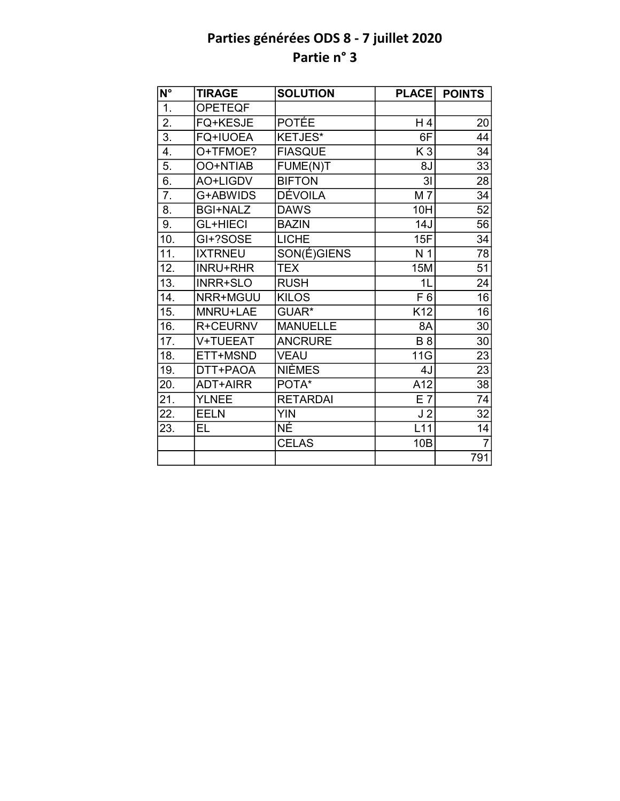| $\overline{\mathsf{N}^{\circ}}$ | <b>TIRAGE</b>   | <b>SOLUTION</b> | <b>PLACE</b>   | <b>POINTS</b>  |
|---------------------------------|-----------------|-----------------|----------------|----------------|
| 1.                              | <b>OPETEQF</b>  |                 |                |                |
| 2.                              | FQ+KESJE        | <b>POTÉE</b>    | H4             | 20             |
| $\overline{3}$ .                | <b>FQ+IUOEA</b> | KETJES*         | 6F             | 44             |
| 4.                              | O+TFMOE?        | <b>FIASQUE</b>  | K <sub>3</sub> | 34             |
| 5.                              | OO+NTIAB        | FUME(N)T        | 8J             | 33             |
| 6.                              | AO+LIGDV        | <b>BIFTON</b>   | $\overline{3}$ | 28             |
| 7.                              | G+ABWIDS        | DÉVOILA         | M 7            | 34             |
| 8.                              | <b>BGI+NALZ</b> | <b>DAWS</b>     | 10H            | 52             |
| 9.                              | <b>GL+HIECI</b> | <b>BAZIN</b>    | 14J            | 56             |
| 10.                             | GI+?SOSE        | <b>LICHE</b>    | 15F            | 34             |
| 11.                             | <b>IXTRNEU</b>  | SON(É)GIENS     | N <sub>1</sub> | 78             |
| 12.                             | <b>INRU+RHR</b> | <b>TEX</b>      | <b>15M</b>     | 51             |
| 13.                             | INRR+SLO        | <b>RUSH</b>     | 1L             | 24             |
| 14.                             | NRR+MGUU        | <b>KILOS</b>    | F 6            | 16             |
| 15.                             | MNRU+LAE        | GUAR*           | K12            | 16             |
| 16.                             | R+CEURNV        | <b>MANUELLE</b> | 8A             | 30             |
| 17.                             | V+TUEEAT        | <b>ANCRURE</b>  | <b>B</b> 8     | 30             |
| 18.                             | ETT+MSND        | <b>VEAU</b>     | 11G            | 23             |
| 19.                             | DTT+PAOA        | NIÈMES          | 4J             | 23             |
| 20.                             | <b>ADT+AIRR</b> | POTA*           | A12            | 38             |
| 21.                             | <b>YLNEE</b>    | <b>RETARDAI</b> | E <sub>7</sub> | 74             |
| 22.                             | <b>EELN</b>     | <b>YIN</b>      | J <sub>2</sub> | 32             |
| 23.                             | EL.             | NÉ              | L11            | 14             |
|                                 |                 | <b>CELAS</b>    | 10B            | $\overline{7}$ |
|                                 |                 |                 |                | 791            |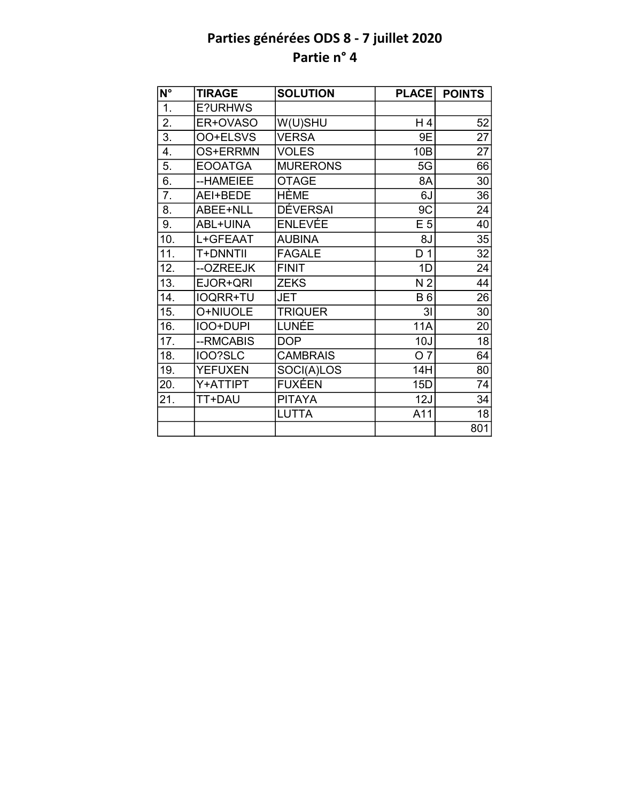| $N^{\circ}$       | <b>TIRAGE</b>   | <b>SOLUTION</b> | <b>PLACE</b>     | <b>POINTS</b>   |
|-------------------|-----------------|-----------------|------------------|-----------------|
| $\overline{1}$ .  | E?URHWS         |                 |                  |                 |
| 2.                | ER+OVASO        | W(U)SHU         | H 4              | 52              |
| $\overline{3}$ .  | OO+ELSVS        | <b>VERSA</b>    | 9E               | $\overline{27}$ |
| $\overline{4}$ .  | OS+ERRMN        | <b>VOLES</b>    | 10B              | 27              |
| 5.                | <b>EOOATGA</b>  | <b>MURERONS</b> | 5G               | 66              |
| 6.                | --HAMEIEE       | <b>OTAGE</b>    | 8A               | 30              |
| 7.                | AEI+BEDE        | HÈME            | 6J               | 36              |
| 8.                | ABEE+NLL        | <b>DÉVERSAI</b> | 9C               | 24              |
| 9.                | <b>ABL+UINA</b> | <b>ENLEVÉE</b>  | E <sub>5</sub>   | 40              |
| 10.               | L+GFEAAT        | <b>AUBINA</b>   | 8J               | 35              |
| $\overline{11}$ . | T+DNNTII        | <b>FAGALE</b>   | $\overline{D}$ 1 | $\overline{32}$ |
| 12.               | --OZREEJK       | <b>FINIT</b>    | 1D               | 24              |
| $\overline{13}$ . | EJOR+QRI        | <b>ZEKS</b>     | N <sub>2</sub>   | $\overline{44}$ |
| 14.               | <b>IOQRR+TU</b> | <b>JET</b>      | <b>B6</b>        | $\overline{26}$ |
| 15.               | O+NIUOLE        | <b>TRIQUER</b>  | 3 <sub>l</sub>   | 30              |
| 16.               | IOO+DUPI        | LUNÉE           | <b>11A</b>       | 20              |
| 17.               | --RMCABIS       | <b>DOP</b>      | 10J              | 18              |
| 18.               | IOO?SLC         | <b>CAMBRAIS</b> | O <sub>7</sub>   | 64              |
| 19.               | <b>YEFUXEN</b>  | SOCI(A)LOS      | 14H              | 80              |
| 20.               | Y+ATTIPT        | FUXÉEN          | 15D              | 74              |
| 21.               | TT+DAU          | <b>PITAYA</b>   | 12J              | 34              |
|                   |                 | <b>LUTTA</b>    | A11              | 18              |
|                   |                 |                 |                  | 801             |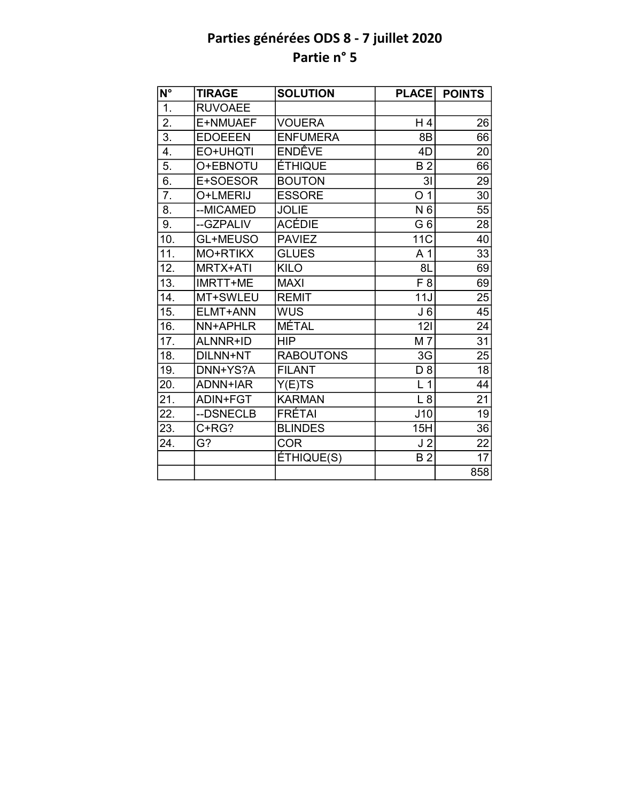| $N^{\circ}$       | <b>TIRAGE</b>   | <b>SOLUTION</b>   | <b>PLACE</b>       | <b>POINTS</b>   |
|-------------------|-----------------|-------------------|--------------------|-----------------|
| 1.                | <b>RUVOAEE</b>  |                   |                    |                 |
| $\overline{2}$ .  | E+NMUAEF        | <b>VOUERA</b>     | H4                 | 26              |
| $\overline{3}$ .  | <b>EDOEEEN</b>  | <b>ENFUMERA</b>   | 8B                 | 66              |
| 4.                | EO+UHQTI        | ENDÊVE            | 4D                 | 20              |
| 5.                | O+EBNOTU        | <b>ÉTHIQUE</b>    | <b>B2</b>          | 66              |
| 6.                | E+SOESOR        | <b>BOUTON</b>     | 3 <sub>l</sub>     | 29              |
| 7.                | O+LMERIJ        | <b>ESSORE</b>     | O <sub>1</sub>     | 30              |
| 8.                | --MICAMED       | <b>JOLIE</b>      | N 6                | 55              |
| 9.                | --GZPALIV       | <b>ACÉDIE</b>     | G <sub>6</sub>     | 28              |
| 10.               | GL+MEUSO        | <b>PAVIEZ</b>     | <b>11C</b>         | 40              |
| $\overline{11}$ . | MO+RTIKX        | <b>GLUES</b>      | A <sub>1</sub>     | $\overline{33}$ |
| 12.               | MRTX+ATI        | <b>KILO</b>       | 8L                 | 69              |
| $\overline{13}$ . | IMRTT+ME        | <b>MAXI</b>       | $\overline{F8}$    | 69              |
| 14.               | MT+SWLEU        | <b>REMIT</b>      | 11J                | 25              |
| 15.               | ELMT+ANN        | <b>WUS</b>        | J <sub>6</sub>     | 45              |
| 16.               | NN+APHLR        | <b>MÉTAL</b>      | 121                | $\overline{24}$ |
| 17.               | <b>ALNNR+ID</b> | <b>HIP</b>        | M 7                | 31              |
| 18.               | DILNN+NT        | <b>RABOUTONS</b>  | 3G                 | $\overline{25}$ |
| 19.               | DNN+YS?A        | <b>FILANT</b>     | D <sub>8</sub>     | 18              |
| 20.               | <b>ADNN+IAR</b> | Y(E)TS            | $\mathbf{1}$<br>L. | 44              |
| 21.               | ADIN+FGT        | <b>KARMAN</b>     | L8                 | 21              |
| 22.               | --DSNECLB       | <b>FRÉTAI</b>     | J10                | $\overline{19}$ |
| 23.               | C+RG?           | <b>BLINDES</b>    | 15H                | 36              |
| 24.               | G?              | <b>COR</b>        | J <sub>2</sub>     | 22              |
|                   |                 | <b>ÉTHIQUE(S)</b> | B <sub>2</sub>     | $\overline{17}$ |
|                   |                 |                   |                    | 858             |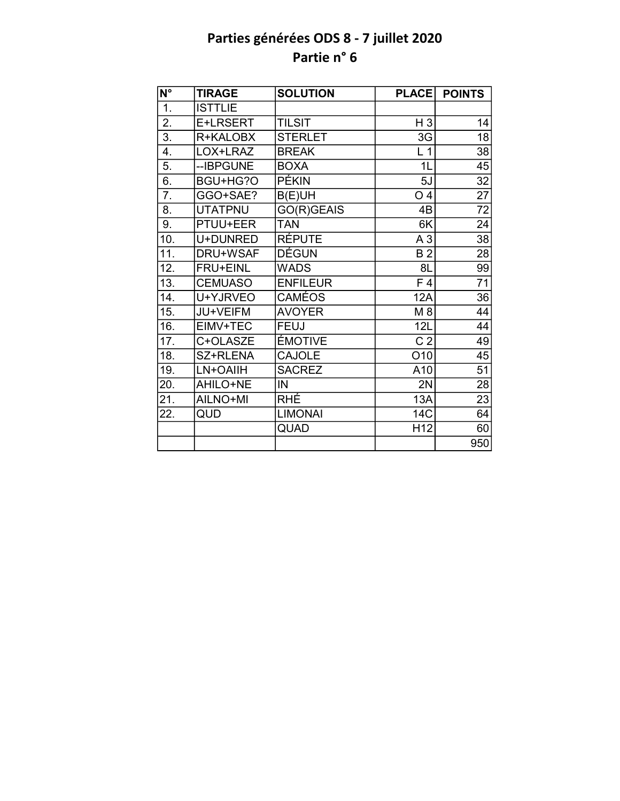| $\overline{\mathsf{N}^{\circ}}$ | <b>TIRAGE</b>   | <b>SOLUTION</b> | <b>PLACE</b>     | <b>POINTS</b>   |
|---------------------------------|-----------------|-----------------|------------------|-----------------|
| 1.                              | <b>ISTTLIE</b>  |                 |                  |                 |
| $\overline{2}$ .                | E+LRSERT        | <b>TILSIT</b>   | $H_3$            | 14              |
| 3.                              | R+KALOBX        | <b>STERLET</b>  | 3G               | 18              |
| 4.                              | LOX+LRAZ        | <b>BREAK</b>    | L <sub>1</sub>   | 38              |
| 5.                              | --IBPGUNE       | <b>BOXA</b>     | 1L               | 45              |
| 6.                              | BGU+HG?O        | PÉKIN           | 5J               | $\overline{32}$ |
| 7.                              | GGO+SAE?        | B(E)UH          | O <sub>4</sub>   | 27              |
| 8.                              | <b>UTATPNU</b>  | GO(R)GEAIS      | 4B               | 72              |
| 9.                              | PTUU+EER        | <b>TAN</b>      | 6K               | 24              |
| 10.                             | U+DUNRED        | <b>RÉPUTE</b>   | A <sub>3</sub>   | 38              |
| 11.                             | DRU+WSAF        | <b>DÉGUN</b>    | <b>B2</b>        | 28              |
| 12.                             | <b>FRU+EINL</b> | <b>WADS</b>     | 8L               | 99              |
| 13.                             | <b>CEMUASO</b>  | <b>ENFILEUR</b> | $\overline{F}$ 4 | $\overline{71}$ |
| 14.                             | U+YJRVEO        | <b>CAMÉOS</b>   | 12A              | 36              |
| 15.                             | JU+VEIFM        | <b>AVOYER</b>   | M 8              | 44              |
| 16.                             | EIMV+TEC        | <b>FEUJ</b>     | 12L              | 44              |
| 17.                             | C+OLASZE        | <b>ÉMOTIVE</b>  | C <sub>2</sub>   | 49              |
| 18.                             | SZ+RLENA        | <b>CAJOLE</b>   | O10              | 45              |
| 19.                             | LN+OAIIH        | <b>SACREZ</b>   | A10              | 51              |
| 20.                             | AHILO+NE        | IN              | 2N               | 28              |
| 21.                             | AILNO+MI        | <b>RHÉ</b>      | 13A              | 23              |
| 22.                             | QUD             | <b>LIMONAI</b>  | 14C              | 64              |
|                                 |                 | QUAD            | H <sub>12</sub>  | 60              |
|                                 |                 |                 |                  | 950             |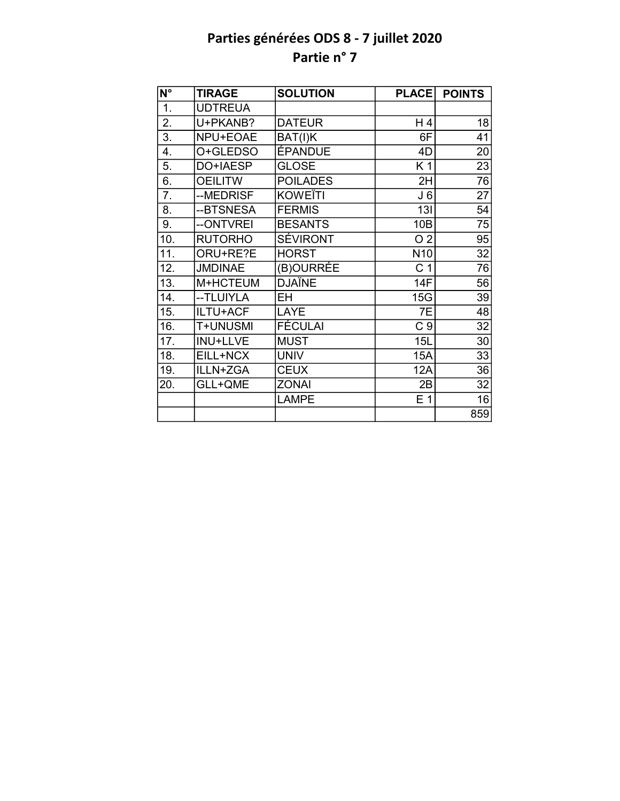| N°               | <b>TIRAGE</b>   | <b>SOLUTION</b> | <b>PLACE</b>    | <b>POINTS</b>   |
|------------------|-----------------|-----------------|-----------------|-----------------|
| $\overline{1}$ . | <b>UDTREUA</b>  |                 |                 |                 |
| 2.               | U+PKANB?        | <b>DATEUR</b>   | H 4             | 18              |
| $\overline{3}$ . | NPU+EOAE        | BAT(I)K         | 6F              | $\overline{41}$ |
| 4.               | O+GLEDSO        | <b>ÉPANDUE</b>  | 4D              | 20              |
| 5.               | DO+IAESP        | <b>GLOSE</b>    | K <sub>1</sub>  | 23              |
| 6.               | <b>OEILITW</b>  | <b>POILADES</b> | 2H              | 76              |
| 7.               | --MEDRISF       | <b>KOWEÏTI</b>  | J6              | 27              |
| 8.               | --BTSNESA       | <b>FERMIS</b>   | 13I             | 54              |
| 9.               | --ONTVREI       | <b>BESANTS</b>  | 10B             | 75              |
| 10.              | <b>RUTORHO</b>  | SÉVIRONT        | O <sub>2</sub>  | 95              |
| 11.              | ORU+RE?E        | <b>HORST</b>    | N <sub>10</sub> | 32              |
| 12.              | <b>JMDINAE</b>  | (B)OURRÉE       | C <sub>1</sub>  | 76              |
| 13.              | M+HCTEUM        | <b>DJAÏNE</b>   | 14F             | 56              |
| 14.              | --TLUIYLA       | EН              | 15G             | 39              |
| 15.              | ILTU+ACF        | LAYE            | 7E              | 48              |
| 16.              | T+UNUSMI        | FÉCULAI         | C <sub>9</sub>  | 32              |
| 17.              | <b>INU+LLVE</b> | <b>MUST</b>     | 15L             | 30              |
| 18.              | EILL+NCX        | <b>UNIV</b>     | <b>15A</b>      | 33              |
| 19.              | ILLN+ZGA        | <b>CEUX</b>     | <b>12A</b>      | 36              |
| 20.              | GLL+QME         | <b>ZONAI</b>    | 2B              | 32              |
|                  |                 | <b>LAMPE</b>    | E <sub>1</sub>  | 16              |
|                  |                 |                 |                 | 859             |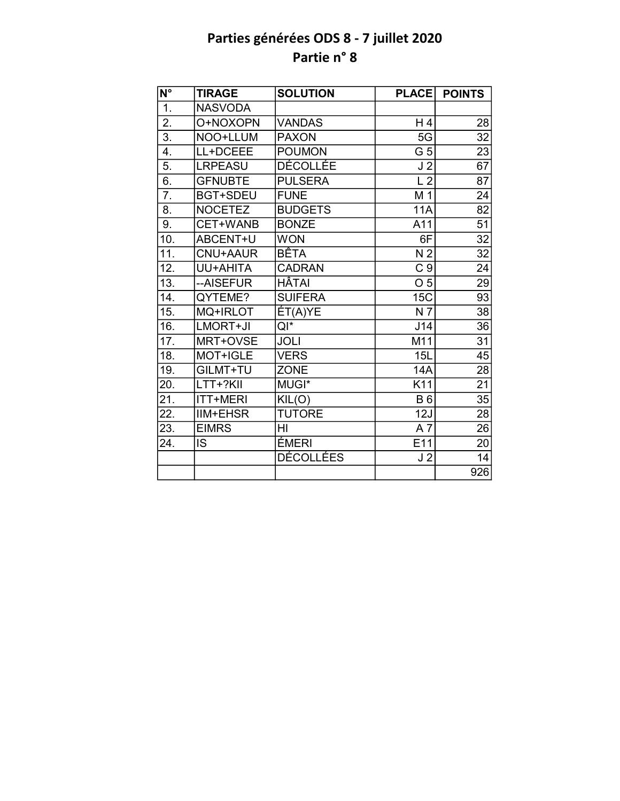| $N^{\circ}$      | <b>TIRAGE</b>   | <b>SOLUTION</b> | <b>PLACE</b>    | <b>POINTS</b>   |
|------------------|-----------------|-----------------|-----------------|-----------------|
| 1.               | <b>NASVODA</b>  |                 |                 |                 |
| 2.               | O+NOXOPN        | <b>VANDAS</b>   | H4              | 28              |
| $\overline{3}$ . | NOO+LLUM        | <b>PAXON</b>    | 5G              | $\overline{32}$ |
| 4.               | LL+DCEEE        | <b>POUMON</b>   | G 5             | 23              |
| 5.               | <b>LRPEASU</b>  | <b>DÉCOLLÉE</b> | J <sub>2</sub>  | 67              |
| 6.               | <b>GFNUBTE</b>  | <b>PULSERA</b>  | L <sub>2</sub>  | 87              |
| $\overline{7}$ . | <b>BGT+SDEU</b> | <b>FUNE</b>     | M 1             | 24              |
| 8.               | <b>NOCETEZ</b>  | <b>BUDGETS</b>  | <b>11A</b>      | 82              |
| 9.               | CET+WANB        | <b>BONZE</b>    | A11             | 51              |
| 10.              | ABCENT+U        | <b>WON</b>      | 6F              | $\overline{32}$ |
| 11.              | CNU+AAUR        | <b>BÊTA</b>     | N <sub>2</sub>  | $\overline{32}$ |
| 12.              | UU+AHITA        | <b>CADRAN</b>   | C <sub>9</sub>  | 24              |
| 13.              | --AISEFUR       | HÂTAI           | O <sub>5</sub>  | 29              |
| 14.              | QYTEME?         | <b>SUIFERA</b>  | <b>15C</b>      | 93              |
| 15.              | MQ+IRLOT        | ET(A)YE         | N <sub>7</sub>  | 38              |
| 16.              | LMORT+JI        | $QI^*$          | J14             | 36              |
| 17.              | MRT+OVSE        | <b>JOLI</b>     | M11             | 31              |
| 18.              | MOT+IGLE        | <b>VERS</b>     | 15L             | $\overline{45}$ |
| 19.              | GILMT+TU        | <b>ZONE</b>     | 14A             | 28              |
| 20.              | LTT+?KII        | MUGI*           | K11             | $\overline{21}$ |
| 21.              | ITT+MERI        | KIL(O)          | <b>B6</b>       | 35              |
| 22.              | <b>IIM+EHSR</b> | <b>TUTORE</b>   | 12J             | 28              |
| 23.              | <b>EIMRS</b>    | HI              | $A\overline{7}$ | 26              |
| 24.              | <b>IS</b>       | ÉMERI           | E11             | 20              |
|                  |                 | DÉCOLLÉES       | J <sub>2</sub>  | 14              |
|                  |                 |                 |                 | 926             |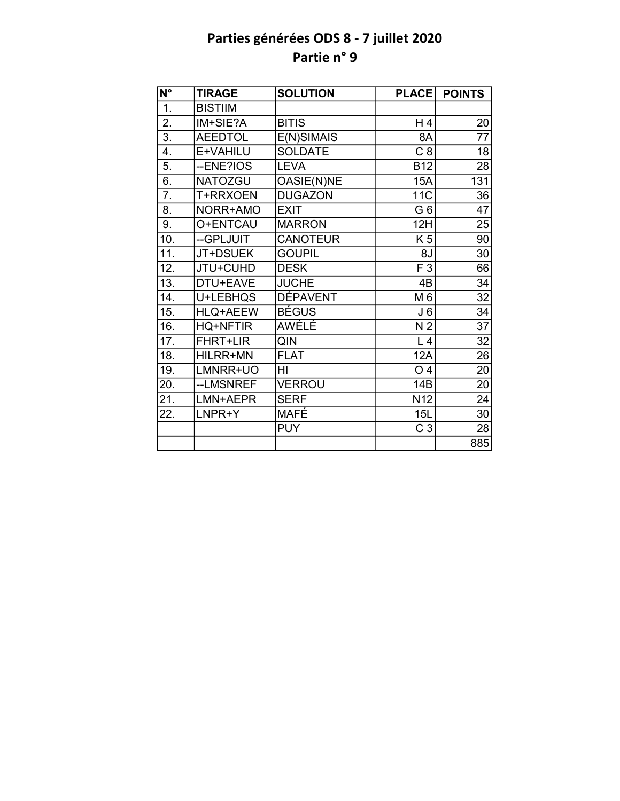| $N^{\circ}$       | <b>TIRAGE</b>   | <b>SOLUTION</b> | <b>PLACE</b>    | <b>POINTS</b>   |
|-------------------|-----------------|-----------------|-----------------|-----------------|
| 1.                | <b>BISTIIM</b>  |                 |                 |                 |
| $\overline{2}$ .  | IM+SIE?A        | <b>BITIS</b>    | H 4             | 20              |
| $\overline{3}$ .  | <b>AEEDTOL</b>  | E(N)SIMAIS      | 8A              | 77              |
| 4.                | E+VAHILU        | <b>SOLDATE</b>  | C <sub>8</sub>  | 18              |
| 5.                | --ENE?IOS       | <b>LEVA</b>     | <b>B12</b>      | 28              |
| 6.                | <b>NATOZGU</b>  | OASIE(N)NE      | 15A             | 131             |
| 7.                | T+RRXOEN        | <b>DUGAZON</b>  | 11C             | 36              |
| 8.                | NORR+AMO        | <b>EXIT</b>     | G <sub>6</sub>  | 47              |
| 9.                | O+ENTCAU        | <b>MARRON</b>   | 12H             | 25              |
| 10.               | --GPLJUIT       | <b>CANOTEUR</b> | K 5             | 90              |
| 11.               | JT+DSUEK        | <b>GOUPIL</b>   | 8J              | 30              |
| 12.               | JTU+CUHD        | <b>DESK</b>     | F 3             | 66              |
| 13.               | DTU+EAVE        | <b>JUCHE</b>    | 4B              | 34              |
| 14.               | U+LEBHQS        | <b>DÉPAVENT</b> | M 6             | 32              |
| 15.               | <b>HLQ+AEEW</b> | <b>BÉGUS</b>    | J <sub>6</sub>  | $\overline{34}$ |
| 16.               | <b>HQ+NFTIR</b> | <b>AWÉLÉ</b>    | N <sub>2</sub>  | $\overline{37}$ |
| 17.               | <b>FHRT+LIR</b> | QIN             | L <sub>4</sub>  | 32              |
| 18.               | HILRR+MN        | <b>FLAT</b>     | 12A             | 26              |
| 19.               | LMNRR+UO        | HI              | O <sub>4</sub>  | 20              |
| 20.               | --LMSNREF       | <b>VERROU</b>   | 14B             | 20              |
| $\overline{21}$ . | LMN+AEPR        | <b>SERF</b>     | N <sub>12</sub> | $\overline{24}$ |
| 22.               | LNPR+Y          | MAFÉ            | 15L             | 30              |
|                   |                 | <b>PUY</b>      | C <sub>3</sub>  | 28              |
|                   |                 |                 |                 | 885             |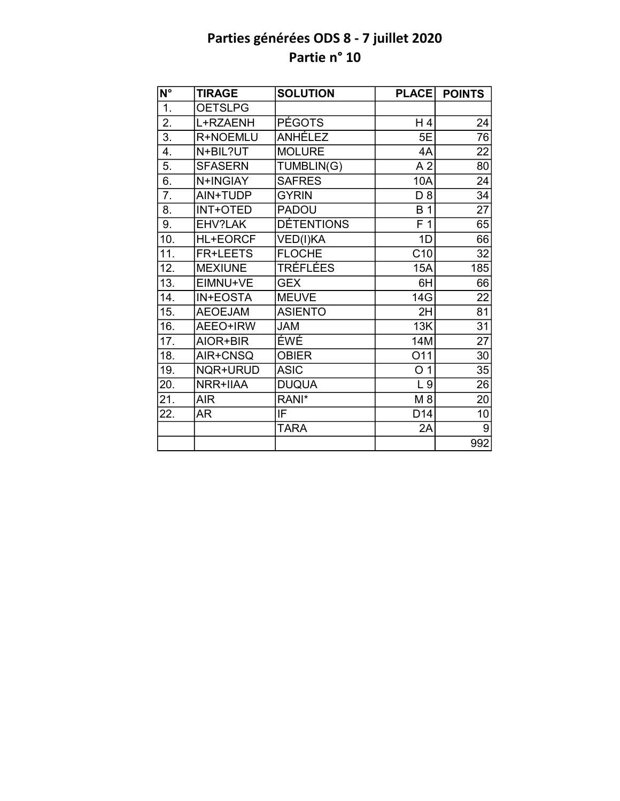| N°               | <b>TIRAGE</b>   | <b>SOLUTION</b>   | <b>PLACE</b>    | <b>POINTS</b> |
|------------------|-----------------|-------------------|-----------------|---------------|
| 1.               | <b>OETSLPG</b>  |                   |                 |               |
| 2.               | L+RZAENH        | <b>PÉGOTS</b>     | H 4             | 24            |
| $\overline{3}$ . | R+NOEMLU        | ANHÉLEZ           | 5E              | 76            |
| 4.               | N+BIL?UT        | <b>MOLURE</b>     | 4A              | 22            |
| 5.               | <b>SFASERN</b>  | TUMBLIN(G)        | A <sub>2</sub>  | 80            |
| 6.               | N+INGIAY        | <b>SAFRES</b>     | 10A             | 24            |
| 7.               | AIN+TUDP        | <b>GYRIN</b>      | $D_8$           | 34            |
| 8.               | <b>INT+OTED</b> | <b>PADOU</b>      | <b>B</b> 1      | 27            |
| 9.               | EHV?LAK         | <b>DÉTENTIONS</b> | F <sub>1</sub>  | 65            |
| 10.              | <b>HL+EORCF</b> | VED(I)KA          | 1D              | 66            |
| 11.              | <b>FR+LEETS</b> | <b>FLOCHE</b>     | C10             | 32            |
| 12.              | <b>MEXIUNE</b>  | TRÉFLÉES          | 15A             | 185           |
| 13.              | EIMNU+VE        | <b>GEX</b>        | 6H              | 66            |
| 14.              | <b>IN+EOSTA</b> | <b>MEUVE</b>      | 14G             | 22            |
| 15.              | <b>AEOEJAM</b>  | <b>ASIENTO</b>    | 2H              | 81            |
| 16.              | AEEO+IRW        | <b>JAM</b>        | 13K             | 31            |
| 17.              | AIOR+BIR        | ÉWÉ               | 14M             | 27            |
| 18.              | AIR+CNSQ        | <b>OBIER</b>      | O11             | 30            |
| 19.              | NQR+URUD        | <b>ASIC</b>       | O <sub>1</sub>  | 35            |
| 20.              | NRR+IIAA        | <b>DUQUA</b>      | L <sub>9</sub>  | 26            |
| 21.              | <b>AIR</b>      | RANI*             | M 8             | 20            |
| 22.              | AR              | IF                | D <sub>14</sub> | 10            |
|                  |                 | <b>TARA</b>       | 2A              | 9             |
|                  |                 |                   |                 | 992           |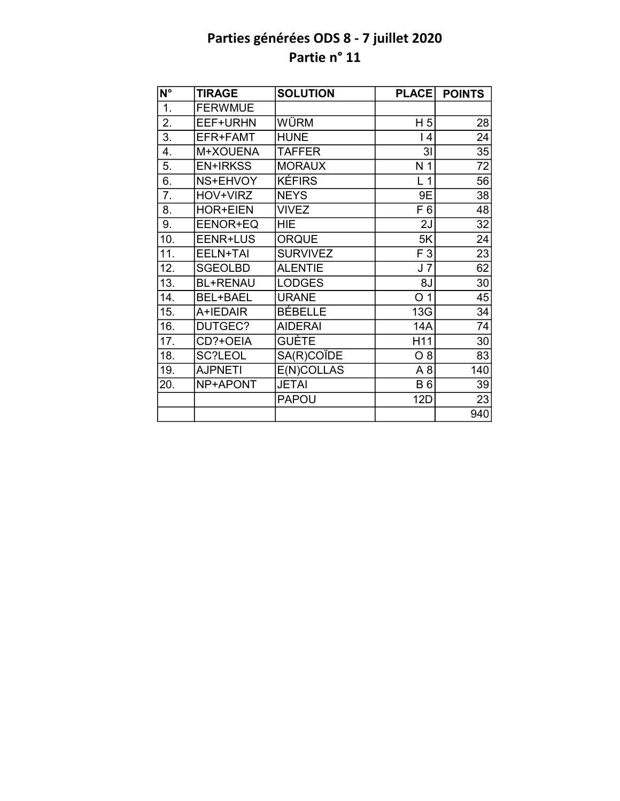| $N^{\circ}$       | <b>TIRAGE</b>   | <b>SOLUTION</b> | <b>PLACE</b>    | <b>POINTS</b>   |
|-------------------|-----------------|-----------------|-----------------|-----------------|
| 1.                | <b>FERWMUE</b>  |                 |                 |                 |
| 2.                | EEF+URHN        | WÜRM            | H <sub>5</sub>  | 28              |
| 3.                | EFR+FAMT        | <b>HUNE</b>     | $\overline{14}$ | 24              |
| 4.                | M+XOUENA        | <b>TAFFER</b>   | 3 <sub>l</sub>  | 35              |
| 5.                | <b>EN+IRKSS</b> | <b>MORAUX</b>   | N <sub>1</sub>  | $\overline{72}$ |
| 6.                | NS+EHVOY        | <b>KÉFIRS</b>   | L <sub>1</sub>  | $\overline{56}$ |
| 7.                | HOV+VIRZ        | <b>NEYS</b>     | 9E              | 38              |
| 8.                | <b>HOR+EIEN</b> | <b>VIVEZ</b>    | F <sub>6</sub>  | 48              |
| 9.                | EENOR+EQ        | <b>HIE</b>      | 2J              | 32              |
| 10.               | EENR+LUS        | <b>ORQUE</b>    | 5K              | 24              |
| 11.               | EELN+TAI        | <b>SURVIVEZ</b> | F 3             | 23              |
| 12.               | <b>SGEOLBD</b>  | <b>ALENTIE</b>  | J <sub>7</sub>  | 62              |
| $\overline{13}$ . | <b>BL+RENAU</b> | <b>LODGES</b>   | 8J              | 30              |
| 14.               | BEL+BAEL        | <b>URANE</b>    | O <sub>1</sub>  | 45              |
| 15.               | A+IEDAIR        | BÉBELLE         | 13G             | 34              |
| 16.               | DUTGEC?         | <b>AIDERAI</b>  | 14A             | 74              |
| 17.               | CD?+OEIA        | <b>GUÈTE</b>    | H11             | 30              |
| 18.               | SC?LEOL         | SA(R)COÏDE      | $O_8$           | 83              |
| 19.               | <b>AJPNETI</b>  | E(N)COLLAS      | A <sub>8</sub>  | 140             |
| 20.               | NP+APONT        | <b>JETAI</b>    | <b>B6</b>       | 39              |
|                   |                 | <b>PAPOU</b>    | <b>12D</b>      | 23              |
|                   |                 |                 |                 | 940             |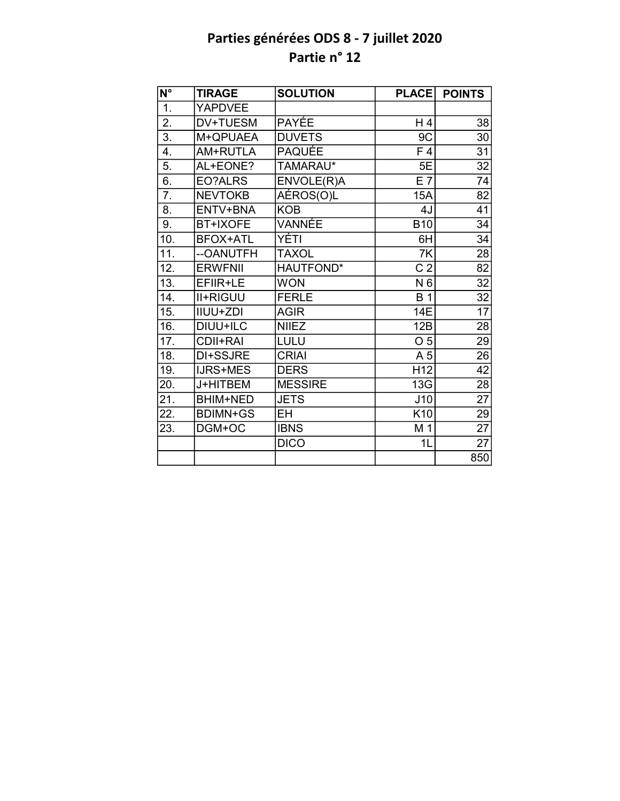| $\overline{\mathsf{N}^{\circ}}$ | <b>TIRAGE</b>   | <b>SOLUTION</b> | <b>PLACE</b>    | <b>POINTS</b>   |
|---------------------------------|-----------------|-----------------|-----------------|-----------------|
| $\overline{1}$ .                | <b>YAPDVEE</b>  |                 |                 |                 |
| $\overline{2}$ .                | DV+TUESM        | <b>PAYÉE</b>    | H 4             | 38              |
| 3.                              | M+QPUAEA        | <b>DUVETS</b>   | 9C              | 30              |
| 4.                              | AM+RUTLA        | <b>PAQUÉE</b>   | F 4             | 31              |
| $\overline{5}$ .                | AL+EONE?        | TAMARAU*        | 5E              | $\overline{32}$ |
| 6.                              | EO?ALRS         | ENVOLE(R)A      | $E$ 7           | 74              |
| $\overline{7}$ .                | <b>NEVTOKB</b>  | AÉROS(O)L       | <b>15A</b>      | 82              |
| 8.                              | ENTV+BNA        | <b>KOB</b>      | 4J              | $\overline{41}$ |
| 9.                              | <b>BT+IXOFE</b> | VANNÉE          | <b>B10</b>      | 34              |
| 10.                             | <b>BFOX+ATL</b> | YÉTI            | 6H              | 34              |
| 11.                             | --OANUTFH       | <b>TAXOL</b>    | 7K              | $\overline{28}$ |
| 12.                             | <b>ERWFNII</b>  | HAUTFOND*       | C <sub>2</sub>  | $\overline{82}$ |
| 13.                             | EFIIR+LE        | <b>WON</b>      | N 6             | 32              |
| 14.                             | <b>II+RIGUU</b> | <b>FERLE</b>    | <b>B</b> 1      | 32              |
| 15.                             | IIUU+ZDI        | <b>AGIR</b>     | 14E             | $\overline{17}$ |
| 16.                             | DIUU+ILC        | <b>NIIEZ</b>    | 12B             | 28              |
| 17.                             | <b>CDII+RAI</b> | LULU            | O <sub>5</sub>  | 29              |
| 18.                             | DI+SSJRE        | <b>CRIAI</b>    | A 5             | $\overline{26}$ |
| 19.                             | <b>IJRS+MES</b> | <b>DERS</b>     | H <sub>12</sub> | $\overline{42}$ |
| 20.                             | J+HITBEM        | <b>MESSIRE</b>  | 13G             | 28              |
| 21.                             | <b>BHIM+NED</b> | <b>JETS</b>     | J10             | $\overline{27}$ |
| 22.                             | <b>BDIMN+GS</b> | <b>EH</b>       | K <sub>10</sub> | 29              |
| 23.                             | DGM+OC          | <b>IBNS</b>     | M 1             | $\overline{27}$ |
|                                 |                 | <b>DICO</b>     | 1L              | $\overline{27}$ |
|                                 |                 |                 |                 | 850             |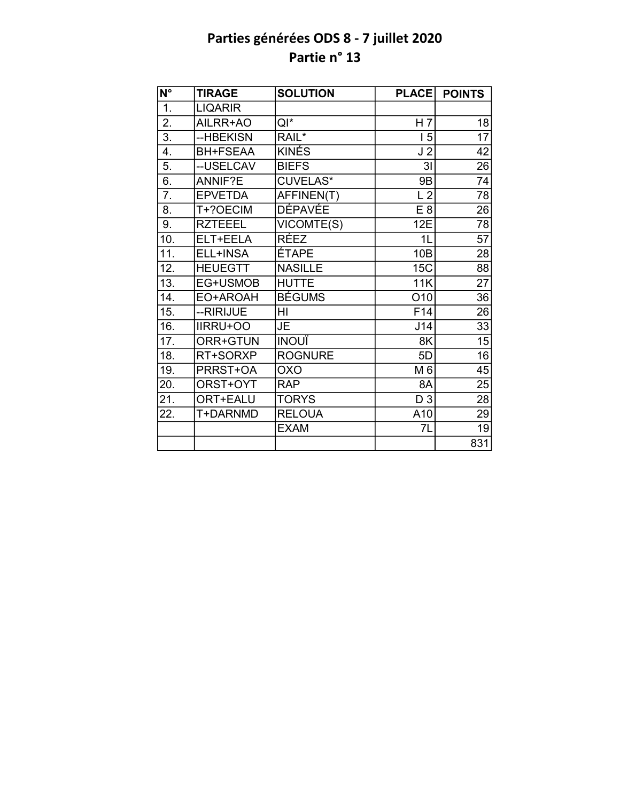| $\overline{\mathsf{N}^{\circ}}$ | <b>TIRAGE</b>   | <b>SOLUTION</b> | <b>PLACE</b>   | <b>POINTS</b>   |
|---------------------------------|-----------------|-----------------|----------------|-----------------|
| 1.                              | <b>LIQARIR</b>  |                 |                |                 |
| $\overline{2}$ .                | AILRR+AO        | $QI^*$          | H <sub>7</sub> | 18              |
| $\overline{3}$ .                | --HBEKISN       | $RAIL^*$        | 15             | $\overline{17}$ |
| 4.                              | <b>BH+FSEAA</b> | <b>KINÉS</b>    | J <sub>2</sub> | 42              |
| 5.                              | --USELCAV       | <b>BIEFS</b>    | 3 <sub>l</sub> | 26              |
| 6.                              | ANNIF?E         | <b>CUVELAS*</b> | 9B             | 74              |
| 7.                              | <b>EPVETDA</b>  | AFFINEN(T)      | L <sub>2</sub> | 78              |
| 8.                              | T+?OECIM        | <b>DÉPAVÉE</b>  | E <sub>8</sub> | 26              |
| 9.                              | <b>RZTEEEL</b>  | VICOMTE(S)      | 12E            | 78              |
| 10.                             | ELT+EELA        | <b>RÉEZ</b>     | 1 <sub>L</sub> | $\overline{57}$ |
| 11.                             | ELL+INSA        | <b>ÉTAPE</b>    | 10B            | 28              |
| 12.                             | <b>HEUEGTT</b>  | <b>NASILLE</b>  | 15C            | 88              |
| 13.                             | EG+USMOB        | <b>HUTTE</b>    | 11K            | $\overline{27}$ |
| 14.                             | EO+AROAH        | <b>BÉGUMS</b>   | O10            | 36              |
| 15.                             | --RIRIJUE       | HI              | F14            | $\overline{26}$ |
| 16.                             | <b>IIRRU+OO</b> | JE.             | J14            | $\overline{33}$ |
| 17.                             | ORR+GTUN        | <b>INOUÏ</b>    | 8K             | 15              |
| 18.                             | RT+SORXP        | <b>ROGNURE</b>  | 5D             | $\overline{16}$ |
| 19.                             | PRRST+OA        | <b>OXO</b>      | M 6            | 45              |
| 20.                             | ORST+OYT        | <b>RAP</b>      | 8A             | 25              |
| $\overline{21}$ .               | ORT+EALU        | <b>TORYS</b>    | D 3            | $\overline{28}$ |
| 22.                             | T+DARNMD        | <b>RELOUA</b>   | A10            | 29              |
|                                 |                 | <b>EXAM</b>     | 7L             | 19              |
|                                 |                 |                 |                | 831             |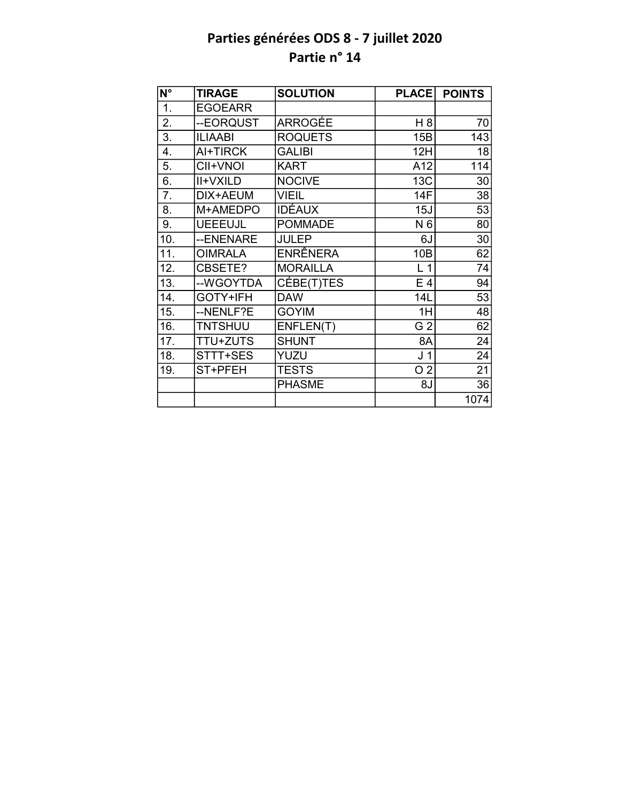| N°               | <b>TIRAGE</b>   | <b>SOLUTION</b> | <b>PLACE</b>   | <b>POINTS</b> |
|------------------|-----------------|-----------------|----------------|---------------|
| 1.               | <b>EGOEARR</b>  |                 |                |               |
| 2.               | --EORQUST       | ARROGÉE         | H <sub>8</sub> | 70            |
| $\overline{3}$ . | <b>ILIAABI</b>  | <b>ROQUETS</b>  | 15B            | 143           |
| 4.               | AI+TIRCK        | <b>GALIBI</b>   | 12H            | 18            |
| 5.               | CII+VNOI        | <b>KART</b>     | A12            | 114           |
| $\overline{6}$ . | <b>II+VXILD</b> | <b>NOCIVE</b>   | 13C            | 30            |
| 7.               | DIX+AEUM        | <b>VIEIL</b>    | 14F            | 38            |
| 8.               | M+AMEDPO        | <b>IDÉAUX</b>   | 15J            | 53            |
| 9.               | <b>UEEEUJL</b>  | <b>POMMADE</b>  | N 6            | 80            |
| 10.              | --ENENARE       | <b>JULEP</b>    | 6J             | 30            |
| 11.              | <b>OIMRALA</b>  | ENRÊNERA        | 10B            | 62            |
| 12.              | CBSETE?         | <b>MORAILLA</b> | L <sub>1</sub> | 74            |
| 13.              | --WGOYTDA       | CÉBE(T)TES      | E <sub>4</sub> | 94            |
| 14.              | GOTY+IFH        | <b>DAW</b>      | 14L            | 53            |
| 15.              | --NENLF?E       | <b>GOYIM</b>    | 1H             | 48            |
| 16.              | <b>TNTSHUU</b>  | ENFLEN(T)       | G <sub>2</sub> | 62            |
| 17.              | <b>TTU+ZUTS</b> | <b>SHUNT</b>    | 8A             | 24            |
| 18.              | STTT+SES        | YUZU            | J <sub>1</sub> | 24            |
| 19.              | ST+PFEH         | <b>TESTS</b>    | O <sub>2</sub> | 21            |
|                  |                 | <b>PHASME</b>   | 8J             | 36            |
|                  |                 |                 |                | 1074          |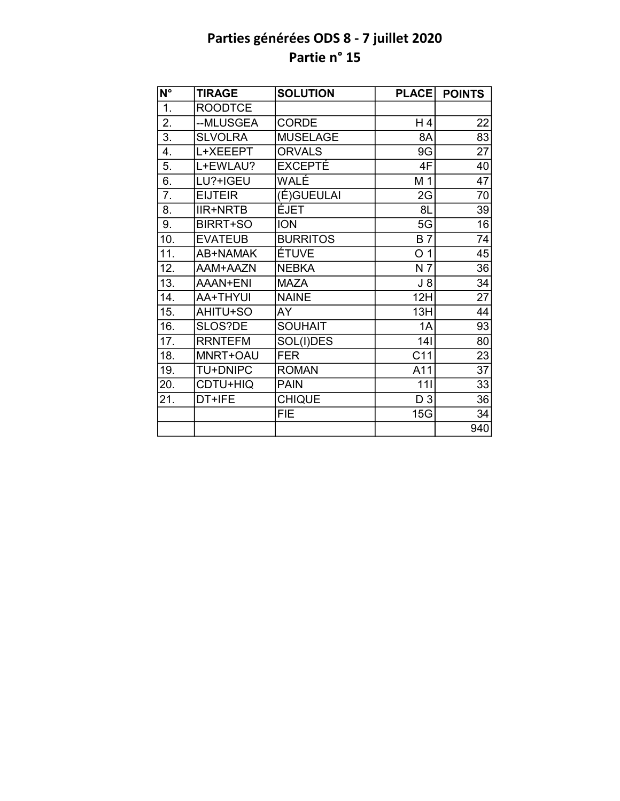| $N^{\circ}$      | <b>TIRAGE</b>   | <b>SOLUTION</b> | <b>PLACE</b>   | <b>POINTS</b>   |
|------------------|-----------------|-----------------|----------------|-----------------|
| 1.               | <b>ROODTCE</b>  |                 |                |                 |
| 2.               | --MLUSGEA       | <b>CORDE</b>    | H 4            | 22              |
| $\overline{3}$ . | <b>SLVOLRA</b>  | <b>MUSELAGE</b> | 8A             | $\overline{83}$ |
| 4.               | L+XEEEPT        | <b>ORVALS</b>   | 9G             | 27              |
| 5.               | L+EWLAU?        | <b>EXCEPTÉ</b>  | 4F             | 40              |
| 6.               | LU?+IGEU        | WALÉ            | M 1            | 47              |
| 7.               | <b>EIJTEIR</b>  | (É)GUEULAI      | 2G             | 70              |
| 8.               | <b>IIR+NRTB</b> | ÉJET            | 8L             | 39              |
| 9.               | BIRRT+SO        | <b>ION</b>      | 5G             | 16              |
| 10.              | <b>EVATEUB</b>  | <b>BURRITOS</b> | <b>B7</b>      | 74              |
| 11.              | AB+NAMAK        | ÉTUVE           | O <sub>1</sub> | 45              |
| 12.              | AAM+AAZN        | <b>NEBKA</b>    | N 7            | 36              |
| 13.              | AAAN+ENI        | <b>MAZA</b>     | $J_8$          | 34              |
| 14.              | AA+THYUI        | <b>NAINE</b>    | 12H            | 27              |
| 15.              | AHITU+SO        | AY              | 13H            | 44              |
| 16.              | SLOS?DE         | <b>SOUHAIT</b>  | 1A             | 93              |
| 17.              | <b>RRNTEFM</b>  | SOL(I)DES       | 141            | 80              |
| 18.              | MNRT+OAU        | <b>FER</b>      | C11            | 23              |
| 19.              | <b>TU+DNIPC</b> | <b>ROMAN</b>    | A11            | 37              |
| 20.              | CDTU+HIQ        | <b>PAIN</b>     | 111            | 33              |
| 21.              | DT+IFE          | <b>CHIQUE</b>   | D <sub>3</sub> | 36              |
|                  |                 | <b>FIE</b>      | 15G            | 34              |
|                  |                 |                 |                | 940             |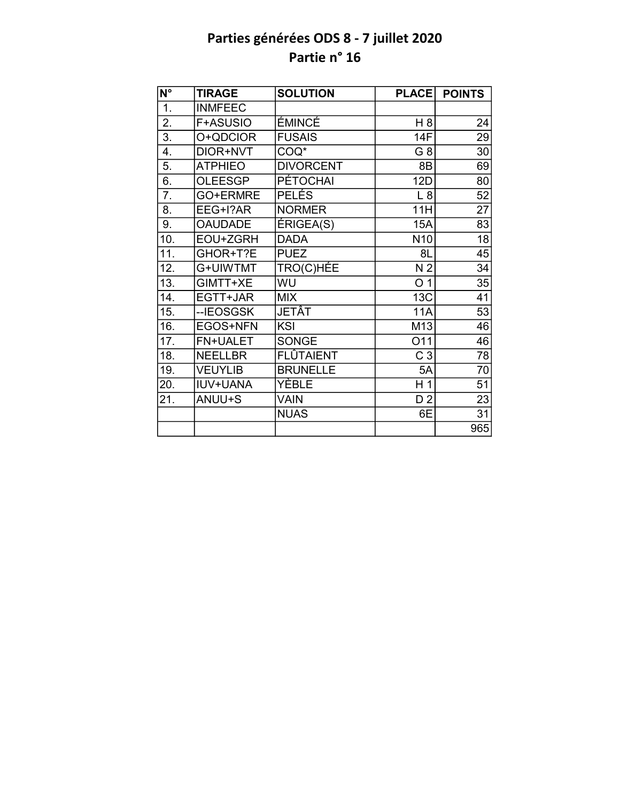| $\overline{N^{\circ}}$ | <b>TIRAGE</b>   | <b>SOLUTION</b>  | <b>PLACE</b>    | <b>POINTS</b>   |
|------------------------|-----------------|------------------|-----------------|-----------------|
| 1.                     | <b>INMFEEC</b>  |                  |                 |                 |
| 2.                     | F+ASUSIO        | ÉMINCÉ           | H 8             | 24              |
| $\overline{3}$ .       | O+QDCIOR        | <b>FUSAIS</b>    | 14F             | 29              |
| 4.                     | DIOR+NVT        | COQ*             | G 8             | 30              |
| 5.                     | <b>ATPHIEO</b>  | <b>DIVORCENT</b> | 8B              | 69              |
| 6.                     | <b>OLEESGP</b>  | <b>PÉTOCHAI</b>  | <b>12D</b>      | 80              |
| 7.                     | GO+ERMRE        | <b>PELÉS</b>     | L8              | 52              |
| 8.                     | EEG+I?AR        | <b>NORMER</b>    | 11H             | 27              |
| 9.                     | <b>OAUDADE</b>  | ÉRIGEA(S)        | <b>15A</b>      | 83              |
| 10.                    | EOU+ZGRH        | <b>DADA</b>      | N <sub>10</sub> | 18              |
| 11.                    | GHOR+T?E        | <b>PUEZ</b>      | 8L              | $\overline{45}$ |
| 12.                    | G+UIWTMT        | TRO(C)HÉE        | N <sub>2</sub>  | 34              |
| 13.                    | GIMTT+XE        | WU               | O <sub>1</sub>  | $\overline{35}$ |
| 14.                    | EGTT+JAR        | <b>MIX</b>       | 13C             | 41              |
| 15.                    | --IEOSGSK       | <b>JETÂT</b>     | <b>11A</b>      | $\overline{53}$ |
| 16.                    | EGOS+NFN        | KSI              | M13             | 46              |
| 17.                    | <b>FN+UALET</b> | <b>SONGE</b>     | O11             | 46              |
| 18.                    | <b>NEELLBR</b>  | FLÛTAIENT        | C <sub>3</sub>  | 78              |
| 19.                    | <b>VEUYLIB</b>  | <b>BRUNELLE</b>  | 5A              | 70              |
| 20.                    | <b>IUV+UANA</b> | YÈBLE            | H <sub>1</sub>  | 51              |
| 21.                    | ANUU+S          | <b>VAIN</b>      | D <sub>2</sub>  | 23              |
|                        |                 | <b>NUAS</b>      | 6E              | 31              |
|                        |                 |                  |                 | 965             |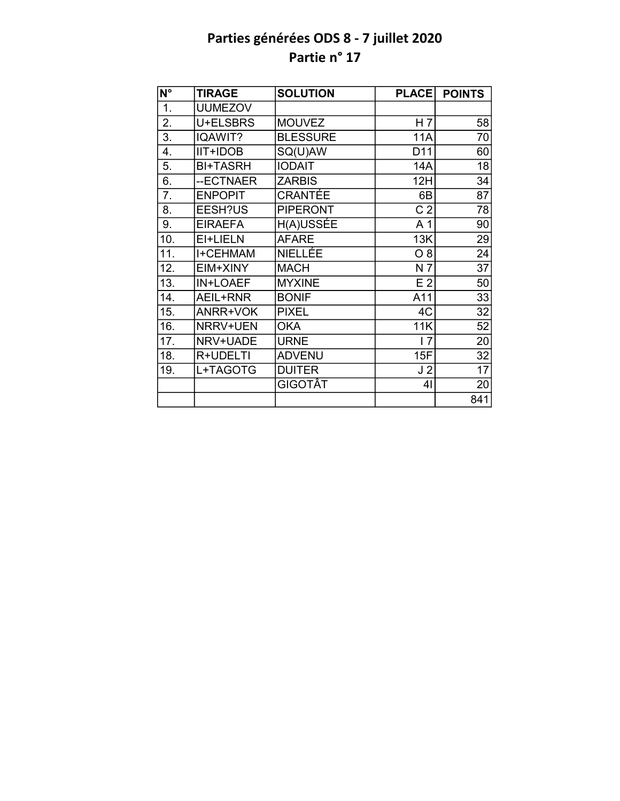| $N^{\circ}$      | <b>TIRAGE</b>   | <b>SOLUTION</b> | <b>PLACE</b>   | <b>POINTS</b> |
|------------------|-----------------|-----------------|----------------|---------------|
| $\overline{1}$ . | <b>UUMEZOV</b>  |                 |                |               |
| 2.               | U+ELSBRS        | <b>MOUVEZ</b>   | H <sub>7</sub> | 58            |
| $\overline{3}$ . | IQAWIT?         | <b>BLESSURE</b> | 11A            | 70            |
| 4.               | <b>IIT+IDOB</b> | SQ(U)AW         | D11            | 60            |
| 5.               | <b>BI+TASRH</b> | <b>IODAIT</b>   | 14A            | 18            |
| $\overline{6}$ . | --ECTNAER       | <b>ZARBIS</b>   | 12H            | 34            |
| 7.               | <b>ENPOPIT</b>  | CRANTÉE         | 6B             | 87            |
| 8.               | EESH?US         | <b>PIPERONT</b> | C <sub>2</sub> | 78            |
| 9.               | <b>EIRAEFA</b>  | H(A)USSÉE       | A <sub>1</sub> | 90            |
| 10.              | EI+LIELN        | <b>AFARE</b>    | 13K            | 29            |
| 11.              | I+CEHMAM        | NIELLÉE         | O 8            | 24            |
| 12.              | EIM+XINY        | <b>MACH</b>     | N 7            | 37            |
| 13.              | IN+LOAEF        | <b>MYXINE</b>   | E <sub>2</sub> | 50            |
| 14.              | AEIL+RNR        | <b>BONIF</b>    | A11            | 33            |
| 15.              | ANRR+VOK        | <b>PIXEL</b>    | 4C             | 32            |
| 16.              | NRRV+UEN        | <b>OKA</b>      | 11K            | 52            |
| 17.              | NRV+UADE        | <b>URNE</b>     | 17             | 20            |
| 18.              | R+UDELTI        | <b>ADVENU</b>   | 15F            | 32            |
| 19.              | L+TAGOTG        | <b>DUITER</b>   | J <sub>2</sub> | 17            |
|                  |                 | GIGOTÂT         | 4 <sub>l</sub> | 20            |
|                  |                 |                 |                | 841           |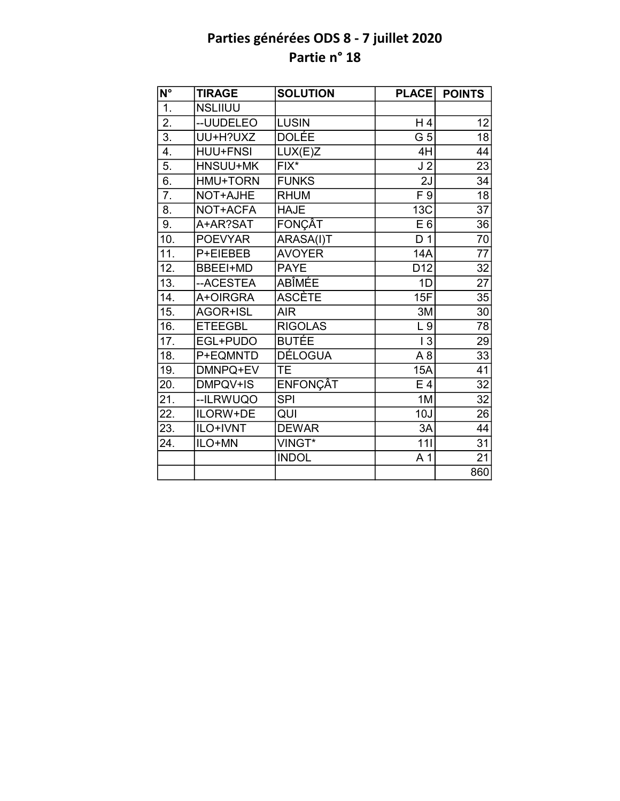| $\overline{\mathsf{N}^{\circ}}$ | <b>TIRAGE</b>   | <b>SOLUTION</b> | <b>PLACE</b>     | <b>POINTS</b>   |
|---------------------------------|-----------------|-----------------|------------------|-----------------|
| $\overline{1}$ .                | <b>NSLIIUU</b>  |                 |                  |                 |
| $\overline{2}$ .                | -- UUDELEO      | <b>LUSIN</b>    | H 4              | 12              |
| $\overline{3}$ .                | UU+H?UXZ        | <b>DOLÉE</b>    | $\overline{G}$ 5 | $\overline{18}$ |
| 4.                              | <b>HUU+FNSI</b> | LUX(E)Z         | 4H               | 44              |
| $\overline{5}$ .                | HNSUU+MK        | $FIX^*$         | J <sub>2</sub>   | 23              |
| $\overline{6}$ .                | <b>HMU+TORN</b> | <b>FUNKS</b>    | $\overline{2J}$  | 34              |
| $\overline{7}$ .                | NOT+AJHE        | <b>RHUM</b>     | F9               | $\overline{18}$ |
| 8.                              | NOT+ACFA        | <b>HAJE</b>     | 13C              | $\overline{37}$ |
| 9.                              | A+AR?SAT        | <b>FONÇÂT</b>   | E <sub>6</sub>   | 36              |
| 10.                             | <b>POEVYAR</b>  | ARASA(I)T       | D <sub>1</sub>   | 70              |
| 11.                             | P+EIEBEB        | <b>AVOYER</b>   | <b>14A</b>       | $\overline{77}$ |
| 12.                             | <b>BBEEI+MD</b> | <b>PAYE</b>     | D <sub>12</sub>  | 32              |
| 13.                             | --ACESTEA       | ABÎMÉE          | 1D               | $\overline{27}$ |
| 14.                             | A+OIRGRA        | <b>ASCÈTE</b>   | 15F              | 35              |
| 15.                             | AGOR+ISL        | <b>AIR</b>      | 3M               | 30              |
| 16.                             | <b>ETEEGBL</b>  | <b>RIGOLAS</b>  | L9               | 78              |
| 17.                             | EGL+PUDO        | <b>BUTÉE</b>    | 13               | 29              |
| 18.                             | P+EQMNTD        | <b>DÉLOGUA</b>  | A8               | $\overline{33}$ |
| 19.                             | DMNPQ+EV        | <b>TE</b>       | 15A              | 41              |
| 20.                             | DMPQV+IS        | <b>ENFONÇÂT</b> | E 4              | $\overline{32}$ |
| 21.                             | --ILRWUQO       | <b>SPI</b>      | 1M               | $\overline{32}$ |
| 22.                             | ILORW+DE        | QUI             | 10J              | 26              |
| 23.                             | ILO+IVNT        | <b>DEWAR</b>    | 3A               | 44              |
| 24.                             | ILO+MN          | VINGT*          | 111              | 31              |
|                                 |                 | <b>INDOL</b>    | A <sub>1</sub>   | $\overline{21}$ |
|                                 |                 |                 |                  | 860             |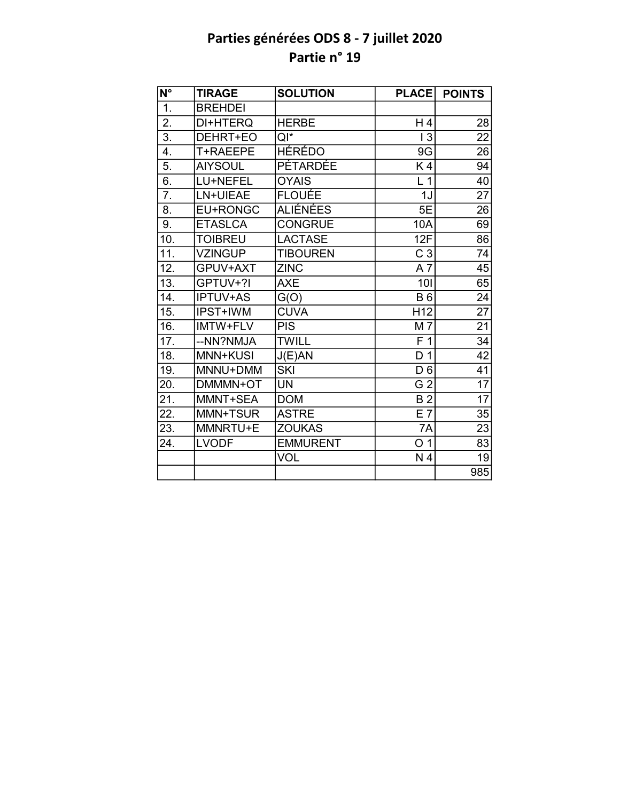| N°                | <b>TIRAGE</b>   | <b>SOLUTION</b> | <b>PLACE</b>    | <b>POINTS</b>   |
|-------------------|-----------------|-----------------|-----------------|-----------------|
| 1.                | <b>BREHDEI</b>  |                 |                 |                 |
| 2.                | DI+HTERQ        | <b>HERBE</b>    | H4              | 28              |
| $\overline{3}$ .  | DEHRT+EO        | $Q^*$           | 13              | $\overline{22}$ |
| 4.                | T+RAEEPE        | HÉRÉDO          | 9G              | 26              |
| 5.                | <b>AIYSOUL</b>  | PÉTARDÉE        | K4              | 94              |
| $\overline{6}$ .  | LU+NEFEL        | <b>OYAIS</b>    | L <sub>1</sub>  | $\overline{40}$ |
| $\overline{7}$ .  | LN+UIEAE        | <b>FLOUÉE</b>   | 1J              | $\overline{27}$ |
| 8.                | EU+RONGC        | <b>ALIÉNÉES</b> | 5E              | 26              |
| 9.                | <b>ETASLCA</b>  | <b>CONGRUE</b>  | 10A             | 69              |
| 10.               | <b>TOIBREU</b>  | <b>LACTASE</b>  | 12F             | 86              |
| 11.               | <b>VZINGUP</b>  | <b>TIBOUREN</b> | C <sub>3</sub>  | 74              |
| 12.               | GPUV+AXT        | <b>ZINC</b>     | A7              | 45              |
| 13.               | GPTUV+?I        | <b>AXE</b>      | 101             | 65              |
| 14.               | <b>IPTUV+AS</b> | G(O)            | <b>B6</b>       | 24              |
| 15.               | IPST+IWM        | <b>CUVA</b>     | H <sub>12</sub> | $\overline{27}$ |
| 16.               | IMTW+FLV        | <b>PIS</b>      | M 7             | $\overline{21}$ |
| 17.               | --NN?NMJA       | <b>TWILL</b>    | F <sub>1</sub>  | 34              |
| 18.               | MNN+KUSI        | J(E)AN          | D <sub>1</sub>  | $\overline{42}$ |
| 19.               | MNNU+DMM        | <b>SKI</b>      | D <sub>6</sub>  | 41              |
| 20.               | DMMMN+OT        | <b>UN</b>       | G <sub>2</sub>  | 17              |
| $\overline{21}$ . | MMNT+SEA        | <b>DOM</b>      | $\overline{B2}$ | $\overline{17}$ |
| 22.               | MMN+TSUR        | <b>ASTRE</b>    | E 7             | 35              |
| 23.               | MMNRTU+E        | <b>ZOUKAS</b>   | 7A              | 23              |
| 24.               | <b>LVODF</b>    | <b>EMMURENT</b> | O <sub>1</sub>  | 83              |
|                   |                 | <b>VOL</b>      | N 4             | 19              |
|                   |                 |                 |                 | 985             |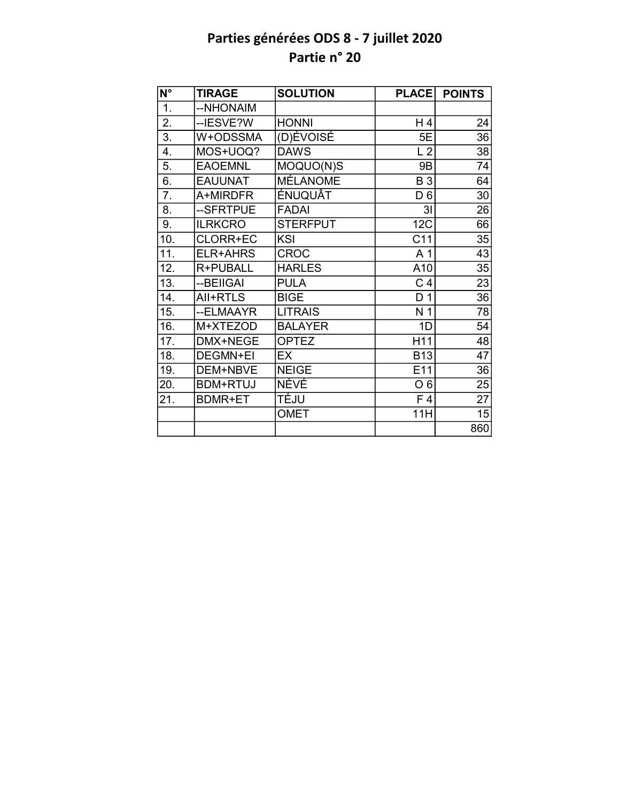| $\overline{\mathsf{N}^{\circ}}$ | <b>TIRAGE</b>   | <b>SOLUTION</b> | <b>PLACE</b>    | <b>POINTS</b>   |
|---------------------------------|-----------------|-----------------|-----------------|-----------------|
| 1.                              | --NHONAIM       |                 |                 |                 |
| 2.                              | --IESVE?W       | <b>HONNI</b>    | H 4             | 24              |
| $\overline{3}$ .                | W+ODSSMA        | (D)ÉVOISÉ       | 5E              | 36              |
| 4.                              | MOS+UOQ?        | <b>DAWS</b>     | L <sub>2</sub>  | 38              |
| 5.                              | <b>EAOEMNL</b>  | MOQUO(N)S       | <b>9B</b>       | 74              |
| 6.                              | <b>EAUUNAT</b>  | <b>MÉLANOME</b> | <b>B3</b>       | 64              |
| 7.                              | A+MIRDFR        | <b>ÉNUQUÂT</b>  | D <sub>6</sub>  | 30              |
| 8.                              | --SFRTPUE       | <b>FADAI</b>    | 3I              | 26              |
| 9.                              | <b>ILRKCRO</b>  | <b>STERFPUT</b> | 12C             | 66              |
| 10.                             | CLORR+EC        | KSI             | C <sub>11</sub> | 35              |
| 11.                             | ELR+AHRS        | <b>CROC</b>     | A 1             | $\overline{43}$ |
| 12.                             | R+PUBALL        | <b>HARLES</b>   | A10             | 35              |
| $\overline{13}$ .               | --BEIIGAI       | <b>PULA</b>     | C <sub>4</sub>  | $\overline{23}$ |
| 14.                             | All+RTLS        | <b>BIGE</b>     | D <sub>1</sub>  | $\overline{36}$ |
| 15.                             | --ELMAAYR       | <b>LITRAIS</b>  | N <sub>1</sub>  | 78              |
| 16.                             | M+XTEZOD        | <b>BALAYER</b>  | 1D              | 54              |
| 17.                             | DMX+NEGE        | <b>OPTEZ</b>    | H11             | 48              |
| 18.                             | <b>DEGMN+EI</b> | EX              | <b>B13</b>      | $\overline{47}$ |
| 19.                             | DEM+NBVE        | <b>NEIGE</b>    | E11             | 36              |
| 20.                             | <b>BDM+RTUJ</b> | <b>NÉVÉ</b>     | O <sub>6</sub>  | 25              |
| 21.                             | <b>BDMR+ET</b>  | TÉJU            | F <sub>4</sub>  | $\overline{27}$ |
|                                 |                 | <b>OMET</b>     | 11H             | 15              |
|                                 |                 |                 |                 | 860             |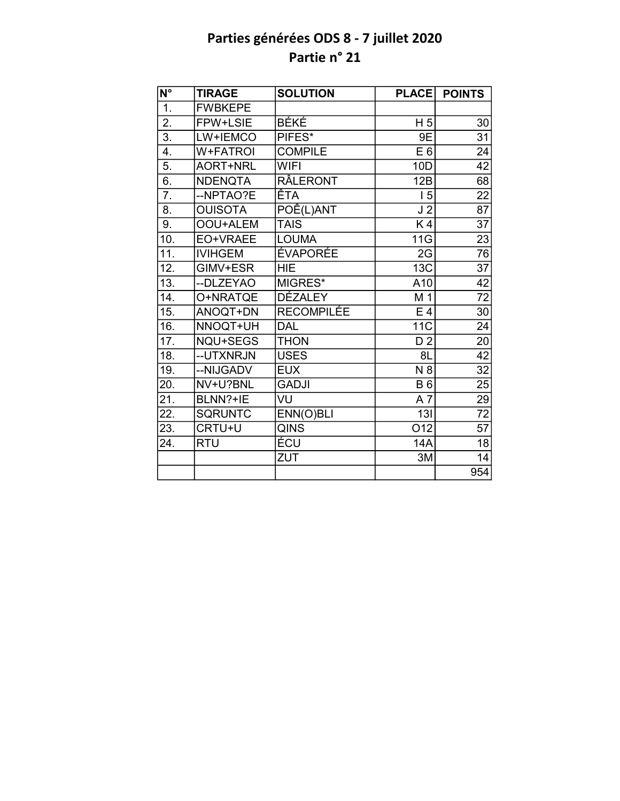| N°                | <b>TIRAGE</b>   | <b>SOLUTION</b>     | <b>PLACE</b>     | <b>POINTS</b>   |
|-------------------|-----------------|---------------------|------------------|-----------------|
| 1.                | <b>FWBKEPE</b>  |                     |                  |                 |
| 2.                | FPW+LSIE        | <b>BÉKÉ</b>         | H <sub>5</sub>   | 30              |
| $\overline{3}$ .  | LW+IEMCO        | PIFES*              | 9E               | 31              |
| 4.                | <b>W+FATROI</b> | <b>COMPILE</b>      | E <sub>6</sub>   | 24              |
| 5.                | <b>AORT+NRL</b> | <b>WIFI</b>         | 10D              | 42              |
| 6.                | <b>NDENQTA</b>  | <b>RÂLERONT</b>     | 12B              | $\overline{68}$ |
| $\overline{7}$ .  | --NPTAO?E       | ÊTA                 | 15               | 22              |
| 8.                | <b>OUISOTA</b>  | POÊ(L)ANT           | J <sub>2</sub>   | $\overline{87}$ |
| 9.                | OOU+ALEM        | <b>TAIS</b>         | K4               | 37              |
| 10.               | EO+VRAEE        | <b>LOUMA</b>        | 11G              | 23              |
| $\overline{11}$ . | <b>IVIHGEM</b>  | <b>ÉVAPORÉE</b>     | 2G               | 76              |
| 12.               | GIMV+ESR        | <b>HIE</b>          | <b>13C</b>       | $\overline{37}$ |
| $\overline{13}$ . | --DLZEYAO       | MIGRES <sup>*</sup> | A10              | $\overline{42}$ |
| 14.               | O+NRATQE        | <b>DÉZALEY</b>      | M 1              | $\overline{72}$ |
| 15.               | ANOQT+DN        | RECOMPILÉE          | E 4              | 30              |
| 16.               | NNOQT+UH        | <b>DAL</b>          | <b>11C</b>       | 24              |
| 17.               | NQU+SEGS        | <b>THON</b>         | D <sub>2</sub>   | 20              |
| 18.               | --UTXNRJN       | <b>USES</b>         | 8L               | 42              |
| 19.               | --NIJGADV       | <b>EUX</b>          | N8               | 32              |
| 20.               | NV+U?BNL        | <b>GADJI</b>        | <b>B6</b>        | 25              |
| 21.               | BLNN?+IE        | VU                  | $A \overline{7}$ | 29              |
| 22.               | <b>SQRUNTC</b>  | ENN(O)BLI           | 13I              | 72              |
| 23.               | CRTU+U          | QINS                | O12              | $\overline{57}$ |
| 24.               | <b>RTU</b>      | ÉCU                 | 14A              | 18              |
|                   |                 | <b>ZUT</b>          | 3M               | 14              |
|                   |                 |                     |                  | 954             |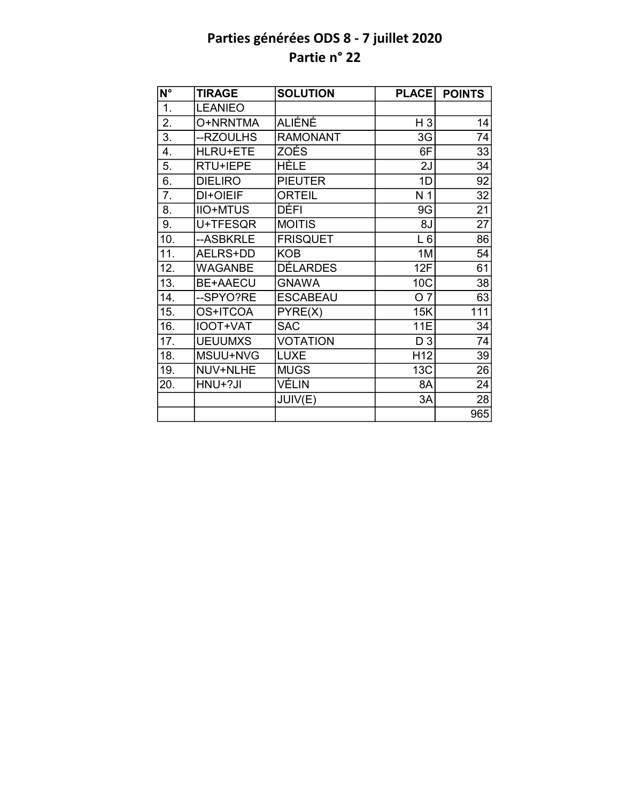| N°               | <b>TIRAGE</b>   | <b>SOLUTION</b> | <b>PLACE</b>    | <b>POINTS</b> |
|------------------|-----------------|-----------------|-----------------|---------------|
| $\overline{1}$ . | <b>LEANIEO</b>  |                 |                 |               |
| 2.               | O+NRNTMA        | ALIÉNÉ          | $H_3$           | 14            |
| $\overline{3}$ . | --RZOULHS       | <b>RAMONANT</b> | 3G              | 74            |
| 4.               | <b>HLRU+ETE</b> | <b>ZOÉS</b>     | 6F              | 33            |
| 5.               | RTU+IEPE        | <b>HÈLE</b>     | 2J              | 34            |
| 6.               | <b>DIELIRO</b>  | <b>PIEUTER</b>  | 1D              | 92            |
| 7.               | DI+OIEIF        | <b>ORTEIL</b>   | N 1             | 32            |
| 8.               | <b>IIO+MTUS</b> | DÉFI            | 9G              | 21            |
| 9.               | U+TFESQR        | <b>MOITIS</b>   | 8J              | 27            |
| 10.              | --ASBKRLE       | <b>FRISQUET</b> | $L_6$           | 86            |
| 11.              | AELRS+DD        | <b>KOB</b>      | 1M              | 54            |
| 12.              | <b>WAGANBE</b>  | <b>DÉLARDES</b> | 12F             | 61            |
| 13.              | <b>BE+AAECU</b> | <b>GNAWA</b>    | 10C             | 38            |
| 14.              | --SPYO?RE       | <b>ESCABEAU</b> | O <sub>7</sub>  | 63            |
| 15.              | OS+ITCOA        | PYRE(X)         | 15K             | 111           |
| 16.              | IOOT+VAT        | <b>SAC</b>      | <b>11E</b>      | 34            |
| 17.              | <b>UEUUMXS</b>  | <b>VOTATION</b> | D <sub>3</sub>  | 74            |
| 18.              | MSUU+NVG        | <b>LUXE</b>     | H <sub>12</sub> | 39            |
| 19.              | NUV+NLHE        | <b>MUGS</b>     | 13C             | 26            |
| 20.              | HNU+?JI         | VÉLIN           | 8A              | 24            |
|                  |                 | JUIV(E)         | 3A              | 28            |
|                  |                 |                 |                 | 965           |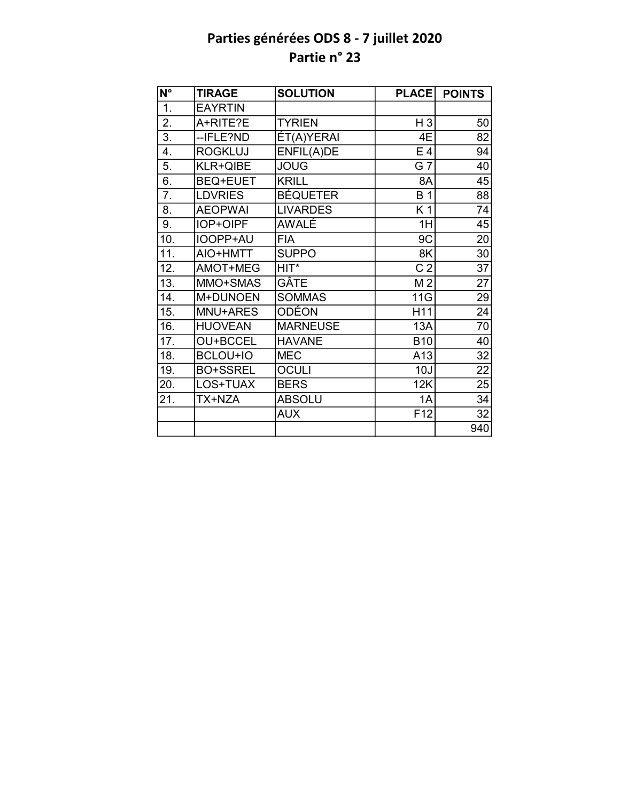| $N^{\circ}$ | <b>TIRAGE</b>   | <b>SOLUTION</b> | <b>PLACE</b>    | <b>POINTS</b>   |
|-------------|-----------------|-----------------|-----------------|-----------------|
| 1.          | <b>EAYRTIN</b>  |                 |                 |                 |
| 2.          | A+RITE?E        | <b>TYRIEN</b>   | $H_3$           | 50              |
| 3.          | --IFLE?ND       | ÉT(A)YERAI      | 4E              | 82              |
| 4.          | <b>ROGKLUJ</b>  | ENFIL(A)DE      | E <sub>4</sub>  | 94              |
| 5.          | KLR+QIBE        | <b>JOUG</b>     | $G\bar{7}$      | 40              |
| 6.          | <b>BEQ+EUET</b> | <b>KRILL</b>    | 8A              | 45              |
| 7.          | <b>LDVRIES</b>  | <b>BÉQUETER</b> | <b>B</b> 1      | 88              |
| 8.          | <b>AEOPWAI</b>  | <b>LIVARDES</b> | K 1             | 74              |
| 9.          | IOP+OIPF        | AWALÉ           | 1H              | 45              |
| 10.         | IOOPP+AU        | <b>FIA</b>      | 9C              | 20              |
| 11.         | AIO+HMTT        | <b>SUPPO</b>    | 8K              | 30              |
| 12.         | AMOT+MEG        | HIT*            | C <sub>2</sub>  | 37              |
| 13.         | MMO+SMAS        | GÂTE            | M <sub>2</sub>  | 27              |
| 14.         | M+DUNOEN        | <b>SOMMAS</b>   | 11G             | 29              |
| 15.         | MNU+ARES        | <b>ODÉON</b>    | H11             | $\overline{24}$ |
| 16.         | <b>HUOVEAN</b>  | <b>MARNEUSE</b> | 13A             | $\overline{70}$ |
| 17.         | OU+BCCEL        | <b>HAVANE</b>   | <b>B10</b>      | 40              |
| 18.         | <b>BCLOU+IO</b> | <b>MEC</b>      | A13             | $\overline{32}$ |
| 19.         | <b>BO+SSREL</b> | <b>OCULI</b>    | 10J             | 22              |
| 20.         | LOS+TUAX        | <b>BERS</b>     | 12K             | 25              |
| 21.         | TX+NZA          | <b>ABSOLU</b>   | 1A              | 34              |
|             |                 | <b>AUX</b>      | F <sub>12</sub> | 32              |
|             |                 |                 |                 | 940             |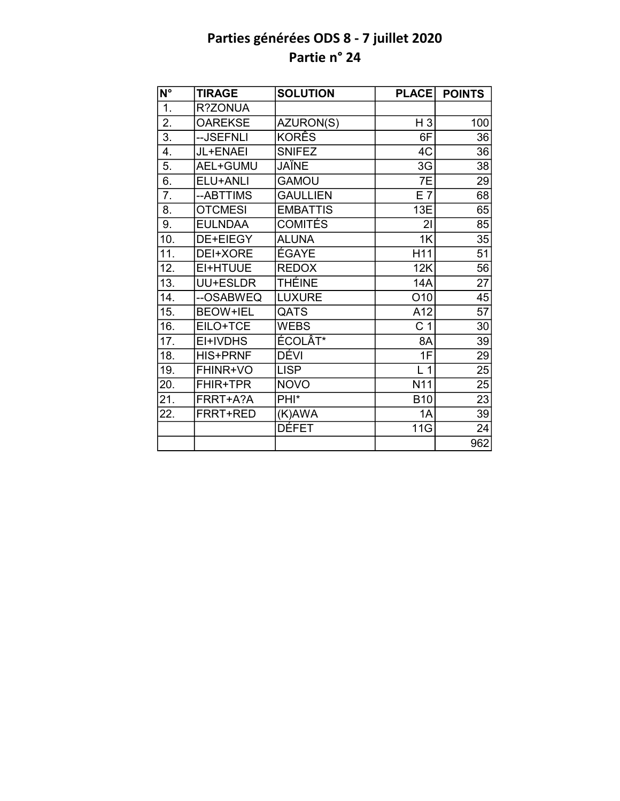| N°                | <b>TIRAGE</b>   | <b>SOLUTION</b>  | <b>PLACE</b>   | <b>POINTS</b>   |
|-------------------|-----------------|------------------|----------------|-----------------|
| $\overline{1}$ .  | R?ZONUA         |                  |                |                 |
| $\overline{2}$ .  | <b>OAREKSE</b>  | AZURON(S)        | H <sub>3</sub> | 100             |
| $\overline{3}$ .  | --JSEFNLI       | <b>KORÊS</b>     | 6F             | 36              |
| 4.                | JL+ENAEI        | <b>SNIFEZ</b>    | 4C             | 36              |
| 5.                | AEL+GUMU        | <b>JAÏNE</b>     | 3G             | 38              |
| 6.                | ELU+ANLI        | <b>GAMOU</b>     | 7E             | 29              |
| $\overline{7}$ .  | --ABTTIMS       | <b>GAULLIEN</b>  | $E$ 7          | 68              |
| 8.                | <b>OTCMESI</b>  | <b>EMBATTIS</b>  | 13E            | 65              |
| 9.                | <b>EULNDAA</b>  | <b>COMITÉS</b>   | 21             | 85              |
| 10.               | DE+EIEGY        | <b>ALUNA</b>     | 1K             | 35              |
| $\overline{11}$ . | DEI+XORE        | <b>ÉGAYE</b>     | H11            | $\overline{51}$ |
| 12.               | EI+HTUUE        | <b>REDOX</b>     | 12K            | 56              |
| 13.               | UU+ESLDR        | <b>THÉINE</b>    | <b>14A</b>     | $\overline{27}$ |
| 14.               | --OSABWEQ       | <b>LUXURE</b>    | O10            | 45              |
| 15.               | <b>BEOW+IEL</b> | QATS             | A12            | $\overline{57}$ |
| 16.               | EILO+TCE        | <b>WEBS</b>      | C <sub>1</sub> | 30              |
| $\overline{17}$ . | EI+IVDHS        | ÉCOLÂT*          | 8A             | 39              |
| 18.               | <b>HIS+PRNF</b> | DÉVI             | 1F             | 29              |
| 19.               | FHINR+VO        | <b>LISP</b>      | L <sub>1</sub> | 25              |
| 20.               | <b>FHIR+TPR</b> | <b>NOVO</b>      | N11            | $\overline{25}$ |
| 21.               | FRRT+A?A        | PHI <sup>*</sup> | <b>B10</b>     | $\overline{23}$ |
| 22.               | FRRT+RED        | (K)AWA           | 1A             | 39              |
|                   |                 | DÉFET            | 11G            | 24              |
|                   |                 |                  |                | 962             |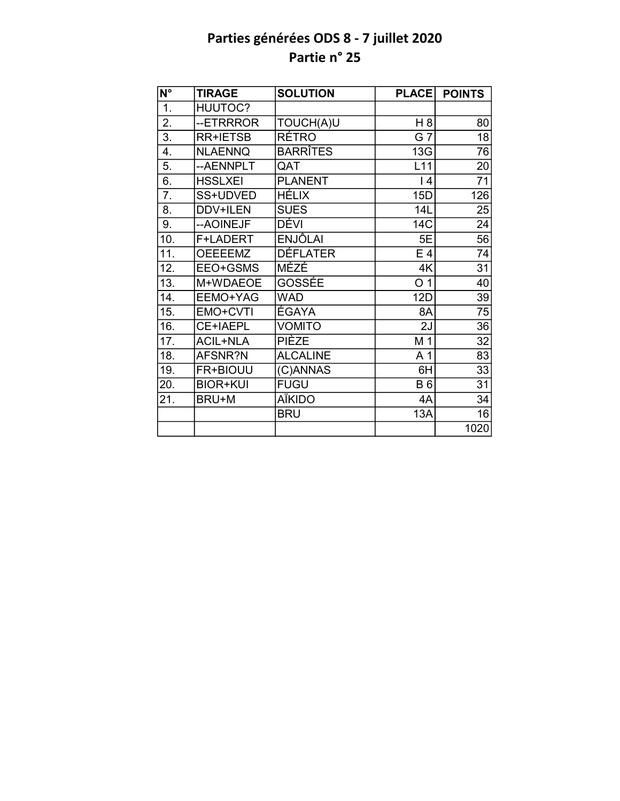| $\overline{\mathsf{N}^{\circ}}$ | <b>TIRAGE</b>   | <b>SOLUTION</b> | <b>PLACE</b>    | <b>POINTS</b>   |
|---------------------------------|-----------------|-----------------|-----------------|-----------------|
| 1.                              | <b>HUUTOC?</b>  |                 |                 |                 |
| 2.                              | --ETRRROR       | TOUCH(A)U       | H 8             | 80              |
| $\overline{3}$ .                | <b>RR+IETSB</b> | <b>RÉTRO</b>    | $G\bar{T}$      | 18              |
| $\overline{4}$ .                | <b>NLAENNQ</b>  | <b>BARRÎTES</b> | 13G             | 76              |
| 5.                              | --AENNPLT       | QAT             | L11             | $\overline{20}$ |
| 6.                              | <b>HSSLXEI</b>  | <b>PLANENT</b>  | $\overline{14}$ | $\overline{71}$ |
| 7.                              | SS+UDVED        | <b>HÉLIX</b>    | 15D             | 126             |
| 8.                              | DDV+ILEN        | <b>SUES</b>     | 14L             | 25              |
| 9.                              | -- AOINEJF      | DÉVI            | 14C             | 24              |
| 10.                             | F+LADERT        | <b>ENJÔLAI</b>  | 5E              | 56              |
| 11.                             | <b>OEEEEMZ</b>  | <b>DÉFLATER</b> | E <sub>4</sub>  | 74              |
| 12.                             | EEO+GSMS        | MÉZÉ            | 4K              | $\overline{31}$ |
| $\overline{13}$ .               | M+WDAEOE        | GOSSÉE          | O <sub>1</sub>  | 40              |
| 14.                             | EEMO+YAG        | <b>WAD</b>      | 12D             | 39              |
| 15.                             | EMO+CVTI        | <b>ÉGAYA</b>    | 8A              | $\overline{75}$ |
| 16.                             | CE+IAEPL        | <b>VOMITO</b>   | 2J              | $\overline{36}$ |
| 17.                             | <b>ACIL+NLA</b> | PIÈZE           | M 1             | 32              |
| 18.                             | AFSNR?N         | <b>ALCALINE</b> | A <sub>1</sub>  | 83              |
| 19.                             | FR+BIOUU        | (C)ANNAS        | 6H              | 33              |
| 20.                             | <b>BIOR+KUI</b> | <b>FUGU</b>     | <b>B6</b>       | 31              |
| 21.                             | BRU+M           | <b>AÏKIDO</b>   | 4A              | 34              |
|                                 |                 | <b>BRU</b>      | 13A             | 16              |
|                                 |                 |                 |                 | 1020            |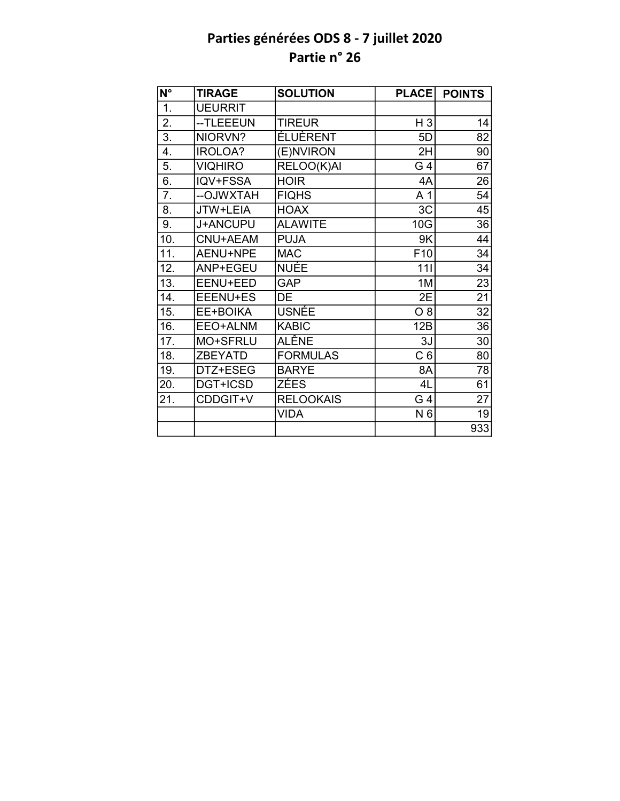| $\overline{\mathsf{N}^{\circ}}$ | <b>TIRAGE</b>  | <b>SOLUTION</b>  | <b>PLACE</b>    | <b>POINTS</b>   |
|---------------------------------|----------------|------------------|-----------------|-----------------|
| 1.                              | <b>UEURRIT</b> |                  |                 |                 |
| 2.                              | --TLEEEUN      | <b>TIREUR</b>    | H <sub>3</sub>  | 14              |
| $\overline{3}$ .                | NIORVN?        | <b>ÉLUÈRENT</b>  | 5D              | 82              |
| 4.                              | IROLOA?        | (E)NVIRON        | 2H              | 90              |
| 5.                              | <b>VIQHIRO</b> | RELOO(K)AI       | G 4             | 67              |
| 6.                              | IQV+FSSA       | <b>HOIR</b>      | 4A              | 26              |
| 7.                              | --OJWXTAH      | <b>FIQHS</b>     | A <sub>1</sub>  | 54              |
| 8.                              | JTW+LEIA       | <b>HOAX</b>      | 3C              | 45              |
| 9.                              | J+ANCUPU       | <b>ALAWITE</b>   | 10G             | 36              |
| 10.                             | CNU+AEAM       | <b>PUJA</b>      | 9K              | 44              |
| 11.                             | AENU+NPE       | <b>MAC</b>       | F <sub>10</sub> | 34              |
| 12.                             | ANP+EGEU       | NUÉE             | 111             | 34              |
| 13.                             | EENU+EED       | <b>GAP</b>       | 1M              | 23              |
| 14.                             | EEENU+ES       | DE               | 2E              | 21              |
| 15.                             | EE+BOIKA       | <b>USNÉE</b>     | O 8             | $\overline{32}$ |
| 16.                             | EEO+ALNM       | <b>KABIC</b>     | 12B             | $\overline{36}$ |
| 17.                             | MO+SFRLU       | <b>ALÊNE</b>     | 3J              | 30              |
| 18.                             | <b>ZBEYATD</b> | <b>FORMULAS</b>  | C <sub>6</sub>  | 80              |
| 19.                             | DTZ+ESEG       | <b>BARYE</b>     | 8A              | 78              |
| 20.                             | DGT+ICSD       | ZÉES             | 4L              | 61              |
| 21.                             | CDDGIT+V       | <b>RELOOKAIS</b> | G 4             | 27              |
|                                 |                | <b>VIDA</b>      | N 6             | 19              |
|                                 |                |                  |                 | 933             |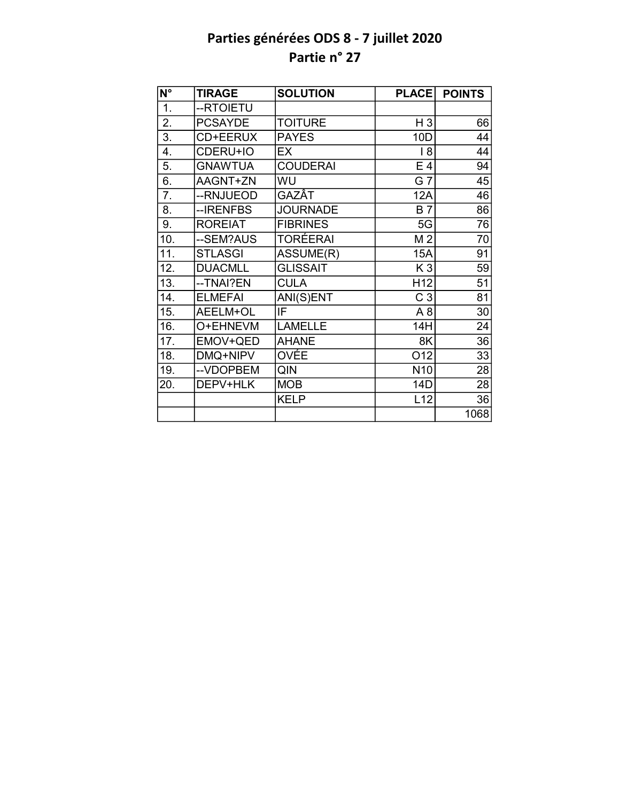| N°               | <b>TIRAGE</b>  | <b>SOLUTION</b> | <b>PLACE</b>    | <b>POINTS</b> |
|------------------|----------------|-----------------|-----------------|---------------|
| $\overline{1}$ . | --RTOIETU      |                 |                 |               |
| 2.               | <b>PCSAYDE</b> | <b>TOITURE</b>  | H <sub>3</sub>  | 66            |
| 3.               | CD+EERUX       | <b>PAYES</b>    | 10D             | 44            |
| 4.               | CDERU+IO       | EX              | 18              | 44            |
| 5.               | <b>GNAWTUA</b> | <b>COUDERAI</b> | E <sub>4</sub>  | 94            |
| 6.               | AAGNT+ZN       | WU              | G 7             | 45            |
| 7.               | --RNJUEOD      | GAZÂT           | <b>12A</b>      | 46            |
| 8.               | --IRENFBS      | <b>JOURNADE</b> | <b>B7</b>       | 86            |
| 9.               | <b>ROREIAT</b> | <b>FIBRINES</b> | 5G              | 76            |
| 10.              | --SEM?AUS      | <b>TORÉERAI</b> | M <sub>2</sub>  | 70            |
| 11.              | <b>STLASGI</b> | ASSUME(R)       | 15A             | 91            |
| 12.              | <b>DUACMLL</b> | <b>GLISSAIT</b> | K <sub>3</sub>  | 59            |
| 13.              | --TNAI?EN      | <b>CULA</b>     | H <sub>12</sub> | 51            |
| 14.              | <b>ELMEFAI</b> | ANI(S)ENT       | C <sub>3</sub>  | 81            |
| 15.              | AEELM+OL       | IF              | A8              | 30            |
| 16.              | O+EHNEVM       | <b>LAMELLE</b>  | 14H             | 24            |
| 17.              | EMOV+QED       | <b>AHANE</b>    | 8K              | 36            |
| 18.              | DMQ+NIPV       | OVÉE            | O12             | 33            |
| 19.              | --VDOPBEM      | QIN             | N <sub>10</sub> | 28            |
| 20.              | DEPV+HLK       | <b>MOB</b>      | 14D             | 28            |
|                  |                | <b>KELP</b>     | L12             | 36            |
|                  |                |                 |                 | 1068          |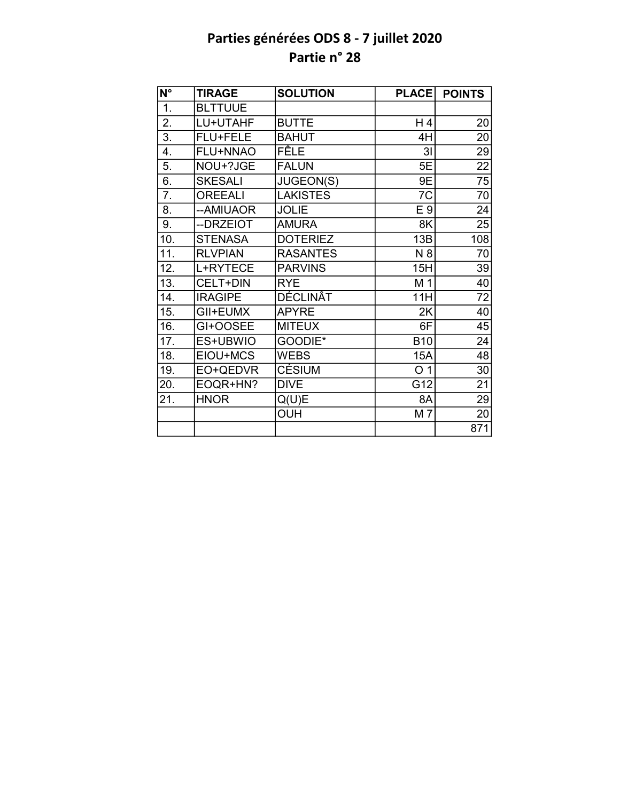| $\overline{\mathsf{N}^{\circ}}$ | <b>TIRAGE</b>  | <b>SOLUTION</b> | <b>PLACE</b>   | <b>POINTS</b>   |
|---------------------------------|----------------|-----------------|----------------|-----------------|
| $\overline{1}$ .                | <b>BLTTUUE</b> |                 |                |                 |
| $\overline{2}$ .                | LU+UTAHF       | <b>BUTTE</b>    | $H_4$          | 20              |
| $\overline{3}$ .                | FLU+FELE       | <b>BAHUT</b>    | 4H             | 20              |
| $\overline{4}$ .                | FLU+NNAO       | <b>FÊLE</b>     | 3 <sub>l</sub> | 29              |
| 5.                              | NOU+?JGE       | <b>FALUN</b>    | 5E             | $\overline{22}$ |
| 6.                              | <b>SKESALI</b> | JUGEON(S)       | 9E             | 75              |
| 7.                              | <b>OREEALI</b> | <b>LAKISTES</b> | 7C             | 70              |
| 8.                              | --AMIUAOR      | <b>JOLIE</b>    | E 9            | 24              |
| 9.                              | --DRZEIOT      | <b>AMURA</b>    | 8K             | 25              |
| 10.                             | <b>STENASA</b> | <b>DOTERIEZ</b> | 13B            | 108             |
| 11.                             | <b>RLVPIAN</b> | <b>RASANTES</b> | N 8            | 70              |
| 12.                             | L+RYTECE       | <b>PARVINS</b>  | 15H            | 39              |
| 13.                             | CELT+DIN       | <b>RYE</b>      | M 1            | 40              |
| 14.                             | <b>IRAGIPE</b> | <b>DÉCLINAT</b> | 11H            | 72              |
| 15.                             | GII+EUMX       | <b>APYRE</b>    | 2K             | 40              |
| 16.                             | GI+OOSEE       | <b>MITEUX</b>   | 6F             | 45              |
| 17.                             | ES+UBWIO       | GOODIE*         | <b>B10</b>     | 24              |
| 18.                             | EIOU+MCS       | <b>WEBS</b>     | 15A            | $\overline{48}$ |
| 19.                             | EO+QEDVR       | <b>CÉSIUM</b>   | O <sub>1</sub> | 30              |
| 20.                             | EOQR+HN?       | <b>DIVE</b>     | G12            | 21              |
| 21.                             | <b>HNOR</b>    | Q(U)E           | 8A             | 29              |
|                                 |                | <b>OUH</b>      | M 7            | 20              |
|                                 |                |                 |                | 871             |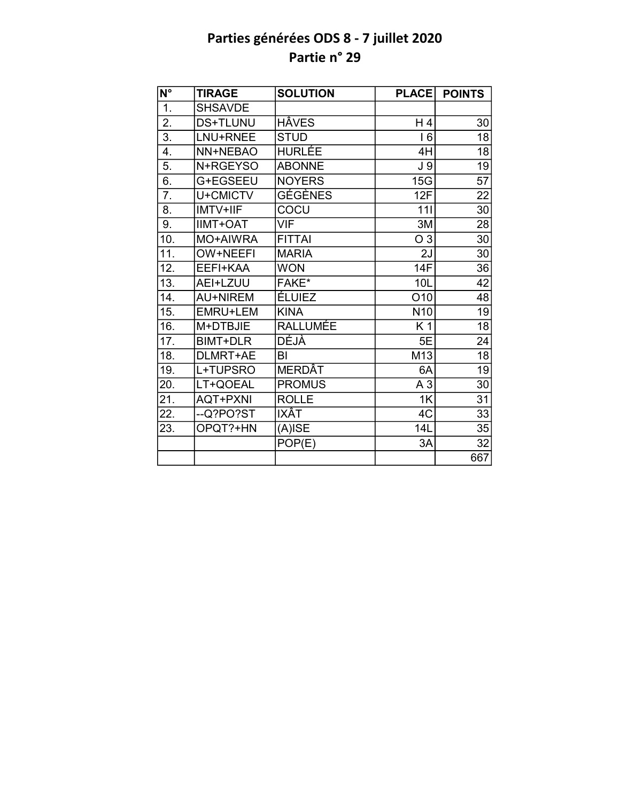| $\overline{\mathsf{N}^{\circ}}$ | <b>TIRAGE</b>   | <b>SOLUTION</b> | <b>PLACE</b>    | <b>POINTS</b>   |
|---------------------------------|-----------------|-----------------|-----------------|-----------------|
| 1.                              | <b>SHSAVDE</b>  |                 |                 |                 |
| 2.                              | <b>DS+TLUNU</b> | <b>HÂVES</b>    | H 4             | 30              |
| $\overline{3}$ .                | LNU+RNEE        | <b>STUD</b>     | <b>16</b>       | 18              |
| 4.                              | NN+NEBAO        | <b>HURLÉE</b>   | 4H              | 18              |
| 5.                              | N+RGEYSO        | <b>ABONNE</b>   | J <sub>9</sub>  | $\overline{19}$ |
| 6.                              | G+EGSEEU        | <b>NOYERS</b>   | 15G             | $\overline{57}$ |
| $\overline{7}$ .                | U+CMICTV        | <b>GÉGÈNES</b>  | 12F             | 22              |
| 8.                              | <b>IMTV+IIF</b> | COCU            | 111             | $\overline{30}$ |
| 9.                              | <b>IIMT+OAT</b> | VIF             | 3M              | 28              |
| 10.                             | MO+AIWRA        | <b>FITTAI</b>   | O <sub>3</sub>  | 30              |
| 11.                             | OW+NEEFI        | <b>MARIA</b>    | 2J              | 30              |
| 12.                             | EEFI+KAA        | <b>WON</b>      | <b>14F</b>      | 36              |
| 13.                             | AEI+LZUU        | FAKE*           | 10L             | 42              |
| 14.                             | <b>AU+NIREM</b> | <b>ÉLUIEZ</b>   | O10             | 48              |
| 15.                             | EMRU+LEM        | <b>KINA</b>     | N <sub>10</sub> | 19              |
| 16.                             | M+DTBJIE        | <b>RALLUMÉE</b> | K 1             | $\overline{18}$ |
| 17.                             | <b>BIMT+DLR</b> | <b>DÉJÀ</b>     | 5E              | 24              |
| 18.                             | DLMRT+AE        | BI              | M13             | $\overline{18}$ |
| 19.                             | L+TUPSRO        | <b>MERDAT</b>   | 6A              | 19              |
| 20.                             | LT+QOEAL        | <b>PROMUS</b>   | A <sub>3</sub>  | 30              |
| 21.                             | <b>AQT+PXNI</b> | <b>ROLLE</b>    | 1K              | 31              |
| 22.                             | --Q?PO?ST       | IXÂT            | 4C              | 33              |
| 23.                             | OPQT?+HN        | (A)ISE          | 14L             | 35              |
|                                 |                 | POP(E)          | 3A              | 32              |
|                                 |                 |                 |                 | 667             |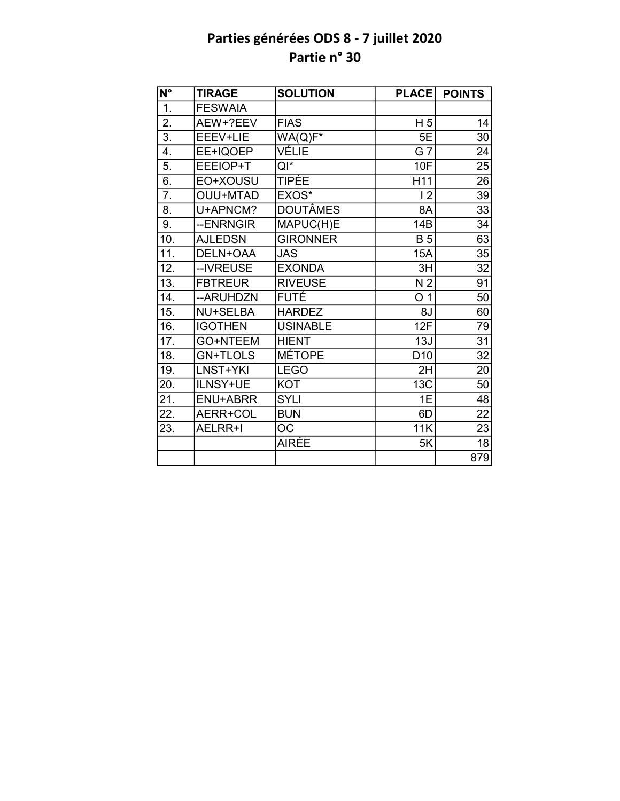| N°                | <b>TIRAGE</b>   | <b>SOLUTION</b> | <b>PLACE</b>    | <b>POINTS</b>   |
|-------------------|-----------------|-----------------|-----------------|-----------------|
| 1.                | <b>FESWAIA</b>  |                 |                 |                 |
| 2.                | AEW+?EEV        | <b>FIAS</b>     | H <sub>5</sub>  | 14              |
| $\overline{3}$ .  | EEEV+LIE        | $WA(Q)F*$       | 5E              | 30              |
| 4.                | EE+IQOEP        | VÉLIE           | G 7             | 24              |
| 5.                | EEEIOP+T        | $QI^*$          | 10F             | $\overline{25}$ |
| 6.                | EO+XOUSU        | TIPÉE           | H11             | 26              |
| $\overline{7}$ .  | <b>OUU+MTAD</b> | EXOS*           | 12              | 39              |
| 8.                | U+APNCM?        | <b>DOUTÂMES</b> | 8A              | 33              |
| 9.                | --ENRNGIR       | MAPUC(H)E       | 14B             | 34              |
| 10.               | <b>AJLEDSN</b>  | <b>GIRONNER</b> | <b>B</b> 5      | 63              |
| 11.               | DELN+OAA        | JAS             | 15A             | 35              |
| 12.               | --IVREUSE       | <b>EXONDA</b>   | 3H              | 32              |
| $\overline{13}$ . | <b>FBTREUR</b>  | <b>RIVEUSE</b>  | N <sub>2</sub>  | 91              |
| 14.               | -- ARUHDZN      | FUTÉ            | O <sub>1</sub>  | 50              |
| 15.               | <b>NU+SELBA</b> | <b>HARDEZ</b>   | 8J              | 60              |
| 16.               | <b>IGOTHEN</b>  | <b>USINABLE</b> | 12F             | 79              |
| 17.               | GO+NTEEM        | <b>HIENT</b>    | 13J             | 31              |
| 18.               | <b>GN+TLOLS</b> | <b>MÉTOPE</b>   | D <sub>10</sub> | $\overline{32}$ |
| 19.               | LNST+YKI        | <b>LEGO</b>     | 2H              | 20              |
| 20.               | ILNSY+UE        | <b>KOT</b>      | 13C             | 50              |
| 21.               | ENU+ABRR        | <b>SYLI</b>     | 1E              | 48              |
| 22.               | AERR+COL        | <b>BUN</b>      | 6D              | 22              |
| 23.               | AELRR+I         | OC              | 11K             | 23              |
|                   |                 | <b>AIRÉE</b>    | 5K              | 18              |
|                   |                 |                 |                 | 879             |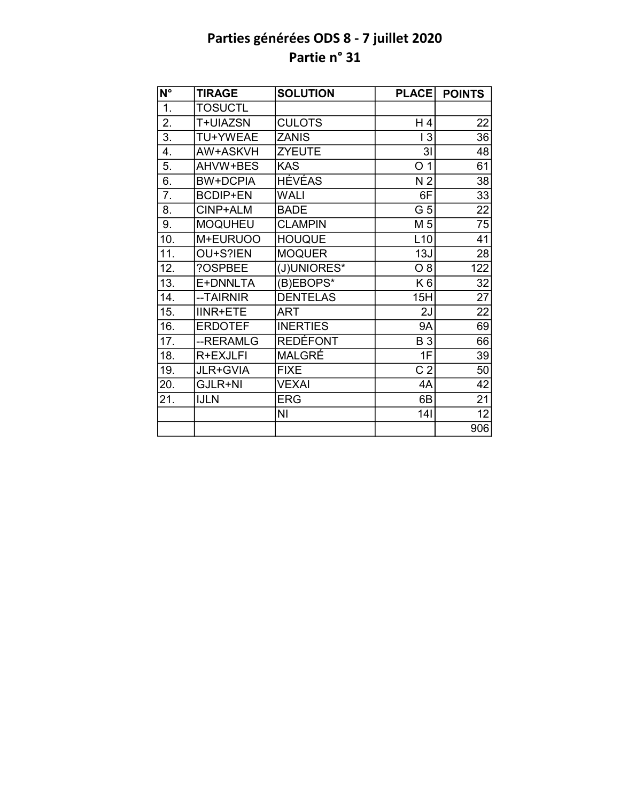| $\overline{\mathsf{N}^{\circ}}$ | <b>TIRAGE</b>   | <b>SOLUTION</b> | <b>PLACE</b>   | <b>POINTS</b>   |
|---------------------------------|-----------------|-----------------|----------------|-----------------|
| 1.                              | <b>TOSUCTL</b>  |                 |                |                 |
| 2.                              | T+UIAZSN        | <b>CULOTS</b>   | H 4            | 22              |
| $\overline{3}$ .                | TU+YWEAE        | <b>ZANIS</b>    | 13             | $\overline{36}$ |
| 4.                              | AW+ASKVH        | <b>ZYEUTE</b>   | 3 <sub>l</sub> | 48              |
| 5.                              | AHVW+BES        | <b>KAS</b>      | O <sub>1</sub> | 61              |
| 6.                              | <b>BW+DCPIA</b> | <b>HÉVÉAS</b>   | N <sub>2</sub> | 38              |
| 7.                              | <b>BCDIP+EN</b> | <b>WALI</b>     | 6F             | 33              |
| 8.                              | CINP+ALM        | <b>BADE</b>     | G <sub>5</sub> | 22              |
| 9.                              | <b>MOQUHEU</b>  | <b>CLAMPIN</b>  | M 5            | 75              |
| 10.                             | M+EURUOO        | <b>HOUQUE</b>   | L10            | 41              |
| 11.                             | OU+S?IEN        | <b>MOQUER</b>   | 13J            | 28              |
| 12.                             | ?OSPBEE         | (J)UNIORES*     | O 8            | 122             |
| 13.                             | E+DNNLTA        | (B)EBOPS*       | K <sub>6</sub> | 32              |
| 14.                             | --TAIRNIR       | <b>DENTELAS</b> | 15H            | 27              |
| 15.                             | <b>IINR+ETE</b> | <b>ART</b>      | 2J             | $\overline{22}$ |
| 16.                             | <b>ERDOTEF</b>  | <b>INERTIES</b> | <b>9A</b>      | 69              |
| 17.                             | --RERAMLG       | <b>REDÉFONT</b> | <b>B3</b>      | 66              |
| 18.                             | R+EXJLFI        | MALGRÉ          | 1F             | 39              |
| 19.                             | JLR+GVIA        | <b>FIXE</b>     | C <sub>2</sub> | 50              |
| 20.                             | GJLR+NI         | <b>VEXAI</b>    | 4A             | 42              |
| 21.                             | <b>IJLN</b>     | <b>ERG</b>      | 6B             | 21              |
|                                 |                 | NI              | 141            | 12              |
|                                 |                 |                 |                | 906             |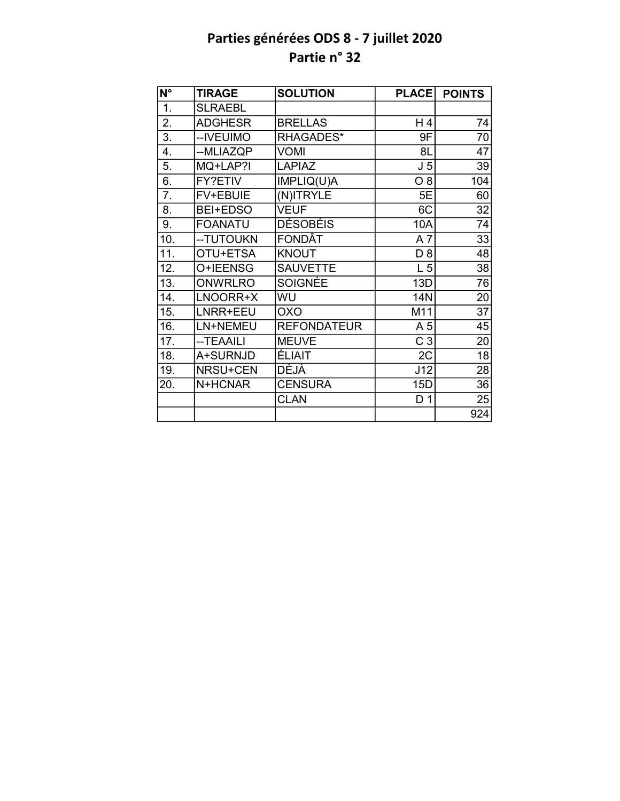| N°               | <b>TIRAGE</b>   | <b>SOLUTION</b>    | <b>PLACE</b>   | <b>POINTS</b>   |
|------------------|-----------------|--------------------|----------------|-----------------|
| $\overline{1}$ . | <b>SLRAEBL</b>  |                    |                |                 |
| 2.               | <b>ADGHESR</b>  | <b>BRELLAS</b>     | H4             | 74              |
| 3.               | --IVEUIMO       | RHAGADES*          | 9F             | 70              |
| 4.               | --MLIAZQP       | <b>VOMI</b>        | 8L             | 47              |
| 5.               | MQ+LAP?I        | <b>LAPIAZ</b>      | J <sub>5</sub> | 39              |
| 6.               | FY?ETIV         | IMPLIQ(U)A         | $O_8$          | 104             |
| 7.               | FV+EBUIE        | (N)ITRYLE          | 5E             | 60              |
| 8.               | <b>BEI+EDSO</b> | <b>VEUF</b>        | 6C             | 32              |
| 9.               | <b>FOANATU</b>  | <b>DÉSOBÉIS</b>    | 10A            | 74              |
| 10.              | -- TUTOUKN      | FONDÂT             | A7             | $\overline{33}$ |
| 11.              | OTU+ETSA        | <b>KNOUT</b>       | D <sub>8</sub> | 48              |
| 12.              | O+IEENSG        | <b>SAUVETTE</b>    | L <sub>5</sub> | 38              |
| 13.              | <b>ONWRLRO</b>  | SOIGNÉE            | 13D            | 76              |
| 14.              | LNOORR+X        | WU                 | <b>14N</b>     | 20              |
| 15.              | LNRR+EEU        | <b>OXO</b>         | M11            | $\overline{37}$ |
| 16.              | LN+NEMEU        | <b>REFONDATEUR</b> | A 5            | 45              |
| 17.              | --TEAAILI       | <b>MEUVE</b>       | C <sub>3</sub> | 20              |
| 18.              | A+SURNJD        | <b>ÉLIAIT</b>      | 2C             | $\overline{18}$ |
| 19.              | NRSU+CEN        | <b>DÉJÀ</b>        | J12            | 28              |
| 20.              | N+HCNAR         | <b>CENSURA</b>     | 15D            | 36              |
|                  |                 | <b>CLAN</b>        | D <sub>1</sub> | 25              |
|                  |                 |                    |                | 924             |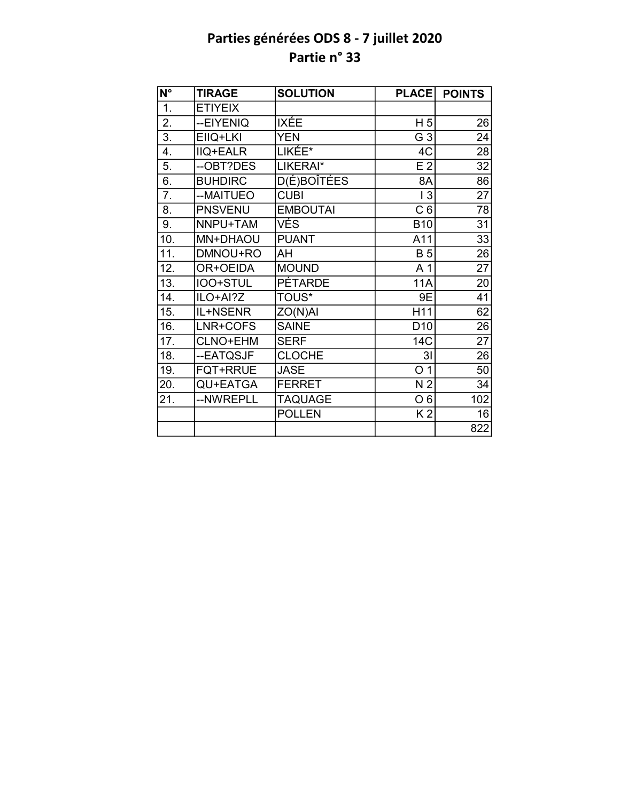| $\overline{\mathsf{N}^{\circ}}$ | <b>TIRAGE</b>   | <b>SOLUTION</b>    | <b>PLACE</b>    | <b>POINTS</b>   |
|---------------------------------|-----------------|--------------------|-----------------|-----------------|
| 1.                              | <b>ETIYEIX</b>  |                    |                 |                 |
| 2.                              | --EIYENIQ       | IXÉE               | H <sub>5</sub>  | 26              |
| $\overline{3}$ .                | EIIQ+LKI        | <b>YEN</b>         | G <sub>3</sub>  | 24              |
| 4.                              | <b>IIQ+EALR</b> | LIKÉE*             | 4C              | 28              |
| 5.                              | --OBT?DES       | LIKERAI*           | E <sub>2</sub>  | 32              |
| 6.                              | <b>BUHDIRC</b>  | <b>D(É)BOÎTÉES</b> | 8A              | 86              |
| 7.                              | --MAITUEO       | <b>CUBI</b>        | 13              | 27              |
| 8.                              | <b>PNSVENU</b>  | <b>EMBOUTAI</b>    | C <sub>6</sub>  | 78              |
| 9.                              | NNPU+TAM        | VÉS                | <b>B10</b>      | 31              |
| 10.                             | MN+DHAOU        | <b>PUANT</b>       | A11             | 33              |
| 11.                             | DMNOU+RO        | AH                 | <b>B</b> 5      | 26              |
| 12.                             | OR+OEIDA        | <b>MOUND</b>       | A <sub>1</sub>  | 27              |
| 13.                             | IOO+STUL        | <b>PÉTARDE</b>     | <b>11A</b>      | 20              |
| 14.                             | ILO+AI?Z        | <b>TOUS*</b>       | 9E              | 41              |
| 15.                             | IL+NSENR        | ZO(N)AI            | H11             | 62              |
| 16.                             | LNR+COFS        | <b>SAINE</b>       | D <sub>10</sub> | $\overline{26}$ |
| 17.                             | CLNO+EHM        | <b>SERF</b>        | 14C             | $\overline{27}$ |
| 18.                             | --EATQSJF       | <b>CLOCHE</b>      | 3 <sub>l</sub>  | 26              |
| 19.                             | <b>FQT+RRUE</b> | <b>JASE</b>        | O <sub>1</sub>  | 50              |
| 20.                             | QU+EATGA        | <b>FERRET</b>      | N <sub>2</sub>  | 34              |
| 21.                             | --NWREPLL       | TAQUAGE            | O <sub>6</sub>  | 102             |
|                                 |                 | <b>POLLEN</b>      | K <sub>2</sub>  | 16              |
|                                 |                 |                    |                 | 822             |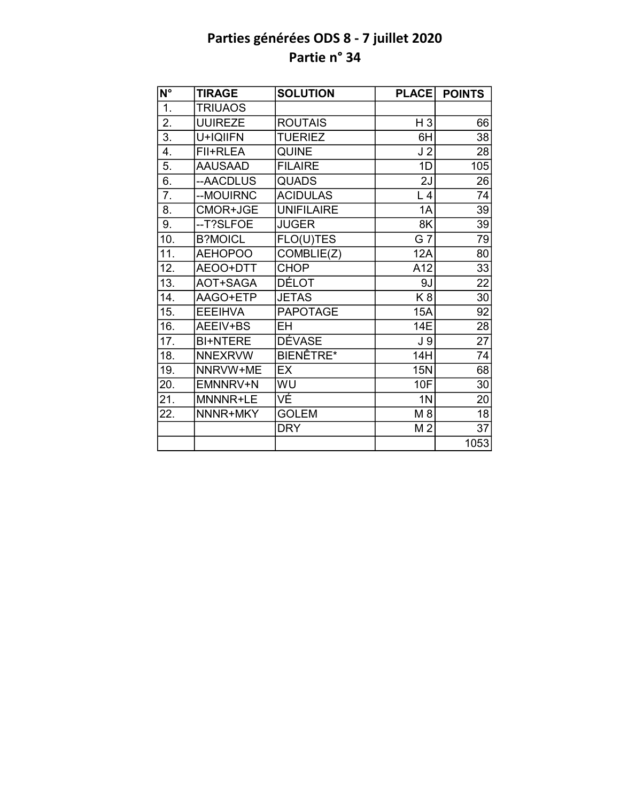| $\overline{\mathsf{N}^{\circ}}$ | <b>TIRAGE</b>   | <b>SOLUTION</b>   | <b>PLACE</b>   | <b>POINTS</b>   |
|---------------------------------|-----------------|-------------------|----------------|-----------------|
| 1.                              | <b>TRIUAOS</b>  |                   |                |                 |
| 2.                              | <b>UUIREZE</b>  | <b>ROUTAIS</b>    | H <sub>3</sub> | 66              |
| $\overline{3}$ .                | U+IQIIFN        | <b>TUERIEZ</b>    | 6H             | 38              |
| 4.                              | FII+RLEA        | <b>QUINE</b>      | J <sub>2</sub> | 28              |
| 5.                              | <b>AAUSAAD</b>  | <b>FILAIRE</b>    | 1D             | 105             |
| 6.                              | --AACDLUS       | <b>QUADS</b>      | 2J             | 26              |
| 7.                              | --MOUIRNC       | <b>ACIDULAS</b>   | L <sub>4</sub> | 74              |
| 8.                              | CMOR+JGE        | <b>UNIFILAIRE</b> | 1A             | 39              |
| 9.                              | --T?SLFOE       | <b>JUGER</b>      | 8K             | 39              |
| 10.                             | <b>B?MOICL</b>  | FLO(U)TES         | G 7            | 79              |
| 11.                             | <b>AEHOPOO</b>  | COMBLIE(Z)        | <b>12A</b>     | 80              |
| 12.                             | AEOO+DTT        | <b>CHOP</b>       | A12            | 33              |
| 13.                             | AOT+SAGA        | <b>DÉLOT</b>      | 9J             | 22              |
| 14.                             | AAGO+ETP        | <b>JETAS</b>      | K <sub>8</sub> | 30              |
| 15.                             | <b>EEEIHVA</b>  | <b>PAPOTAGE</b>   | <b>15A</b>     | $\overline{92}$ |
| 16.                             | AEEIV+BS        | <b>EH</b>         | 14E            | $\overline{28}$ |
| 17.                             | <b>BI+NTERE</b> | <b>DÉVASE</b>     | J 9            | 27              |
| 18.                             | <b>NNEXRVW</b>  | BIENÊTRE*         | 14H            | 74              |
| 19.                             | NNRVW+ME        | EX                | <b>15N</b>     | 68              |
| 20.                             | EMNNRV+N        | WU                | 10F            | 30              |
| 21.                             | MNNNR+LE        | VĚ                | 1 <sub>N</sub> | 20              |
| 22.                             | NNNR+MKY        | <b>GOLEM</b>      | M 8            | 18              |
|                                 |                 | <b>DRY</b>        | M <sub>2</sub> | $\overline{37}$ |
|                                 |                 |                   |                | 1053            |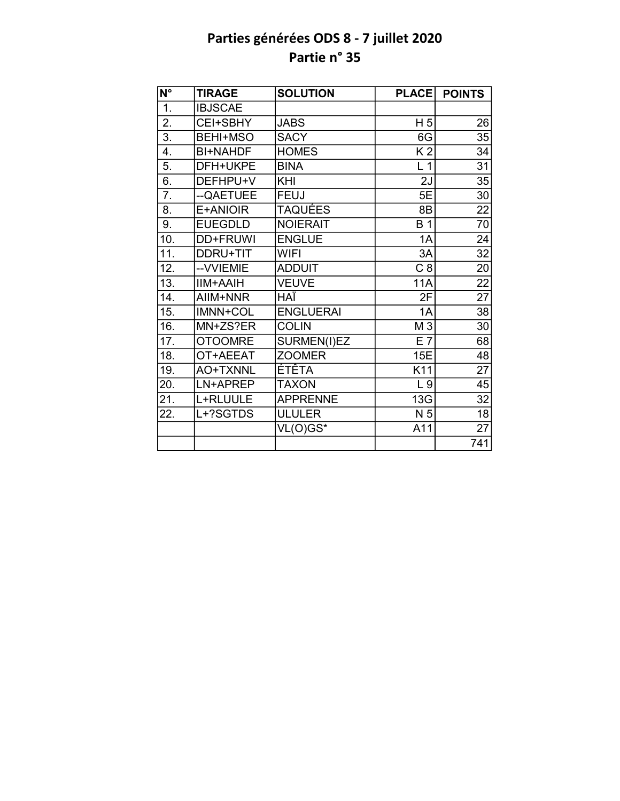| $\overline{\mathsf{N}^{\circ}}$ | <b>TIRAGE</b>   | <b>SOLUTION</b>  | <b>PLACE</b>    | <b>POINTS</b>   |
|---------------------------------|-----------------|------------------|-----------------|-----------------|
| $\overline{1}$ .                | <b>IBJSCAE</b>  |                  |                 |                 |
| $\overline{2}$ .                | CEI+SBHY        | <b>JABS</b>      | H <sub>5</sub>  | 26              |
| 3.                              | <b>BEHI+MSO</b> | <b>SACY</b>      | 6G              | 35              |
| $\overline{4}$ .                | <b>BI+NAHDF</b> | <b>HOMES</b>     | K <sub>2</sub>  | 34              |
| 5.                              | DFH+UKPE        | <b>BINA</b>      | L <sub>1</sub>  | 31              |
| 6.                              | DEFHPU+V        | KHI              | 2J              | 35              |
| $\overline{7}$ .                | --QAETUEE       | <b>FEUJ</b>      | 5E              | 30              |
| 8.                              | E+ANIOIR        | <b>TAQUÉES</b>   | 8B              | $\overline{22}$ |
| 9.                              | <b>EUEGDLD</b>  | <b>NOIERAIT</b>  | <b>B</b> 1      | 70              |
| 10.                             | <b>DD+FRUWI</b> | <b>ENGLUE</b>    | 1A              | 24              |
| 11.                             | DDRU+TIT        | <b>WIFI</b>      | $\overline{3}A$ | $\overline{32}$ |
| 12.                             | -- VVIEMIE      | <b>ADDUIT</b>    | C8              | 20              |
| 13.                             | <b>IIM+AAIH</b> | <b>VEUVE</b>     | <b>11A</b>      | $\overline{22}$ |
| 14.                             | AIIM+NNR        | HAÏ              | 2F              | $\overline{27}$ |
| 15.                             | <b>IMNN+COL</b> | <b>ENGLUERAI</b> | 1A              | 38              |
| 16.                             | MN+ZS?ER        | <b>COLIN</b>     | M 3             | 30              |
| 17.                             | <b>OTOOMRE</b>  | SURMEN(I)EZ      | $E$ 7           | 68              |
| 18.                             | OT+AEEAT        | <b>ZOOMER</b>    | 15E             | 48              |
| 19.                             | AO+TXNNL        | ÉTÊTA            | K11             | $\overline{27}$ |
| 20.                             | LN+APREP        | <b>TAXON</b>     | L <sub>9</sub>  | 45              |
| 21.                             | L+RLUULE        | <b>APPRENNE</b>  | 13G             | $\overline{32}$ |
| 22.                             | L+?SGTDS        | <b>ULULER</b>    | N 5             | 18              |
|                                 |                 | VL(O)GS*         | A11             | $\overline{27}$ |
|                                 |                 |                  |                 | 741             |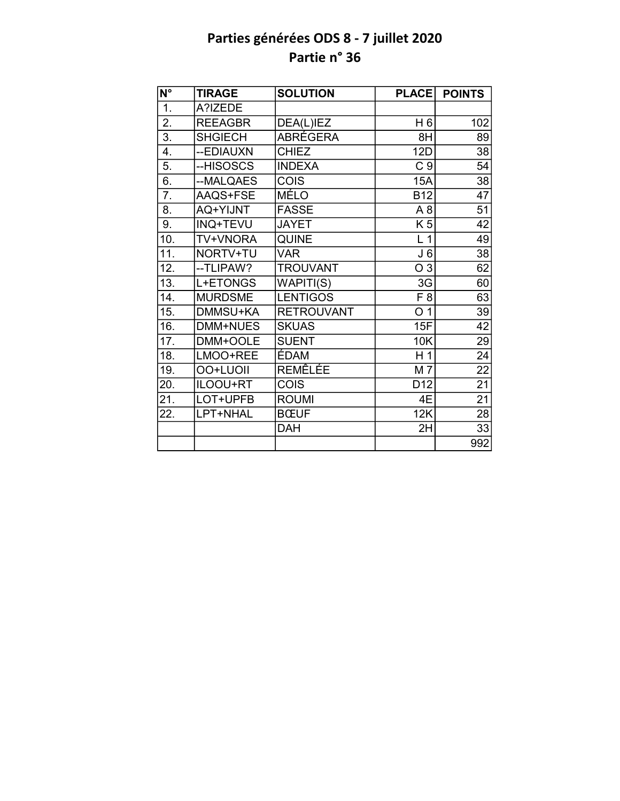| N°                | <b>TIRAGE</b>   | <b>SOLUTION</b>   | <b>PLACE</b>    | <b>POINTS</b>   |
|-------------------|-----------------|-------------------|-----------------|-----------------|
| $\overline{1}$ .  | A?IZEDE         |                   |                 |                 |
| $\overline{2}$ .  | <b>REEAGBR</b>  | DEA(L)IEZ         | H 6             | 102             |
| $\overline{3}$ .  | <b>SHGIECH</b>  | <b>ABRÉGERA</b>   | 8H              | 89              |
| 4.                | --EDIAUXN       | <b>CHIEZ</b>      | <b>12D</b>      | 38              |
| 5.                | --HISOSCS       | <b>INDEXA</b>     | C <sub>9</sub>  | 54              |
| $\overline{6}$ .  | --MALQAES       | COIS              | 15A             | 38              |
| $\overline{7}$ .  | AAQS+FSE        | MÉLO              | <b>B12</b>      | 47              |
| 8.                | AQ+YIJNT        | <b>FASSE</b>      | A <sub>8</sub>  | 51              |
| 9.                | <b>INQ+TEVU</b> | <b>JAYET</b>      | K 5             | 42              |
| 10.               | TV+VNORA        | <b>QUINE</b>      | L <sub>1</sub>  | 49              |
| $\overline{11}$ . | NORTV+TU        | <b>VAR</b>        | J <sub>6</sub>  | 38              |
| 12.               | --TLIPAW?       | <b>TROUVANT</b>   | O 3             | 62              |
| 13.               | L+ETONGS        | WAPITI(S)         | 3G              | 60              |
| 14.               | <b>MURDSME</b>  | <b>LENTIGOS</b>   | F 8             | 63              |
| 15.               | DMMSU+KA        | <b>RETROUVANT</b> | O <sub>1</sub>  | 39              |
| 16.               | DMM+NUES        | <b>SKUAS</b>      | 15F             | $\overline{42}$ |
| 17.               | DMM+OOLE        | <b>SUENT</b>      | <b>10K</b>      | 29              |
| 18.               | LMOO+REE        | ÉDAM              | H <sub>1</sub>  | $\overline{24}$ |
| 19.               | OO+LUOII        | REMÊLÉE           | M 7             | $\overline{22}$ |
| 20.               | ILOOU+RT        | COIS              | D <sub>12</sub> | $\overline{21}$ |
| 21.               | LOT+UPFB        | <b>ROUMI</b>      | 4E              | $\overline{21}$ |
| 22.               | LPT+NHAL        | <b>BCEUF</b>      | 12K             | 28              |
|                   |                 | <b>DAH</b>        | 2H              | 33              |
|                   |                 |                   |                 | 992             |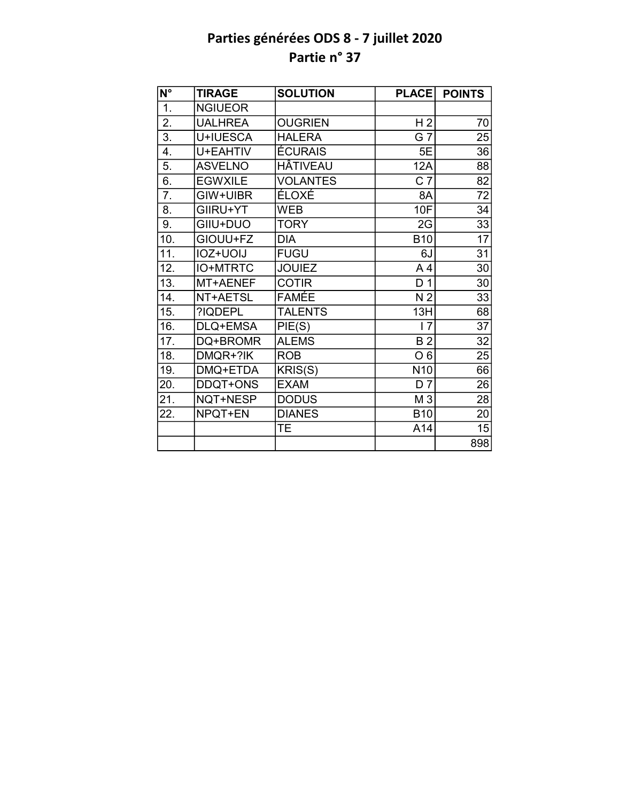| $\overline{\mathsf{N}^{\circ}}$ | <b>TIRAGE</b>   | <b>SOLUTION</b> | <b>PLACE</b>    | <b>POINTS</b>   |
|---------------------------------|-----------------|-----------------|-----------------|-----------------|
| 1.                              | <b>NGIUEOR</b>  |                 |                 |                 |
| $\overline{2}$ .                | <b>UALHREA</b>  | <b>OUGRIEN</b>  | H <sub>2</sub>  | 70              |
| 3.                              | U+IUESCA        | <b>HALERA</b>   | G <sub>7</sub>  | 25              |
| 4.                              | U+EAHTIV        | <b>ÉCURAIS</b>  | 5E              | 36              |
| 5.                              | <b>ASVELNO</b>  | <b>HÂTIVEAU</b> | 12A             | 88              |
| 6.                              | <b>EGWXILE</b>  | <b>VOLANTES</b> | C <sub>7</sub>  | $\overline{82}$ |
| 7.                              | GIW+UIBR        | ÉLOXÉ           | 8A              | 72              |
| 8.                              | GIIRU+YT        | <b>WEB</b>      | <b>10F</b>      | 34              |
| 9.                              | GIIU+DUO        | <b>TORY</b>     | 2G              | 33              |
| 10.                             | GIOUU+FZ        | <b>DIA</b>      | <b>B10</b>      | $\overline{17}$ |
| 11.                             | IOZ+UOIJ        | <b>FUGU</b>     | 6J              | $\overline{31}$ |
| 12.                             | <b>IO+MTRTC</b> | <b>JOUIEZ</b>   | A <sub>4</sub>  | 30              |
| 13.                             | MT+AENEF        | <b>COTIR</b>    | D <sub>1</sub>  | 30              |
| 14.                             | NT+AETSL        | <b>FAMÉE</b>    | N <sub>2</sub>  | 33              |
| 15.                             | ?IQDEPL         | <b>TALENTS</b>  | 13H             | $\overline{68}$ |
| 16.                             | DLQ+EMSA        | PIE(S)          | 7               | $\overline{37}$ |
| 17.                             | DQ+BROMR        | <b>ALEMS</b>    | <b>B2</b>       | 32              |
| 18.                             | DMQR+?IK        | <b>ROB</b>      | O <sub>6</sub>  | 25              |
| 19.                             | DMQ+ETDA        | KRIS(S)         | N <sub>10</sub> | 66              |
| 20.                             | DDQT+ONS        | <b>EXAM</b>     | $D\bar{7}$      | 26              |
| 21.                             | NQT+NESP        | <b>DODUS</b>    | M 3             | 28              |
| 22.                             | NPQT+EN         | <b>DIANES</b>   | <b>B10</b>      | 20              |
|                                 |                 | TE.             | A14             | 15              |
|                                 |                 |                 |                 | 898             |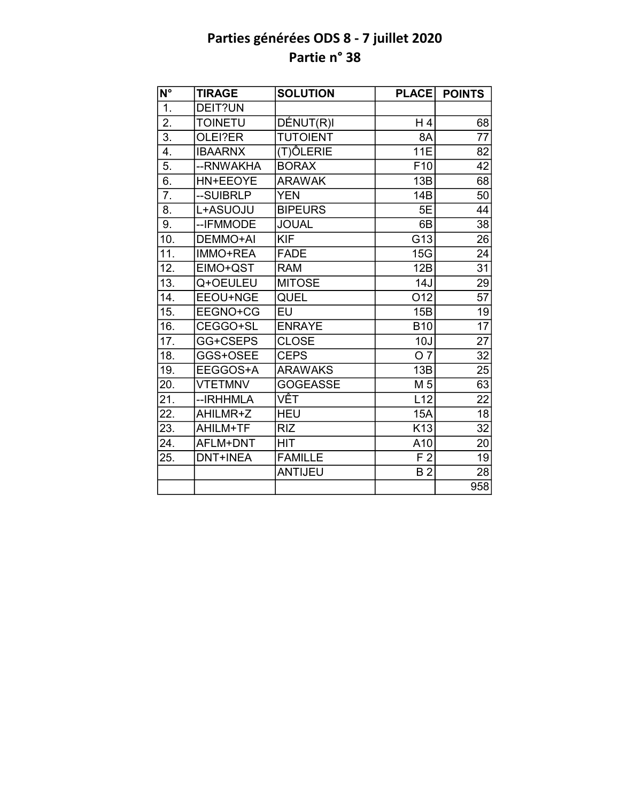| $\overline{\mathsf{N}^{\circ}}$ | <b>TIRAGE</b>   | <b>SOLUTION</b> | <b>PLACE</b>    | <b>POINTS</b>   |
|---------------------------------|-----------------|-----------------|-----------------|-----------------|
| $\overline{1}$ .                | DEIT?UN         |                 |                 |                 |
| $\overline{2}$ .                | <b>TOINETU</b>  | DÉNUT(R)I       | H 4             | 68              |
| $\overline{3}$ .                | OLEI?ER         | <b>TUTOIENT</b> | 8A              | 77              |
| $\overline{4}$ .                | <b>IBAARNX</b>  | (T)ÔLERIE       | <b>11E</b>      | 82              |
| $\overline{5}$ .                | --RNWAKHA       | <b>BORAX</b>    | F <sub>10</sub> | 42              |
| 6.                              | HN+EEOYE        | <b>ARAWAK</b>   | 13B             | 68              |
| $\overline{7}$ .                | --SUIBRLP       | <b>YEN</b>      | 14B             | 50              |
| 8.                              | L+ASUOJU        | <b>BIPEURS</b>  | 5E              | 44              |
| 9.                              | -- IFMMODE      | <b>JOUAL</b>    | 6B              | 38              |
| 10.                             | DEMMO+AI        | <b>KIF</b>      | G13             | 26              |
| 11.                             | <b>IMMO+REA</b> | <b>FADE</b>     | 15G             | 24              |
| 12.                             | EIMO+QST        | <b>RAM</b>      | 12B             | $\overline{31}$ |
| 13.                             | Q+OEULEU        | <b>MITOSE</b>   | 14J             | 29              |
| 14.                             | EEOU+NGE        | QUEL            | O12             | 57              |
| 15.                             | EEGNO+CG        | EU              | 15B             | 19              |
| 16.                             | CEGGO+SL        | <b>ENRAYE</b>   | <b>B10</b>      | $\overline{17}$ |
| 17.                             | GG+CSEPS        | <b>CLOSE</b>    | 10J             | 27              |
| 18.                             | GGS+OSEE        | <b>CEPS</b>     | O 7             | 32              |
| 19.                             | EEGGOS+A        | <b>ARAWAKS</b>  | 13B             | 25              |
| 20.                             | <b>VTETMNV</b>  | <b>GOGEASSE</b> | M <sub>5</sub>  | 63              |
| 21.                             | -- IRHHMLA      | VÊT             | L12             | $\overline{22}$ |
| 22.                             | AHILMR+Z        | <b>HEU</b>      | <b>15A</b>      | $\overline{18}$ |
| 23.                             | AHILM+TF        | <b>RIZ</b>      | K <sub>13</sub> | 32              |
| 24.                             | AFLM+DNT        | <b>HIT</b>      | A10             | 20              |
| 25.                             | <b>DNT+INEA</b> | <b>FAMILLE</b>  | F <sub>2</sub>  | $\overline{19}$ |
|                                 |                 | <b>ANTIJEU</b>  | B <sub>2</sub>  | 28              |
|                                 |                 |                 |                 | 958             |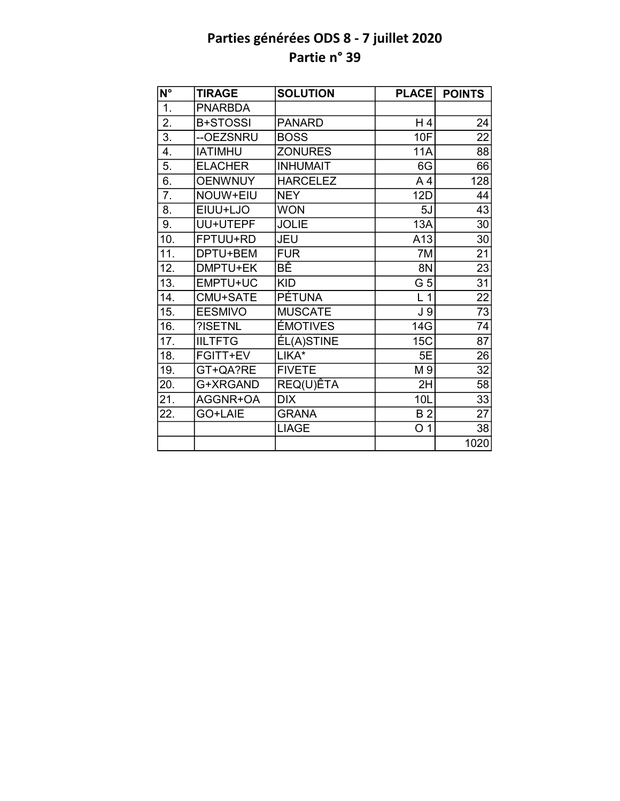| $\overline{\mathsf{N}^{\circ}}$ | <b>TIRAGE</b>   | <b>SOLUTION</b> | <b>PLACE</b>    | <b>POINTS</b>   |
|---------------------------------|-----------------|-----------------|-----------------|-----------------|
| 1.                              | <b>PNARBDA</b>  |                 |                 |                 |
| $\overline{2}$ .                | <b>B+STOSSI</b> | <b>PANARD</b>   | H 4             | 24              |
| $\overline{3}$ .                | --OEZSNRU       | <b>BOSS</b>     | 10F             | 22              |
| 4.                              | <b>IATIMHU</b>  | <b>ZONURES</b>  | <b>11A</b>      | 88              |
| 5.                              | <b>ELACHER</b>  | <b>INHUMAIT</b> | 6G              | 66              |
| 6.                              | <b>OENWNUY</b>  | <b>HARCELEZ</b> | A <sub>4</sub>  | 128             |
| 7.                              | NOUW+EIU        | <b>NEY</b>      | <b>12D</b>      | 44              |
| 8.                              | EIUU+LJO        | <b>WON</b>      | 5J              | 43              |
| 9.                              | UU+UTEPF        | <b>JOLIE</b>    | 13A             | 30              |
| 10.                             | FPTUU+RD        | JEU             | A13             | 30              |
| 11.                             | DPTU+BEM        | <b>FUR</b>      | 7M              | 21              |
| 12.                             | DMPTU+EK        | ВÊ              | 8N              | 23              |
| 13.                             | EMPTU+UC        | <b>KID</b>      | $G\overline{5}$ | $\overline{31}$ |
| 14.                             | CMU+SATE        | PÉTUNA          | L <sub>1</sub>  | $\overline{22}$ |
| 15.                             | <b>EESMIVO</b>  | <b>MUSCATE</b>  | J <sub>9</sub>  | $\overline{73}$ |
| 16.                             | ?ISETNL         | <b>ÉMOTIVES</b> | 14G             | 74              |
| 17.                             | <b>IILTFTG</b>  | ÉL(A)STINE      | <b>15C</b>      | 87              |
| 18.                             | FGITT+EV        | LIKA*           | 5E              | 26              |
| 19.                             | GT+QA?RE        | <b>FIVETE</b>   | M 9             | 32              |
| 20.                             | G+XRGAND        | REQ(U)ÊTA       | 2H              | 58              |
| 21.                             | AGGNR+OA        | <b>DIX</b>      | 10L             | 33              |
| 22.                             | GO+LAIE         | <b>GRANA</b>    | <b>B2</b>       | 27              |
|                                 |                 | <b>LIAGE</b>    | O <sub>1</sub>  | 38              |
|                                 |                 |                 |                 | 1020            |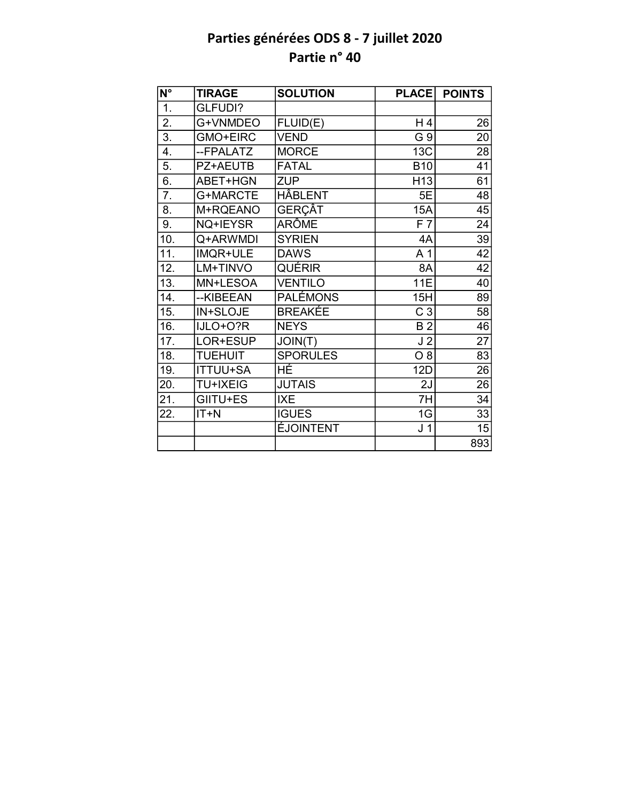| N°                | <b>TIRAGE</b>   | <b>SOLUTION</b>  | <b>PLACE</b>    | <b>POINTS</b>   |
|-------------------|-----------------|------------------|-----------------|-----------------|
| $\overline{1}$ .  | GLFUDI?         |                  |                 |                 |
| $\overline{2}$ .  | G+VNMDEO        | FLUID(E)         | H4              | 26              |
| 3.                | <b>GMO+EIRC</b> | <b>VEND</b>      | G 9             | 20              |
| 4.                | --FPALATZ       | <b>MORCE</b>     | 13C             | 28              |
| 5.                | PZ+AEUTB        | <b>FATAL</b>     | <b>B10</b>      | 41              |
| $\overline{6}$ .  | ABET+HGN        | <b>ZUP</b>       | H <sub>13</sub> | $\overline{61}$ |
| 7.                | G+MARCTE        | HÂBLENT          | 5E              | 48              |
| 8.                | M+RQEANO        | <b>GERÇÂT</b>    | 15A             | 45              |
| 9.                | NQ+IEYSR        | <b>ARÔME</b>     | F <sub>7</sub>  | 24              |
| 10.               | Q+ARWMDI        | <b>SYRIEN</b>    | 4A              | 39              |
| $\overline{11}$ . | IMQR+ULE        | <b>DAWS</b>      | A <sub>1</sub>  | $\overline{42}$ |
| 12.               | LM+TINVO        | QUÉRIR           | 8A              | 42              |
| 13.               | MN+LESOA        | <b>VENTILO</b>   | <b>11E</b>      | 40              |
| 14.               | --KIBEEAN       | <b>PALÉMONS</b>  | 15H             | 89              |
| 15.               | IN+SLOJE        | <b>BREAKÉE</b>   | C <sub>3</sub>  | 58              |
| 16.               | IJLO+O?R        | <b>NEYS</b>      | B <sub>2</sub>  | $\overline{46}$ |
| 17.               | LOR+ESUP        | JOIN(T)          | J <sub>2</sub>  | $\overline{27}$ |
| 18.               | <b>TUEHUIT</b>  | <b>SPORULES</b>  | 08              | $\overline{83}$ |
| 19.               | <b>ITTUU+SA</b> | HÉ               | 12D             | 26              |
| 20.               | <b>TU+IXEIG</b> | <b>JUTAIS</b>    | 2J              | $\overline{26}$ |
| 21.               | GIITU+ES        | <b>IXE</b>       | 7H              | $\overline{34}$ |
| 22.               | $IT+N$          | <b>IGUES</b>     | 1G              | 33              |
|                   |                 | <b>EJOINTENT</b> | J <sub>1</sub>  | 15              |
|                   |                 |                  |                 | 893             |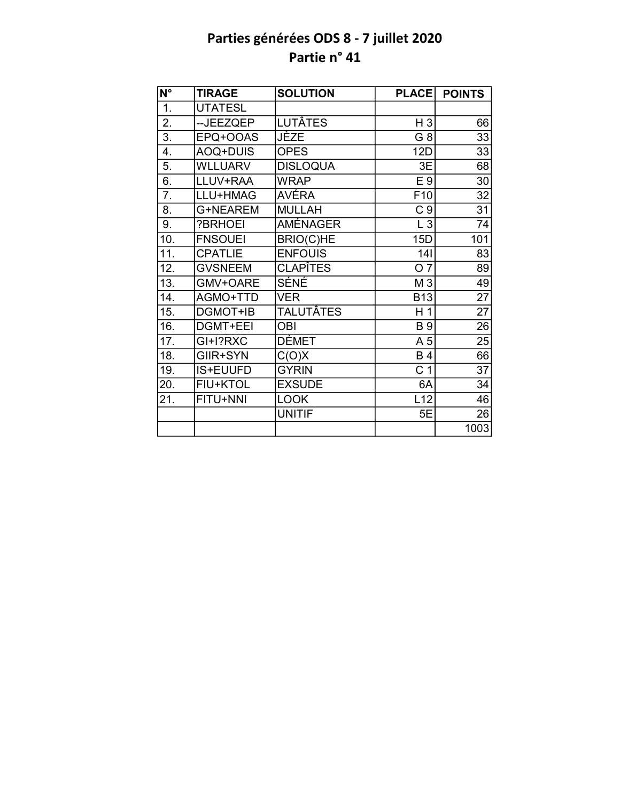| N°               | <b>TIRAGE</b>   | <b>SOLUTION</b>  | <b>PLACE</b>    | <b>POINTS</b>   |
|------------------|-----------------|------------------|-----------------|-----------------|
| 1.               | <b>UTATESL</b>  |                  |                 |                 |
| 2.               | --JEEZQEP       | <b>LUTÂTES</b>   | H <sub>3</sub>  | 66              |
| $\overline{3}$ . | EPQ+OOAS        | <b>JÈZE</b>      | G 8             | 33              |
| 4.               | AOQ+DUIS        | <b>OPES</b>      | 12D             | 33              |
| 5.               | <b>WLLUARV</b>  | <b>DISLOQUA</b>  | 3E              | 68              |
| 6.               | LLUV+RAA        | <b>WRAP</b>      | E 9             | 30              |
| 7.               | LLU+HMAG        | AVÉRA            | F <sub>10</sub> | 32              |
| 8.               | G+NEAREM        | <b>MULLAH</b>    | C <sub>9</sub>  | 31              |
| 9.               | ?BRHOEI         | <b>AMÉNAGER</b>  | $L_3$           | 74              |
| 10.              | <b>FNSOUEI</b>  | <b>BRIO(C)HE</b> | 15D             | 101             |
| 11.              | <b>CPATLIE</b>  | <b>ENFOUIS</b>   | 141             | 83              |
| 12.              | <b>GVSNEEM</b>  | <b>CLAPÎTES</b>  | O <sub>7</sub>  | 89              |
| 13.              | GMV+OARE        | SÉNÉ             | M 3             | 49              |
| 14.              | AGMO+TTD        | <b>VER</b>       | <b>B13</b>      | 27              |
| 15.              | DGMOT+IB        | <b>TALUTÂTES</b> | H <sub>1</sub>  | $\overline{27}$ |
| 16.              | <b>DGMT+EEI</b> | <b>OBI</b>       | <b>B</b> 9      | $\overline{26}$ |
| 17.              | GI+I?RXC        | <b>DÉMET</b>     | A 5             | 25              |
| 18.              | GIIR+SYN        | C(O)X            | <b>B4</b>       | $\overline{66}$ |
| 19.              | IS+EUUFD        | <b>GYRIN</b>     | C <sub>1</sub>  | 37              |
| 20.              | <b>FIU+KTOL</b> | <b>EXSUDE</b>    | 6A              | 34              |
| 21.              | FITU+NNI        | <b>LOOK</b>      | L12             | 46              |
|                  |                 | <b>UNITIF</b>    | 5E              | 26              |
|                  |                 |                  |                 | 1003            |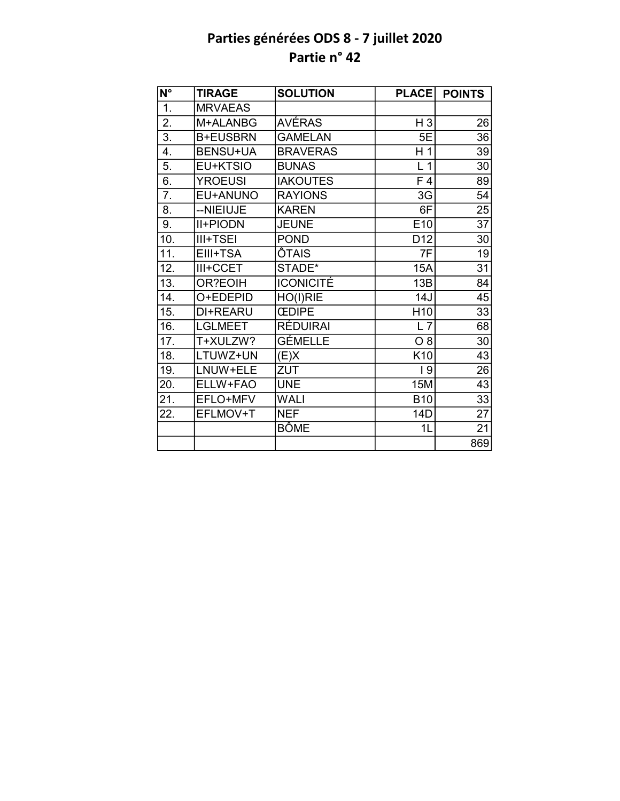| N°               | <b>TIRAGE</b>   | <b>SOLUTION</b>  | <b>PLACE</b>    | <b>POINTS</b>   |
|------------------|-----------------|------------------|-----------------|-----------------|
| 1.               | <b>MRVAEAS</b>  |                  |                 |                 |
| 2.               | M+ALANBG        | AVÉRAS           | $H_3$           | 26              |
| $\overline{3}$ . | <b>B+EUSBRN</b> | <b>GAMELAN</b>   | 5E              | 36              |
| 4.               | <b>BENSU+UA</b> | <b>BRAVERAS</b>  | H <sub>1</sub>  | 39              |
| 5.               | EU+KTSIO        | <b>BUNAS</b>     | L <sub>1</sub>  | 30              |
| 6.               | <b>YROEUSI</b>  | <b>IAKOUTES</b>  | F <sub>4</sub>  | 89              |
| 7.               | EU+ANUNO        | <b>RAYIONS</b>   | 3G              | 54              |
| 8.               | --NIEIUJE       | <b>KAREN</b>     | 6F              | 25              |
| 9.               | <b>II+PIODN</b> | <b>JEUNE</b>     | E10             | 37              |
| 10.              | III+TSEI        | <b>POND</b>      | D <sub>12</sub> | 30              |
| 11.              | EIII+TSA        | ÔTAIS            | 7F              | 19              |
| 12.              | III+CCET        | STADE*           | 15A             | 31              |
| 13.              | OR?EOIH         | <b>ICONICITÉ</b> | 13B             | 84              |
| 14.              | O+EDEPID        | HO(I)RIE         | 14J             | 45              |
| 15.              | DI+REARU        | <b>CEDIPE</b>    | H <sub>10</sub> | 33              |
| 16.              | <b>LGLMEET</b>  | RÉDUIRAI         | $L$ 7           | $\overline{68}$ |
| 17.              | T+XULZW?        | <b>GÉMELLE</b>   | $O_8$           | 30              |
| 18.              | LTUWZ+UN        | (E)X             | K <sub>10</sub> | 43              |
| 19.              | LNUW+ELE        | ZUT              | 19              | 26              |
| 20.              | ELLW+FAO        | <b>UNE</b>       | 15M             | 43              |
| 21.              | EFLO+MFV        | <b>WALI</b>      | <b>B10</b>      | 33              |
| 22.              | EFLMOV+T        | <b>NEF</b>       | 14D             | 27              |
|                  |                 | <b>BÔME</b>      | 1L              | $\overline{21}$ |
|                  |                 |                  |                 | 869             |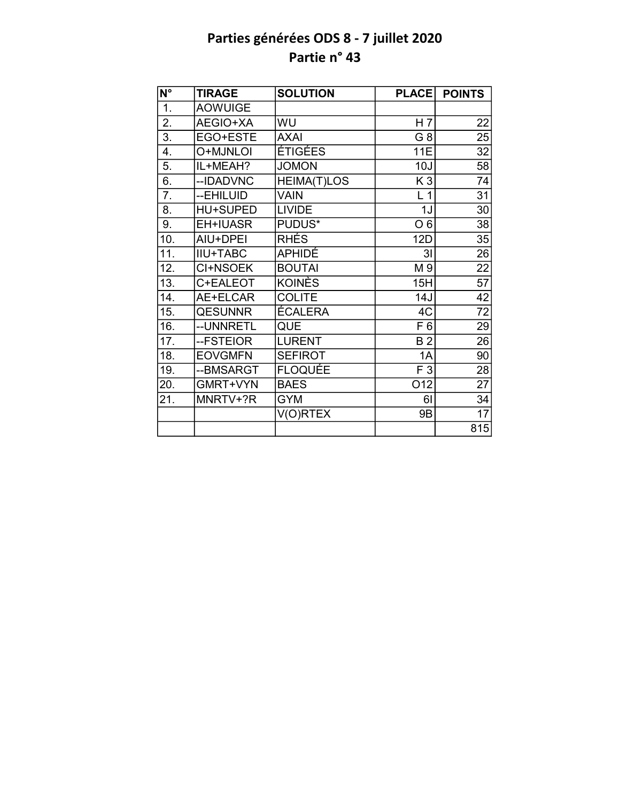| $\overline{\mathsf{N}^{\circ}}$ | <b>TIRAGE</b>   | <b>SOLUTION</b>    | <b>PLACE</b>   | <b>POINTS</b>   |
|---------------------------------|-----------------|--------------------|----------------|-----------------|
| 1.                              | <b>AOWUIGE</b>  |                    |                |                 |
| 2.                              | AEGIO+XA        | WU                 | H <sub>7</sub> | 22              |
| $\overline{3}$ .                | EGO+ESTE        | <b>AXAI</b>        | G <sub>8</sub> | 25              |
| 4.                              | O+MJNLOI        | ÉTIGÉES            | 11E            | 32              |
| 5.                              | IL+MEAH?        | <b>JOMON</b>       | 10J            | 58              |
| 6.                              | --IDADVNC       | <b>HEIMA(T)LOS</b> | K <sub>3</sub> | 74              |
| 7.                              | --EHILUID       | VAIN               | L <sub>1</sub> | 31              |
| 8.                              | <b>HU+SUPED</b> | <b>LIVIDE</b>      | 1J             | 30              |
| 9.                              | EH+IUASR        | PUDUS*             | O <sub>6</sub> | 38              |
| 10.                             | AIU+DPEI        | <b>RHÉS</b>        | 12D            | 35              |
| 11.                             | <b>IIU+TABC</b> | APHIDÉ             | 3 <sub>l</sub> | 26              |
| 12.                             | CI+NSOEK        | <b>BOUTAI</b>      | M 9            | 22              |
| 13.                             | C+EALEOT        | <b>KOINÈS</b>      | 15H            | $\overline{57}$ |
| 14.                             | AE+ELCAR        | <b>COLITE</b>      | 14J            | 42              |
| 15.                             | <b>QESUNNR</b>  | <b>ÉCALERA</b>     | 4C             | $\overline{72}$ |
| 16.                             | --UNNRETL       | <b>QUE</b>         | F 6            | 29              |
| 17.                             | --FSTEIOR       | <b>LURENT</b>      | B <sub>2</sub> | 26              |
| 18.                             | <b>EOVGMFN</b>  | <b>SEFIROT</b>     | 1A             | 90              |
| 19.                             | --BMSARGT       | <b>FLOQUÉE</b>     | F 3            | 28              |
| 20.                             | GMRT+VYN        | <b>BAES</b>        | O12            | $\overline{27}$ |
| 21.                             | MNRTV+?R        | <b>GYM</b>         | 61             | 34              |
|                                 |                 | V(O)RTEX           | 9B             | 17              |
|                                 |                 |                    |                | 815             |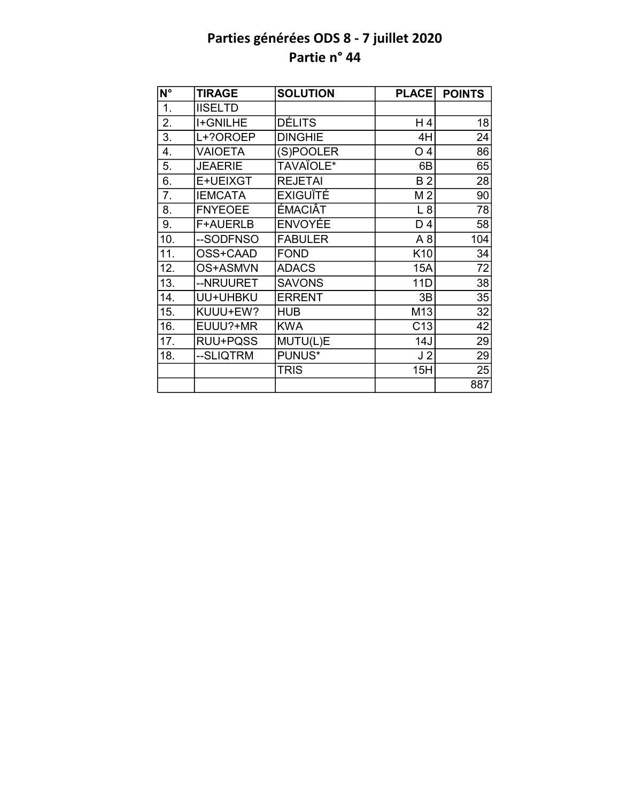| $N^{\circ}$ | <b>TIRAGE</b>   | <b>SOLUTION</b> | <b>PLACE</b>    | <b>POINTS</b>   |
|-------------|-----------------|-----------------|-----------------|-----------------|
| 1.          | <b>IISELTD</b>  |                 |                 |                 |
| 2.          | <b>I+GNILHE</b> | <b>DÉLITS</b>   | H 4             | 18              |
| 3.          | L+?OROEP        | <b>DINGHIE</b>  | 4H              | 24              |
| 4.          | <b>VAIOETA</b>  | (S)POOLER       | O <sub>4</sub>  | 86              |
| 5.          | <b>JEAERIE</b>  | TAVAÏOLE*       | 6B              | 65              |
| 6.          | E+UEIXGT        | <b>REJETAI</b>  | B <sub>2</sub>  | 28              |
| 7.          | <b>IEMCATA</b>  | <b>EXIGUÏTÉ</b> | M <sub>2</sub>  | 90              |
| 8.          | <b>FNYEOEE</b>  | ÉMACIÂT         | L8              | 78              |
| 9.          | <b>F+AUERLB</b> | <b>ENVOYÉE</b>  | D <sub>4</sub>  | 58              |
| 10.         | --SODFNSO       | <b>FABULER</b>  | A8              | 104             |
| 11.         | OSS+CAAD        | <b>FOND</b>     | K10             | 34              |
| 12.         | OS+ASMVN        | <b>ADACS</b>    | 15A             | 72              |
| 13.         | --NRUURET       | <b>SAVONS</b>   | 11D             | $\overline{38}$ |
| 14.         | UU+UHBKU        | <b>ERRENT</b>   | 3B              | 35              |
| 15.         | KUUU+EW?        | <b>HUB</b>      | M13             | $\overline{32}$ |
| 16.         | EUUU?+MR        | <b>KWA</b>      | C <sub>13</sub> | 42              |
| 17.         | RUU+PQSS        | MUTU(L)E        | 14J             | 29              |
| 18.         | --SLIQTRM       | PUNUS*          | J <sub>2</sub>  | 29              |
|             |                 | <b>TRIS</b>     | 15H             | 25              |
|             |                 |                 |                 | 887             |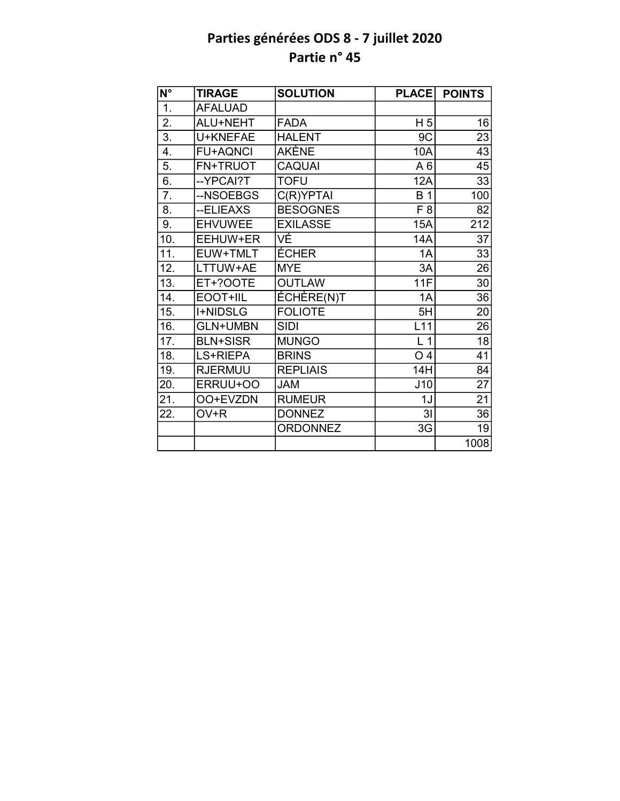| N°                | <b>TIRAGE</b>   | <b>SOLUTION</b> | <b>PLACE</b>   | <b>POINTS</b>   |
|-------------------|-----------------|-----------------|----------------|-----------------|
| $\overline{1}$ .  | <b>AFALUAD</b>  |                 |                |                 |
| $\overline{2}$ .  | ALU+NEHT        | <b>FADA</b>     | H <sub>5</sub> | 16              |
| $\overline{3}$ .  | U+KNEFAE        | <b>HALENT</b>   | 9C             | 23              |
| 4.                | <b>FU+AQNCI</b> | AKÈNE           | 10A            | 43              |
| 5.                | FN+TRUOT        | <b>CAQUAI</b>   | A6             | 45              |
| $\overline{6}$ .  | --YPCAI?T       | <b>TOFU</b>     | 12A            | 33              |
| $\overline{7}$ .  | --NSOEBGS       | C(R)YPTAI       | <b>B</b> 1     | 100             |
| 8.                | --ELIEAXS       | <b>BESOGNES</b> | F <sub>8</sub> | 82              |
| 9.                | <b>EHVUWEE</b>  | <b>EXILASSE</b> | 15A            | 212             |
| 10.               | EEHUW+ER        | VÉ              | 14A            | 37              |
| $\overline{11}$ . | EUW+TMLT        | <b>ÉCHER</b>    | 1A             | 33              |
| 12.               | LTTUW+AE        | <b>MYE</b>      | 3A             | 26              |
| 13.               | ET+?OOTE        | <b>OUTLAW</b>   | 11F            | 30              |
| 14.               | EOOT+IIL        | ÉCHÈRE(N)T      | 1A             | 36              |
| 15.               | <b>I+NIDSLG</b> | <b>FOLIOTE</b>  | 5H             | 20              |
| 16.               | <b>GLN+UMBN</b> | <b>SIDI</b>     | L11            | $\overline{26}$ |
| $\overline{17}$ . | <b>BLN+SISR</b> | <b>MUNGO</b>    | L <sub>1</sub> | $\overline{18}$ |
| 18.               | LS+RIEPA        | <b>BRINS</b>    | O <sub>4</sub> | $\overline{41}$ |
| 19.               | <b>RJERMUU</b>  | <b>REPLIAIS</b> | 14H            | 84              |
| 20.               | ERRUU+OO        | <b>JAM</b>      | J10            | $\overline{27}$ |
| 21.               | OO+EVZDN        | <b>RUMEUR</b>   | 1J             | $\overline{21}$ |
| 22.               | OV+R            | <b>DONNEZ</b>   | 3 <sub>l</sub> | 36              |
|                   |                 | <b>ORDONNEZ</b> | 3G             | 19              |
|                   |                 |                 |                | 1008            |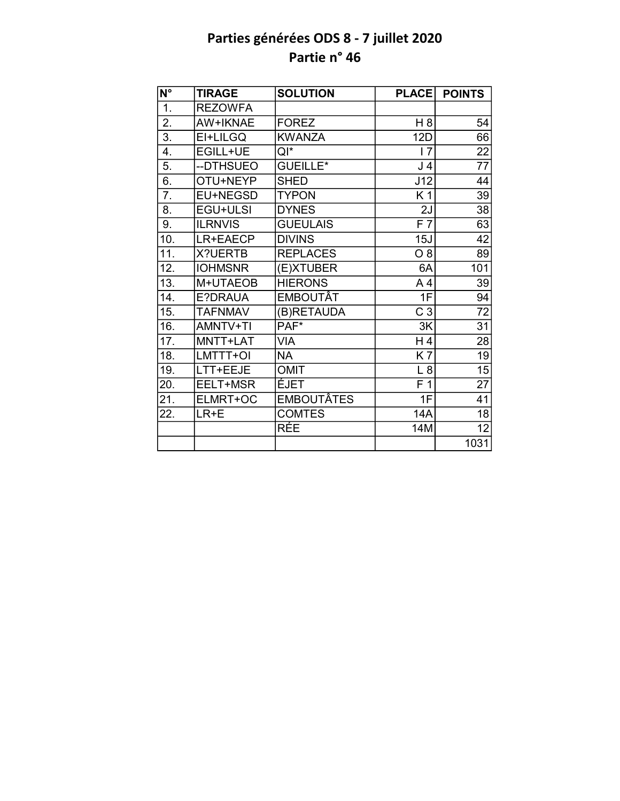| N°                | <b>TIRAGE</b>  | <b>SOLUTION</b>   | <b>PLACE</b>   | <b>POINTS</b>   |
|-------------------|----------------|-------------------|----------------|-----------------|
| $\overline{1}$ .  | <b>REZOWFA</b> |                   |                |                 |
| $\overline{2}$ .  | AW+IKNAE       | <b>FOREZ</b>      | H <sub>8</sub> | 54              |
| $\overline{3}$ .  | EI+LILGQ       | <b>KWANZA</b>     | <b>12D</b>     | 66              |
| 4.                | EGILL+UE       | Qľ*               | 17             | 22              |
| 5.                | --DTHSUEO      | <b>GUEILLE*</b>   | J <sub>4</sub> | 77              |
| $\overline{6}$ .  | OTU+NEYP       | <b>SHED</b>       | J12            | 44              |
| $\overline{7}$ .  | EU+NEGSD       | <b>TYPON</b>      | K <sub>1</sub> | 39              |
| 8.                | EGU+ULSI       | <b>DYNES</b>      | 2J             | 38              |
| 9.                | <b>ILRNVIS</b> | <b>GUEULAIS</b>   | F <sub>7</sub> | 63              |
| 10.               | LR+EAECP       | <b>DIVINS</b>     | 15J            | 42              |
| $\overline{11}$ . | X?UERTB        | <b>REPLACES</b>   | O 8            | 89              |
| 12.               | <b>IOHMSNR</b> | (E)XTUBER         | 6A             | 101             |
| 13.               | M+UTAEOB       | <b>HIERONS</b>    | A <sub>4</sub> | 39              |
| 14.               | E?DRAUA        | <b>EMBOUTÂT</b>   | 1F             | 94              |
| 15.               | <b>TAFNMAV</b> | (B)RETAUDA        | C <sub>3</sub> | $\overline{72}$ |
| 16.               | AMNTV+TI       | $PAF^*$           | 3K             | $\overline{31}$ |
| 17.               | MNTT+LAT       | <b>VIA</b>        | H4             | 28              |
| 18.               | LMTTT+OI       | <b>NA</b>         | <b>K7</b>      | $\overline{19}$ |
| 19.               | LTT+EEJE       | <b>OMIT</b>       | L8             | $\overline{15}$ |
| 20.               | EELT+MSR       | ÉJET              | F <sub>1</sub> | $\overline{27}$ |
| 21.               | ELMRT+OC       | <b>EMBOUTÂTES</b> | 1F             | $\overline{41}$ |
| 22.               | LR+E           | <b>COMTES</b>     | <b>14A</b>     | 18              |
|                   |                | RÉE               | 14M            | $\overline{12}$ |
|                   |                |                   |                | 1031            |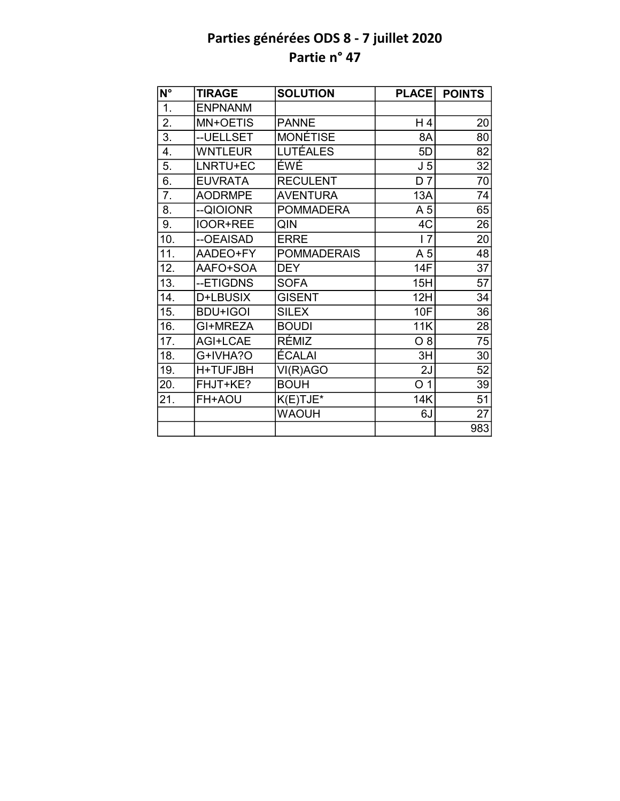| $\overline{\mathsf{N}^{\circ}}$ | <b>TIRAGE</b>   | <b>SOLUTION</b>    | <b>PLACE</b>   | <b>POINTS</b>   |
|---------------------------------|-----------------|--------------------|----------------|-----------------|
| 1.                              | <b>ENPNANM</b>  |                    |                |                 |
| 2.                              | MN+OETIS        | <b>PANNE</b>       | H 4            | 20              |
| $\overline{3}$ .                | -- UELLSET      | <b>MONÉTISE</b>    | 8A             | 80              |
| 4.                              | <b>WNTLEUR</b>  | <b>LUTÉALES</b>    | 5D             | 82              |
| 5.                              | LNRTU+EC        | ÉWÉ                | J <sub>5</sub> | $\overline{32}$ |
| 6.                              | <b>EUVRATA</b>  | <b>RECULENT</b>    | D <sub>7</sub> | 70              |
| 7.                              | <b>AODRMPE</b>  | <b>AVENTURA</b>    | 13A            | 74              |
| 8.                              | --QIOIONR       | <b>POMMADERA</b>   | A <sub>5</sub> | 65              |
| 9.                              | <b>IOOR+REE</b> | QIN                | 4C             | 26              |
| 10.                             | --OEAISAD       | <b>ERRE</b>        | 17             | 20              |
| 11.                             | AADEO+FY        | <b>POMMADERAIS</b> | A 5            | 48              |
| 12.                             | AAFO+SOA        | <b>DEY</b>         | 14F            | 37              |
| $\overline{13}$ .               | --ETIGDNS       | <b>SOFA</b>        | 15H            | $\overline{57}$ |
| 14.                             | D+LBUSIX        | <b>GISENT</b>      | 12H            | 34              |
| 15.                             | <b>BDU+IGOI</b> | <b>SILEX</b>       | 10F            | 36              |
| 16.                             | GI+MREZA        | <b>BOUDI</b>       | 11K            | $\overline{28}$ |
| 17.                             | AGI+LCAE        | RÉMIZ              | $O_8$          | 75              |
| 18.                             | G+IVHA?O        | ÉCALAI             | 3H             | 30              |
| 19.                             | H+TUFJBH        | VI(R)AGO           | 2J             | 52              |
| 20.                             | FHJT+KE?        | <b>BOUH</b>        | O <sub>1</sub> | 39              |
| 21.                             | FH+AOU          | $K(E)$ TJE*        | 14K            | 51              |
|                                 |                 | <b>WAOUH</b>       | 6J             | 27              |
|                                 |                 |                    |                | 983             |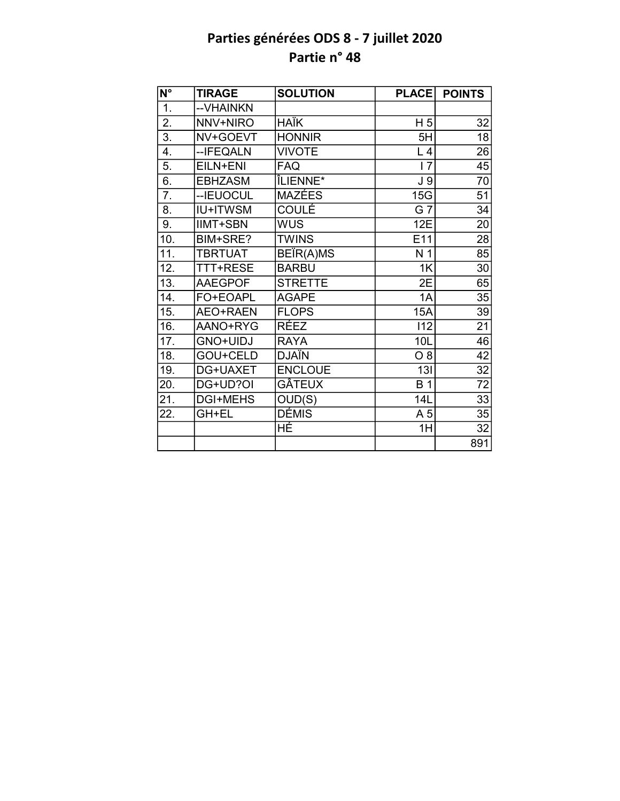| $\overline{\mathsf{N}^{\circ}}$ | <b>TIRAGE</b>   | <b>SOLUTION</b> | <b>PLACE</b>   | <b>POINTS</b>   |
|---------------------------------|-----------------|-----------------|----------------|-----------------|
| 1.                              | -- VHAINKN      |                 |                |                 |
| $\overline{2}$ .                | NNV+NIRO        | <b>HAÏK</b>     | H <sub>5</sub> | 32              |
| $\overline{3}$ .                | NV+GOEVT        | <b>HONNIR</b>   | 5H             | 18              |
| 4.                              | -- IFEQALN      | <b>VIVOTE</b>   | L <sub>4</sub> | 26              |
| 5.                              | EILN+ENI        | <b>FAQ</b>      | 17             | 45              |
| 6.                              | <b>EBHZASM</b>  | ÎLIENNE*        | J <sub>9</sub> | 70              |
| 7.                              | --IEUOCUL       | <b>MAZÉES</b>   | 15G            | 51              |
| 8.                              | <b>IU+ITWSM</b> | <b>COULÉ</b>    | G 7            | 34              |
| 9.                              | <b>IIMT+SBN</b> | <b>WUS</b>      | 12E            | 20              |
| 10.                             | BIM+SRE?        | <b>TWINS</b>    | E11            | 28              |
| 11.                             | <b>TBRTUAT</b>  | BEÏR(A)MS       | N <sub>1</sub> | 85              |
| 12.                             | TTT+RESE        | <b>BARBU</b>    | 1K             | 30              |
| 13.                             | <b>AAEGPOF</b>  | <b>STRETTE</b>  | 2E             | 65              |
| 14.                             | FO+EOAPL        | <b>AGAPE</b>    | 1A             | 35              |
| 15.                             | AEO+RAEN        | <b>FLOPS</b>    | <b>15A</b>     | 39              |
| 16.                             | AANO+RYG        | <b>RÉEZ</b>     | 112            | $\overline{21}$ |
| 17.                             | GNO+UIDJ        | <b>RAYA</b>     | 10L            | 46              |
| 18.                             | GOU+CELD        | <b>DJAÏN</b>    | O 8            | 42              |
| 19.                             | DG+UAXET        | <b>ENCLOUE</b>  | 13I            | 32              |
| 20.                             | DG+UD?OI        | <b>GÂTEUX</b>   | <b>B</b> 1     | 72              |
| 21.                             | <b>DGI+MEHS</b> | OUD(S)          | 14L            | 33              |
| 22.                             | GH+EL           | <b>DÉMIS</b>    | A 5            | 35              |
|                                 |                 | HÉ              | 1H             | 32              |
|                                 |                 |                 |                | 891             |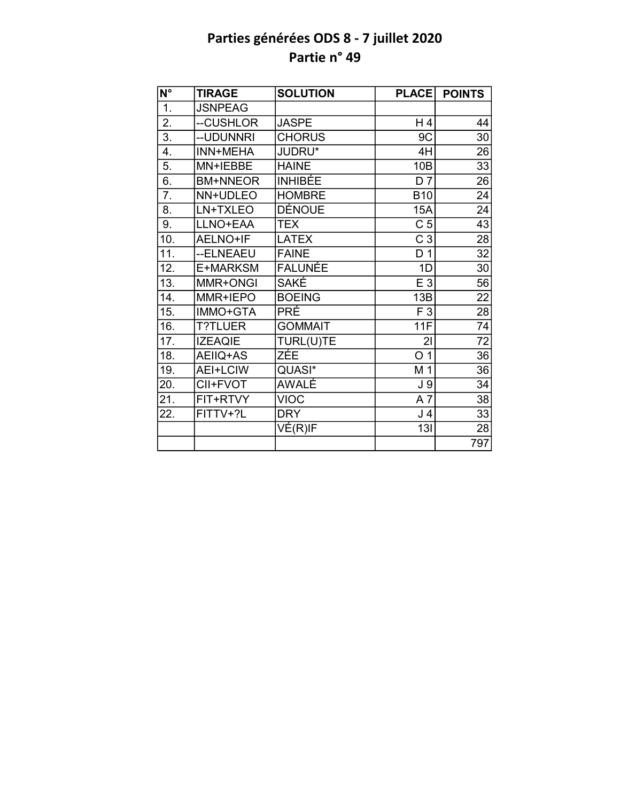| N°               | <b>TIRAGE</b>   | <b>SOLUTION</b>                         | <b>PLACE</b>   | <b>POINTS</b>   |
|------------------|-----------------|-----------------------------------------|----------------|-----------------|
| 1.               | <b>JSNPEAG</b>  |                                         |                |                 |
| $\overline{2}$ . | --CUSHLOR       | <b>JASPE</b>                            | H 4            | 44              |
| $\overline{3}$ . | --UDUNNRI       | <b>CHORUS</b>                           | 9C             | 30              |
| 4.               | INN+MEHA        | JUDRU*                                  | 4H             | 26              |
| 5.               | MN+IEBBE        | <b>HAINE</b>                            | 10B            | 33              |
| 6.               | <b>BM+NNEOR</b> | <b>INHIBÉE</b>                          | D <sub>7</sub> | 26              |
| 7.               | NN+UDLEO        | <b>HOMBRE</b>                           | <b>B10</b>     | 24              |
| 8.               | LN+TXLEO        | DÉNOUE                                  | 15A            | 24              |
| 9.               | LLNO+EAA        | <b>TEX</b>                              | C <sub>5</sub> | 43              |
| 10.              | AELNO+IF        | <b>LATEX</b>                            | C <sub>3</sub> | 28              |
| 11.              | --ELNEAEU       | <b>FAINE</b>                            | D 1            | 32              |
| 12.              | E+MARKSM        | <b>FALUNÉE</b>                          | 1D             | 30              |
| 13.              | MMR+ONGI        | <b>SAKÉ</b>                             | $E_3$          | $\overline{56}$ |
| 14.              | MMR+IEPO        | <b>BOEING</b>                           | 13B            | $\overline{22}$ |
| 15.              | IMMO+GTA        | <b>PRÉ</b>                              | F 3            | $\overline{28}$ |
| 16.              | <b>T?TLUER</b>  | <b>GOMMAIT</b>                          | 11F            | $\overline{74}$ |
| 17.              | <b>IZEAQIE</b>  | TURL(U)TE                               | 21             | $\overline{72}$ |
| 18.              | AEIIQ+AS        | ZÉE                                     | O <sub>1</sub> | 36              |
| 19.              | AEI+LCIW        | QUASI*                                  | M 1            | 36              |
| 20.              | CII+FVOT        | AWALÉ                                   | J <sub>9</sub> | 34              |
| 21.              | FIT+RTVY        | <b>VIOC</b>                             | A7             | 38              |
| 22.              | FITTV+?L        | <b>DRY</b>                              | J <sub>4</sub> | 33              |
|                  |                 | $\overline{\mathsf{VE}}(\mathsf{R})$ IF | 13I            | 28              |
|                  |                 |                                         |                | 797             |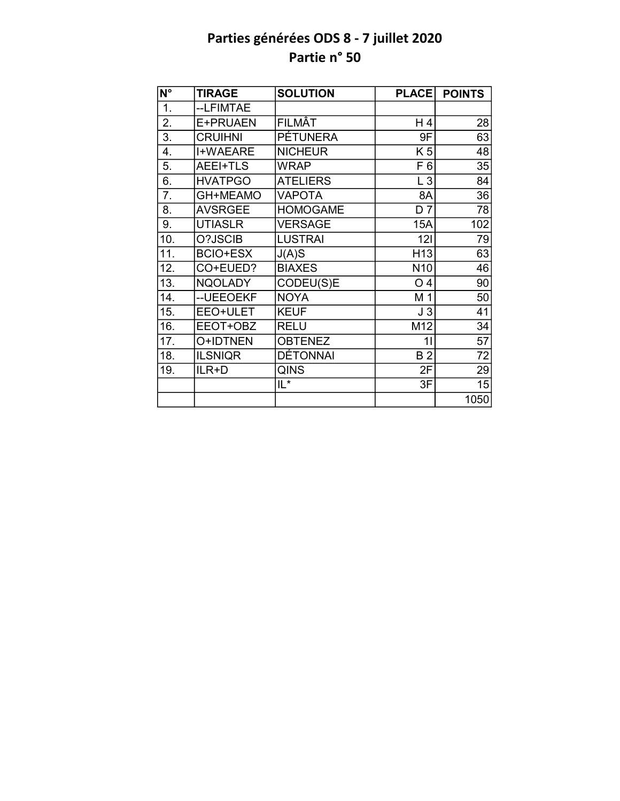| N°               | <b>TIRAGE</b>   | <b>SOLUTION</b> | <b>PLACE</b>    | <b>POINTS</b> |
|------------------|-----------------|-----------------|-----------------|---------------|
| $\overline{1}$ . | --LFIMTAE       |                 |                 |               |
| 2.               | E+PRUAEN        | FILMÂT          | H 4             | 28            |
| 3.               | <b>CRUIHNI</b>  | PÉTUNERA        | 9F              | 63            |
| 4.               | <b>I+WAEARE</b> | <b>NICHEUR</b>  | K <sub>5</sub>  | 48            |
| 5.               | AEEI+TLS        | <b>WRAP</b>     | F <sub>6</sub>  | 35            |
| 6.               | <b>HVATPGO</b>  | <b>ATELIERS</b> | $L_3$           | 84            |
| 7.               | GH+MEAMO        | <b>VAPOTA</b>   | 8A              | 36            |
| 8.               | <b>AVSRGEE</b>  | <b>HOMOGAME</b> | D <sub>7</sub>  | 78            |
| 9.               | <b>UTIASLR</b>  | <b>VERSAGE</b>  | 15A             | 102           |
| 10.              | O?JSCIB         | <b>LUSTRAI</b>  | 121             | 79            |
| 11.              | <b>BCIO+ESX</b> | J(A)S           | H <sub>13</sub> | 63            |
| 12.              | CO+EUED?        | <b>BIAXES</b>   | N <sub>10</sub> | 46            |
| 13.              | <b>NQOLADY</b>  | CODEU(S)E       | O <sub>4</sub>  | 90            |
| 14.              | -- UEEOEKF      | <b>NOYA</b>     | M 1             | 50            |
| 15.              | EEO+ULET        | <b>KEUF</b>     | J3              | 41            |
| 16.              | EEOT+OBZ        | <b>RELU</b>     | M12             | 34            |
| 17.              | O+IDTNEN        | <b>OBTENEZ</b>  | 11              | 57            |
| 18.              | <b>ILSNIQR</b>  | DÉTONNAI        | <b>B2</b>       | 72            |
| 19.              | ILR+D           | <b>QINS</b>     | 2F              | 29            |
|                  |                 | $IL^*$          | 3F              | 15            |
|                  |                 |                 |                 | 1050          |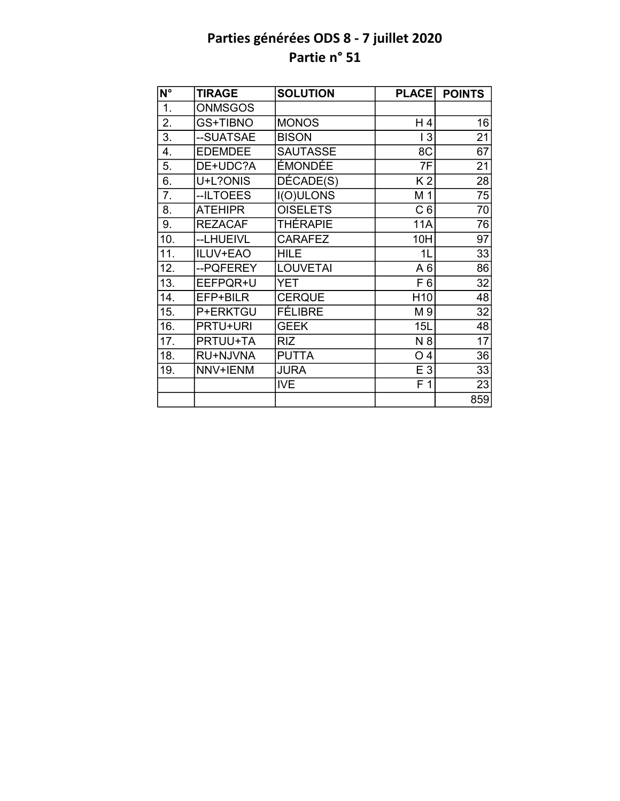| $\overline{\mathsf{N}^\circ}$ | <b>TIRAGE</b>   | <b>SOLUTION</b>  | <b>PLACE</b>    | <b>POINTS</b>   |
|-------------------------------|-----------------|------------------|-----------------|-----------------|
| 1.                            | <b>ONMSGOS</b>  |                  |                 |                 |
| 2.                            | GS+TIBNO        | <b>MONOS</b>     | H 4             | 16              |
| 3.                            | --SUATSAE       | <b>BISON</b>     | 13              | $\overline{21}$ |
| 4.                            | <b>EDEMDEE</b>  | <b>SAUTASSE</b>  | 8C              | 67              |
| 5.                            | DE+UDC?A        | ÉMONDÉE          | 7F              | 21              |
| 6.                            | U+L?ONIS        | DÉCADE(S)        | K <sub>2</sub>  | 28              |
| 7.                            | --ILTOEES       | <b>I(O)ULONS</b> | M 1             | 75              |
| 8.                            | <b>ATEHIPR</b>  | <b>OISELETS</b>  | C <sub>6</sub>  | 70              |
| 9.                            | <b>REZACAF</b>  | <b>THÉRAPIE</b>  | <b>11A</b>      | 76              |
| 10.                           | --LHUEIVL       | <b>CARAFEZ</b>   | 10H             | 97              |
| 11.                           | ILUV+EAO        | <b>HILE</b>      | 1L              | 33              |
| 12.                           | --PQFEREY       | <b>LOUVETAI</b>  | A6              | 86              |
| 13.                           | EEFPQR+U        | YET              | F <sub>6</sub>  | 32              |
| 14.                           | EFP+BILR        | <b>CERQUE</b>    | H <sub>10</sub> | 48              |
| 15.                           | P+ERKTGU        | FÉLIBRE          | M 9             | 32              |
| 16.                           | <b>PRTU+URI</b> | <b>GEEK</b>      | 15L             | 48              |
| 17.                           | PRTUU+TA        | <b>RIZ</b>       | N 8             | 17              |
| 18.                           | RU+NJVNA        | <b>PUTTA</b>     | O <sub>4</sub>  | 36              |
| 19.                           | NNV+IENM        | <b>JURA</b>      | E 3             | 33              |
|                               |                 | <b>IVE</b>       | F <sub>1</sub>  | 23              |
|                               |                 |                  |                 | 859             |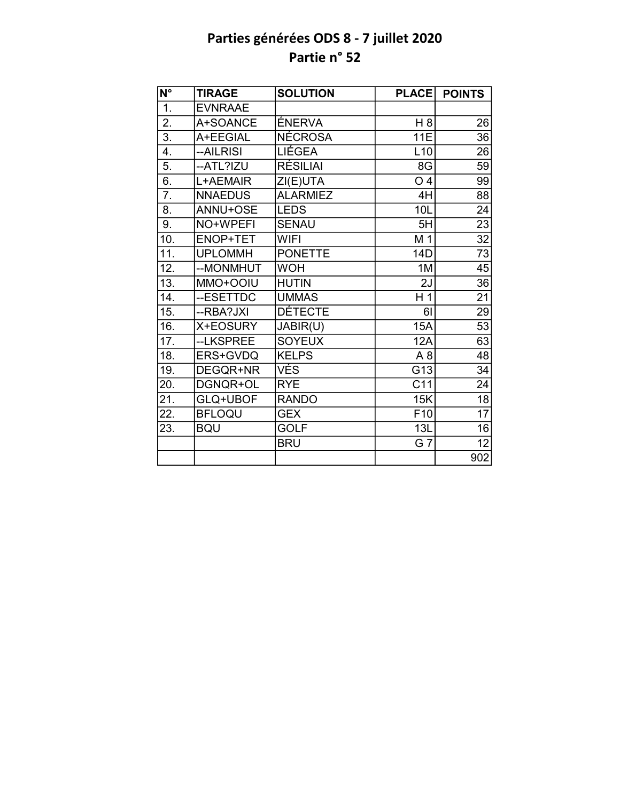| $\overline{\mathsf{N}^{\circ}}$ | <b>TIRAGE</b>  | <b>SOLUTION</b> | <b>PLACE</b>    | <b>POINTS</b>   |
|---------------------------------|----------------|-----------------|-----------------|-----------------|
| $\overline{1}$ .                | <b>EVNRAAE</b> |                 |                 |                 |
| 2.                              | A+SOANCE       | ÉNERVA          | H 8             | 26              |
| 3.                              | A+EEGIAL       | <b>NÉCROSA</b>  | 11E             | 36              |
| 4.                              | --AILRISI      | LIÉGEA          | L10             | 26              |
| 5.                              | --ATL?IZU      | <b>RÉSILIAI</b> | 8G              | $\overline{59}$ |
| 6.                              | L+AEMAIR       | ZI(E)UTA        | O <sub>4</sub>  | 99              |
| $\overline{7}$ .                | <b>NNAEDUS</b> | <b>ALARMIEZ</b> | 4H              | 88              |
| 8.                              | ANNU+OSE       | <b>LEDS</b>     | 10L             | 24              |
| 9.                              | NO+WPEFI       | <b>SENAU</b>    | 5H              | 23              |
| 10.                             | ENOP+TET       | <b>WIFI</b>     | M 1             | $\overline{32}$ |
| 11.                             | <b>UPLOMMH</b> | <b>PONETTE</b>  | 14D             | $\overline{73}$ |
| 12.                             | --MONMHUT      | <b>WOH</b>      | 1M              | 45              |
| 13.                             | MMO+OOIU       | <b>HUTIN</b>    | 2J              | 36              |
| 14.                             | --ESETTDC      | <b>UMMAS</b>    | H <sub>1</sub>  | 21              |
| 15.                             | --RBA?JXI      | <b>DÉTECTE</b>  | 61              | 29              |
| 16.                             | X+EOSURY       | JABIR(U)        | <b>15A</b>      | 53              |
| 17.                             | --LKSPREE      | <b>SOYEUX</b>   | 12A             | 63              |
| 18.                             | ERS+GVDQ       | <b>KELPS</b>    | A <sub>8</sub>  | 48              |
| 19.                             | DEGQR+NR       | VÉS             | G13             | 34              |
| 20.                             | DGNQR+OL       | <b>RYE</b>      | C11             | 24              |
| 21.                             | GLQ+UBOF       | <b>RANDO</b>    | 15K             | $\overline{18}$ |
| 22.                             | <b>BFLOQU</b>  | <b>GEX</b>      | F <sub>10</sub> | $\overline{17}$ |
| 23.                             | <b>BQU</b>     | <b>GOLF</b>     | 13L             | 16              |
|                                 |                | <b>BRU</b>      | G 7             | 12              |
|                                 |                |                 |                 | 902             |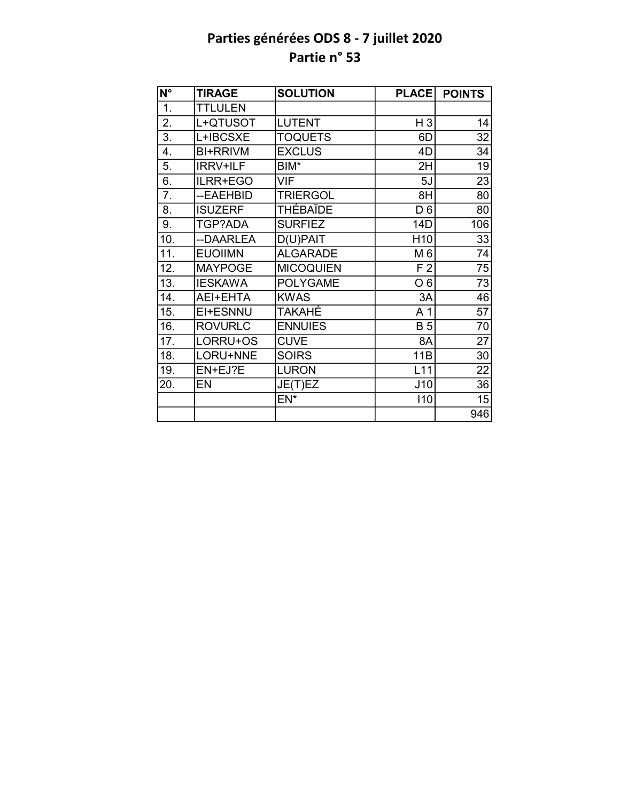| N°                | <b>TIRAGE</b>   | <b>SOLUTION</b>  | <b>PLACE</b>    | <b>POINTS</b>   |
|-------------------|-----------------|------------------|-----------------|-----------------|
| $\overline{1}$ .  | <b>TTLULEN</b>  |                  |                 |                 |
| 2.                | L+QTUSOT        | <b>LUTENT</b>    | $H_3$           | 14              |
| $\overline{3}$ .  | L+IBCSXE        | <b>TOQUETS</b>   | 6D              | $\overline{32}$ |
| 4.                | <b>BI+RRIVM</b> | <b>EXCLUS</b>    | 4D              | 34              |
| 5.                | <b>IRRV+ILF</b> | BIM*             | 2H              | 19              |
| 6.                | ILRR+EGO        | VIF              | 5J              | 23              |
| 7.                | --EAEHBID       | <b>TRIERGOL</b>  | 8H              | 80              |
| 8.                | <b>ISUZERF</b>  | <b>THÉBAÏDE</b>  | D <sub>6</sub>  | 80              |
| 9.                | TGP?ADA         | <b>SURFIEZ</b>   | 14D             | 106             |
| 10.               | --DAARLEA       | $D(U)$ PAIT      | H <sub>10</sub> | 33              |
| $\overline{11}$ . | <b>EUOIIMN</b>  | <b>ALGARADE</b>  | M 6             | 74              |
| 12.               | <b>MAYPOGE</b>  | <b>MICOQUIEN</b> | F <sub>2</sub>  | 75              |
| 13.               | <b>IESKAWA</b>  | <b>POLYGAME</b>  | O <sub>6</sub>  | $\overline{73}$ |
| 14.               | AEI+EHTA        | <b>KWAS</b>      | 3A              | 46              |
| 15.               | EI+ESNNU        | TAKAHÉ           | A <sub>1</sub>  | $\overline{57}$ |
| 16.               | <b>ROVURLC</b>  | <b>ENNUIES</b>   | <b>B</b> 5      | 70              |
| 17.               | LORRU+OS        | <b>CUVE</b>      | 8A              | 27              |
| 18.               | LORU+NNE        | <b>SOIRS</b>     | 11B             | 30              |
| 19.               | EN+EJ?E         | <b>LURON</b>     | L11             | 22              |
| 20.               | EN              | JE(T)EZ          | J10             | 36              |
|                   |                 | EN*              | 110             | 15              |
|                   |                 |                  |                 | 946             |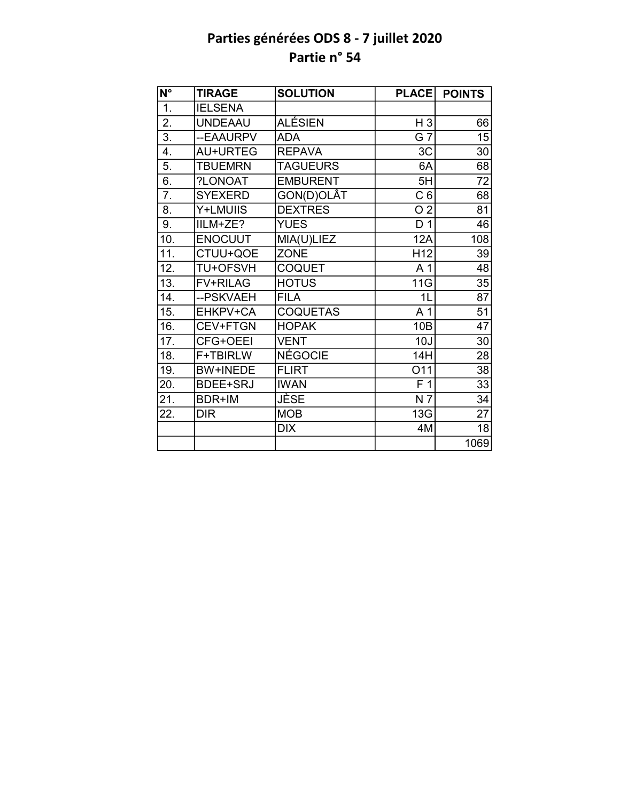| $\overline{\mathsf{N}^{\circ}}$ | <b>TIRAGE</b>   | <b>SOLUTION</b> | <b>PLACE</b>    | <b>POINTS</b>   |
|---------------------------------|-----------------|-----------------|-----------------|-----------------|
| 1.                              | <b>IELSENA</b>  |                 |                 |                 |
| $\overline{2}$ .                | <b>UNDEAAU</b>  | ALÉSIEN         | $H_3$           | 66              |
| $\overline{3}$ .                | --EAAURPV       | <b>ADA</b>      | G 7             | 15              |
| 4.                              | AU+URTEG        | <b>REPAVA</b>   | 3C              | 30              |
| 5.                              | <b>TBUEMRN</b>  | <b>TAGUEURS</b> | 6A              | 68              |
| 6.                              | ?LONOAT         | <b>EMBURENT</b> | 5H              | 72              |
| 7.                              | <b>SYEXERD</b>  | GON(D)OLÂT      | C <sub>6</sub>  | 68              |
| 8.                              | Y+LMUIIS        | <b>DEXTRES</b>  | O <sub>2</sub>  | 81              |
| 9.                              | IILM+ZE?        | <b>YUES</b>     | D <sub>1</sub>  | 46              |
| 10.                             | <b>ENOCUUT</b>  | MIA(U)LIEZ      | 12A             | 108             |
| 11.                             | CTUU+QOE        | <b>ZONE</b>     | H <sub>12</sub> | 39              |
| 12.                             | <b>TU+OFSVH</b> | <b>COQUET</b>   | A 1             | 48              |
| 13.                             | <b>FV+RILAG</b> | <b>HOTUS</b>    | 11G             | $\overline{35}$ |
| 14.                             | --PSKVAEH       | <b>FILA</b>     | 1L              | 87              |
| 15.                             | EHKPV+CA        | <b>COQUETAS</b> | A <sub>1</sub>  | $\overline{51}$ |
| 16.                             | CEV+FTGN        | <b>HOPAK</b>    | 10B             | $\overline{47}$ |
| 17.                             | CFG+OEEI        | <b>VENT</b>     | 10J             | 30              |
| 18.                             | F+TBIRLW        | NÉGOCIE         | 14H             | $\overline{28}$ |
| 19.                             | <b>BW+INEDE</b> | <b>FLIRT</b>    | O11             | 38              |
| 20.                             | <b>BDEE+SRJ</b> | <b>IWAN</b>     | F <sub>1</sub>  | 33              |
| 21.                             | BDR+IM          | JÈSE            | N 7             | 34              |
| 22.                             | <b>DIR</b>      | <b>MOB</b>      | 13G             | 27              |
|                                 |                 | <b>DIX</b>      | 4M              | 18              |
|                                 |                 |                 |                 | 1069            |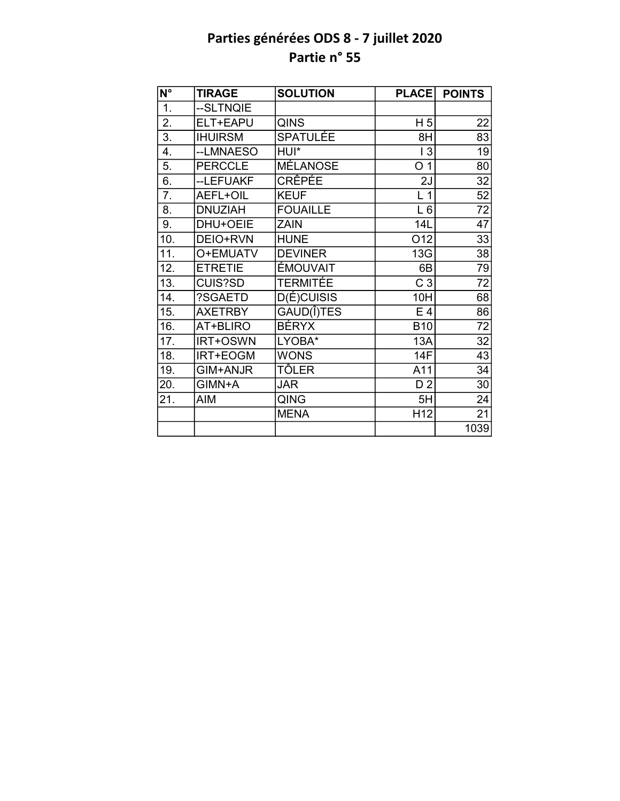| $\overline{\mathsf{N}^{\circ}}$ | <b>TIRAGE</b>  | <b>SOLUTION</b> | <b>PLACE</b>    | <b>POINTS</b>   |
|---------------------------------|----------------|-----------------|-----------------|-----------------|
| 1.                              | --SLTNQIE      |                 |                 |                 |
| 2.                              | ELT+EAPU       | <b>QINS</b>     | H <sub>5</sub>  | 22              |
| $\overline{3}$ .                | <b>IHUIRSM</b> | <b>SPATULÉE</b> | 8H              | 83              |
| $\overline{4}$ .                | --LMNAESO      | HUI*            | 13              | 19              |
| 5.                              | <b>PERCCLE</b> | <b>MÉLANOSE</b> | O <sub>1</sub>  | 80              |
| $\overline{6}$ .                | --LEFUAKF      | <b>CRÊPÉE</b>   | 2J              | 32              |
| 7.                              | AEFL+OIL       | <b>KEUF</b>     | L <sub>1</sub>  | 52              |
| 8.                              | <b>DNUZIAH</b> | <b>FOUAILLE</b> | $L_6$           | 72              |
| 9.                              | DHU+OEIE       | <b>ZAIN</b>     | 14L             | 47              |
| 10.                             | DEIO+RVN       | <b>HUNE</b>     | 012             | 33              |
| 11.                             | O+EMUATV       | <b>DEVINER</b>  | 13G             | 38              |
| 12.                             | <b>ETRETIE</b> | ÉMOUVAIT        | 6B              | 79              |
| 13.                             | <b>CUIS?SD</b> | TERMITÉE        | C <sub>3</sub>  | $\overline{72}$ |
| 14.                             | ?SGAETD        | $D(E)$ CUISIS   | 10H             | 68              |
| 15.                             | <b>AXETRBY</b> | GAUD(I)TES      | E <sub>4</sub>  | 86              |
| 16.                             | AT+BLIRO       | <b>BÉRYX</b>    | <b>B10</b>      | $\overline{72}$ |
| 17.                             | IRT+OSWN       | LYOBA*          | 13A             | 32              |
| 18.                             | IRT+EOGM       | <b>WONS</b>     | <b>14F</b>      | 43              |
| 19.                             | GIM+ANJR       | TÔLER           | A11             | 34              |
| 20.                             | GIMN+A         | <b>JAR</b>      | D <sub>2</sub>  | 30              |
| 21.                             | <b>AIM</b>     | QING            | 5H              | 24              |
|                                 |                | <b>MENA</b>     | H <sub>12</sub> | 21              |
|                                 |                |                 |                 | 1039            |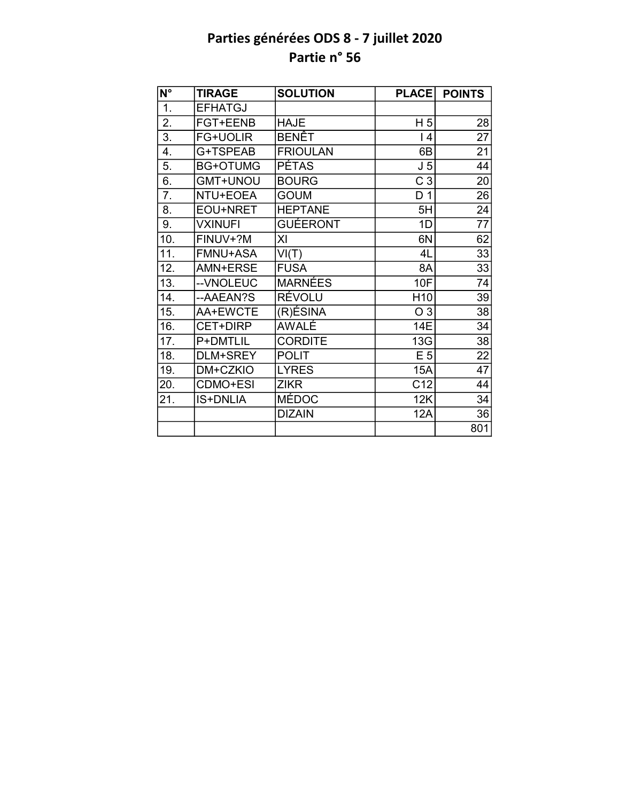| $N^{\circ}$      | <b>TIRAGE</b>   | <b>SOLUTION</b> | <b>PLACE</b>    | <b>POINTS</b>   |
|------------------|-----------------|-----------------|-----------------|-----------------|
| 1.               | <b>EFHATGJ</b>  |                 |                 |                 |
| $\overline{2}$ . | <b>FGT+EENB</b> | <b>HAJE</b>     | H <sub>5</sub>  | 28              |
| 3.               | <b>FG+UOLIR</b> | BENÊT           | 4               | $\overline{27}$ |
| $\overline{4}$ . | G+TSPEAB        | <b>FRIOULAN</b> | 6B              | 21              |
| 5.               | <b>BG+OTUMG</b> | <b>PÉTAS</b>    | J <sub>5</sub>  | 44              |
| 6.               | GMT+UNOU        | <b>BOURG</b>    | C <sub>3</sub>  | 20              |
| 7.               | NTU+EOEA        | <b>GOUM</b>     | D <sub>1</sub>  | 26              |
| 8.               | EOU+NRET        | <b>HEPTANE</b>  | 5H              | 24              |
| 9.               | <b>VXINUFI</b>  | <b>GUÉERONT</b> | 1D              | 77              |
| 10.              | FINUV+?M        | XI              | 6N              | 62              |
| 11.              | <b>FMNU+ASA</b> | VI(T)           | 4L              | 33              |
| 12.              | AMN+ERSE        | <b>FUSA</b>     | 8A              | 33              |
| 13.              | --VNOLEUC       | <b>MARNÉES</b>  | <b>10F</b>      | 74              |
| 14.              | --AAEAN?S       | RÉVOLU          | H <sub>10</sub> | 39              |
| 15.              | AA+EWCTE        | (R)ÉSINA        | O 3             | 38              |
| 16.              | CET+DIRP        | AWALE           | 14E             | 34              |
| 17.              | P+DMTLIL        | <b>CORDITE</b>  | 13G             | 38              |
| 18.              | DLM+SREY        | <b>POLIT</b>    | E <sub>5</sub>  | 22              |
| 19.              | DM+CZKIO        | <b>LYRES</b>    | 15A             | 47              |
| 20.              | CDMO+ESI        | <b>ZIKR</b>     | C12             | 44              |
| 21.              | <b>IS+DNLIA</b> | <b>MÉDOC</b>    | 12K             | 34              |
|                  |                 | <b>DIZAIN</b>   | 12A             | 36              |
|                  |                 |                 |                 | 801             |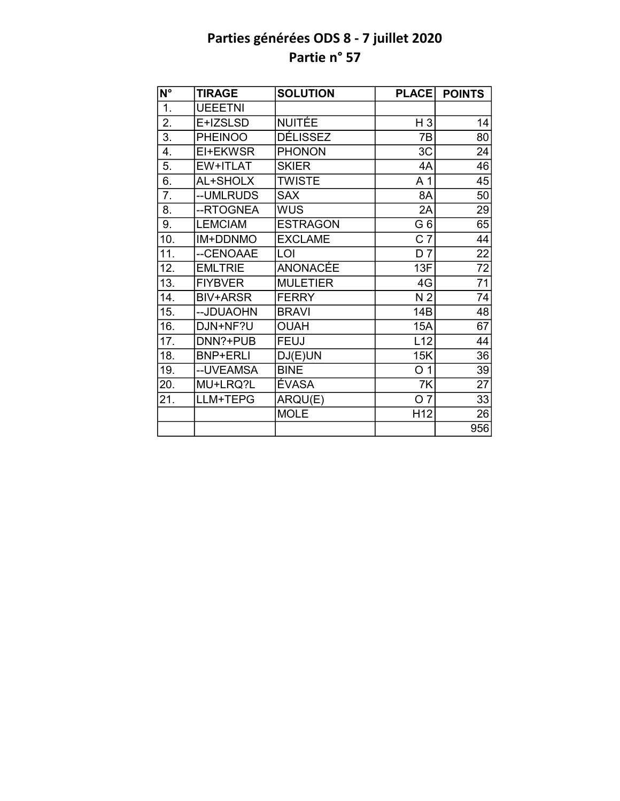| $\overline{\mathsf{N}^\circ}$ | <b>TIRAGE</b>   | <b>SOLUTION</b> | <b>PLACE</b>    | <b>POINTS</b>   |
|-------------------------------|-----------------|-----------------|-----------------|-----------------|
| 1.                            | <b>UEEETNI</b>  |                 |                 |                 |
| 2.                            | E+IZSLSD        | <b>NUITÉE</b>   | H 3             | 14              |
| $\overline{3}$ .              | <b>PHEINOO</b>  | DÉLISSEZ        | 7B              | 80              |
| 4.                            | EI+EKWSR        | <b>PHONON</b>   | 3C              | 24              |
| 5.                            | EW+ITLAT        | <b>SKIER</b>    | 4A              | 46              |
| 6.                            | AL+SHOLX        | <b>TWISTE</b>   | A <sub>1</sub>  | 45              |
| 7.                            | --UMLRUDS       | <b>SAX</b>      | 8A              | 50              |
| 8.                            | --RTOGNEA       | WUS             | 2A              | 29              |
| 9.                            | <b>LEMCIAM</b>  | <b>ESTRAGON</b> | G <sub>6</sub>  | 65              |
| 10.                           | IM+DDNMO        | <b>EXCLAME</b>  | $C\bar{T}$      | 44              |
| 11.                           | --CENOAAE       | LOI             | D <sub>7</sub>  | $\overline{22}$ |
| 12.                           | <b>EMLTRIE</b>  | ANONACÉE        | 13F             | 72              |
| 13.                           | <b>FIYBVER</b>  | <b>MULETIER</b> | 4G              | $\overline{71}$ |
| 14.                           | <b>BIV+ARSR</b> | <b>FERRY</b>    | N <sub>2</sub>  | 74              |
| 15.                           | --JDUAOHN       | <b>BRAVI</b>    | 14B             | 48              |
| 16.                           | DJN+NF?U        | <b>OUAH</b>     | <b>15A</b>      | 67              |
| 17.                           | DNN?+PUB        | <b>FEUJ</b>     | L12             | 44              |
| 18.                           | <b>BNP+ERLI</b> | DJ(E)UN         | 15K             | 36              |
| 19.                           | --UVEAMSA       | <b>BINE</b>     | O <sub>1</sub>  | 39              |
| 20.                           | MU+LRQ?L        | ÉVASA           | 7K              | 27              |
| 21.                           | LLM+TEPG        | ARQU(E)         | O <sub>7</sub>  | 33              |
|                               |                 | <b>MOLE</b>     | H <sub>12</sub> | 26              |
|                               |                 |                 |                 | 956             |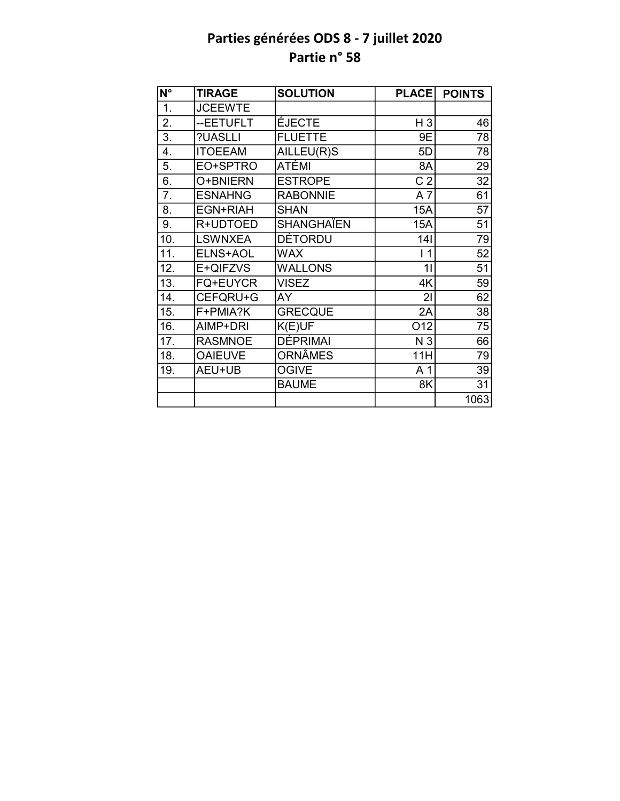| N°                | <b>TIRAGE</b>   | <b>SOLUTION</b>   | <b>PLACE</b>   | <b>POINTS</b> |
|-------------------|-----------------|-------------------|----------------|---------------|
| 1.                | <b>JCEEWTE</b>  |                   |                |               |
| 2.                | --EETUFLT       | ÉJECTE            | $H_3$          | 46            |
| $\overline{3}$ .  | ?UASLLI         | <b>FLUETTE</b>    | 9E             | 78            |
| 4.                | <b>ITOEEAM</b>  | AILLEU(R)S        | 5D             | 78            |
| 5.                | EO+SPTRO        | ATÉMI             | 8A             | 29            |
| $\overline{6}$ .  | O+BNIERN        | <b>ESTROPE</b>    | C <sub>2</sub> | 32            |
| 7.                | <b>ESNAHNG</b>  | <b>RABONNIE</b>   | A7             | 61            |
| 8.                | EGN+RIAH        | <b>SHAN</b>       | <b>15A</b>     | 57            |
| 9.                | R+UDTOED        | <b>SHANGHAÏEN</b> | 15A            | 51            |
| 10.               | <b>LSWNXEA</b>  | <b>DÉTORDU</b>    | 141            | 79            |
| 11.               | ELNS+AOL        | <b>WAX</b>        | $\vert$ 1      | 52            |
| 12.               | E+QIFZVS        | <b>WALLONS</b>    | 11             | 51            |
| $\overline{13}$ . | <b>FQ+EUYCR</b> | <b>VISEZ</b>      | 4K             | 59            |
| 14.               | CEFQRU+G        | AY                | 21             | 62            |
| 15.               | F+PMIA?K        | <b>GRECQUE</b>    | 2A             | 38            |
| 16.               | AIMP+DRI        | K(E)UF            | O12            | 75            |
| 17.               | <b>RASMNOE</b>  | <b>DÉPRIMAI</b>   | N 3            | 66            |
| 18.               | <b>OAIEUVE</b>  | <b>ORNÂMES</b>    | 11H            | 79            |
| 19.               | AEU+UB          | <b>OGIVE</b>      | A <sub>1</sub> | 39            |
|                   |                 | <b>BAUME</b>      | 8K             | 31            |
|                   |                 |                   |                | 1063          |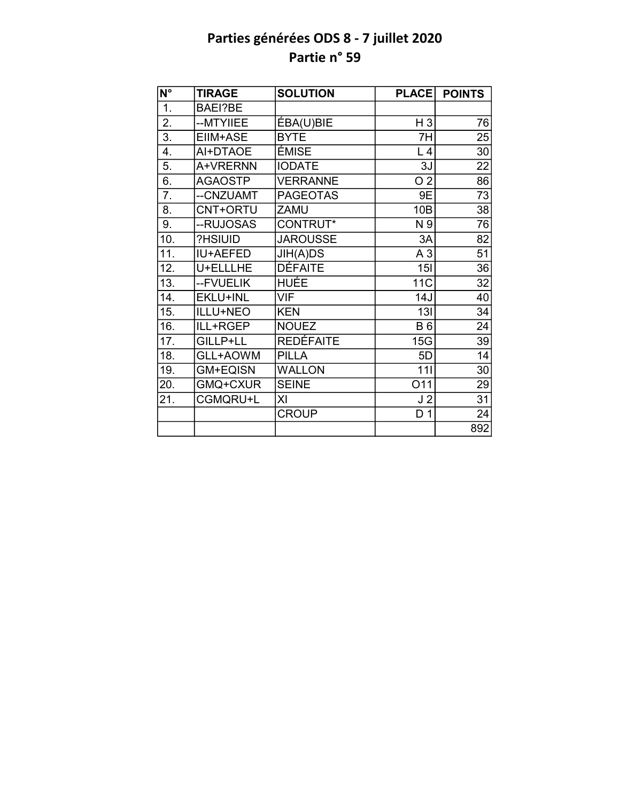| $\overline{\mathsf{N}^{\circ}}$ | <b>TIRAGE</b>   | <b>SOLUTION</b>  | <b>PLACE</b>   | <b>POINTS</b>   |
|---------------------------------|-----------------|------------------|----------------|-----------------|
| 1.                              | <b>BAEI?BE</b>  |                  |                |                 |
| 2.                              | --MTYIIEE       | ÉBA(U)BIE        | $H_3$          | 76              |
| $\overline{3}$ .                | EIIM+ASE        | <b>BYTE</b>      | 7H             | 25              |
| 4.                              | AI+DTAOE        | ÉMISE            | L4             | 30              |
| 5.                              | A+VRERNN        | <b>IODATE</b>    | 3J             | 22              |
| 6.                              | <b>AGAOSTP</b>  | <b>VERRANNE</b>  | O <sub>2</sub> | 86              |
| 7.                              | --CNZUAMT       | <b>PAGEOTAS</b>  | 9E             | 73              |
| 8.                              | CNT+ORTU        | ZAMU             | 10B            | 38              |
| 9.                              | --RUJOSAS       | CONTRUT*         | N 9            | 76              |
| 10.                             | ?HSIUID         | <b>JAROUSSE</b>  | 3A             | 82              |
| 11.                             | IU+AEFED        | JIH(A)DS         | A <sub>3</sub> | $\overline{51}$ |
| 12.                             | U+ELLLHE        | <b>DÉFAITE</b>   | 15I            | 36              |
| 13.                             | --FVUELIK       | <b>HUÉE</b>      | <b>11C</b>     | $\overline{32}$ |
| 14.                             | <b>EKLU+INL</b> | <b>VIF</b>       | 14J            | 40              |
| 15.                             | ILLU+NEO        | <b>KEN</b>       | 13I            | $\overline{34}$ |
| 16.                             | ILL+RGEP        | <b>NOUEZ</b>     | <b>B6</b>      | 24              |
| 17.                             | GILLP+LL        | <b>REDÉFAITE</b> | 15G            | 39              |
| 18.                             | GLL+AOWM        | <b>PILLA</b>     | 5D             | 14              |
| 19.                             | <b>GM+EQISN</b> | <b>WALLON</b>    | 111            | 30              |
| 20.                             | GMQ+CXUR        | <b>SEINE</b>     | O11            | 29              |
| 21.                             | CGMQRU+L        | ΧI               | J <sub>2</sub> | 31              |
|                                 |                 | <b>CROUP</b>     | D <sub>1</sub> | 24              |
|                                 |                 |                  |                | 892             |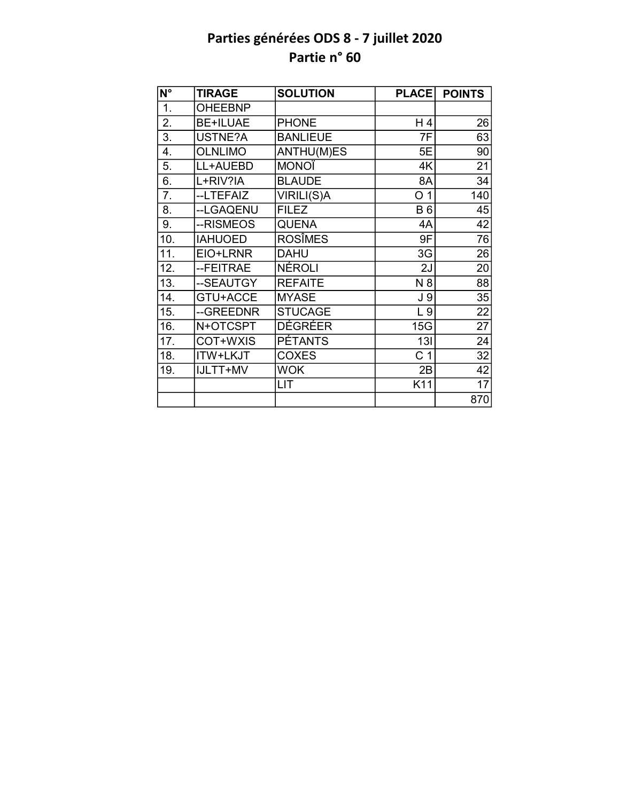| N°               | <b>TIRAGE</b>   | <b>SOLUTION</b> | <b>PLACE</b>   | <b>POINTS</b>   |
|------------------|-----------------|-----------------|----------------|-----------------|
| $\overline{1}$ . | <b>OHEEBNP</b>  |                 |                |                 |
| 2.               | <b>BE+ILUAE</b> | <b>PHONE</b>    | H 4            | 26              |
| 3.               | USTNE?A         | <b>BANLIEUE</b> | 7F             | 63              |
| 4.               | <b>OLNLIMO</b>  | ANTHU(M)ES      | 5E             | 90              |
| 5.               | LL+AUEBD        | <b>MONOÏ</b>    | 4K             | 21              |
| 6.               | L+RIV?IA        | <b>BLAUDE</b>   | 8A             | 34              |
| 7.               | --LTEFAIZ       | VIRILI(S)A      | O <sub>1</sub> | 140             |
| 8.               | --LGAQENU       | <b>FILEZ</b>    | <b>B6</b>      | 45              |
| 9.               | --RISMEOS       | <b>QUENA</b>    | 4A             | 42              |
| 10.              | <b>IAHUOED</b>  | <b>ROSÎMES</b>  | 9F             | 76              |
| 11.              | EIO+LRNR        | <b>DAHU</b>     | 3G             | 26              |
| 12.              | --FEITRAE       | <b>NÉROLI</b>   | 2J             | 20              |
| 13.              | --SEAUTGY       | <b>REFAITE</b>  | N 8            | $\overline{88}$ |
| 14.              | GTU+ACCE        | <b>MYASE</b>    | J <sub>9</sub> | 35              |
| 15.              | --GREEDNR       | <b>STUCAGE</b>  | L <sub>9</sub> | $\overline{22}$ |
| 16.              | N+OTCSPT        | DÉGRÉER         | 15G            | $\overline{27}$ |
| 17.              | COT+WXIS        | <b>PÉTANTS</b>  | 13I            | 24              |
| 18.              | ITW+LKJT        | <b>COXES</b>    | C <sub>1</sub> | $\overline{32}$ |
| 19.              | IJLTT+MV        | <b>WOK</b>      | 2B             | 42              |
|                  |                 | LIT             | K11            | 17              |
|                  |                 |                 |                | 870             |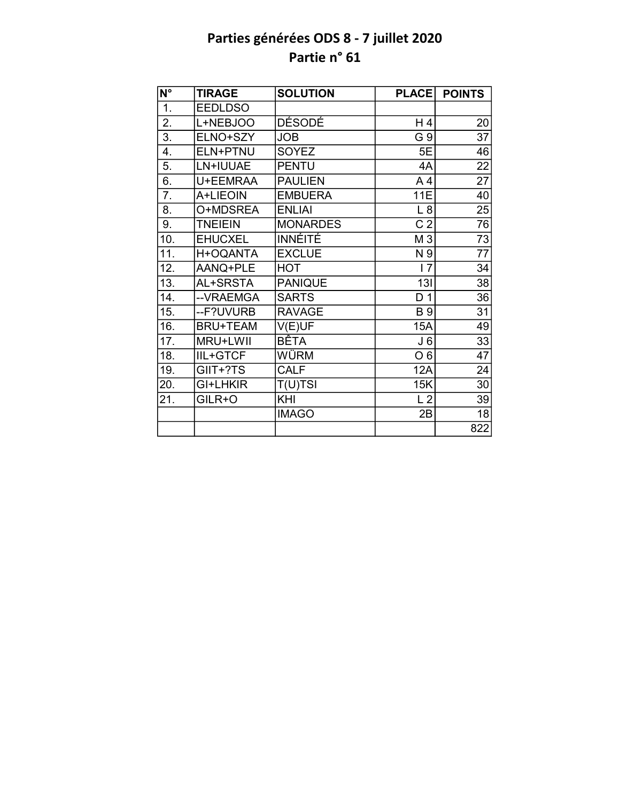| $\overline{\mathsf{N}^{\circ}}$ | <b>TIRAGE</b>   | <b>SOLUTION</b> | <b>PLACE</b>   | <b>POINTS</b>   |
|---------------------------------|-----------------|-----------------|----------------|-----------------|
| 1.                              | <b>EEDLDSO</b>  |                 |                |                 |
| 2.                              | L+NEBJOO        | DÉSODÉ          | H 4            | 20              |
| 3.                              | ELNO+SZY        | <b>JOB</b>      | G 9            | 37              |
| 4.                              | ELN+PTNU        | <b>SOYEZ</b>    | 5E             | 46              |
| 5.                              | LN+IUUAE        | <b>PENTU</b>    | 4A             | $\overline{22}$ |
| 6.                              | U+EEMRAA        | <b>PAULIEN</b>  | A <sub>4</sub> | 27              |
| 7.                              | A+LIEOIN        | <b>EMBUERA</b>  | <b>11E</b>     | 40              |
| 8.                              | O+MDSREA        | <b>ENLIAI</b>   | L8             | 25              |
| 9.                              | <b>TNEIEIN</b>  | <b>MONARDES</b> | C <sub>2</sub> | 76              |
| 10.                             | <b>EHUCXEL</b>  | <b>INNÉITÉ</b>  | M 3            | $\overline{73}$ |
| 11.                             | H+OQANTA        | <b>EXCLUE</b>   | N 9            | $\overline{77}$ |
| 12.                             | AANQ+PLE        | <b>HOT</b>      | 17             | 34              |
| 13.                             | AL+SRSTA        | <b>PANIQUE</b>  | 13I            | $\overline{38}$ |
| 14.                             | --VRAEMGA       | <b>SARTS</b>    | D <sub>1</sub> | 36              |
| 15.                             | --F?UVURB       | <b>RAVAGE</b>   | <b>B</b> 9     | $\overline{31}$ |
| 16.                             | <b>BRU+TEAM</b> | V(E)UF          | 15A            | 49              |
| 17.                             | MRU+LWII        | BÊTA            | J6             | 33              |
| 18.                             | <b>IIL+GTCF</b> | WÜRM            | O <sub>6</sub> | $\overline{47}$ |
| 19.                             | GIIT+?TS        | <b>CALF</b>     | 12A            | 24              |
| 20.                             | GI+LHKIR        | $T(U)$ TSI      | 15K            | 30              |
| 21.                             | GILR+O          | KHI             | L <sub>2</sub> | 39              |
|                                 |                 | <b>IMAGO</b>    | 2B             | 18              |
|                                 |                 |                 |                | 822             |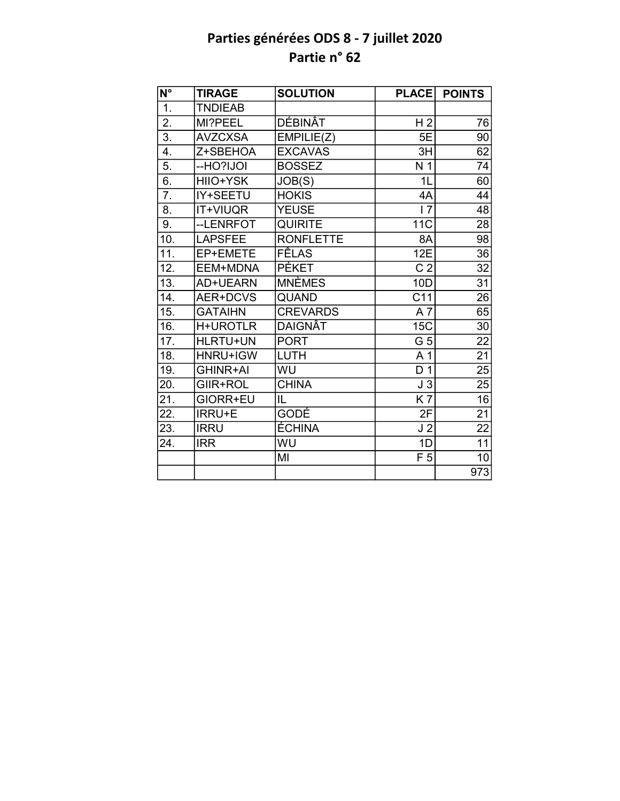| $N^{\circ}$      | <b>TIRAGE</b>   | <b>SOLUTION</b>  | <b>PLACE</b>     | <b>POINTS</b>   |
|------------------|-----------------|------------------|------------------|-----------------|
| $\overline{1}$ . | <b>TNDIEAB</b>  |                  |                  |                 |
| $\overline{2}$ . | MI?PEEL         | DÉBINÂT          | H <sub>2</sub>   | 76              |
| $\overline{3}$ . | <b>AVZCXSA</b>  | EMPILIE(Z)       | 5E               | 90              |
| 4.               | Z+SBEHOA        | <b>EXCAVAS</b>   | 3H               | 62              |
| 5.               | --HO?IJOI       | <b>BOSSEZ</b>    | N <sub>1</sub>   | 74              |
| 6.               | HIIO+YSK        | JOB(S)           | 1L               | 60              |
| 7.               | IY+SEETU        | <b>HOKIS</b>     | 4A               | 44              |
| 8.               | <b>IT+VIUQR</b> | <b>YEUSE</b>     | 17               | 48              |
| 9.               | --LENRFOT       | <b>QUIRITE</b>   | <b>11C</b>       | 28              |
| 10.              | <b>LAPSFEE</b>  | <b>RONFLETTE</b> | 8A               | 98              |
| 11.              | EP+EMETE        | <b>FÊLAS</b>     | 12E              | 36              |
| 12.              | EEM+MDNA        | <b>PÉKET</b>     | $\overline{C}$ 2 | 32              |
| 13.              | AD+UEARN        | <b>MNÈMES</b>    | 10D              | $\overline{31}$ |
| 14.              | AER+DCVS        | <b>QUAND</b>     | C <sub>11</sub>  | $\overline{26}$ |
| 15.              | <b>GATAIHN</b>  | <b>CREVARDS</b>  | $A\overline{7}$  | 65              |
| 16.              | <b>H+UROTLR</b> | <b>DAIGNÂT</b>   | 15C              | $\overline{30}$ |
| 17.              | <b>HLRTU+UN</b> | <b>PORT</b>      | G <sub>5</sub>   | 22              |
| 18.              | HNRU+IGW        | LUTH             | A 1              | $\overline{21}$ |
| 19.              | <b>GHINR+AI</b> | WU               | D <sub>1</sub>   | 25              |
| 20.              | GIIR+ROL        | <b>CHINA</b>     | J <sub>3</sub>   | $\overline{25}$ |
| 21.              | GIORR+EU        | IL               | K7               | $\overline{16}$ |
| 22.              | <b>IRRU+E</b>   | <b>GODÉ</b>      | 2F               | 21              |
| 23.              | <b>IRRU</b>     | <b>ÉCHINA</b>    | J <sub>2</sub>   | $\overline{22}$ |
| 24.              | <b>IRR</b>      | WU               | 1D               | $\overline{11}$ |
|                  |                 | MI               | F <sub>5</sub>   | 10              |
|                  |                 |                  |                  | 973             |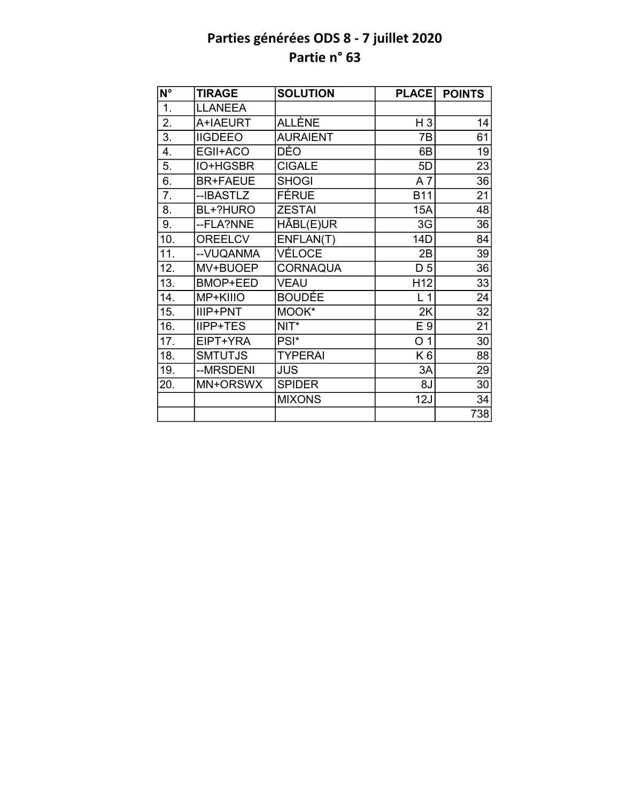| N°               | <b>TIRAGE</b>   | <b>SOLUTION</b> | <b>PLACE</b>    | <b>POINTS</b> |
|------------------|-----------------|-----------------|-----------------|---------------|
| $\overline{1}$ . | <b>LLANEEA</b>  |                 |                 |               |
| 2.               | A+IAEURT        | ALLÈNE          | $H_3$           | 14            |
| 3.               | <b>IIGDEEO</b>  | <b>AURAIENT</b> | 7B              | 61            |
| 4.               | EGII+ACO        | DÉO             | 6B              | 19            |
| 5.               | IO+HGSBR        | <b>CIGALE</b>   | 5D              | 23            |
| 6.               | <b>BR+FAEUE</b> | <b>SHOGI</b>    | A <sub>7</sub>  | 36            |
| 7.               | --IBASTLZ       | FÉRUE           | <b>B11</b>      | 21            |
| 8.               | BL+?HURO        | <b>ZESTAI</b>   | 15A             | 48            |
| 9.               | --FLA?NNE       | HÂBL(E)UR       | 3G              | 36            |
| 10.              | <b>OREELCV</b>  | ENFLAN(T)       | 14D             | 84            |
| 11.              | -- VUQANMA      | VÉLOCE          | 2B              | 39            |
| 12.              | MV+BUOEP        | <b>CORNAQUA</b> | D <sub>5</sub>  | 36            |
| 13.              | <b>BMOP+EED</b> | <b>VEAU</b>     | H <sub>12</sub> | 33            |
| 14.              | MP+KIIIO        | <b>BOUDÉE</b>   | L <sub>1</sub>  | 24            |
| 15.              | IIIP+PNT        | MOOK*           | 2K              | 32            |
| 16.              | <b>IIPP+TES</b> | $NIT^*$         | E 9             | 21            |
| 17.              | EIPT+YRA        | PSI*            | O <sub>1</sub>  | 30            |
| 18.              | <b>SMTUTJS</b>  | <b>TYPERAI</b>  | K <sub>6</sub>  | 88            |
| 19.              | --MRSDENI       | <b>JUS</b>      | 3A              | 29            |
| 20.              | MN+ORSWX        | <b>SPIDER</b>   | 8J              | 30            |
|                  |                 | <b>MIXONS</b>   | 12J             | 34            |
|                  |                 |                 |                 | 738           |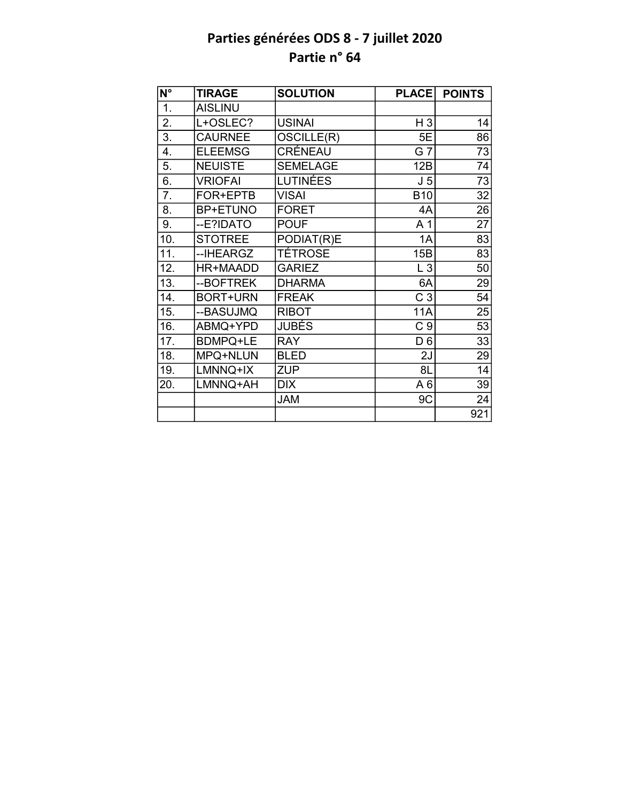| N°               | <b>TIRAGE</b>   | <b>SOLUTION</b> | <b>PLACE</b>   | <b>POINTS</b>   |
|------------------|-----------------|-----------------|----------------|-----------------|
| $\overline{1}$ . | <b>AISLINU</b>  |                 |                |                 |
| 2.               | L+OSLEC?        | <b>USINAI</b>   | H <sub>3</sub> | 14              |
| 3.               | <b>CAURNEE</b>  | OSCILLE(R)      | 5E             | 86              |
| 4.               | <b>ELEEMSG</b>  | CRÉNEAU         | G 7            | 73              |
| 5.               | <b>NEUISTE</b>  | <b>SEMELAGE</b> | 12B            | $\overline{74}$ |
| 6.               | <b>VRIOFAI</b>  | <b>LUTINÉES</b> | J <sub>5</sub> | $\overline{73}$ |
| 7.               | FOR+EPTB        | <b>VISAI</b>    | <b>B10</b>     | 32              |
| 8.               | <b>BP+ETUNO</b> | <b>FORET</b>    | 4A             | $\overline{26}$ |
| 9.               | --E?IDATO       | <b>POUF</b>     | A 1            | 27              |
| 10.              | <b>STOTREE</b>  | PODIAT(R)E      | 1A             | 83              |
| 11.              | -- IHEARGZ      | TÉTROSE         | 15B            | 83              |
| 12.              | HR+MAADD        | <b>GARIEZ</b>   | L3             | 50              |
| 13.              | --BOFTREK       | <b>DHARMA</b>   | 6A             | 29              |
| 14.              | <b>BORT+URN</b> | <b>FREAK</b>    | C <sub>3</sub> | 54              |
| 15.              | --BASUJMQ       | <b>RIBOT</b>    | <b>11A</b>     | 25              |
| 16.              | ABMQ+YPD        | JUBÉS           | C <sub>9</sub> | 53              |
| 17.              | <b>BDMPQ+LE</b> | <b>RAY</b>      | D <sub>6</sub> | 33              |
| 18.              | MPQ+NLUN        | <b>BLED</b>     | 2J             | 29              |
| 19.              | LMNNQ+IX        | <b>ZUP</b>      | 8L             | 14              |
| 20.              | LMNNQ+AH        | <b>DIX</b>      | A6             | 39              |
|                  |                 | <b>JAM</b>      | 9C             | 24              |
|                  |                 |                 |                | 921             |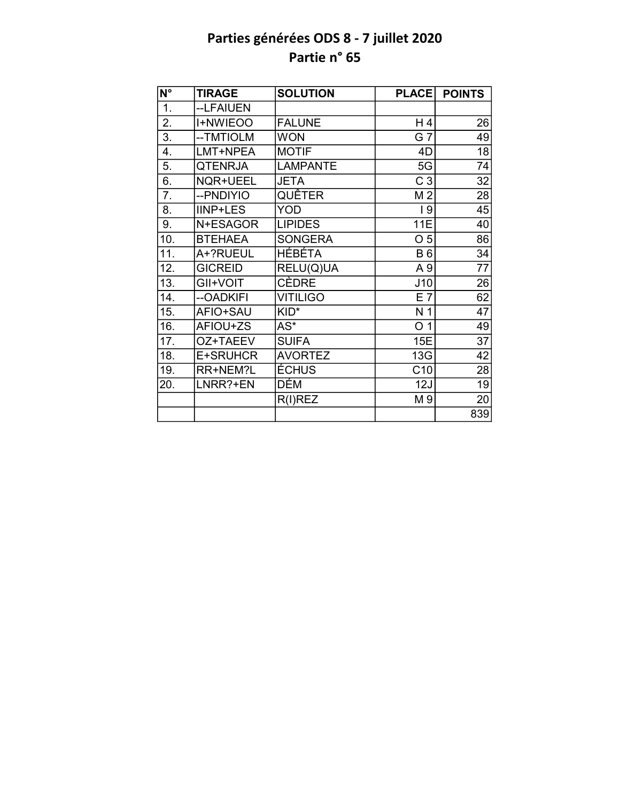| N°                | <b>TIRAGE</b>   | <b>SOLUTION</b> | <b>PLACE</b>   | <b>POINTS</b>   |
|-------------------|-----------------|-----------------|----------------|-----------------|
| $\overline{1}$ .  | --LFAIUEN       |                 |                |                 |
| 2.                | <b>I+NWIEOO</b> | <b>FALUNE</b>   | H 4            | 26              |
| $\overline{3}$ .  | -- TMTIOLM      | <b>WON</b>      | G 7            | 49              |
| 4.                | LMT+NPEA        | <b>MOTIF</b>    | 4D             | 18              |
| 5.                | <b>QTENRJA</b>  | <b>LAMPANTE</b> | 5G             | $\overline{74}$ |
| 6.                | NQR+UEEL        | <b>JETA</b>     | C <sub>3</sub> | 32              |
| 7.                | --PNDIYIO       | <b>QUÊTER</b>   | M <sub>2</sub> | 28              |
| 8.                | <b>IINP+LES</b> | YOD             | 19             | 45              |
| 9.                | N+ESAGOR        | <b>LIPIDES</b>  | 11E            | 40              |
| 10.               | <b>BTEHAEA</b>  | <b>SONGERA</b>  | O <sub>5</sub> | 86              |
| 11.               | A+?RUEUL        | <b>HÉBÉTA</b>   | <b>B6</b>      | 34              |
| 12.               | <b>GICREID</b>  | RELU(Q)UA       | A 9            | 77              |
| $\overline{13}$ . | GII+VOIT        | <b>CÈDRE</b>    | J10            | $\overline{26}$ |
| 14.               | --OADKIFI       | <b>VITILIGO</b> | E 7            | 62              |
| 15.               | AFIO+SAU        | KID*            | N <sub>1</sub> | 47              |
| 16.               | AFIOU+ZS        | $AS^*$          | O <sub>1</sub> | 49              |
| 17.               | OZ+TAEEV        | <b>SUIFA</b>    | 15E            | 37              |
| 18.               | E+SRUHCR        | <b>AVORTEZ</b>  | 13G            | $\overline{42}$ |
| 19.               | RR+NEM?L        | ÉCHUS           | C10            | 28              |
| 20.               | LNRR?+EN        | DÉM             | 12J            | 19              |
|                   |                 | $R(I)$ REZ      | M 9            | 20              |
|                   |                 |                 |                | 839             |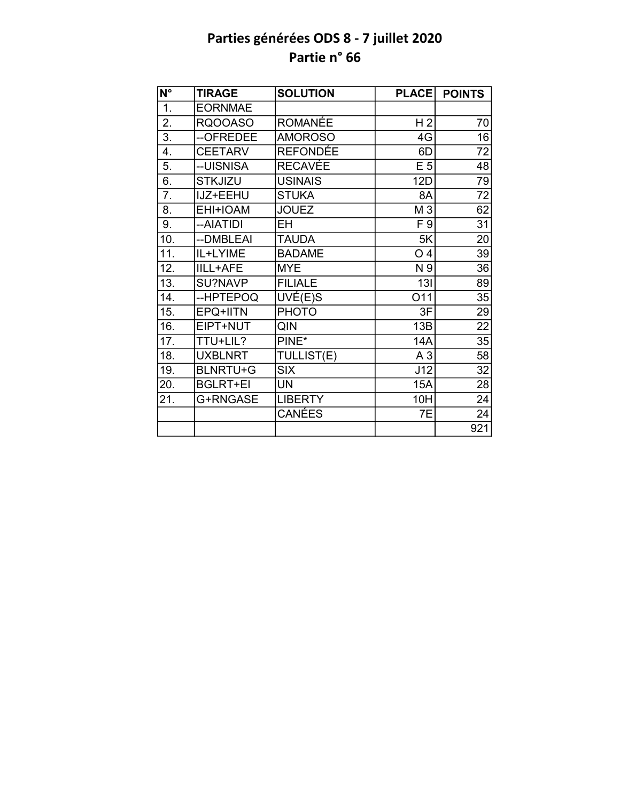| N°  | <b>TIRAGE</b>   | <b>SOLUTION</b> | <b>PLACE</b>   | <b>POINTS</b>   |
|-----|-----------------|-----------------|----------------|-----------------|
| 1.  | <b>EORNMAE</b>  |                 |                |                 |
| 2.  | <b>RQOOASO</b>  | <b>ROMANÉE</b>  | H <sub>2</sub> | 70              |
| 3.  | --OFREDEE       | <b>AMOROSO</b>  | 4G             | 16              |
| 4.  | <b>CEETARV</b>  | <b>REFONDÉE</b> | 6D             | 72              |
| 5.  | --UISNISA       | <b>RECAVÉE</b>  | E <sub>5</sub> | 48              |
| 6.  | <b>STKJIZU</b>  | <b>USINAIS</b>  | 12D            | 79              |
| 7.  | IJZ+EEHU        | <b>STUKA</b>    | 8A             | 72              |
| 8.  | EHI+IOAM        | <b>JOUEZ</b>    | M <sub>3</sub> | 62              |
| 9.  | --AIATIDI       | EH              | F 9            | 31              |
| 10. | --DMBLEAI       | <b>TAUDA</b>    | 5K             | 20              |
| 11. | IL+LYIME        | <b>BADAME</b>   | O <sub>4</sub> | 39              |
| 12. | <b>IILL+AFE</b> | <b>MYE</b>      | N 9            | 36              |
| 13. | SU?NAVP         | <b>FILIALE</b>  | 13I            | 89              |
| 14. | --HPTEPOQ       | UVÉ(E)S         | O11            | 35              |
| 15. | EPQ+IITN        | <b>PHOTO</b>    | 3F             | 29              |
| 16. | EIPT+NUT        | QIN             | 13B            | $\overline{22}$ |
| 17. | TTU+LIL?        | PINE*           | <b>14A</b>     | 35              |
| 18. | <b>UXBLNRT</b>  | TULLIST(E)      | A <sub>3</sub> | 58              |
| 19. | <b>BLNRTU+G</b> | <b>SIX</b>      | J12            | 32              |
| 20. | <b>BGLRT+EI</b> | <b>UN</b>       | 15A            | 28              |
| 21. | G+RNGASE        | <b>LIBERTY</b>  | 10H            | 24              |
|     |                 | <b>CANÉES</b>   | 7E             | 24              |
|     |                 |                 |                | 921             |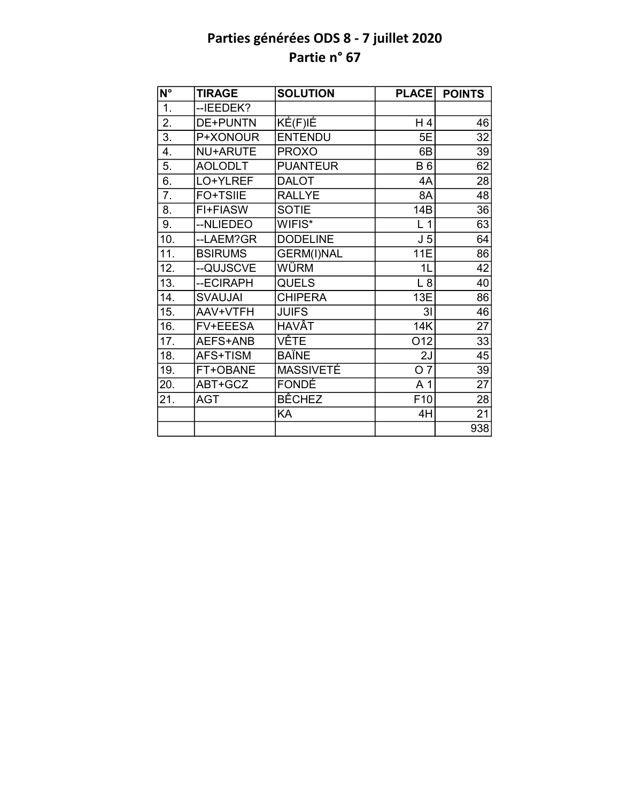| $\overline{\mathsf{N}^{\circ}}$ | <b>TIRAGE</b>   | <b>SOLUTION</b>   | <b>PLACE</b>    | <b>POINTS</b>   |
|---------------------------------|-----------------|-------------------|-----------------|-----------------|
| $\overline{1}$ .                | --IEEDEK?       |                   |                 |                 |
| $\overline{2}$ .                | <b>DE+PUNTN</b> | KÉ(F)IÉ           | H 4             | 46              |
| $\overline{3}$ .                | P+XONOUR        | <b>ENTENDU</b>    | 5E              | 32              |
| 4.                              | NU+ARUTE        | <b>PROXO</b>      | 6B              | 39              |
| 5.                              | <b>AOLODLT</b>  | <b>PUANTEUR</b>   | <b>B6</b>       | 62              |
| 6.                              | LO+YLREF        | <b>DALOT</b>      | 4A              | 28              |
| 7.                              | <b>FO+TSIIE</b> | <b>RALLYE</b>     | 8A              | 48              |
| 8.                              | FI+FIASW        | <b>SOTIE</b>      | 14B             | 36              |
| 9.                              | --NLIEDEO       | WIFIS*            | L <sub>1</sub>  | 63              |
| 10.                             | --LAEM?GR       | <b>DODELINE</b>   | J <sub>5</sub>  | 64              |
| 11.                             | <b>BSIRUMS</b>  | <b>GERM(I)NAL</b> | <b>11E</b>      | 86              |
| 12.                             | --QUJSCVE       | WÜRM              | 1L              | 42              |
| $\overline{13}$ .               | --ECIRAPH       | <b>QUELS</b>      | L8              | 40              |
| 14.                             | <b>SVAUJAI</b>  | <b>CHIPERA</b>    | 13E             | 86              |
| 15.                             | AAV+VTFH        | <b>JUIFS</b>      | 3 <sub>l</sub>  | 46              |
| 16.                             | FV+EEESA        | <b>HAVÂT</b>      | <b>14K</b>      | $\overline{27}$ |
| 17.                             | AEFS+ANB        | <b>VÊTE</b>       | O <sub>12</sub> | 33              |
| 18.                             | AFS+TISM        | <b>BAÏNE</b>      | 2J              | 45              |
| 19.                             | FT+OBANE        | MASSIVETÉ         | O <sub>7</sub>  | 39              |
| 20.                             | ABT+GCZ         | FONDÉ             | A <sub>1</sub>  | 27              |
| 21.                             | <b>AGT</b>      | <b>BÊCHEZ</b>     | F <sub>10</sub> | 28              |
|                                 |                 | KA                | 4H              | 21              |
|                                 |                 |                   |                 | 938             |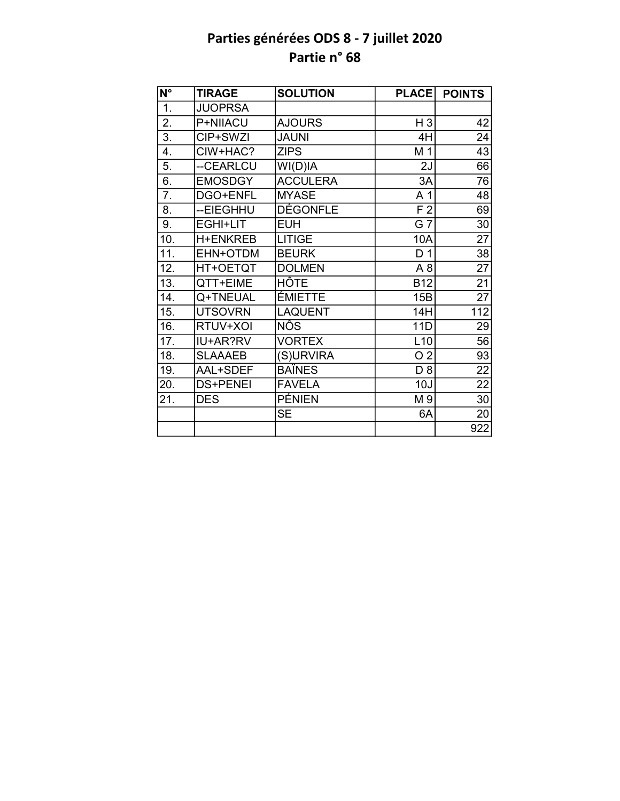| $\overline{\mathsf{N}^{\circ}}$ | <b>TIRAGE</b>   | <b>SOLUTION</b> | <b>PLACE</b>   | <b>POINTS</b>   |
|---------------------------------|-----------------|-----------------|----------------|-----------------|
| 1.                              | <b>JUOPRSA</b>  |                 |                |                 |
| 2.                              | P+NIIACU        | <b>AJOURS</b>   | H <sub>3</sub> | 42              |
| $\overline{3}$ .                | CIP+SWZI        | <b>JAUNI</b>    | 4H             | 24              |
| 4.                              | CIW+HAC?        | <b>ZIPS</b>     | M 1            | 43              |
| 5.                              | --CEARLCU       | WI(D)IA         | 2J             | 66              |
| 6.                              | <b>EMOSDGY</b>  | <b>ACCULERA</b> | 3A             | 76              |
| 7.                              | DGO+ENFL        | <b>MYASE</b>    | A 1            | 48              |
| 8.                              | --EIEGHHU       | <b>DÉGONFLE</b> | F <sub>2</sub> | 69              |
| 9.                              | EGHI+LIT        | <b>EUH</b>      | G 7            | 30              |
| 10.                             | <b>H+ENKREB</b> | <b>LITIGE</b>   | 10A            | $\overline{27}$ |
| 11.                             | EHN+OTDM        | <b>BEURK</b>    | D <sub>1</sub> | $\overline{38}$ |
| 12.                             | HT+OETQT        | <b>DOLMEN</b>   | A <sub>8</sub> | 27              |
| 13.                             | QTT+EIME        | HÔTE            | <b>B12</b>     | $\overline{21}$ |
| 14.                             | Q+TNEUAL        | <b>ÉMIETTE</b>  | 15B            | $\overline{27}$ |
| 15.                             | <b>UTSOVRN</b>  | <b>LAQUENT</b>  | 14H            | $112$           |
| 16.                             | RTUV+XOI        | <b>NÔS</b>      | 11D            | 29              |
| 17.                             | IU+AR?RV        | <b>VORTEX</b>   | L10            | 56              |
| 18.                             | <b>SLAAAEB</b>  | (S)URVIRA       | O <sub>2</sub> | 93              |
| 19.                             | AAL+SDEF        | <b>BAÏNES</b>   | D <sub>8</sub> | 22              |
| 20.                             | <b>DS+PENEI</b> | <b>FAVELA</b>   | 10J            | $\overline{22}$ |
| 21.                             | <b>DES</b>      | <b>PÉNIEN</b>   | M 9            | 30              |
|                                 |                 | <b>SE</b>       | 6A             | 20              |
|                                 |                 |                 |                | 922             |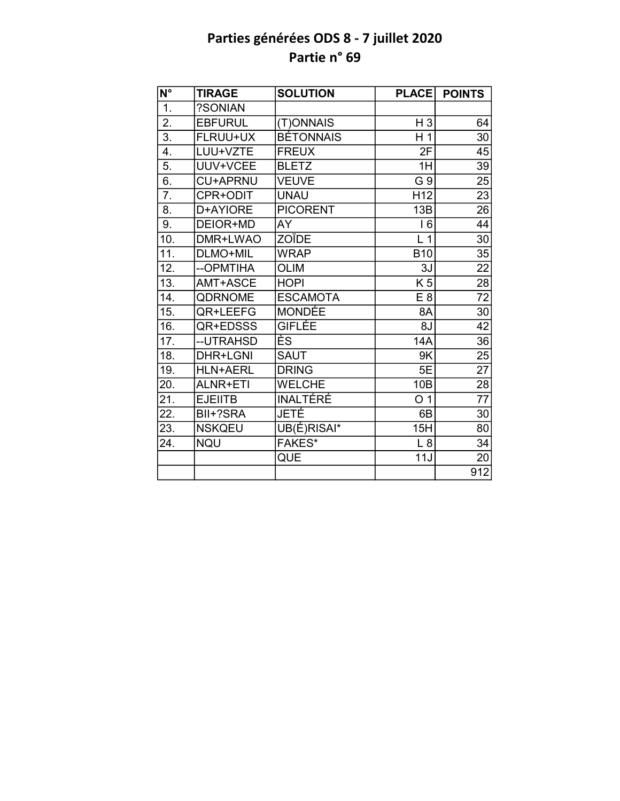| $\overline{\mathsf{N}^{\circ}}$ | <b>TIRAGE</b>   | <b>SOLUTION</b>  | <b>PLACE</b>    | <b>POINTS</b>   |
|---------------------------------|-----------------|------------------|-----------------|-----------------|
| 1.                              | ?SONIAN         |                  |                 |                 |
| 2.                              | <b>EBFURUL</b>  | (T)ONNAIS        | $H_3$           | 64              |
| $\overline{3}$ .                | FLRUU+UX        | <b>BÉTONNAIS</b> | H <sub>1</sub>  | 30              |
| 4.                              | LUU+VZTE        | <b>FREUX</b>     | 2F              | 45              |
| 5.                              | UUV+VCEE        | <b>BLETZ</b>     | 1H              | 39              |
| 6.                              | <b>CU+APRNU</b> | <b>VEUVE</b>     | G 9             | 25              |
| $\overline{7}$ .                | CPR+ODIT        | <b>UNAU</b>      | H <sub>12</sub> | 23              |
| 8.                              | D+AYIORE        | <b>PICORENT</b>  | 13B             | 26              |
| 9.                              | DEIOR+MD        | AY               | 16              | 44              |
| 10.                             | DMR+LWAO        | <b>ZOÏDE</b>     | L <sub>1</sub>  | $\overline{30}$ |
| 11.                             | DLMO+MIL        | <b>WRAP</b>      | <b>B10</b>      | $\overline{35}$ |
| 12.                             | --OPMTIHA       | <b>OLIM</b>      | 3J              | 22              |
| 13.                             | AMT+ASCE        | <b>HOPI</b>      | K <sub>5</sub>  | $\overline{28}$ |
| 14.                             | <b>QDRNOME</b>  | <b>ESCAMOTA</b>  | E8              | $\overline{72}$ |
| 15.                             | QR+LEEFG        | <b>MONDÉE</b>    | 8A              | 30              |
| 16.                             | QR+EDSSS        | <b>GIFLÉE</b>    | 8J              | 42              |
| 17.                             | --UTRAHSD       | ÈS               | 14A             | 36              |
| 18.                             | DHR+LGNI        | <b>SAUT</b>      | 9K              | 25              |
| 19.                             | <b>HLN+AERL</b> | <b>DRING</b>     | 5E              | 27              |
| 20.                             | <b>ALNR+ETI</b> | <b>WELCHE</b>    | 10 <sub>B</sub> | 28              |
| 21.                             | <b>EJEIITB</b>  | <b>INALTERE</b>  | O <sub>1</sub>  | $\overline{77}$ |
| 22.                             | BII+?SRA        | JETÉ             | 6B              | 30              |
| 23.                             | <b>NSKQEU</b>   | UB(É)RISAI*      | 15H             | 80              |
| 24.                             | <b>NQU</b>      | <b>FAKES*</b>    | L8              | 34              |
|                                 |                 | QUE              | 11J             | 20              |
|                                 |                 |                  |                 | 912             |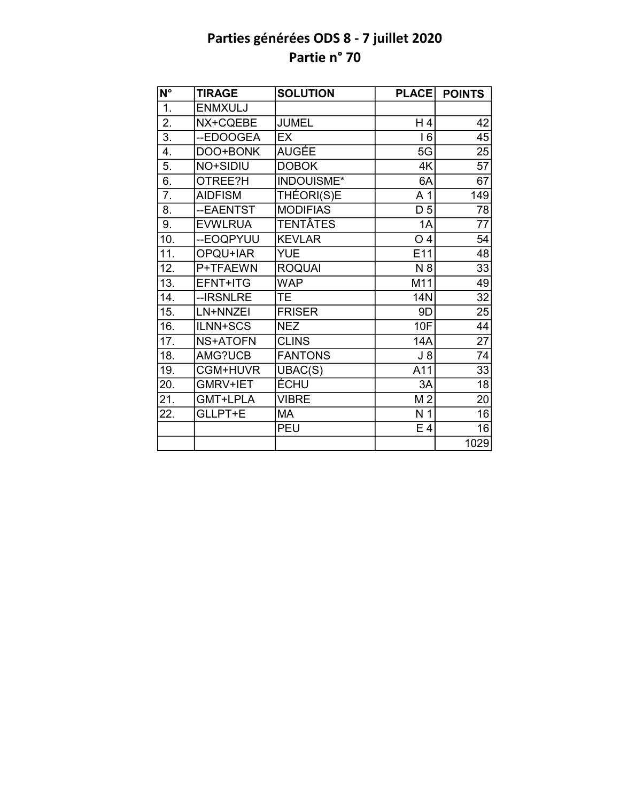| $\overline{\mathsf{N}^{\circ}}$ | <b>TIRAGE</b>   | <b>SOLUTION</b>   | <b>PLACE</b>    | <b>POINTS</b>   |
|---------------------------------|-----------------|-------------------|-----------------|-----------------|
| $\overline{1}$ .                | <b>ENMXULJ</b>  |                   |                 |                 |
| $\overline{2}$ .                | NX+CQEBE        | <b>JUMEL</b>      | H 4             | 42              |
| 3.                              | --EDOOGEA       | <b>EX</b>         | 16              | 45              |
| 4.                              | DOO+BONK        | <b>AUGÉE</b>      | 5G              | 25              |
| 5.                              | NO+SIDIU        | <b>DOBOK</b>      | 4K              | $\overline{57}$ |
| $\overline{6}$ .                | OTREE?H         | <b>INDOUISME*</b> | 6A              | 67              |
| 7.                              | <b>AIDFISM</b>  | THÉORI(S)E        | A 1             | 149             |
| 8.                              | --EAENTST       | <b>MODIFIAS</b>   | D <sub>5</sub>  | 78              |
| 9.                              | <b>EVWLRUA</b>  | TENTÂTES          | 1A              | 77              |
| 10.                             | --EOQPYUU       | <b>KEVLAR</b>     | O <sub>4</sub>  | 54              |
| $\overline{11}$ .               | OPQU+IAR        | <b>YUE</b>        | E <sub>11</sub> | $\overline{48}$ |
| 12.                             | P+TFAEWN        | <b>ROQUAI</b>     | N 8             | 33              |
| 13.                             | EFNT+ITG        | <b>WAP</b>        | M11             | 49              |
| 14.                             | --IRSNLRE       | <b>TE</b>         | 14N             | 32              |
| 15.                             | LN+NNZEI        | <b>FRISER</b>     | 9D              | $\overline{25}$ |
| 16.                             | ILNN+SCS        | <b>NEZ</b>        | 10F             | $\overline{44}$ |
| 17.                             | <b>NS+ATOFN</b> | <b>CLINS</b>      | <b>14A</b>      | $\overline{27}$ |
| 18.                             | AMG?UCB         | <b>FANTONS</b>    | $J_8$           | $\overline{74}$ |
| 19.                             | CGM+HUVR        | UBAC(S)           | A11             | 33              |
| 20.                             | GMRV+IET        | <b>ÉCHU</b>       | 3A              | $\overline{18}$ |
| 21.                             | GMT+LPLA        | <b>VIBRE</b>      | M <sub>2</sub>  | $\overline{20}$ |
| 22.                             | GLLPT+E         | MA                | N <sub>1</sub>  | 16              |
|                                 |                 | <b>PEU</b>        | E 4             | 16              |
|                                 |                 |                   |                 | 1029            |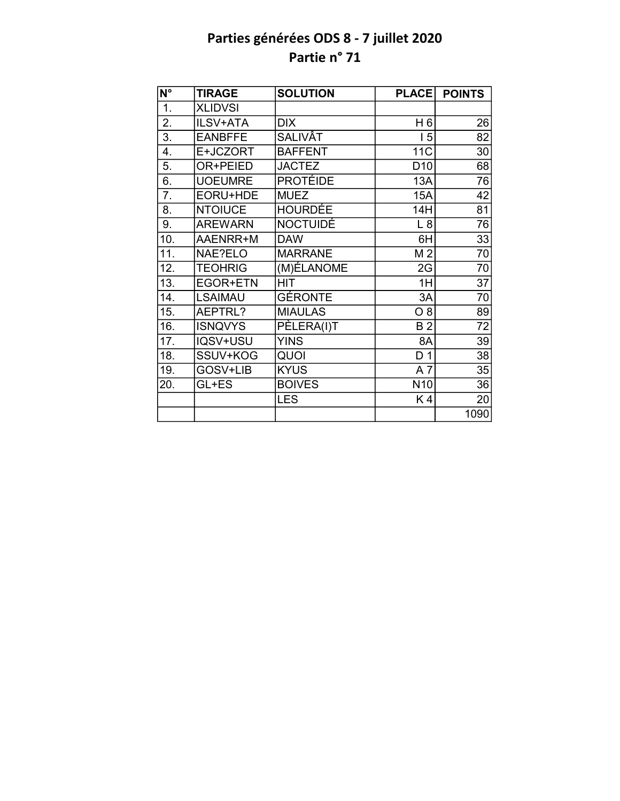| $N^{\circ}$       | <b>TIRAGE</b>  | <b>SOLUTION</b> | <b>PLACE</b>    | <b>POINTS</b>   |
|-------------------|----------------|-----------------|-----------------|-----------------|
| $\overline{1}$ .  | <b>XLIDVSI</b> |                 |                 |                 |
| 2.                | ILSV+ATA       | <b>DIX</b>      | H <sub>6</sub>  | 26              |
| $\overline{3}$ .  | <b>EANBFFE</b> | <b>SALIVÂT</b>  | 15              | 82              |
| 4.                | E+JCZORT       | <b>BAFFENT</b>  | <b>11C</b>      | 30              |
| 5.                | OR+PEIED       | <b>JACTEZ</b>   | D <sub>10</sub> | 68              |
| 6.                | <b>UOEUMRE</b> | <b>PROTÉIDE</b> | 13A             | 76              |
| 7.                | EORU+HDE       | <b>MUEZ</b>     | 15A             | 42              |
| 8.                | <b>NTOIUCE</b> | <b>HOURDÉE</b>  | 14H             | 81              |
| 9.                | <b>AREWARN</b> | <b>NOCTUIDÉ</b> | L8              | 76              |
| 10.               | AAENRR+M       | <b>DAW</b>      | 6H              | 33              |
| 11.               | NAE?ELO        | <b>MARRANE</b>  | M <sub>2</sub>  | 70              |
| 12.               | <b>TEOHRIG</b> | (M)ÉLANOME      | 2G              | 70              |
| $\overline{13}$ . | EGOR+ETN       | <b>HIT</b>      | 1H              | $\overline{37}$ |
| 14.               | <b>LSAIMAU</b> | <b>GÉRONTE</b>  | 3A              | 70              |
| 15.               | AEPTRL?        | <b>MIAULAS</b>  | O 8             | 89              |
| 16.               | <b>ISNQVYS</b> | PÈLERA(I)T      | <b>B2</b>       | 72              |
| 17.               | IQSV+USU       | <b>YINS</b>     | 8A              | 39              |
| 18.               | SSUV+KOG       | QUOI            | D <sub>1</sub>  | 38              |
| 19.               | GOSV+LIB       | <b>KYUS</b>     | A7              | 35              |
| 20.               | GL+ES          | <b>BOIVES</b>   | N <sub>10</sub> | 36              |
|                   |                | <b>LES</b>      | K4              | 20              |
|                   |                |                 |                 | 1090            |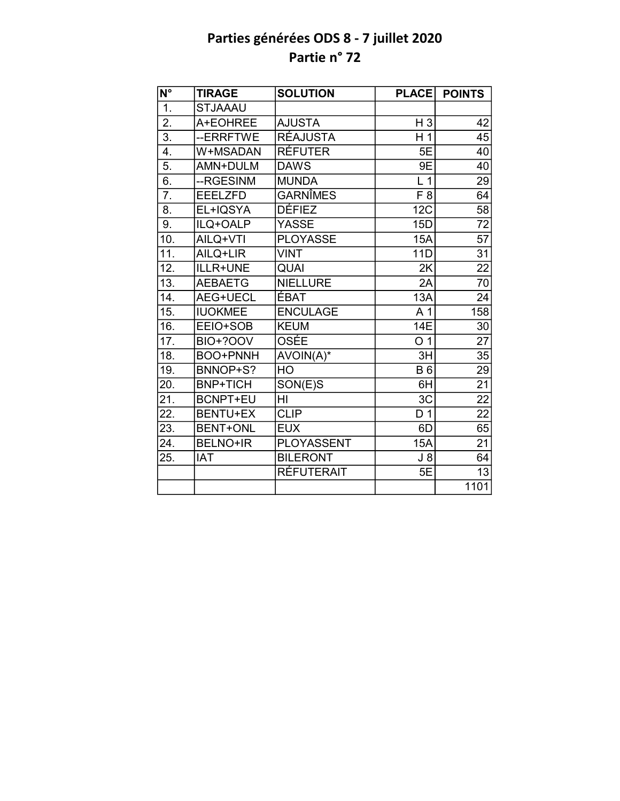| $\overline{\mathsf{N}^{\circ}}$ | <b>TIRAGE</b>   | <b>SOLUTION</b>   | <b>PLACE</b>   | <b>POINTS</b>   |
|---------------------------------|-----------------|-------------------|----------------|-----------------|
| $\overline{1}$ .                | <b>STJAAAU</b>  |                   |                |                 |
| $\overline{2}$ .                | A+EOHREE        | <b>AJUSTA</b>     | H <sub>3</sub> | 42              |
| $\overline{3}$ .                | --ERRFTWE       | <b>RÉAJUSTA</b>   | H 1            | 45              |
| 4.                              | W+MSADAN        | <b>RÉFUTER</b>    | 5E             | 40              |
| $\overline{5}$ .                | AMN+DULM        | <b>DAWS</b>       | 9E             | 40              |
| 6.                              | --RGESINM       | <b>MUNDA</b>      | L <sub>1</sub> | 29              |
| 7.                              | <b>EEELZFD</b>  | <b>GARNÎMES</b>   | F <sub>8</sub> | 64              |
| 8.                              | EL+IQSYA        | DÉFIEZ            | 12C            | $\overline{58}$ |
| 9.                              | ILQ+OALP        | <b>YASSE</b>      | 15D            | 72              |
| 10.                             | AILQ+VTI        | <b>PLOYASSE</b>   | 15A            | $\overline{57}$ |
| 11.                             | AILQ+LIR        | <b>VINT</b>       | 11D            | 31              |
| 12.                             | ILLR+UNE        | <b>QUAI</b>       | 2K             | 22              |
| $\overline{13}$ .               | <b>AEBAETG</b>  | <b>NIELLURE</b>   | 2A             | $\overline{70}$ |
| 14.                             | AEG+UECL        | <b>ÉBAT</b>       | 13A            | 24              |
| 15.                             | <b>IUOKMEE</b>  | <b>ENCULAGE</b>   | A 1            | 158             |
| 16.                             | EEIO+SOB        | <b>KEUM</b>       | 14E            | 30              |
| 17.                             | <b>BIO+?OOV</b> | OSÉE              | O <sub>1</sub> | $\overline{27}$ |
| 18.                             | <b>BOO+PNNH</b> | AVOIN(A)*         | 3H             | 35              |
| 19.                             | BNNOP+S?        | HO                | <b>B6</b>      | 29              |
| 20.                             | <b>BNP+TICH</b> | SON(E)S           | 6H             | 21              |
| 21.                             | <b>BCNPT+EU</b> | HI                | 3C             | $\overline{22}$ |
| 22.                             | <b>BENTU+EX</b> | <b>CLIP</b>       | D <sub>1</sub> | $\overline{22}$ |
| 23.                             | <b>BENT+ONL</b> | <b>EUX</b>        | 6D             | 65              |
| 24.                             | <b>BELNO+IR</b> | PLOYASSENT        | <b>15A</b>     | 21              |
| 25.                             | <b>IAT</b>      | <b>BILERONT</b>   | $J_8$          | 64              |
|                                 |                 | <b>RÉFUTERAIT</b> | 5E             | 13              |
|                                 |                 |                   |                | 1101            |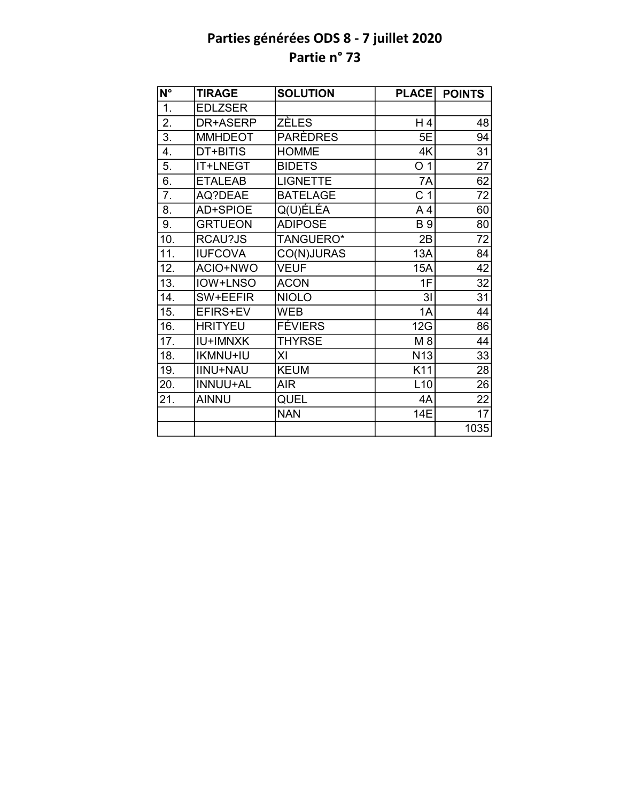| $\overline{\mathsf{N}^{\circ}}$ | <b>TIRAGE</b>   | <b>SOLUTION</b> | <b>PLACE</b>    | <b>POINTS</b>   |
|---------------------------------|-----------------|-----------------|-----------------|-----------------|
| 1.                              | <b>EDLZSER</b>  |                 |                 |                 |
| 2.                              | DR+ASERP        | <b>ZÈLES</b>    | H 4             | 48              |
| $\overline{3}$ .                | <b>MMHDEOT</b>  | PARÈDRES        | 5E              | 94              |
| 4.                              | DT+BITIS        | <b>HOMME</b>    | 4K              | 31              |
| 5.                              | IT+LNEGT        | <b>BIDETS</b>   | O <sub>1</sub>  | $\overline{27}$ |
| 6.                              | <b>ETALEAB</b>  | <b>LIGNETTE</b> | 7A              | 62              |
| 7.                              | AQ?DEAE         | <b>BATELAGE</b> | C <sub>1</sub>  | 72              |
| 8.                              | AD+SPIOE        | Q(U)ÉLÉA        | A4              | 60              |
| 9.                              | <b>GRTUEON</b>  | <b>ADIPOSE</b>  | <b>B</b> 9      | 80              |
| 10.                             | RCAU?JS         | TANGUERO*       | 2B              | 72              |
| 11.                             | <b>IUFCOVA</b>  | CO(N)JURAS      | 13A             | 84              |
| 12.                             | ACIO+NWO        | <b>VEUF</b>     | 15A             | 42              |
| 13.                             | <b>IOW+LNSO</b> | <b>ACON</b>     | 1F              | 32              |
| 14.                             | SW+EEFIR        | <b>NIOLO</b>    | 3 <sub>l</sub>  | 31              |
| 15.                             | EFIRS+EV        | <b>WEB</b>      | 1A              | 44              |
| 16.                             | <b>HRITYEU</b>  | <b>FÉVIERS</b>  | 12G             | 86              |
| 17.                             | <b>IU+IMNXK</b> | <b>THYRSE</b>   | M 8             | 44              |
| 18.                             | <b>IKMNU+IU</b> | ΧI              | N <sub>13</sub> | 33              |
| 19.                             | <b>IINU+NAU</b> | <b>KEUM</b>     | K11             | 28              |
| 20.                             | <b>INNUU+AL</b> | <b>AIR</b>      | L10             | 26              |
| 21.                             | <b>AINNU</b>    | QUEL            | 4A              | 22              |
|                                 |                 | <b>NAN</b>      | 14E             | 17              |
|                                 |                 |                 |                 | 1035            |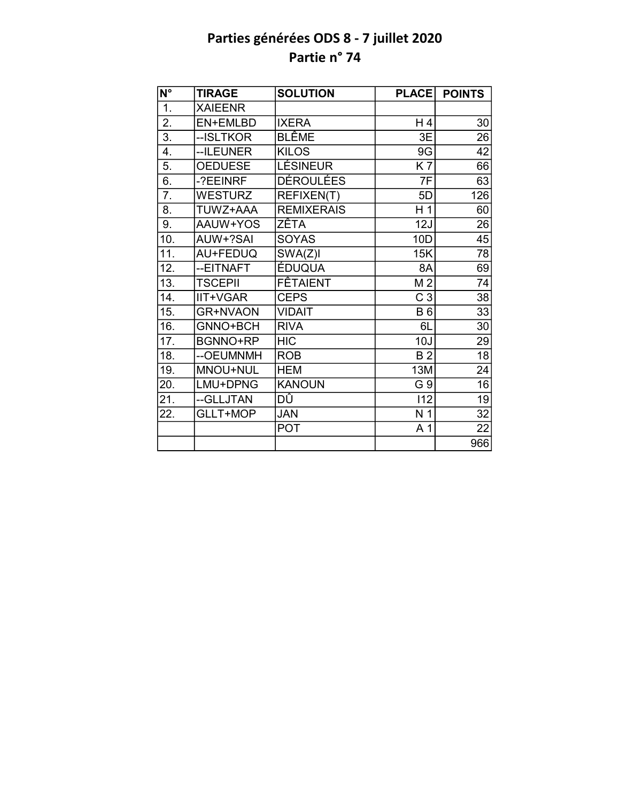| $\overline{\mathsf{N}^{\circ}}$ | <b>TIRAGE</b>   | <b>SOLUTION</b>   | <b>PLACE</b>   | <b>POINTS</b>   |
|---------------------------------|-----------------|-------------------|----------------|-----------------|
| 1.                              | <b>XAIEENR</b>  |                   |                |                 |
| $\overline{2}$ .                | EN+EMLBD        | <b>IXERA</b>      | H 4            | 30              |
| $\overline{3}$ .                | --ISLTKOR       | <b>BLÊME</b>      | 3E             | 26              |
| 4.                              | --ILEUNER       | <b>KILOS</b>      | 9G             | 42              |
| 5.                              | <b>OEDUESE</b>  | <b>LÉSINEUR</b>   | <b>K7</b>      | 66              |
| 6.                              | -?EEINRF        | DÉROULÉES         | 7F             | 63              |
| 7.                              | <b>WESTURZ</b>  | REFIXEN(T)        | 5D             | 126             |
| 8.                              | TUWZ+AAA        | <b>REMIXERAIS</b> | H 1            | 60              |
| 9.                              | AAUW+YOS        | ZÊTA              | 12J            | 26              |
| 10.                             | AUW+?SAI        | <b>SOYAS</b>      | 10D            | $\overline{45}$ |
| 11.                             | AU+FEDUQ        | SWA(Z)I           | 15K            | 78              |
| 12.                             | --EITNAFT       | <b>ÉDUQUA</b>     | 8A             | 69              |
| 13.                             | <b>TSCEPII</b>  | <b>FÊTAIENT</b>   | M <sub>2</sub> | $\overline{74}$ |
| 14.                             | IIT+VGAR        | <b>CEPS</b>       | C <sub>3</sub> | 38              |
| 15.                             | <b>GR+NVAON</b> | <b>VIDAIT</b>     | <b>B6</b>      | $\overline{33}$ |
| 16.                             | GNNO+BCH        | <b>RIVA</b>       | 6L             | 30              |
| 17.                             | <b>BGNNO+RP</b> | <b>HIC</b>        | 10J            | 29              |
| 18.                             | --OEUMNMH       | <b>ROB</b>        | B <sub>2</sub> | $\overline{18}$ |
| 19.                             | MNOU+NUL        | <b>HEM</b>        | 13M            | 24              |
| 20.                             | LMU+DPNG        | <b>KANOUN</b>     | G 9            | 16              |
| 21.                             | --GLLJTAN       | DÛ                | 112            | $\overline{19}$ |
| 22.                             | GLLT+MOP        | JAN               | N <sub>1</sub> | 32              |
|                                 |                 | <b>POT</b>        | A <sub>1</sub> | 22              |
|                                 |                 |                   |                | 966             |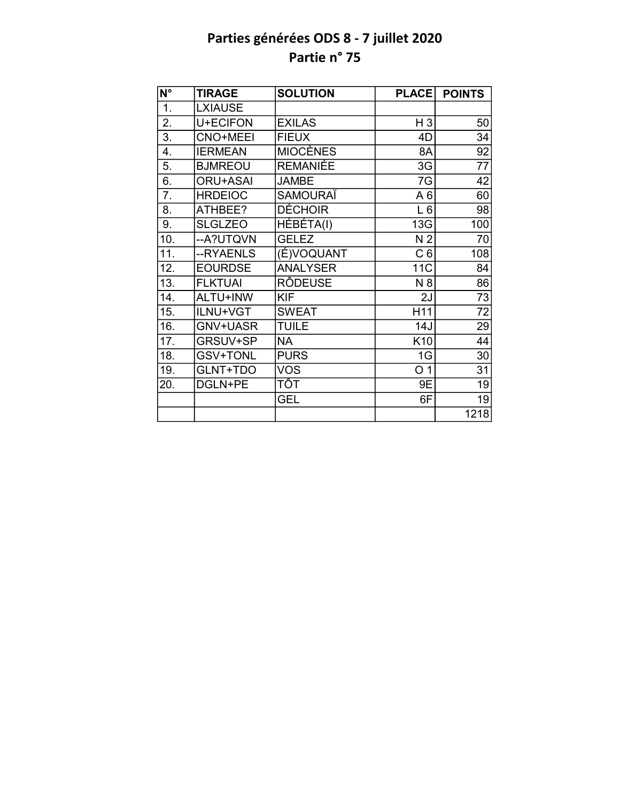| N°               | <b>TIRAGE</b>   | <b>SOLUTION</b> | <b>PLACE</b>    | <b>POINTS</b>   |
|------------------|-----------------|-----------------|-----------------|-----------------|
| $\overline{1}$ . | <b>LXIAUSE</b>  |                 |                 |                 |
| 2.               | U+ECIFON        | <b>EXILAS</b>   | H <sub>3</sub>  | 50              |
| 3.               | <b>CNO+MEEI</b> | <b>FIEUX</b>    | 4D              | 34              |
| 4.               | <b>IERMEAN</b>  | <b>MIOCÈNES</b> | 8A              | 92              |
| 5.               | <b>BJMREOU</b>  | <b>REMANIÉE</b> | 3G              | $\overline{77}$ |
| 6.               | <b>ORU+ASAI</b> | <b>JAMBE</b>    | 7G              | 42              |
| 7.               | <b>HRDEIOC</b>  | <b>SAMOURAÏ</b> | A6              | 60              |
| 8.               | ATHBEE?         | <b>DÉCHOIR</b>  | $L_6$           | 98              |
| 9.               | <b>SLGLZEO</b>  | HÉBÉTA(I)       | 13G             | 100             |
| 10.              | --A?UTQVN       | <b>GELEZ</b>    | N <sub>2</sub>  | 70              |
| 11.              | --RYAENLS       | (É)VOQUANT      | C <sub>6</sub>  | 108             |
| 12.              | <b>EOURDSE</b>  | <b>ANALYSER</b> | 11C             | 84              |
| 13.              | <b>FLKTUAI</b>  | <b>RÔDEUSE</b>  | N 8             | 86              |
| 14.              | ALTU+INW        | <b>KIF</b>      | 2J              | 73              |
| 15.              | ILNU+VGT        | <b>SWEAT</b>    | H11             | $\overline{72}$ |
| 16.              | GNV+UASR        | <b>TUILE</b>    | 14J             | 29              |
| 17.              | GRSUV+SP        | <b>NA</b>       | K <sub>10</sub> | 44              |
| 18.              | <b>GSV+TONL</b> | <b>PURS</b>     | 1G              | 30              |
| 19.              | GLNT+TDO        | <b>VOS</b>      | O <sub>1</sub>  | 31              |
| 20.              | DGLN+PE         | TÔT             | 9E              | 19              |
|                  |                 | <b>GEL</b>      | 6F              | 19              |
|                  |                 |                 |                 | 1218            |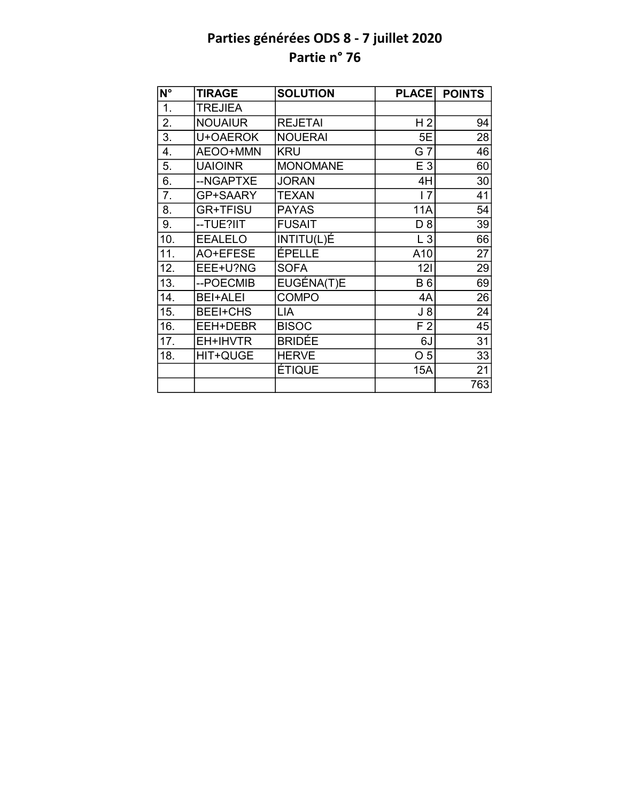| N°  | <b>TIRAGE</b>   | <b>SOLUTION</b> | <b>PLACE</b>   | <b>POINTS</b> |
|-----|-----------------|-----------------|----------------|---------------|
| 1.  | <b>TREJIEA</b>  |                 |                |               |
| 2.  | <b>NOUAIUR</b>  | <b>REJETAI</b>  | H <sub>2</sub> | 94            |
| 3.  | U+OAEROK        | <b>NOUERAI</b>  | 5E             | 28            |
| 4.  | AEOO+MMN        | <b>KRU</b>      | G 7            | 46            |
| 5.  | <b>UAIOINR</b>  | <b>MONOMANE</b> | E 3            | 60            |
| 6.  | --NGAPTXE       | <b>JORAN</b>    | 4H             | 30            |
| 7.  | GP+SAARY        | <b>TEXAN</b>    | 17             | 41            |
| 8.  | <b>GR+TFISU</b> | <b>PAYAS</b>    | <b>11A</b>     | 54            |
| 9.  | --TUE?IIT       | <b>FUSAIT</b>   | D <sub>8</sub> | 39            |
| 10. | <b>EEALELO</b>  | INTITU(L)É      | $L_3$          | 66            |
| 11. | AO+EFESE        | ÉPELLE          | A10            | 27            |
| 12. | EEE+U?NG        | <b>SOFA</b>     | 121            | 29            |
| 13. | --POECMIB       | EUGÉNA(T)E      | <b>B6</b>      | 69            |
| 14. | <b>BEI+ALEI</b> | <b>COMPO</b>    | 4A             | 26            |
| 15. | <b>BEEI+CHS</b> | LIA             | $J_8$          | 24            |
| 16. | EEH+DEBR        | <b>BISOC</b>    | F <sub>2</sub> | 45            |
| 17. | EH+IHVTR        | <b>BRIDÉE</b>   | 6J             | 31            |
| 18. | HIT+QUGE        | <b>HERVE</b>    | O <sub>5</sub> | 33            |
|     |                 | ÉTIQUE          | 15A            | 21            |
|     |                 |                 |                | 763           |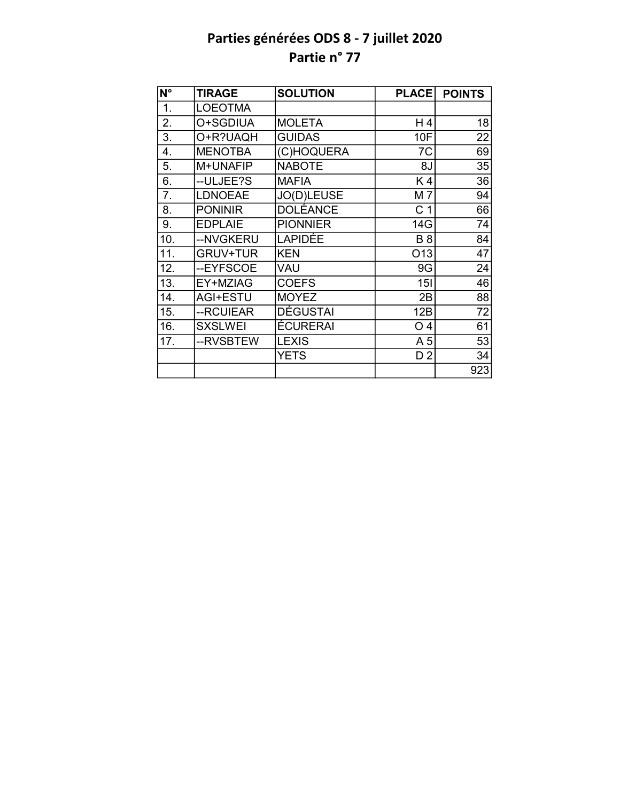| N°               | <b>TIRAGE</b>   | <b>SOLUTION</b> | <b>PLACE</b>    | <b>POINTS</b>   |
|------------------|-----------------|-----------------|-----------------|-----------------|
| 1.               | <b>LOEOTMA</b>  |                 |                 |                 |
| 2.               | O+SGDIUA        | <b>MOLETA</b>   | H4              | 18              |
| 3.               | O+R?UAQH        | <b>GUIDAS</b>   | 10F             | 22              |
| 4.               | <b>MENOTBA</b>  | (C)HOQUERA      | 7C              | 69              |
| 5.               | M+UNAFIP        | <b>NABOTE</b>   | 8J              | 35              |
| 6.               | --ULJEE?S       | <b>MAFIA</b>    | K4              | 36              |
| $\overline{7}$ . | <b>LDNOEAE</b>  | JO(D)LEUSE      | M7              | 94              |
| 8.               | <b>PONINIR</b>  | <b>DOLÉANCE</b> | C <sub>1</sub>  | $\overline{66}$ |
| 9.               | <b>EDPLAIE</b>  | <b>PIONNIER</b> | 14G             | 74              |
| 10.              | --NVGKERU       | LAPIDÉE         | <b>B</b> 8      | 84              |
| 11.              | <b>GRUV+TUR</b> | <b>KEN</b>      | O <sub>13</sub> | 47              |
| 12.              | --EYFSCOE       | VAU             | 9G              | 24              |
| 13.              | EY+MZIAG        | <b>COEFS</b>    | 15I             | $\overline{46}$ |
| 14.              | <b>AGI+ESTU</b> | <b>MOYEZ</b>    | 2B              | 88              |
| 15.              | --RCUIEAR       | <b>DÉGUSTAI</b> | 12B             | $\overline{72}$ |
| 16.              | <b>SXSLWEI</b>  | <b>ÉCURERAI</b> | O <sub>4</sub>  | 61              |
| 17.              | --RVSBTEW       | <b>LEXIS</b>    | A <sub>5</sub>  | 53              |
|                  |                 | <b>YETS</b>     | D <sub>2</sub>  | 34              |
|                  |                 |                 |                 | 923             |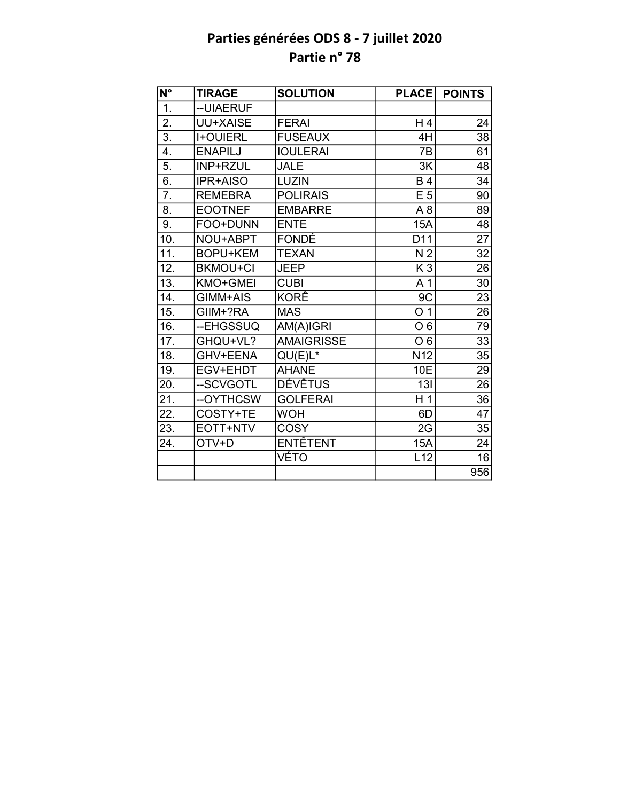| N°                | <b>TIRAGE</b>   | <b>SOLUTION</b>   | <b>PLACE</b>     | <b>POINTS</b>   |
|-------------------|-----------------|-------------------|------------------|-----------------|
| $\overline{1}$ .  | --UIAERUF       |                   |                  |                 |
| 2.                | <b>UU+XAISE</b> | <b>FERAI</b>      | H4               | 24              |
| $\overline{3}$ .  | <b>I+OUIERL</b> | <b>FUSEAUX</b>    | 4H               | $\overline{38}$ |
| 4.                | <b>ENAPILJ</b>  | <b>IOULERAI</b>   | 7B               | 61              |
| 5.                | INP+RZUL        | <b>JALE</b>       | 3K               | 48              |
| 6.                | <b>IPR+AISO</b> | <b>LUZIN</b>      | <b>B4</b>        | 34              |
| $\overline{7}$ .  | <b>REMEBRA</b>  | <b>POLIRAIS</b>   | E <sub>5</sub>   | 90              |
| 8.                | <b>EOOTNEF</b>  | <b>EMBARRE</b>    | A8               | 89              |
| 9.                | FOO+DUNN        | <b>ENTE</b>       | 15A              | 48              |
| 10.               | NOU+ABPT        | <b>FONDÉ</b>      | D11              | $\overline{27}$ |
| $\overline{11}$ . | <b>BOPU+KEM</b> | <b>TEXAN</b>      | N <sub>2</sub>   | $\overline{32}$ |
| 12.               | <b>BKMOU+CI</b> | <b>JEEP</b>       | K <sub>3</sub>   | 26              |
| 13.               | KMO+GMEI        | <b>CUBI</b>       | A <sub>1</sub>   | $\overline{30}$ |
| 14.               | GIMM+AIS        | KORÊ              | 9C               | 23              |
| 15.               | GIIM+?RA        | <b>MAS</b>        | $\overline{0}$ 1 | 26              |
| 16.               | --EHGSSUQ       | AM(A)IGRI         | O <sub>6</sub>   | 79              |
| 17.               | GHQU+VL?        | <b>AMAIGRISSE</b> | O <sub>6</sub>   | 33              |
| 18.               | GHV+EENA        | $QU(E)L^*$        | N <sub>12</sub>  | $\overline{35}$ |
| 19.               | EGV+EHDT        | <b>AHANE</b>      | 10E              | 29              |
| 20.               | --SCVGOTL       | <b>DÉVÊTUS</b>    | 13I              | 26              |
| 21.               | --OYTHCSW       | <b>GOLFERAI</b>   | H <sub>1</sub>   | 36              |
| 22.               | COSTY+TE        | <b>WOH</b>        | 6D               | $\overline{47}$ |
| 23.               | EOTT+NTV        | <b>COSY</b>       | 2G               | 35              |
| 24.               | OTV+D           | <b>ENTÊTENT</b>   | <b>15A</b>       | 24              |
|                   |                 | VÉTO              | L12              | 16              |
|                   |                 |                   |                  | 956             |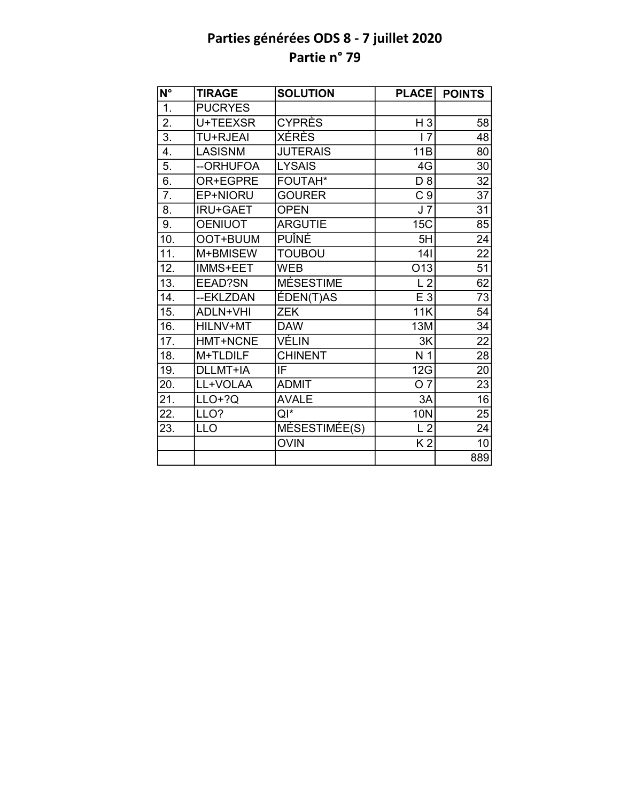| $\overline{\mathsf{N}^{\circ}}$ | <b>TIRAGE</b>   | <b>SOLUTION</b>  | <b>PLACE</b>    | <b>POINTS</b>   |
|---------------------------------|-----------------|------------------|-----------------|-----------------|
| 1.                              | <b>PUCRYES</b>  |                  |                 |                 |
| 2.                              | U+TEEXSR        | <b>CYPRÈS</b>    | $H_3$           | 58              |
| $\overline{3}$ .                | <b>TU+RJEAI</b> | <b>XÉRÈS</b>     | 17              | 48              |
| 4.                              | <b>LASISNM</b>  | <b>JUTERAIS</b>  | 11B             | 80              |
| 5.                              | --ORHUFOA       | <b>LYSAIS</b>    | 4G              | 30              |
| 6.                              | OR+EGPRE        | FOUTAH*          | $D_8$           | 32              |
| 7.                              | EP+NIORU        | <b>GOURER</b>    | C <sub>9</sub>  | 37              |
| 8.                              | <b>IRU+GAET</b> | <b>OPEN</b>      | J <sub>7</sub>  | 31              |
| 9.                              | <b>OENIUOT</b>  | <b>ARGUTIE</b>   | 15C             | 85              |
| 10.                             | OOT+BUUM        | PUÎNÉ            | 5H              | 24              |
| 11.                             | M+BMISEW        | <b>TOUBOU</b>    | 141             | $\overline{22}$ |
| 12.                             | IMMS+EET        | <b>WEB</b>       | O <sub>13</sub> | $\overline{51}$ |
| $\overline{13}$ .               | EEAD?SN         | <b>MÉSESTIME</b> | L <sub>2</sub>  | $\overline{62}$ |
| 14.                             | --EKLZDAN       | ÉDEN(T)AS        | E 3             | 73              |
| 15.                             | <b>ADLN+VHI</b> | <b>ZEK</b>       | 11K             | 54              |
| 16.                             | HILNV+MT        | <b>DAW</b>       | 13M             | $\overline{34}$ |
| 17.                             | HMT+NCNE        | VÉLIN            | 3K              | $\overline{22}$ |
| 18.                             | M+TLDILF        | <b>CHINENT</b>   | N <sub>1</sub>  | $\overline{28}$ |
| 19.                             | DLLMT+IA        | IF               | 12G             | 20              |
| 20.                             | LL+VOLAA        | <b>ADMIT</b>     | $\overline{07}$ | 23              |
| 21.                             | $LLO+?Q$        | <b>AVALE</b>     | 3A              | $\overline{16}$ |
| 22.                             | LLO?            | $QI^*$           | <b>10N</b>      | 25              |
| 23.                             | <b>LLO</b>      | MÉSESTIMÉE(S)    | L <sub>2</sub>  | 24              |
|                                 |                 | <b>OVIN</b>      | K <sub>2</sub>  | 10              |
|                                 |                 |                  |                 | 889             |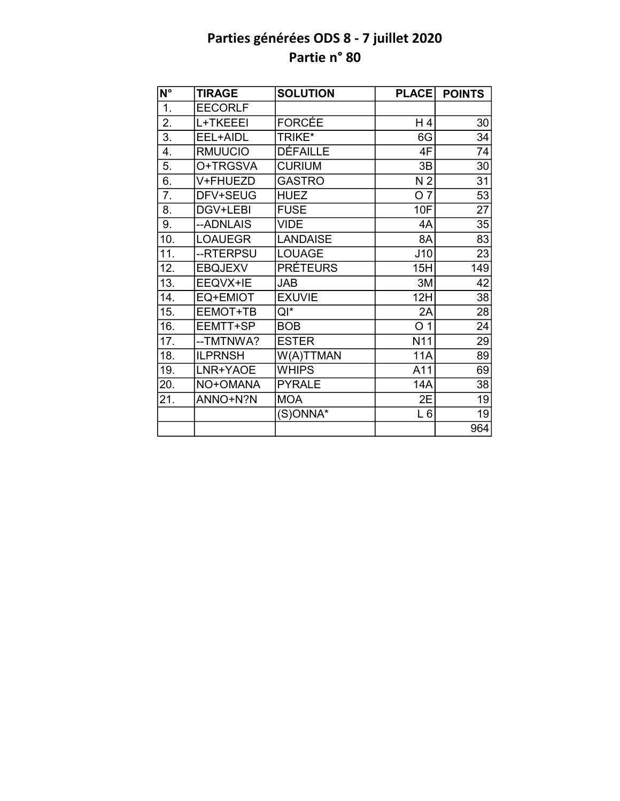| $\overline{\mathsf{N}^{\circ}}$ | <b>TIRAGE</b>  | <b>SOLUTION</b> | <b>PLACE</b>   | <b>POINTS</b>   |
|---------------------------------|----------------|-----------------|----------------|-----------------|
| 1.                              | <b>EECORLF</b> |                 |                |                 |
| 2.                              | L+TKEEEI       | <b>FORCÉE</b>   | H 4            | 30              |
| 3.                              | EEL+AIDL       | TRIKE*          | 6G             | 34              |
| 4.                              | <b>RMUUCIO</b> | <b>DÉFAILLE</b> | 4F             | 74              |
| 5.                              | O+TRGSVA       | <b>CURIUM</b>   | 3B             | 30              |
| 6.                              | V+FHUEZD       | <b>GASTRO</b>   | N <sub>2</sub> | 31              |
| 7.                              | DFV+SEUG       | <b>HUEZ</b>     | O <sub>7</sub> | 53              |
| 8.                              | DGV+LEBI       | <b>FUSE</b>     | 10F            | $\overline{27}$ |
| 9.                              | --ADNLAIS      | <b>VIDE</b>     | 4A             | 35              |
| 10.                             | <b>LOAUEGR</b> | <b>LANDAISE</b> | 8A             | 83              |
| 11.                             | --RTERPSU      | <b>LOUAGE</b>   | J10            | $\overline{23}$ |
| 12.                             | <b>EBQJEXV</b> | <b>PRÉTEURS</b> | 15H            | 149             |
| 13.                             | EEQVX+IE       | <b>JAB</b>      | 3M             | 42              |
| 14.                             | EQ+EMIOT       | <b>EXUVIE</b>   | 12H            | 38              |
| 15.                             | EEMOT+TB       | QI*             | 2A             | 28              |
| 16.                             | EEMTT+SP       | <b>BOB</b>      | O <sub>1</sub> | 24              |
| 17.                             | --TMTNWA?      | <b>ESTER</b>    | N11            | 29              |
| 18.                             | <b>ILPRNSH</b> | W(A)TTMAN       | <b>11A</b>     | 89              |
| 19.                             | LNR+YAOE       | <b>WHIPS</b>    | A11            | 69              |
| 20.                             | NO+OMANA       | <b>PYRALE</b>   | 14A            | 38              |
| 21.                             | ANNO+N?N       | <b>MOA</b>      | 2E             | 19              |
|                                 |                | (S)ONNA*        | $L_6$          | 19              |
|                                 |                |                 |                | 964             |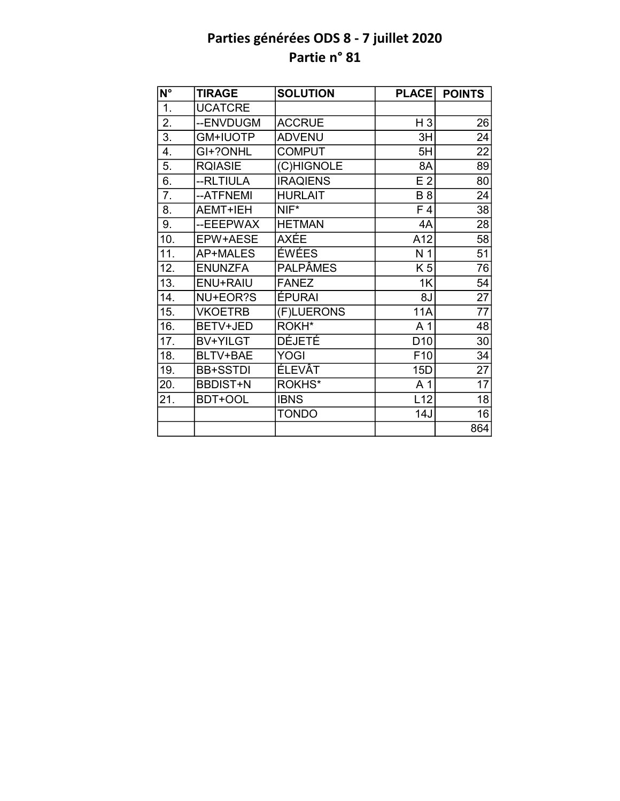| $\overline{\mathsf{N}^{\circ}}$ | <b>TIRAGE</b>   | <b>SOLUTION</b> | <b>PLACE</b>    | <b>POINTS</b>   |
|---------------------------------|-----------------|-----------------|-----------------|-----------------|
| 1.                              | <b>UCATCRE</b>  |                 |                 |                 |
| 2.                              | --ENVDUGM       | <b>ACCRUE</b>   | H <sub>3</sub>  | 26              |
| $\overline{3}$ .                | <b>GM+IUOTP</b> | <b>ADVENU</b>   | 3H              | 24              |
| 4.                              | GI+?ONHL        | <b>COMPUT</b>   | 5H              | 22              |
| 5.                              | <b>RQIASIE</b>  | (C)HIGNOLE      | 8A              | 89              |
| 6.                              | --RLTIULA       | <b>IRAQIENS</b> | E <sub>2</sub>  | 80              |
| 7.                              | --ATFNEMI       | <b>HURLAIT</b>  | <b>B</b> 8      | 24              |
| 8.                              | <b>AEMT+IEH</b> | NIF*            | F 4             | 38              |
| 9.                              | --EEEPWAX       | <b>HETMAN</b>   | 4A              | 28              |
| 10.                             | EPW+AESE        | <b>AXÉE</b>     | A12             | 58              |
| 11.                             | <b>AP+MALES</b> | ÉWÉES           | N <sub>1</sub>  | $\overline{51}$ |
| 12.                             | <b>ENUNZFA</b>  | <b>PALPÂMES</b> | K 5             | 76              |
| 13.                             | <b>ENU+RAIU</b> | <b>FANEZ</b>    | 1K              | $\overline{54}$ |
| 14.                             | NU+EOR?S        | ÉPURAI          | 8J              | $\overline{27}$ |
| 15.                             | <b>VKOETRB</b>  | (F)LUERONS      | <b>11A</b>      | $\overline{77}$ |
| 16.                             | BETV+JED        | ROKH*           | A <sub>1</sub>  | 48              |
| 17.                             | BV+YILGT        | DÉJETÉ          | D <sub>10</sub> | 30              |
| 18.                             | BLTV+BAE        | <b>YOGI</b>     | F10             | 34              |
| 19.                             | <b>BB+SSTDI</b> | <b>ÉLEVÂT</b>   | 15D             | 27              |
| 20.                             | <b>BBDIST+N</b> | ROKHS*          | A 1             | 17              |
| 21.                             | BDT+OOL         | <b>IBNS</b>     | L12             | 18              |
|                                 |                 | <b>TONDO</b>    | 14J             | 16              |
|                                 |                 |                 |                 | 864             |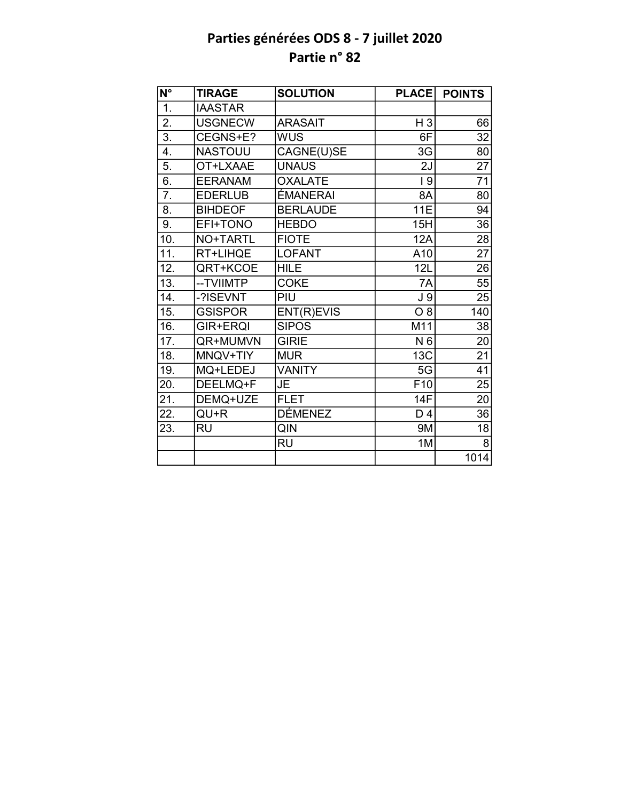| $\overline{\mathsf{N}^{\circ}}$ | <b>TIRAGE</b>   | <b>SOLUTION</b> | <b>PLACE</b>    | <b>POINTS</b>   |
|---------------------------------|-----------------|-----------------|-----------------|-----------------|
| 1.                              | <b>IAASTAR</b>  |                 |                 |                 |
| 2.                              | <b>USGNECW</b>  | <b>ARASAIT</b>  | $H_3$           | 66              |
| $\overline{3}$ .                | CEGNS+E?        | <b>WUS</b>      | 6F              | 32              |
| 4.                              | <b>NASTOUU</b>  | CAGNE(U)SE      | 3G              | 80              |
| 5.                              | OT+LXAAE        | <b>UNAUS</b>    | 2J              | $\overline{27}$ |
| 6.                              | <b>EERANAM</b>  | <b>OXALATE</b>  | 9               | 71              |
| 7.                              | <b>EDERLUB</b>  | ÉMANERAI        | 8A              | 80              |
| 8.                              | <b>BIHDEOF</b>  | <b>BERLAUDE</b> | <b>11E</b>      | 94              |
| 9.                              | EFI+TONO        | <b>HEBDO</b>    | 15H             | 36              |
| 10.                             | <b>NO+TARTL</b> | <b>FIOTE</b>    | 12A             | 28              |
| 11.                             | RT+LIHQE        | <b>LOFANT</b>   | A10             | $\overline{27}$ |
| 12.                             | QRT+KCOE        | <b>HILE</b>     | 12L             | 26              |
| 13.                             | -- TVIIMTP      | <b>COKE</b>     | 7A              | 55              |
| 14.                             | -?ISEVNT        | PIU             | J <sub>9</sub>  | 25              |
| 15.                             | <b>GSISPOR</b>  | ENT(R)EVIS      | $O_8$           | 140             |
| 16.                             | GIR+ERQI        | <b>SIPOS</b>    | M11             | 38              |
| 17.                             | QR+MUMVN        | <b>GIRIE</b>    | N <sub>6</sub>  | 20              |
| 18.                             | MNQV+TIY        | <b>MUR</b>      | 13C             | $\overline{21}$ |
| 19.                             | MQ+LEDEJ        | <b>VANITY</b>   | 5G              | 41              |
| 20.                             | DEELMQ+F        | JE              | F <sub>10</sub> | 25              |
| 21.                             | DEMQ+UZE        | <b>FLET</b>     | 14F             | 20              |
| 22.                             | QU+R            | <b>DÉMENEZ</b>  | D <sub>4</sub>  | 36              |
| 23.                             | <b>RU</b>       | QIN             | 9M              | 18              |
|                                 |                 | <b>RU</b>       | 1M              | 8               |
|                                 |                 |                 |                 | 1014            |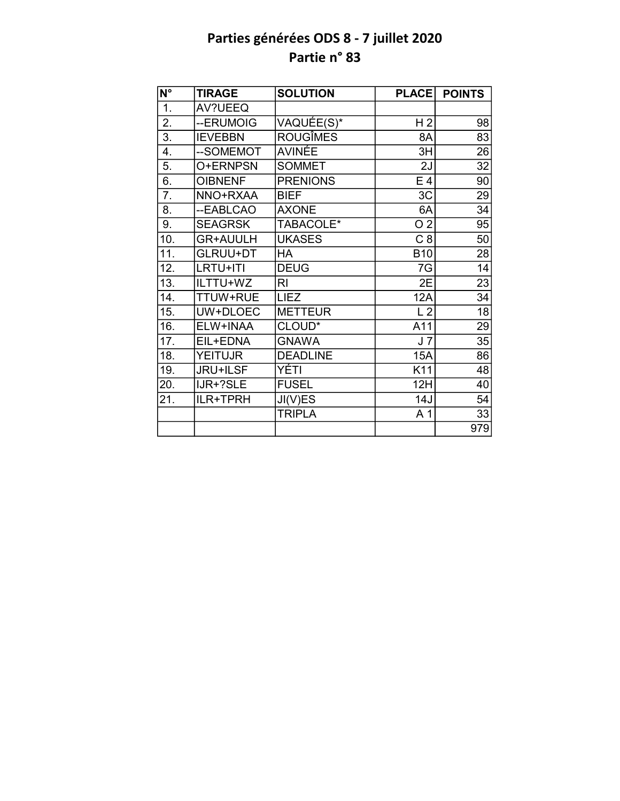| $\overline{\mathsf{N}^\circ}$ | <b>TIRAGE</b>   | <b>SOLUTION</b> | <b>PLACE</b>   | <b>POINTS</b>   |
|-------------------------------|-----------------|-----------------|----------------|-----------------|
| 1.                            | AV?UEEQ         |                 |                |                 |
| 2.                            | --ERUMOIG       | VAQUÉE(S)*      | H <sub>2</sub> | 98              |
| $\overline{3}$ .              | <b>IEVEBBN</b>  | <b>ROUGÎMES</b> | 8A             | 83              |
| 4.                            | --SOMEMOT       | AVINÉE          | 3H             | 26              |
| 5.                            | O+ERNPSN        | <b>SOMMET</b>   | 2J             | 32              |
| $\overline{6}$ .              | <b>OIBNENF</b>  | <b>PRENIONS</b> | E <sub>4</sub> | 90              |
| 7.                            | NNO+RXAA        | <b>BIEF</b>     | 3C             | 29              |
| 8.                            | --EABLCAO       | <b>AXONE</b>    | 6A             | 34              |
| 9.                            | <b>SEAGRSK</b>  | TABACOLE*       | O <sub>2</sub> | 95              |
| 10.                           | <b>GR+AUULH</b> | <b>UKASES</b>   | C <sub>8</sub> | 50              |
| 11.                           | <b>GLRUU+DT</b> | HA              | <b>B10</b>     | 28              |
| 12.                           | LRTU+ITI        | <b>DEUG</b>     | 7G             | 14              |
| 13.                           | ILTTU+WZ        | R <sub>l</sub>  | 2E             | $\overline{23}$ |
| 14.                           | TTUW+RUE        | <b>LIEZ</b>     | 12A            | $\overline{34}$ |
| 15.                           | UW+DLOEC        | <b>METTEUR</b>  | L <sub>2</sub> | $\overline{18}$ |
| 16.                           | ELW+INAA        | CLOUD*          | A11            | 29              |
| 17.                           | EIL+EDNA        | <b>GNAWA</b>    | J <sub>7</sub> | 35              |
| 18.                           | <b>YEITUJR</b>  | <b>DEADLINE</b> | <b>15A</b>     | 86              |
| 19.                           | <b>JRU+ILSF</b> | YÉTI            | K11            | 48              |
| 20.                           | IJR+?SLE        | <b>FUSEL</b>    | 12H            | 40              |
| 21.                           | ILR+TPRH        | JI(V)ES         | 14J            | 54              |
|                               |                 | <b>TRIPLA</b>   | A <sub>1</sub> | 33              |
|                               |                 |                 |                | 979             |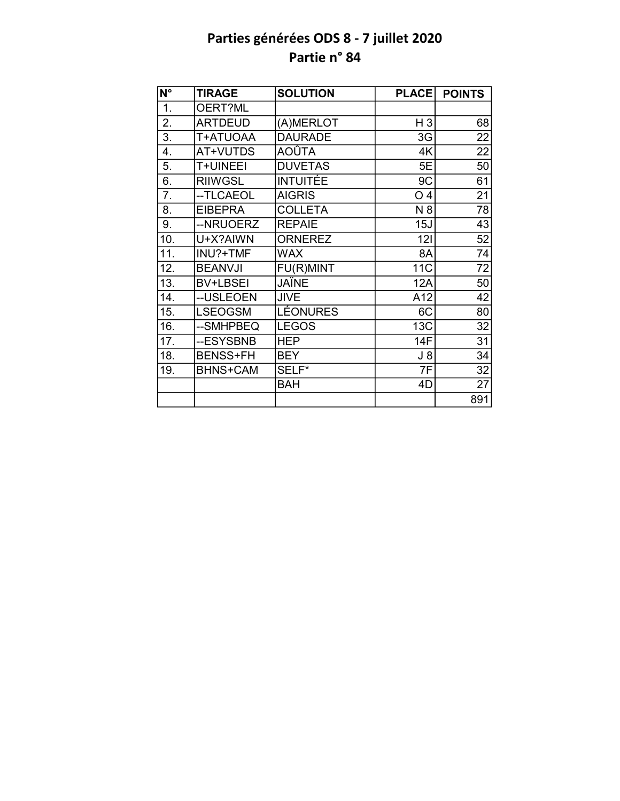| $\overline{\mathsf{N}^{\circ}}$ | <b>TIRAGE</b>   | <b>SOLUTION</b>  | <b>PLACE</b>   | <b>POINTS</b>   |
|---------------------------------|-----------------|------------------|----------------|-----------------|
| 1.                              | OERT?ML         |                  |                |                 |
| 2.                              | <b>ARTDEUD</b>  | (A)MERLOT        | $H_3$          | 68              |
| 3.                              | T+ATUOAA        | <b>DAURADE</b>   | 3G             | $\overline{22}$ |
| 4.                              | AT+VUTDS        | AOÛTA            | 4K             | 22              |
| 5.                              | T+UINEEI        | <b>DUVETAS</b>   | 5E             | 50              |
| 6.                              | <b>RIIWGSL</b>  | <b>INTUITÉE</b>  | 9C             | 61              |
| 7.                              | --TLCAEOL       | <b>AIGRIS</b>    | O <sub>4</sub> | 21              |
| 8.                              | <b>EIBEPRA</b>  | <b>COLLETA</b>   | N 8            | 78              |
| 9.                              | --NRUOERZ       | <b>REPAIE</b>    | 15J            | 43              |
| 10.                             | U+X?AIWN        | <b>ORNEREZ</b>   | 121            | 52              |
| 11.                             | INU?+TMF        | <b>WAX</b>       | 8A             | 74              |
| 12.                             | <b>BEANVJI</b>  | <b>FU(R)MINT</b> | 11C            | 72              |
| 13.                             | <b>BV+LBSEI</b> | JAÏNE            | 12A            | 50              |
| 14.                             | --USLEOEN       | <b>JIVE</b>      | A12            | 42              |
| 15.                             | <b>LSEOGSM</b>  | LÉONURES         | 6C             | 80              |
| 16.                             | --SMHPBEQ       | <b>LEGOS</b>     | 13C            | 32              |
| 17.                             | --ESYSBNB       | <b>HEP</b>       | 14F            | 31              |
| 18.                             | <b>BENSS+FH</b> | <b>BEY</b>       | $J_8$          | 34              |
| 19.                             | <b>BHNS+CAM</b> | SELF*            | 7F             | 32              |
|                                 |                 | <b>BAH</b>       | 4D             | 27              |
|                                 |                 |                  |                | 891             |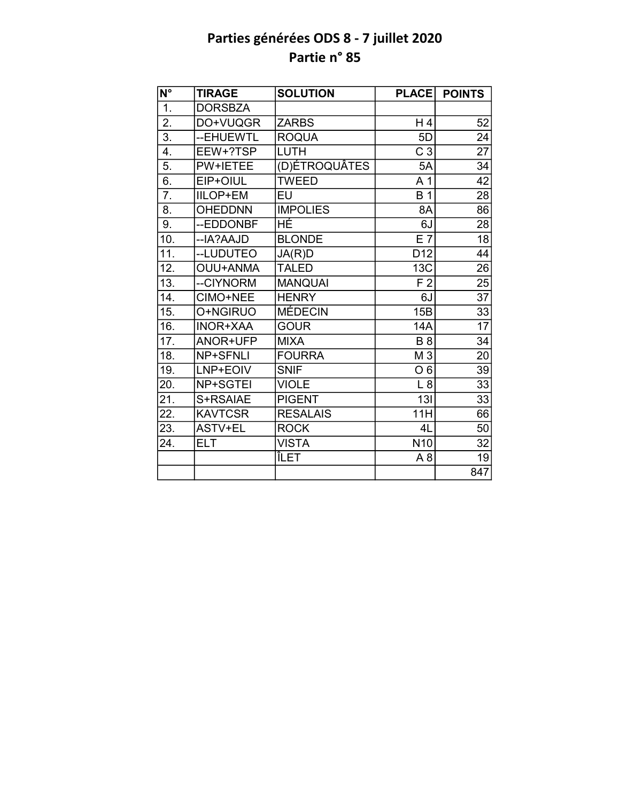| $N^{\circ}$       | <b>TIRAGE</b>   | <b>SOLUTION</b> | <b>PLACE</b>    | <b>POINTS</b>   |
|-------------------|-----------------|-----------------|-----------------|-----------------|
| 1.                | <b>DORSBZA</b>  |                 |                 |                 |
| 2.                | DO+VUQGR        | <b>ZARBS</b>    | H4              | 52              |
| $\overline{3}$ .  | --EHUEWTL       | <b>ROQUA</b>    | 5D              | 24              |
| 4.                | EEW+?TSP        | <b>LUTH</b>     | C <sub>3</sub>  | 27              |
| 5.                | PW+IETEE        | (D)ÉTROQUÂTES   | 5A              | 34              |
| 6.                | EIP+OIUL        | <b>TWEED</b>    | A 1             | 42              |
| 7.                | <b>IILOP+EM</b> | EU              | <b>B</b> 1      | 28              |
| 8.                | <b>OHEDDNN</b>  | <b>IMPOLIES</b> | 8A              | 86              |
| 9.                | --EDDONBF       | ΗÉ              | 6J              | 28              |
| 10.               | --IA?AAJD       | <b>BLONDE</b>   | E7              | $\overline{18}$ |
| 11.               | --LUDUTEO       | JA(R)D          | D <sub>12</sub> | 44              |
| 12.               | <b>OUU+ANMA</b> | <b>TALED</b>    | <b>13C</b>      | 26              |
| 13.               | --CIYNORM       | <b>MANQUAI</b>  | F <sub>2</sub>  | 25              |
| 14.               | CIMO+NEE        | <b>HENRY</b>    | 6J              | $\overline{37}$ |
| 15.               | O+NGIRUO        | <b>MÉDECIN</b>  | 15B             | 33              |
| 16.               | <b>INOR+XAA</b> | <b>GOUR</b>     | 14A             | $\overline{17}$ |
| 17.               | ANOR+UFP        | <b>MIXA</b>     | <b>B</b> 8      | 34              |
| $\overline{18}$ . | <b>NP+SFNLI</b> | <b>FOURRA</b>   | $M\overline{3}$ | 20              |
| 19.               | LNP+EOIV        | <b>SNIF</b>     | O <sub>6</sub>  | 39              |
| 20.               | NP+SGTEI        | <b>VIOLE</b>    | L8              | 33              |
| 21.               | S+RSAIAE        | <b>PIGENT</b>   | 13I             | 33              |
| 22.               | <b>KAVTCSR</b>  | <b>RESALAIS</b> | 11H             | 66              |
| 23.               | ASTV+EL         | <b>ROCK</b>     | 4L              | 50              |
| 24.               | <b>ELT</b>      | <b>VISTA</b>    | N <sub>10</sub> | 32              |
|                   |                 | ÎLET            | A8              | 19              |
|                   |                 |                 |                 | 847             |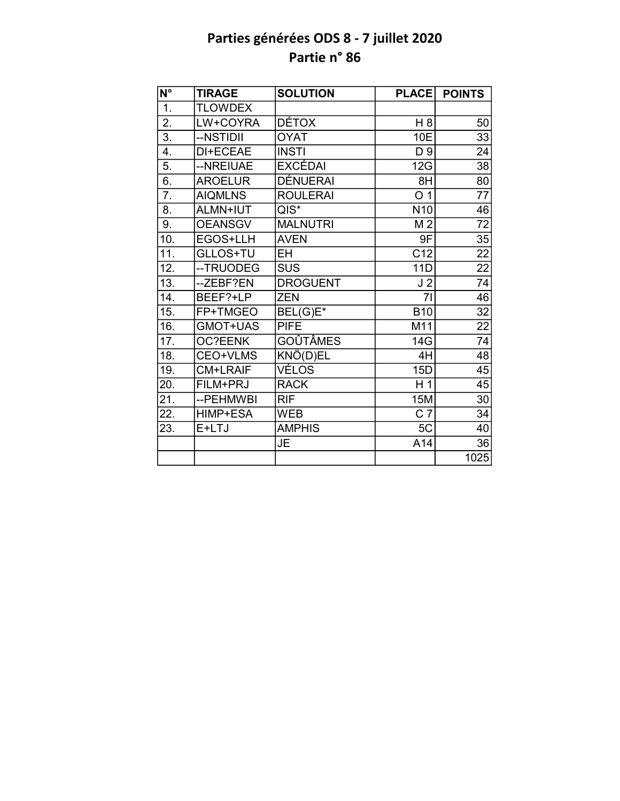| $\overline{\mathsf{N}^{\circ}}$ | <b>TIRAGE</b>  | <b>SOLUTION</b> | <b>PLACE</b>    | <b>POINTS</b>   |
|---------------------------------|----------------|-----------------|-----------------|-----------------|
| 1.                              | <b>TLOWDEX</b> |                 |                 |                 |
| 2.                              | LW+COYRA       | <b>DÉTOX</b>    | H 8             | 50              |
| $\overline{3}$ .                | --NSTIDII      | <b>OYAT</b>     | 10E             | 33              |
| 4.                              | DI+ECEAE       | <b>INSTI</b>    | D 9             | 24              |
| 5.                              | --NREIUAE      | <b>EXCÉDAI</b>  | 12G             | $\overline{38}$ |
| 6.                              | <b>AROELUR</b> | <b>DÉNUERAI</b> | 8H              | 80              |
| $\overline{7}$ .                | <b>AIQMLNS</b> | <b>ROULERAI</b> | O <sub>1</sub>  | 77              |
| 8.                              | ALMN+IUT       | $QIS^*$         | N <sub>10</sub> | 46              |
| 9.                              | <b>OEANSGV</b> | <b>MALNUTRI</b> | M <sub>2</sub>  | 72              |
| 10.                             | EGOS+LLH       | <b>AVEN</b>     | 9F              | 35              |
| 11.                             | GLLOS+TU       | <b>EH</b>       | C12             | $\overline{22}$ |
| 12.                             | -- TRUODEG     | <b>SUS</b>      | 11D             | 22              |
| 13.                             | --ZEBF?EN      | <b>DROGUENT</b> | J <sub>2</sub>  | 74              |
| 14.                             | BEEF?+LP       | <b>ZEN</b>      | 71              | 46              |
| 15.                             | FP+TMGEO       | BEL(G)E*        | <b>B10</b>      | $\overline{32}$ |
| 16.                             | GMOT+UAS       | <b>PIFE</b>     | M11             | $\overline{22}$ |
| 17.                             | <b>OC?EENK</b> | <b>GOÛTÂMES</b> | 14G             | 74              |
| 18.                             | CEO+VLMS       | KNÖ(D)EL        | 4H              | $\overline{48}$ |
| 19.                             | CM+LRAIF       | VÉLOS           | 15D             | 45              |
| 20.                             | FILM+PRJ       | <b>RACK</b>     | H <sub>1</sub>  | 45              |
| 21.                             | --PEHMWBI      | <b>RIF</b>      | <b>15M</b>      | 30              |
| 22.                             | HIMP+ESA       | <b>WEB</b>      | C <sub>7</sub>  | 34              |
| 23.                             | E+LTJ          | <b>AMPHIS</b>   | 5C              | 40              |
|                                 |                | JE              | A14             | 36              |
|                                 |                |                 |                 | 1025            |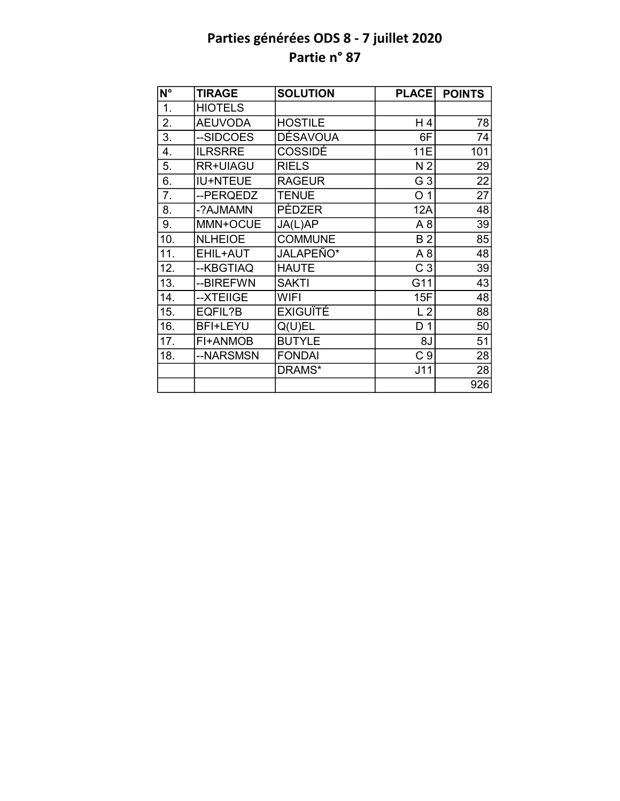| N°  | <b>TIRAGE</b>   | <b>SOLUTION</b> | <b>PLACE</b>   | <b>POINTS</b> |
|-----|-----------------|-----------------|----------------|---------------|
| 1.  | <b>HIOTELS</b>  |                 |                |               |
| 2.  | <b>AEUVODA</b>  | <b>HOSTILE</b>  | H4             | 78            |
| 3.  | --SIDCOES       | DÉSAVOUA        | 6F             | 74            |
| 4.  | <b>ILRSRRE</b>  | <b>COSSIDÉ</b>  | <b>11E</b>     | 101           |
| 5.  | RR+UIAGU        | <b>RIELS</b>    | N <sub>2</sub> | 29            |
| 6.  | <b>IU+NTEUE</b> | <b>RAGEUR</b>   | G <sub>3</sub> | 22            |
| 7.  | --PERQEDZ       | <b>TENUE</b>    | O <sub>1</sub> | 27            |
| 8.  | -?AJMAMN        | PÈDZER          | <b>12A</b>     | 48            |
| 9.  | MMN+OCUE        | JA(L)AP         | A8             | 39            |
| 10. | <b>NLHEIOE</b>  | <b>COMMUNE</b>  | B <sub>2</sub> | 85            |
| 11. | EHIL+AUT        | JALAPEÑO*       | A8             | 48            |
| 12. | --KBGTIAQ       | <b>HAUTE</b>    | C <sub>3</sub> | 39            |
| 13. | --BIREFWN       | <b>SAKTI</b>    | G11            | 43            |
| 14. | --XTEIIGE       | <b>WIFI</b>     | 15F            | 48            |
| 15. | EQFIL?B         | <b>EXIGUÏTÉ</b> | L <sub>2</sub> | 88            |
| 16. | <b>BFI+LEYU</b> | Q(U)EL          | D <sub>1</sub> | 50            |
| 17. | FI+ANMOB        | <b>BUTYLE</b>   | 8J             | 51            |
| 18. | --NARSMSN       | <b>FONDAI</b>   | C <sub>9</sub> | 28            |
|     |                 | DRAMS*          | J11            | 28            |
|     |                 |                 |                | 926           |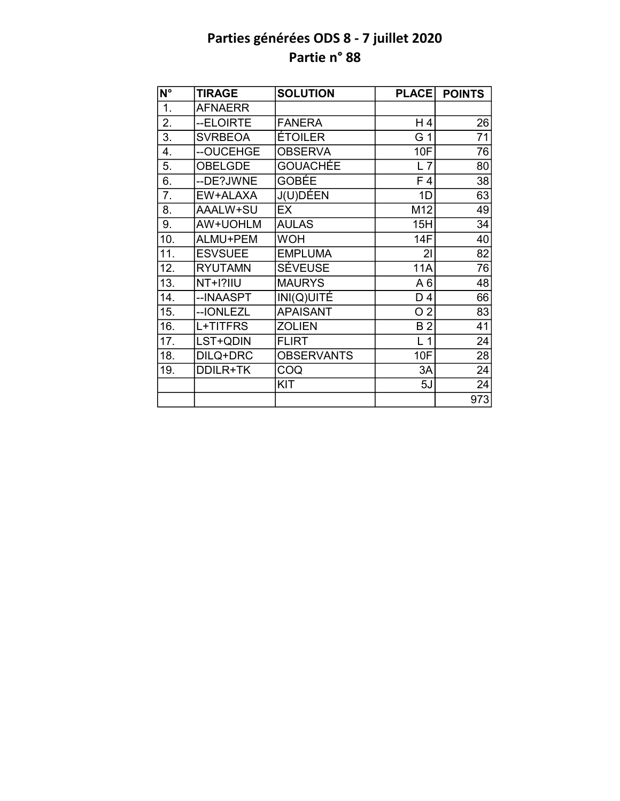| N°               | <b>TIRAGE</b>   | <b>SOLUTION</b>   | <b>PLACE</b>   | <b>POINTS</b> |
|------------------|-----------------|-------------------|----------------|---------------|
| $\overline{1}$ . | <b>AFNAERR</b>  |                   |                |               |
| 2.               | --ELOIRTE       | <b>FANERA</b>     | H 4            | 26            |
| 3.               | <b>SVRBEOA</b>  | <b>ÉTOILER</b>    | G 1            | 71            |
| 4.               | --OUCEHGE       | <b>OBSERVA</b>    | 10F            | 76            |
| 5.               | <b>OBELGDE</b>  | GOUACHÉE          | L7             | 80            |
| 6.               | --DE?JWNE       | <b>GOBÉE</b>      | F <sub>4</sub> | 38            |
| 7.               | EW+ALAXA        | J(U)DÉEN          | 1D             | 63            |
| 8.               | AAALW+SU        | EX                | M12            | 49            |
| 9.               | AW+UOHLM        | <b>AULAS</b>      | 15H            | 34            |
| 10.              | ALMU+PEM        | <b>WOH</b>        | <b>14F</b>     | 40            |
| 11.              | <b>ESVSUEE</b>  | <b>EMPLUMA</b>    | 21             | 82            |
| 12.              | <b>RYUTAMN</b>  | <b>SÉVEUSE</b>    | <b>11A</b>     | 76            |
| 13.              | <b>NT+I?IIU</b> | <b>MAURYS</b>     | A6             | 48            |
| 14.              | --INAASPT       | INI(Q)UITÉ        | D 4            | 66            |
| 15.              | --IONLEZL       | <b>APAISANT</b>   | O <sub>2</sub> | 83            |
| 16.              | L+TITFRS        | <b>ZOLIEN</b>     | <b>B2</b>      | 41            |
| 17.              | LST+QDIN        | <b>FLIRT</b>      | L <sub>1</sub> | 24            |
| 18.              | DILQ+DRC        | <b>OBSERVANTS</b> | 10F            | 28            |
| 19.              | DDILR+TK        | COQ               | 3A             | 24            |
|                  |                 | KIT               | 5J             | 24            |
|                  |                 |                   |                | 973           |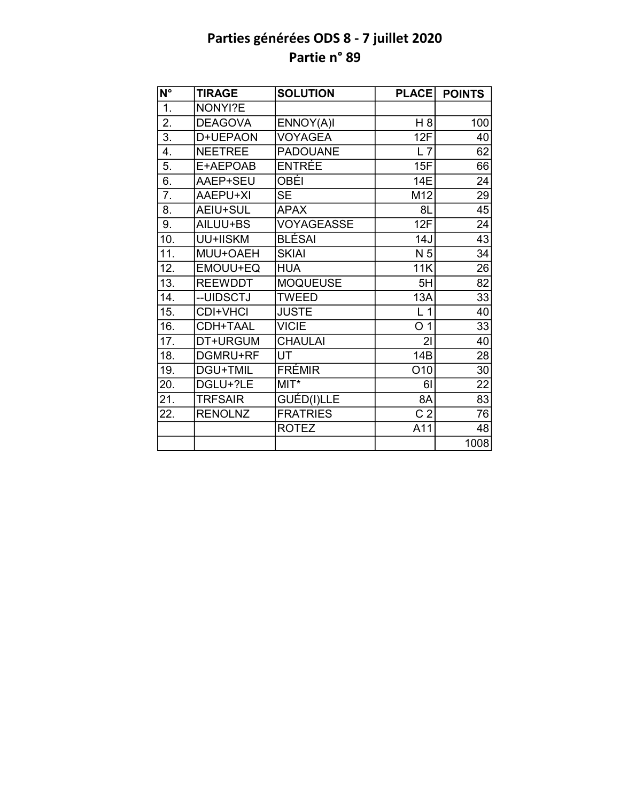| $\overline{\mathsf{N}^{\circ}}$ | <b>TIRAGE</b>   | <b>SOLUTION</b>   | <b>PLACE</b>   | <b>POINTS</b>   |
|---------------------------------|-----------------|-------------------|----------------|-----------------|
| 1.                              | NONYI?E         |                   |                |                 |
| 2.                              | <b>DEAGOVA</b>  | ENNOY(A)I         | H 8            | 100             |
| $\overline{3}$ .                | D+UEPAON        | <b>VOYAGEA</b>    | 12F            | 40              |
| 4.                              | <b>NEETREE</b>  | <b>PADOUANE</b>   | L7             | 62              |
| 5.                              | E+AEPOAB        | <b>ENTRÉE</b>     | 15F            | 66              |
| 6.                              | AAEP+SEU        | OBÉI              | 14E            | 24              |
| 7.                              | AAEPU+XI        | <b>SE</b>         | M12            | 29              |
| 8.                              | AEIU+SUL        | <b>APAX</b>       | 8L             | 45              |
| 9.                              | AILUU+BS        | <b>VOYAGEASSE</b> | 12F            | 24              |
| 10.                             | UU+IISKM        | BLÉSAI            | 14J            | 43              |
| 11.                             | MUU+OAEH        | <b>SKIAI</b>      | N 5            | 34              |
| 12.                             | EMOUU+EQ        | <b>HUA</b>        | <b>11K</b>     | 26              |
| 13.                             | <b>REEWDDT</b>  | <b>MOQUEUSE</b>   | 5H             | $\overline{82}$ |
| 14.                             | --UIDSCTJ       | <b>TWEED</b>      | 13A            | 33              |
| 15.                             | <b>CDI+VHCI</b> | <b>JUSTE</b>      | L <sub>1</sub> | 40              |
| 16.                             | CDH+TAAL        | <b>VICIE</b>      | O <sub>1</sub> | $\overline{33}$ |
| 17.                             | DT+URGUM        | <b>CHAULAI</b>    | 2 <sub>l</sub> | 40              |
| 18.                             | DGMRU+RF        | UT                | 14B            | $\overline{28}$ |
| 19.                             | DGU+TMIL        | <b>FRÉMIR</b>     | O10            | 30              |
| 20.                             | DGLU+?LE        | $MIT*$            | 61             | 22              |
| 21.                             | <b>TRFSAIR</b>  | GUÉD(I)LLE        | 8A             | $\overline{83}$ |
| 22.                             | <b>RENOLNZ</b>  | <b>FRATRIES</b>   | C <sub>2</sub> | 76              |
|                                 |                 | <b>ROTEZ</b>      | A11            | 48              |
|                                 |                 |                   |                | 1008            |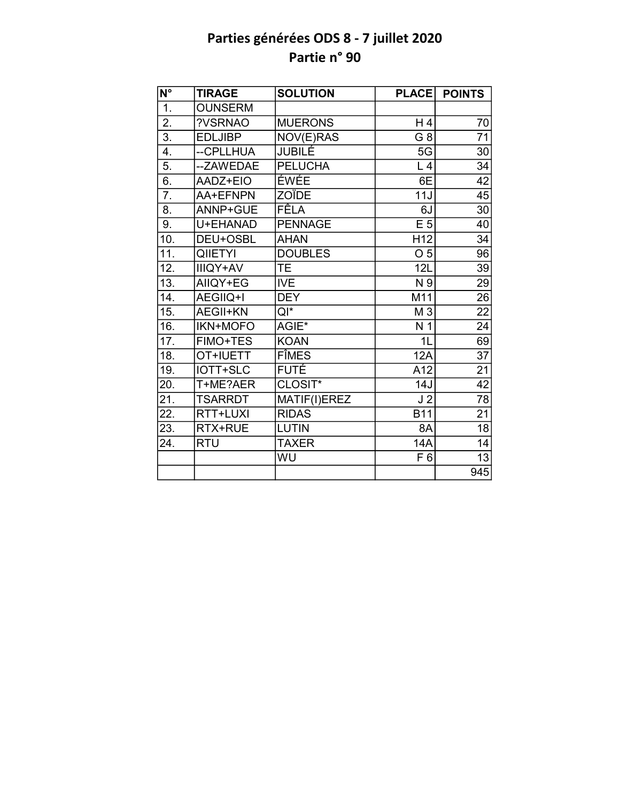| N°                | <b>TIRAGE</b>   | <b>SOLUTION</b> | <b>PLACE</b>    | <b>POINTS</b>   |
|-------------------|-----------------|-----------------|-----------------|-----------------|
| 1.                | <b>OUNSERM</b>  |                 |                 |                 |
| 2.                | ?VSRNAO         | <b>MUERONS</b>  | H4              | 70              |
| $\overline{3}$ .  | <b>EDLJIBP</b>  | NOV(E)RAS       | G 8             | 71              |
| 4.                | --CPLLHUA       | JUBILÉ          | 5G              | 30              |
| $\overline{5}$ .  | --ZAWEDAE       | <b>PELUCHA</b>  | L <sub>4</sub>  | 34              |
| 6.                | AADZ+EIO        | ÉWÉE            | 6E              | $\overline{42}$ |
| $\overline{7}$ .  | AA+EFNPN        | ZOÏDE           | 11J             | 45              |
| 8.                | ANNP+GUE        | <b>FÊLA</b>     | 6J              | 30              |
| 9.                | U+EHANAD        | <b>PENNAGE</b>  | E 5             | 40              |
| 10.               | DEU+OSBL        | <b>AHAN</b>     | H <sub>12</sub> | 34              |
| $\overline{11}$ . | <b>QIIETYI</b>  | <b>DOUBLES</b>  | O <sub>5</sub>  | 96              |
| 12.               | <b>IIIQY+AV</b> | <b>TE</b>       | 12L             | 39              |
| 13.               | AIIQY+EG        | <b>IVE</b>      | N 9             | 29              |
| 14.               | AEGIIQ+I        | <b>DEY</b>      | M11             | 26              |
| 15.               | <b>AEGII+KN</b> | QI*             | M <sub>3</sub>  | $\overline{22}$ |
| 16.               | <b>IKN+MOFO</b> | $AGIE*$         | N <sub>1</sub>  | 24              |
| 17.               | <b>FIMO+TES</b> | <b>KOAN</b>     | 1 <sub>L</sub>  | 69              |
| 18.               | OT+IUETT        | <b>FÎMES</b>    | 12A             | $\overline{37}$ |
| 19.               | IOTT+SLC        | <b>FUTE</b>     | A12             | 21              |
| 20.               | T+ME?AER        | CLOSIT*         | 14J             | $\overline{42}$ |
| 21.               | <b>TSARRDT</b>  | MATIF(I)EREZ    | J <sub>2</sub>  | $\overline{78}$ |
| 22.               | RTT+LUXI        | <b>RIDAS</b>    | <b>B11</b>      | 21              |
| 23.               | RTX+RUE         | <b>LUTIN</b>    | 8A              | 18              |
| 24.               | <b>RTU</b>      | <b>TAXER</b>    | 14A             | 14              |
|                   |                 | WU              | F 6             | 13              |
|                   |                 |                 |                 | 945             |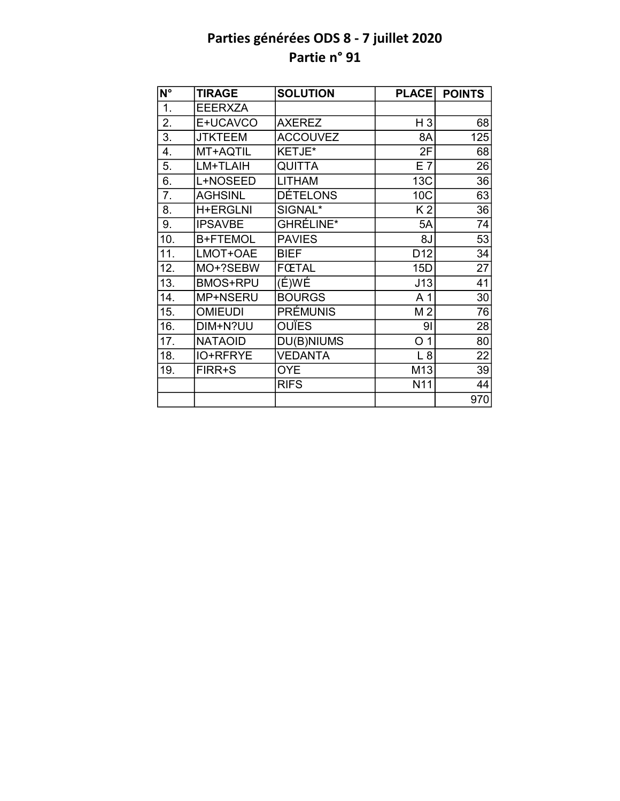| N°               | <b>TIRAGE</b>   | <b>SOLUTION</b>  | <b>PLACE</b>    | <b>POINTS</b> |
|------------------|-----------------|------------------|-----------------|---------------|
| 1.               | <b>EEERXZA</b>  |                  |                 |               |
| 2.               | E+UCAVCO        | <b>AXEREZ</b>    | H 3             | 68            |
| $\overline{3}$ . | <b>JTKTEEM</b>  | <b>ACCOUVEZ</b>  | 8A              | 125           |
| 4.               | MT+AQTIL        | KETJE*           | 2F              | 68            |
| 5.               | LM+TLAIH        | <b>QUITTA</b>    | E 7             | 26            |
| 6.               | L+NOSEED        | <b>LITHAM</b>    | 13C             | 36            |
| 7.               | <b>AGHSINL</b>  | <b>DÉTELONS</b>  | 10C             | 63            |
| 8.               | <b>H+ERGLNI</b> | SIGNAL*          | K <sub>2</sub>  | 36            |
| 9.               | <b>IPSAVBE</b>  | <b>GHRÉLINE*</b> | 5A              | 74            |
| 10.              | <b>B+FTEMOL</b> | <b>PAVIES</b>    | 8J              | 53            |
| 11.              | LMOT+OAE        | <b>BIEF</b>      | D <sub>12</sub> | 34            |
| 12.              | MO+?SEBW        | <b>FŒTAL</b>     | 15D             | 27            |
| 13.              | <b>BMOS+RPU</b> | $(E)$ WÉ         | J13             | 41            |
| 14.              | MP+NSERU        | <b>BOURGS</b>    | A <sub>1</sub>  | 30            |
| 15.              | <b>OMIEUDI</b>  | PRÉMUNIS         | M <sub>2</sub>  | 76            |
| 16.              | DIM+N?UU        | <b>OUÏES</b>     | 91              | 28            |
| 17.              | <b>NATAOID</b>  | DU(B)NIUMS       | O <sub>1</sub>  | 80            |
| 18.              | <b>IO+RFRYE</b> | <b>VEDANTA</b>   | L8              | 22            |
| 19.              | FIRR+S          | <b>OYE</b>       | M13             | 39            |
|                  |                 | <b>RIFS</b>      | N11             | 44            |
|                  |                 |                  |                 | 970           |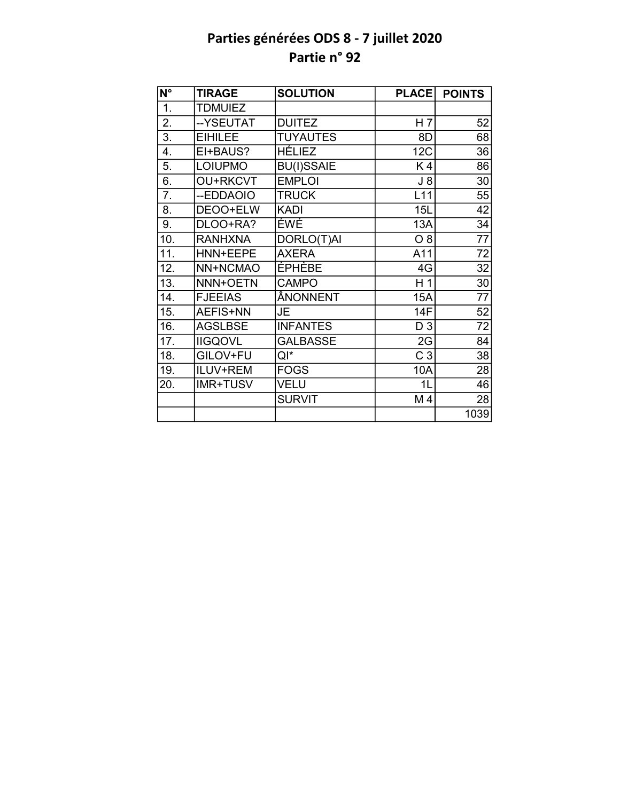| N°               | <b>TIRAGE</b>   | <b>SOLUTION</b>   | <b>PLACE</b>   | <b>POINTS</b>   |
|------------------|-----------------|-------------------|----------------|-----------------|
| $\overline{1}$ . | <b>TDMUIEZ</b>  |                   |                |                 |
| 2.               | --YSEUTAT       | <b>DUITEZ</b>     | H <sub>7</sub> | 52              |
| 3.               | <b>EIHILEE</b>  | <b>TUYAUTES</b>   | 8D             | 68              |
| 4.               | EI+BAUS?        | <b>HÉLIEZ</b>     | <b>12C</b>     | 36              |
| 5.               | <b>LOIUPMO</b>  | <b>BU(I)SSAIE</b> | K4             | 86              |
| 6.               | <b>OU+RKCVT</b> | <b>EMPLOI</b>     | $J_8$          | 30              |
| 7.               | --EDDAOIO       | <b>TRUCK</b>      | L11            | 55              |
| 8.               | DEOO+ELW        | <b>KADI</b>       | 15L            | $\overline{42}$ |
| 9.               | DLOO+RA?        | ÉWÉ               | 13A            | 34              |
| 10.              | <b>RANHXNA</b>  | DORLO(T)AI        | $O_8$          | $\overline{77}$ |
| 11.              | HNN+EEPE        | <b>AXERA</b>      | A11            | $\overline{72}$ |
| 12.              | NN+NCMAO        | ÉPHÈBE            | 4G             | 32              |
| 13.              | NNN+OETN        | <b>CAMPO</b>      | H <sub>1</sub> | 30              |
| 14.              | <b>FJEEIAS</b>  | ÂNONNENT          | 15A            | 77              |
| 15.              | AEFIS+NN        | JE                | 14F            | 52              |
| 16.              | <b>AGSLBSE</b>  | <b>INFANTES</b>   | D 3            | 72              |
| 17.              | <b>IIGQOVL</b>  | <b>GALBASSE</b>   | 2G             | 84              |
| 18.              | GILOV+FU        | QI*               | C <sub>3</sub> | 38              |
| 19.              | ILUV+REM        | <b>FOGS</b>       | 10A            | 28              |
| 20.              | <b>IMR+TUSV</b> | VELU              | 1L             | 46              |
|                  |                 | <b>SURVIT</b>     | M4             | 28              |
|                  |                 |                   |                | 1039            |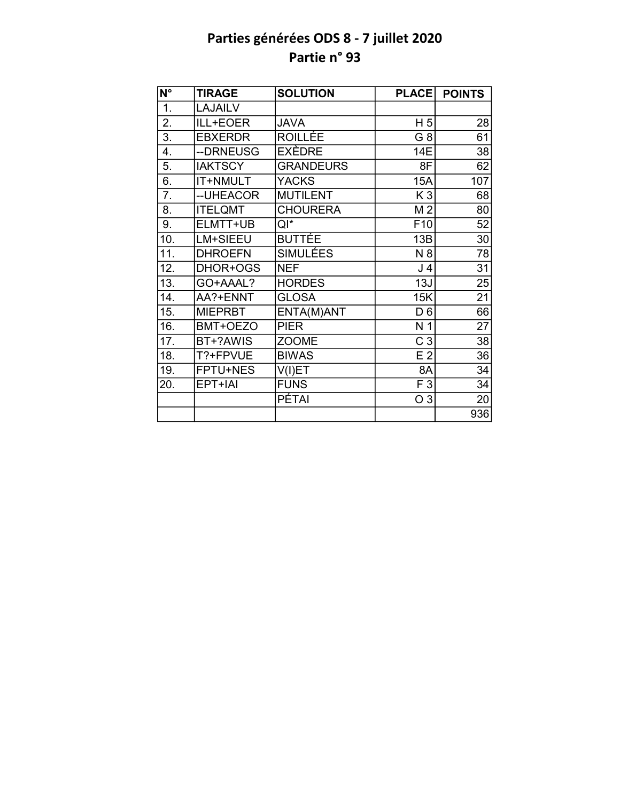| N°  | <b>TIRAGE</b>   | <b>SOLUTION</b>  | <b>PLACE</b>    | <b>POINTS</b>   |
|-----|-----------------|------------------|-----------------|-----------------|
| 1.  | <b>LAJAILV</b>  |                  |                 |                 |
| 2.  | ILL+EOER        | <b>JAVA</b>      | H <sub>5</sub>  | 28              |
| 3.  | <b>EBXERDR</b>  | ROILLÉE          | G <sub>8</sub>  | 61              |
| 4.  | --DRNEUSG       | EXÈDRE           | 14E             | 38              |
| 5.  | <b>IAKTSCY</b>  | <b>GRANDEURS</b> | 8F              | 62              |
| 6.  | <b>IT+NMULT</b> | <b>YACKS</b>     | 15A             | 107             |
| 7.  | -- UHEACOR      | <b>MUTILENT</b>  | K <sub>3</sub>  | 68              |
| 8.  | <b>ITELQMT</b>  | <b>CHOURERA</b>  | M <sub>2</sub>  | 80              |
| 9.  | ELMTT+UB        | $QI^*$           | F <sub>10</sub> | 52              |
| 10. | LM+SIEEU        | <b>BUTTÉE</b>    | 13B             | 30              |
| 11. | <b>DHROEFN</b>  | <b>SIMULÉES</b>  | N 8             | 78              |
| 12. | DHOR+OGS        | <b>NEF</b>       | J 4             | 31              |
| 13. | GO+AAAL?        | <b>HORDES</b>    | 13J             | 25              |
| 14. | AA?+ENNT        | <b>GLOSA</b>     | 15K             | 21              |
| 15. | <b>MIEPRBT</b>  | ENTA(M)ANT       | D <sub>6</sub>  | 66              |
| 16. | BMT+OEZO        | <b>PIER</b>      | N <sub>1</sub>  | $\overline{27}$ |
| 17. | BT+?AWIS        | <b>ZOOME</b>     | C <sub>3</sub>  | 38              |
| 18. | T?+FPVUE        | <b>BIWAS</b>     | E <sub>2</sub>  | $\overline{36}$ |
| 19. | FPTU+NES        | V(I)ET           | 8A              | 34              |
| 20. | EPT+IAI         | <b>FUNS</b>      | F 3             | 34              |
|     |                 | <b>PÉTAI</b>     | O 3             | 20              |
|     |                 |                  |                 | 936             |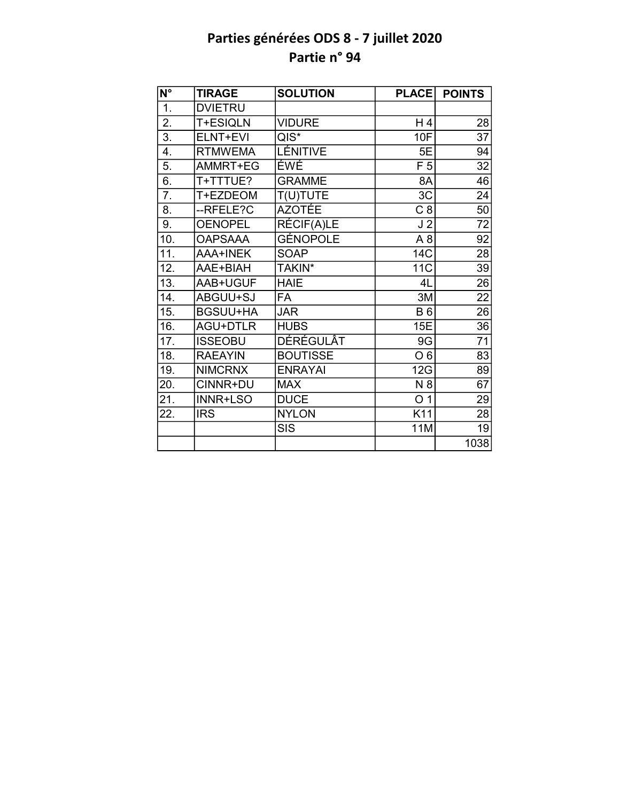| N°               | <b>TIRAGE</b>   | <b>SOLUTION</b>  | <b>PLACE</b>   | <b>POINTS</b>   |
|------------------|-----------------|------------------|----------------|-----------------|
| $\overline{1}$ . | <b>DVIETRU</b>  |                  |                |                 |
| $\overline{2}$ . | T+ESIQLN        | <b>VIDURE</b>    | H4             | 28              |
| 3.               | ELNT+EVI        | $QIS^*$          | <b>10F</b>     | 37              |
| 4.               | <b>RTMWEMA</b>  | LÉNITIVE         | 5E             | 94              |
| 5.               | AMMRT+EG        | ÉWÉ              | F <sub>5</sub> | 32              |
| 6.               | T+TTTUE?        | <b>GRAMME</b>    | 8A             | 46              |
| 7.               | T+EZDEOM        | T(U)TUTE         | 3C             | 24              |
| 8.               | --RFELE?C       | <b>AZOTÉE</b>    | C8             | $\overline{50}$ |
| 9.               | <b>OENOPEL</b>  | RÉCIF(A)LE       | J <sub>2</sub> | 72              |
| 10.              | <b>OAPSAAA</b>  | GÉNOPOLE         | A <sub>8</sub> | 92              |
| 11.              | AAA+INEK        | <b>SOAP</b>      | 14C            | 28              |
| 12.              | AAE+BIAH        | TAKIN*           | 11C            | 39              |
| 13.              | AAB+UGUF        | <b>HAIE</b>      | 4L             | 26              |
| 14.              | ABGUU+SJ        | <b>FA</b>        | 3M             | $\overline{22}$ |
| 15.              | <b>BGSUU+HA</b> | <b>JAR</b>       | <b>B6</b>      | $\overline{26}$ |
| 16.              | <b>AGU+DTLR</b> | <b>HUBS</b>      | 15E            | $\overline{36}$ |
| 17.              | <b>ISSEOBU</b>  | <b>DÉRÉGULÂT</b> | 9G             | 71              |
| 18.              | <b>RAEAYIN</b>  | <b>BOUTISSE</b>  | O <sub>6</sub> | 83              |
| 19.              | <b>NIMCRNX</b>  | <b>ENRAYAI</b>   | 12G            | 89              |
| 20.              | CINNR+DU        | <b>MAX</b>       | N 8            | 67              |
| 21.              | <b>INNR+LSO</b> | <b>DUCE</b>      | O <sub>1</sub> | 29              |
| 22.              | <b>IRS</b>      | <b>NYLON</b>     | K11            | 28              |
|                  |                 | <b>SIS</b>       | <b>11M</b>     | 19              |
|                  |                 |                  |                | 1038            |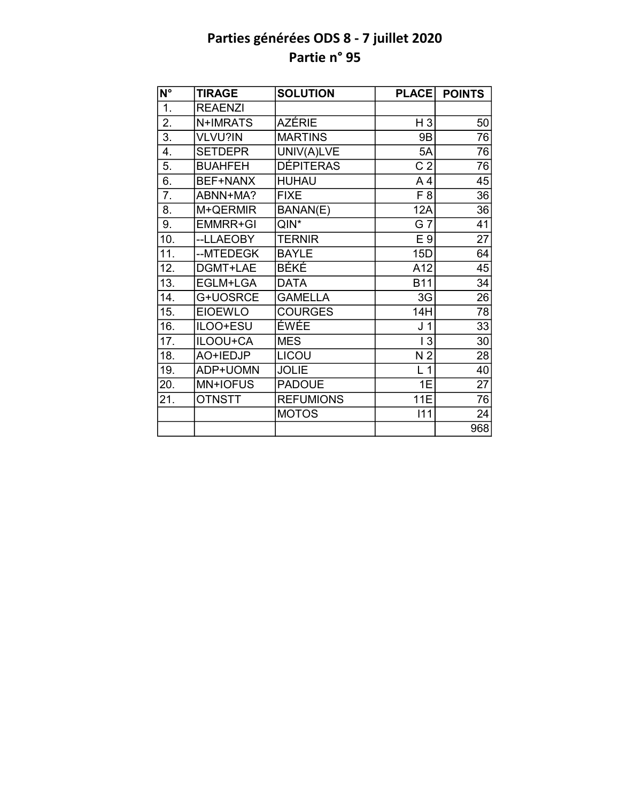| $\overline{\mathsf{N}^\circ}$ | <b>TIRAGE</b>   | <b>SOLUTION</b>  | <b>PLACE</b>   | <b>POINTS</b>   |
|-------------------------------|-----------------|------------------|----------------|-----------------|
| 1.                            | <b>REAENZI</b>  |                  |                |                 |
| 2.                            | N+IMRATS        | AZÉRIE           | H <sub>3</sub> | 50              |
| $\overline{3}$ .              | VLVU?IN         | <b>MARTINS</b>   | 9B             | 76              |
| 4.                            | <b>SETDEPR</b>  | UNIV(A)LVE       | 5A             | 76              |
| 5.                            | <b>BUAHFEH</b>  | <b>DÉPITERAS</b> | C <sub>2</sub> | 76              |
| $\overline{6}$ .              | BEF+NANX        | <b>HUHAU</b>     | A <sub>4</sub> | 45              |
| 7.                            | ABNN+MA?        | <b>FIXE</b>      | F <sub>8</sub> | 36              |
| 8.                            | M+QERMIR        | BANAN(E)         | <b>12A</b>     | 36              |
| 9.                            | <b>EMMRR+GI</b> | $QIN^*$          | G 7            | 41              |
| 10.                           | --LLAEOBY       | <b>TERNIR</b>    | E 9            | 27              |
| 11.                           | --MTEDEGK       | <b>BAYLE</b>     | 15D            | 64              |
| 12.                           | DGMT+LAE        | BÉKÉ             | A12            | 45              |
| 13.                           | EGLM+LGA        | <b>DATA</b>      | <b>B11</b>     | $\overline{34}$ |
| 14.                           | G+UOSRCE        | <b>GAMELLA</b>   | 3G             | 26              |
| 15.                           | <b>EIOEWLO</b>  | <b>COURGES</b>   | 14H            | 78              |
| 16.                           | ILOO+ESU        | <b>ÉWÉE</b>      | J <sub>1</sub> | 33              |
| 17.                           | ILOOU+CA        | <b>MES</b>       | 3              | 30              |
| 18.                           | AO+IEDJP        | LICOU            | N <sub>2</sub> | 28              |
| 19.                           | ADP+UOMN        | <b>JOLIE</b>     | L <sub>1</sub> | 40              |
| 20.                           | MN+IOFUS        | <b>PADOUE</b>    | 1E             | 27              |
| 21.                           | <b>OTNSTT</b>   | <b>REFUMIONS</b> | <b>11E</b>     | 76              |
|                               |                 | <b>MOTOS</b>     | 111            | 24              |
|                               |                 |                  |                | 968             |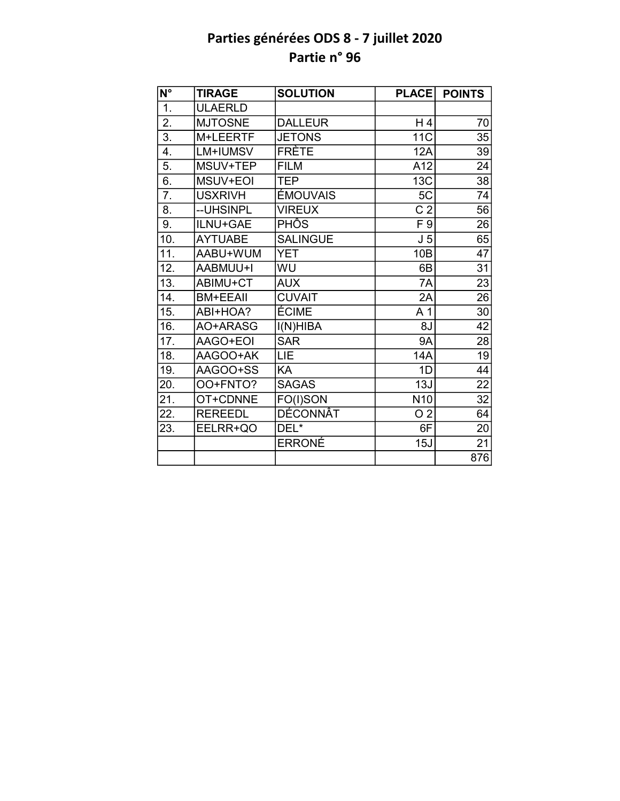| $\overline{\mathsf{N}^{\circ}}$ | <b>TIRAGE</b>   | <b>SOLUTION</b> | <b>PLACE</b>    | <b>POINTS</b>   |
|---------------------------------|-----------------|-----------------|-----------------|-----------------|
| 1.                              | <b>ULAERLD</b>  |                 |                 |                 |
| 2.                              | <b>MJTOSNE</b>  | <b>DALLEUR</b>  | H <sub>4</sub>  | 70              |
| $\overline{3}$ .                | M+LEERTF        | <b>JETONS</b>   | 11 <sub>C</sub> | 35              |
| 4.                              | LM+IUMSV        | <b>FRÈTE</b>    | 12A             | 39              |
| 5.                              | MSUV+TEP        | <b>FILM</b>     | A12             | 24              |
| 6.                              | MSUV+EOI        | <b>TEP</b>      | 13C             | $\overline{38}$ |
| 7.                              | <b>USXRIVH</b>  | ÉMOUVAIS        | 5C              | 74              |
| 8.                              | --UHSINPL       | <b>VIREUX</b>   | C <sub>2</sub>  | 56              |
| 9.                              | ILNU+GAE        | PHÔS            | F 9             | 26              |
| 10.                             | <b>AYTUABE</b>  | <b>SALINGUE</b> | J <sub>5</sub>  | 65              |
| 11.                             | AABU+WUM        | <b>YET</b>      | 10B             | $\overline{47}$ |
| 12.                             | AABMUU+I        | WU              | 6B              | $\overline{31}$ |
| $\overline{13}$ .               | ABIMU+CT        | <b>AUX</b>      | 7A              | $\overline{23}$ |
| 14.                             | <b>BM+EEAII</b> | <b>CUVAIT</b>   | 2A              | 26              |
| 15.                             | ABI+HOA?        | ÉCIME           | A <sub>1</sub>  | 30              |
| 16.                             | AO+ARASG        | I(N)HIBA        | 8J              | $\overline{42}$ |
| 17.                             | AAGO+EOI        | <b>SAR</b>      | <b>9A</b>       | 28              |
| $\overline{18}$ .               | AAGOO+AK        | LIE             | <b>14A</b>      | $\overline{19}$ |
| 19.                             | AAGOO+SS        | KA              | 1D              | 44              |
| 20.                             | OO+FNTO?        | <b>SAGAS</b>    | 13J             | 22              |
| 21.                             | OT+CDNNE        | FO(I)SON        | N <sub>10</sub> | $\overline{32}$ |
| 22.                             | <b>REREEDL</b>  | <b>DÉCONNÂT</b> | O <sub>2</sub>  | 64              |
| 23.                             | EELRR+QO        | DEL*            | 6F              | $\overline{20}$ |
|                                 |                 | <b>ERRONÉ</b>   | 15J             | 21              |
|                                 |                 |                 |                 | 876             |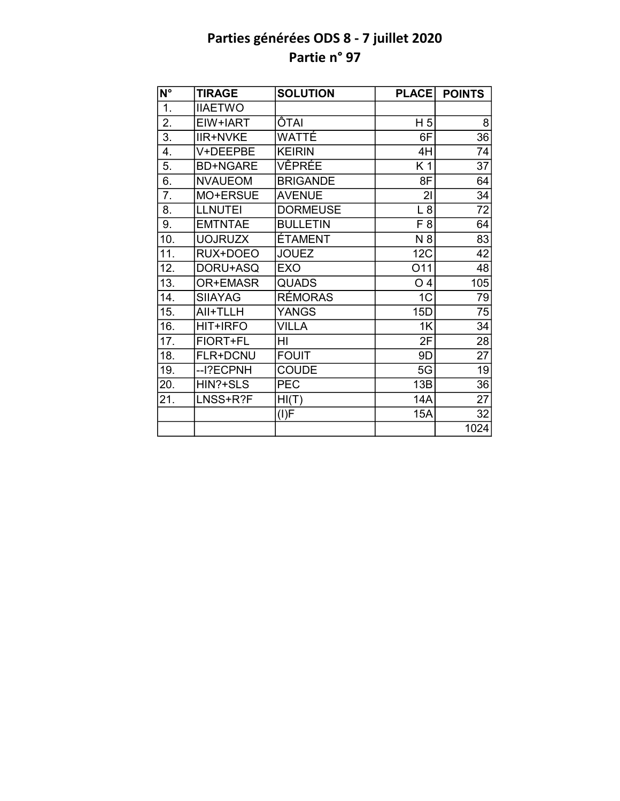| $\overline{\mathsf{N}^{\circ}}$ | <b>TIRAGE</b>   | <b>SOLUTION</b> | <b>PLACE</b>   | <b>POINTS</b> |
|---------------------------------|-----------------|-----------------|----------------|---------------|
| 1.                              | <b>IIAETWO</b>  |                 |                |               |
| 2.                              | EIW+IART        | ÔTAI            | H <sub>5</sub> | 8             |
| $\overline{3}$ .                | <b>IIR+NVKE</b> | WATTÉ           | 6F             | 36            |
| 4.                              | V+DEEPBE        | <b>KEIRIN</b>   | 4H             | 74            |
| 5.                              | <b>BD+NGARE</b> | VÊPRÉE          | K 1            | 37            |
| 6.                              | <b>NVAUEOM</b>  | <b>BRIGANDE</b> | 8F             | 64            |
| 7.                              | MO+ERSUE        | <b>AVENUE</b>   | 21             | 34            |
| 8.                              | <b>LLNUTEI</b>  | <b>DORMEUSE</b> | L8             | 72            |
| 9.                              | <b>EMTNTAE</b>  | <b>BULLETIN</b> | F <sub>8</sub> | 64            |
| 10.                             | <b>UOJRUZX</b>  | ÉTAMENT         | N 8            | 83            |
| 11.                             | RUX+DOEO        | <b>JOUEZ</b>    | 12C            | 42            |
| 12.                             | DORU+ASQ        | <b>EXO</b>      | O11            | 48            |
| 13.                             | OR+EMASR        | <b>QUADS</b>    | O <sub>4</sub> | 105           |
| 14.                             | <b>SIIAYAG</b>  | RÉMORAS         | 1 <sup>C</sup> | 79            |
| 15.                             | AII+TLLH        | <b>YANGS</b>    | 15D            | 75            |
| 16.                             | HIT+IRFO        | <b>VILLA</b>    | 1K             | 34            |
| 17.                             | FIORT+FL        | HI              | 2F             | 28            |
| 18.                             | <b>FLR+DCNU</b> | <b>FOUIT</b>    | 9D             | 27            |
| 19.                             | --I?ECPNH       | <b>COUDE</b>    | 5G             | 19            |
| 20.                             | HIN?+SLS        | <b>PEC</b>      | 13B            | 36            |
| 21.                             | LNSS+R?F        | HI(T)           | 14A            | 27            |
|                                 |                 | (I)F            | <b>15A</b>     | 32            |
|                                 |                 |                 |                | 1024          |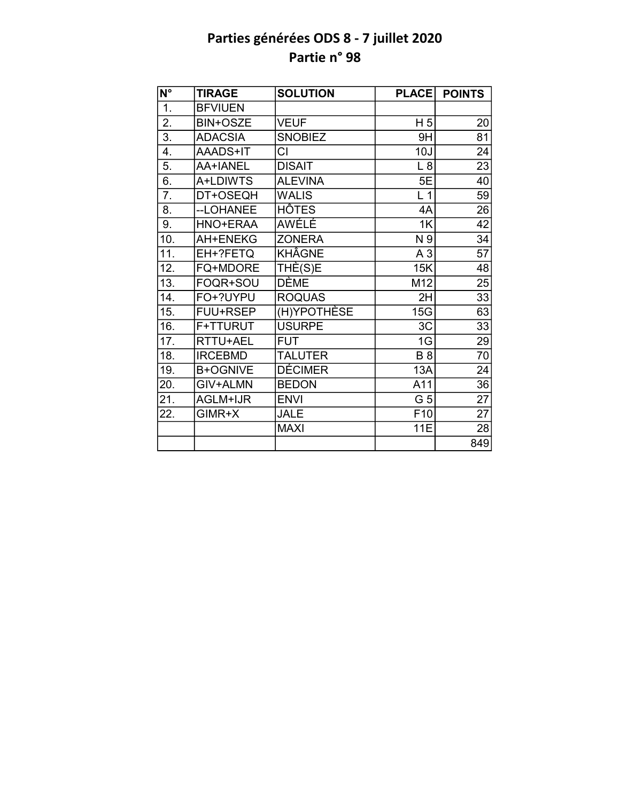| N°                | <b>TIRAGE</b>   | <b>SOLUTION</b> | <b>PLACE</b>    | <b>POINTS</b>   |
|-------------------|-----------------|-----------------|-----------------|-----------------|
| $\overline{1}$ .  | <b>BFVIUEN</b>  |                 |                 |                 |
| $\overline{2}$ .  | <b>BIN+OSZE</b> | <b>VEUF</b>     | H <sub>5</sub>  | 20              |
| $\overline{3}$ .  | <b>ADACSIA</b>  | <b>SNOBIEZ</b>  | 9H              | 81              |
| $\overline{4}$ .  | AAADS+IT        | CI              | 10J             | 24              |
| 5.                | AA+IANEL        | <b>DISAIT</b>   | L8              | 23              |
| 6.                | A+LDIWTS        | <b>ALEVINA</b>  | 5E              | 40              |
| $\overline{7}$ .  | DT+OSEQH        | <b>WALIS</b>    | L <sub>1</sub>  | 59              |
| 8.                | --LOHANEE       | <b>HÔTES</b>    | 4A              | 26              |
| 9.                | HNO+ERAA        | <b>AWELE</b>    | 1K              | 42              |
| 10.               | AH+ENEKG        | <b>ZONERA</b>   | N 9             | 34              |
| $\overline{11}$ . | EH+?FETQ        | <b>KHÂGNE</b>   | A <sub>3</sub>  | $\overline{57}$ |
| 12.               | FQ+MDORE        | THÈ(S)E         | 15K             | 48              |
| 13.               | FOQR+SOU        | <b>DÈME</b>     | M12             | 25              |
| 14.               | FO+?UYPU        | <b>ROQUAS</b>   | 2H              | 33              |
| 15.               | FUU+RSEP        | (H)YPOTHÈSE     | 15 <sub>G</sub> | 63              |
| 16.               | F+TTURUT        | <b>USURPE</b>   | 3C              | $\overline{33}$ |
| 17.               | RTTU+AEL        | <b>FUT</b>      | 1G              | 29              |
| 18.               | <b>IRCEBMD</b>  | <b>TALUTER</b>  | $\overline{B8}$ | $\overline{70}$ |
| 19.               | <b>B+OGNIVE</b> | <b>DÉCIMER</b>  | 13A             | 24              |
| 20.               | GIV+ALMN        | <b>BEDON</b>    | A11             | $\overline{36}$ |
| 21.               | AGLM+IJR        | <b>ENVI</b>     | G 5             | $\overline{27}$ |
| 22.               | $GIMR+X$        | <b>JALE</b>     | F <sub>10</sub> | 27              |
|                   |                 | <b>MAXI</b>     | 11E             | 28              |
|                   |                 |                 |                 | 849             |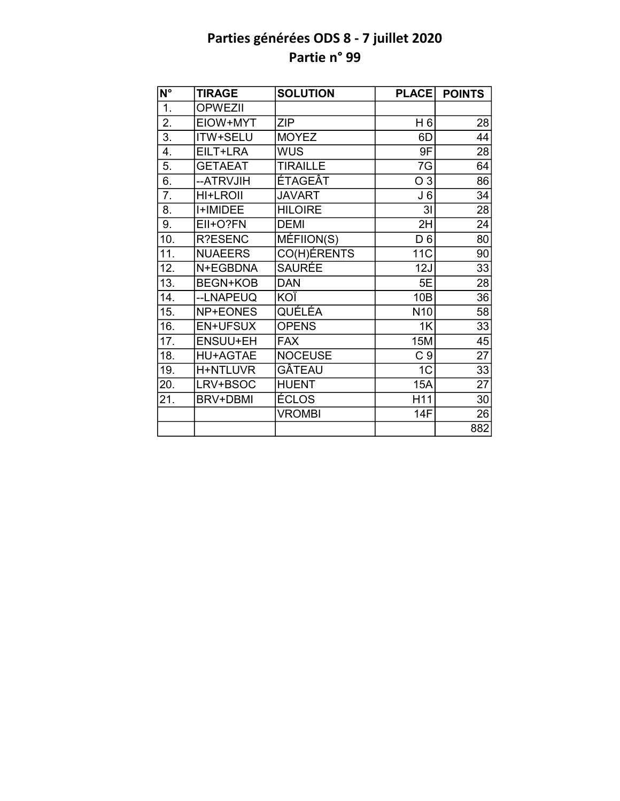| N°                | <b>TIRAGE</b>   | <b>SOLUTION</b> | <b>PLACE</b>    | <b>POINTS</b>   |
|-------------------|-----------------|-----------------|-----------------|-----------------|
| 1.                | <b>OPWEZII</b>  |                 |                 |                 |
| 2.                | EIOW+MYT        | <b>ZIP</b>      | H 6             | 28              |
| $\overline{3}$ .  | ITW+SELU        | <b>MOYEZ</b>    | 6D              | 44              |
| 4.                | EILT+LRA        | <b>WUS</b>      | 9F              | 28              |
| 5.                | <b>GETAEAT</b>  | <b>TIRAILLE</b> | 7G              | 64              |
| 6.                | --ATRVJIH       | ÉTAGEÂT         | O <sub>3</sub>  | 86              |
| 7.                | <b>HI+LROII</b> | <b>JAVART</b>   | J <sub>6</sub>  | 34              |
| 8.                | <b>I+IMIDEE</b> | <b>HILOIRE</b>  | 3I              | 28              |
| 9.                | EII+O?FN        | <b>DEMI</b>     | 2H              | 24              |
| 10.               | R?ESENC         | MÉFIION(S)      | D <sub>6</sub>  | 80              |
| $\overline{11}$ . | <b>NUAEERS</b>  | CO(H)ÉRENTS     | <b>11C</b>      | 90              |
| 12.               | N+EGBDNA        | <b>SAURÉE</b>   | 12J             | 33              |
| $\overline{13}$ . | <b>BEGN+KOB</b> | <b>DAN</b>      | 5E              | 28              |
| 14.               | --LNAPEUQ       | KOÏ             | 10B             | 36              |
| 15.               | NP+EONES        | QUÉLÉA          | N <sub>10</sub> | $\overline{58}$ |
| 16.               | <b>EN+UFSUX</b> | <b>OPENS</b>    | 1K              | 33              |
| 17.               | <b>ENSUU+EH</b> | <b>FAX</b>      | <b>15M</b>      | 45              |
| 18.               | <b>HU+AGTAE</b> | <b>NOCEUSE</b>  | C <sub>9</sub>  | $\overline{27}$ |
| 19.               | H+NTLUVR        | GÂTEAU          | 1 <sub>C</sub>  | 33              |
| 20.               | LRV+BSOC        | <b>HUENT</b>    | 15A             | $\overline{27}$ |
| 21.               | <b>BRV+DBMI</b> | ÉCLOS           | H11             | 30              |
|                   |                 | <b>VROMBI</b>   | <b>14F</b>      | 26              |
|                   |                 |                 |                 | 882             |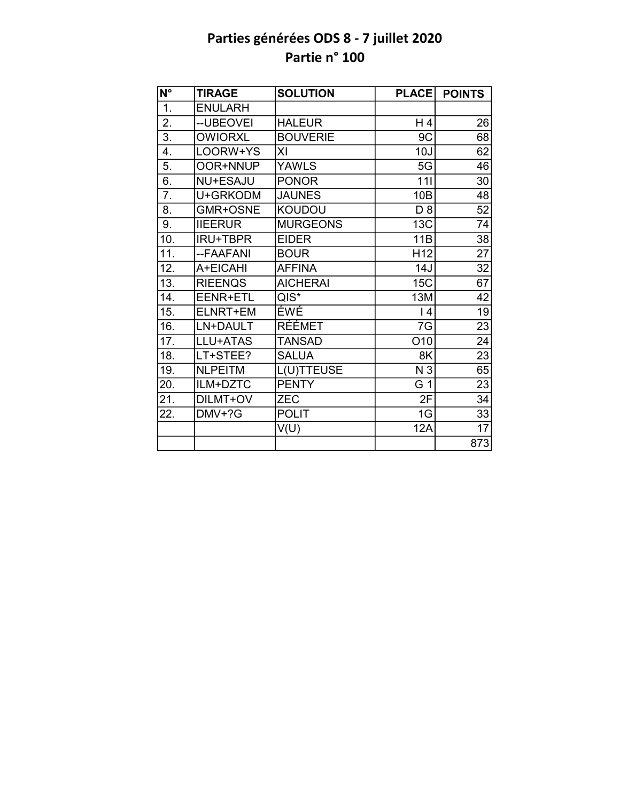| N°                | <b>TIRAGE</b>   | <b>SOLUTION</b> | <b>PLACE</b>    | <b>POINTS</b>   |
|-------------------|-----------------|-----------------|-----------------|-----------------|
| $\overline{1}$ .  | <b>ENULARH</b>  |                 |                 |                 |
| 2.                | -- UBEOVEI      | <b>HALEUR</b>   | H 4             | 26              |
| 3.                | <b>OWIORXL</b>  | <b>BOUVERIE</b> | 9C              | 68              |
| 4.                | LOORW+YS        | XI              | 10J             | 62              |
| 5.                | OOR+NNUP        | <b>YAWLS</b>    | 5G              | 46              |
| 6.                | <b>NU+ESAJU</b> | <b>PONOR</b>    | 111             | 30              |
| 7.                | U+GRKODM        | <b>JAUNES</b>   | 10B             | 48              |
| 8.                | GMR+OSNE        | <b>KOUDOU</b>   | D <sub>8</sub>  | $\overline{52}$ |
| 9.                | <b>IIEERUR</b>  | <b>MURGEONS</b> | 13C             | 74              |
| 10.               | <b>IRU+TBPR</b> | <b>EIDER</b>    | 11B             | $\overline{38}$ |
| $\overline{11}$ . | --FAAFANI       | <b>BOUR</b>     | H <sub>12</sub> | $\overline{27}$ |
| 12.               | A+EICAHI        | <b>AFFINA</b>   | 14J             | 32              |
| 13.               | <b>RIEENQS</b>  | <b>AICHERAI</b> | <b>15C</b>      | $\overline{67}$ |
| 14.               | EENR+ETL        | $QIS^*$         | 13M             | 42              |
| 15.               | ELNRT+EM        | ÉWÉ             | 4               | $\overline{19}$ |
| 16.               | LN+DAULT        | <b>RÉÉMET</b>   | 7G              | $\overline{23}$ |
| 17.               | LLU+ATAS        | <b>TANSAD</b>   | O <sub>10</sub> | 24              |
| 18.               | LT+STEE?        | <b>SALUA</b>    | 8K              | 23              |
| 19.               | <b>NLPEITM</b>  | L(U)TTEUSE      | N 3             | 65              |
| 20.               | ILM+DZTC        | <b>PENTY</b>    | G 1             | $\overline{23}$ |
| 21.               | DILMT+OV        | <b>ZEC</b>      | 2F              | 34              |
| 22.               | DMV+?G          | <b>POLIT</b>    | 1G              | 33              |
|                   |                 | V(U)            | <b>12A</b>      | $\overline{17}$ |
|                   |                 |                 |                 | 873             |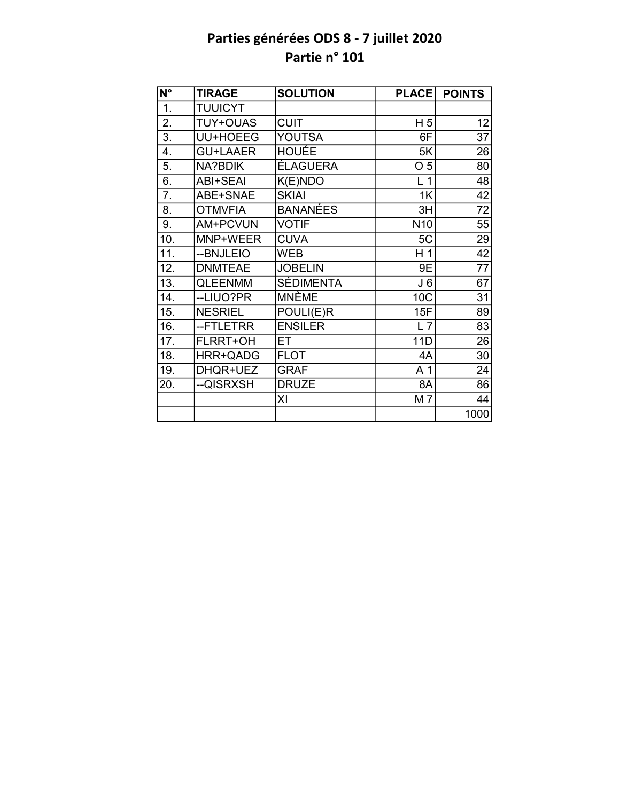| N°               | <b>TIRAGE</b>   | <b>SOLUTION</b>  | <b>PLACE</b>    | <b>POINTS</b>   |
|------------------|-----------------|------------------|-----------------|-----------------|
| $\overline{1}$ . | <b>TUUICYT</b>  |                  |                 |                 |
| 2.               | <b>TUY+OUAS</b> | <b>CUIT</b>      | H <sub>5</sub>  | 12              |
| 3.               | UU+HOEEG        | <b>YOUTSA</b>    | 6F              | $\overline{37}$ |
| 4.               | <b>GU+LAAER</b> | HOUÉE            | 5K              | 26              |
| 5.               | NA?BDIK         | <b>ÉLAGUERA</b>  | O <sub>5</sub>  | 80              |
| 6.               | <b>ABI+SEAI</b> | K(E)NDO          | L <sub>1</sub>  | $\overline{48}$ |
| 7.               | ABE+SNAE        | <b>SKIAI</b>     | 1K              | 42              |
| 8.               | <b>OTMVFIA</b>  | <b>BANANÉES</b>  | 3H              | $\overline{72}$ |
| 9.               | <b>AM+PCVUN</b> | <b>VOTIF</b>     | N <sub>10</sub> | 55              |
| 10.              | MNP+WEER        | <b>CUVA</b>      | 5C              | 29              |
| 11.              | --BNJLEIO       | <b>WEB</b>       | H <sub>1</sub>  | $\overline{42}$ |
| 12.              | <b>DNMTEAE</b>  | <b>JOBELIN</b>   | 9E              | 77              |
| 13.              | <b>QLEENMM</b>  | <b>SÉDIMENTA</b> | J <sub>6</sub>  | 67              |
| 14.              | --LIUO?PR       | <b>MNÈME</b>     | 10C             | 31              |
| 15.              | <b>NESRIEL</b>  | POULI(E)R        | 15F             | 89              |
| 16.              | --FTLETRR       | <b>ENSILER</b>   | $L$ 7           | 83              |
| 17.              | <b>FLRRT+OH</b> | ET               | 11D             | 26              |
| 18.              | HRR+QADG        | <b>FLOT</b>      | 4A              | $\overline{30}$ |
| 19.              | DHQR+UEZ        | <b>GRAF</b>      | A 1             | 24              |
| 20.              | --QISRXSH       | <b>DRUZE</b>     | 8A              | $\overline{86}$ |
|                  |                 | XI               | M 7             | 44              |
|                  |                 |                  |                 | 1000            |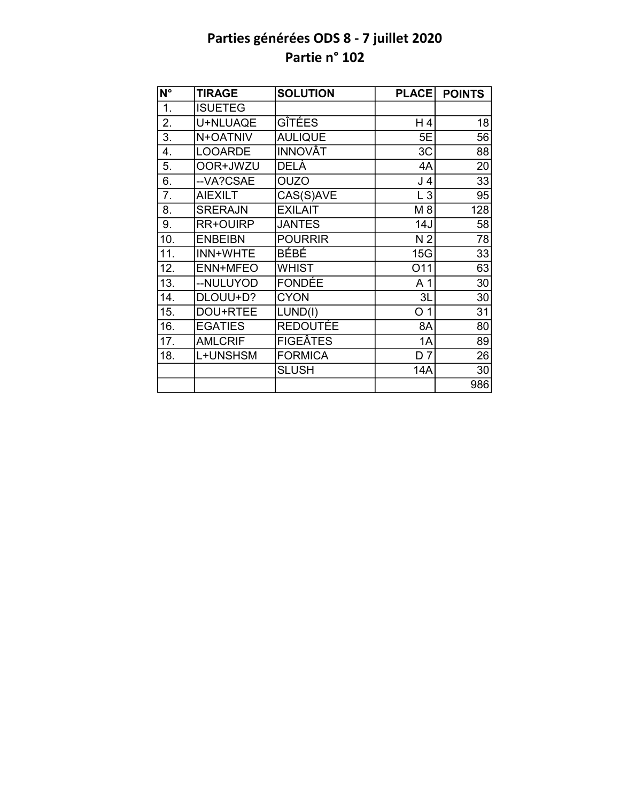| N°  | <b>TIRAGE</b>  | <b>SOLUTION</b> | <b>PLACE</b>   | <b>POINTS</b>   |
|-----|----------------|-----------------|----------------|-----------------|
| 1.  | <b>ISUETEG</b> |                 |                |                 |
| 2.  | U+NLUAQE       | GÎTÉES          | H4             | 18              |
| 3.  | N+OATNIV       | <b>AULIQUE</b>  | 5E             | 56              |
| 4.  | <b>LOOARDE</b> | <b>INNOVÂT</b>  | 3C             | 88              |
| 5.  | OOR+JWZU       | DELÀ            | 4A             | 20              |
| 6.  | --VA?CSAE      | <b>OUZO</b>     | J 4            | 33              |
| 7.  | <b>AIEXILT</b> | CAS(S)AVE       | $L_3$          | 95              |
| 8.  | <b>SRERAJN</b> | <b>EXILAIT</b>  | M 8            | 128             |
| 9.  | RR+OUIRP       | <b>JANTES</b>   | 14J            | 58              |
| 10. | <b>ENBEIBN</b> | <b>POURRIR</b>  | N <sub>2</sub> | 78              |
| 11. | INN+WHTE       | <b>BÉBÉ</b>     | 15G            | $\overline{33}$ |
| 12. | ENN+MFEO       | <b>WHIST</b>    | 011            | 63              |
| 13. | --NULUYOD      | <b>FONDÉE</b>   | A <sub>1</sub> | 30              |
| 14. | DLOUU+D?       | <b>CYON</b>     | 3L             | 30              |
| 15. | DOU+RTEE       | LUND(I)         | O <sub>1</sub> | 31              |
| 16. | <b>EGATIES</b> | <b>REDOUTÉE</b> | 8A             | 80              |
| 17. | <b>AMLCRIF</b> | <b>FIGEÂTES</b> | 1A             | 89              |
| 18. | L+UNSHSM       | <b>FORMICA</b>  | D <sub>7</sub> | 26              |
|     |                | <b>SLUSH</b>    | <b>14A</b>     | 30              |
|     |                |                 |                | 986             |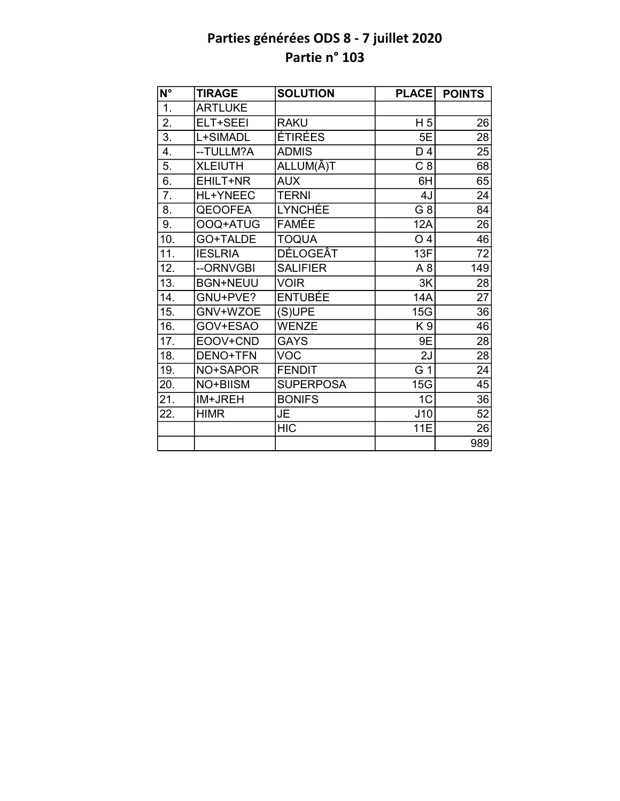| $N^{\circ}$       | <b>TIRAGE</b>   | <b>SOLUTION</b>  | <b>PLACE</b>   | <b>POINTS</b>   |
|-------------------|-----------------|------------------|----------------|-----------------|
| 1.                | <b>ARTLUKE</b>  |                  |                |                 |
| $\overline{2}$ .  | ELT+SEEI        | <b>RAKU</b>      | H <sub>5</sub> | 26              |
| $\overline{3}$ .  | L+SIMADL        | <b>ÉTIRÉES</b>   | 5E             | 28              |
| 4.                | --TULLM?A       | <b>ADMIS</b>     | D 4            | 25              |
| 5.                | <b>XLEIUTH</b>  | ALLUM(Â)T        | C <sub>8</sub> | 68              |
| 6.                | EHILT+NR        | <b>AUX</b>       | 6H             | 65              |
| 7.                | HL+YNEEC        | <b>TERNI</b>     | 4J             | 24              |
| 8.                | <b>QEOOFEA</b>  | <b>LYNCHÉE</b>   | G <sub>8</sub> | $\overline{84}$ |
| 9.                | OOQ+ATUG        | <b>FAMÉE</b>     | 12A            | 26              |
| 10.               | GO+TALDE        | <b>TOQUA</b>     | O <sub>4</sub> | 46              |
| 11.               | <b>IESLRIA</b>  | <b>DÉLOGEÂT</b>  | 13F            | $\overline{72}$ |
| 12.               | --ORNVGBI       | <b>SALIFIER</b>  | A <sub>8</sub> | 149             |
| 13.               | <b>BGN+NEUU</b> | <b>VOIR</b>      | 3K             | 28              |
| 14.               | GNU+PVE?        | <b>ENTUBÉE</b>   | 14A            | $\overline{27}$ |
| 15.               | GNV+WZOE        | (S)UPE           | 15G            | 36              |
| 16.               | GOV+ESAO        | <b>WENZE</b>     | K9             | $\overline{46}$ |
| 17.               | EOOV+CND        | <b>GAYS</b>      | 9E             | 28              |
| 18.               | DENO+TFN        | <b>VOC</b>       | 2J             | $\overline{28}$ |
| 19.               | NO+SAPOR        | <b>FENDIT</b>    | G 1            | 24              |
| 20.               | NO+BIISM        | <b>SUPERPOSA</b> | 15G            | 45              |
| $\overline{21}$ . | IM+JREH         | <b>BONIFS</b>    | 1 <sub>C</sub> | $\overline{36}$ |
| 22.               | <b>HIMR</b>     | JE               | J10            | 52              |
|                   |                 | <b>HIC</b>       | 11E            | 26              |
|                   |                 |                  |                | 989             |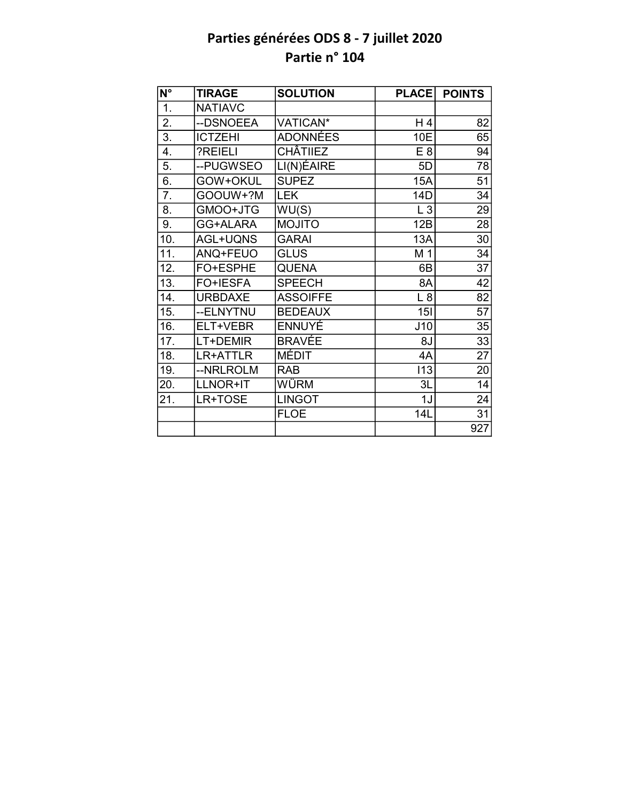| $\overline{\mathsf{N}^\circ}$ | <b>TIRAGE</b>  | <b>SOLUTION</b> | <b>PLACE</b> | <b>POINTS</b>   |
|-------------------------------|----------------|-----------------|--------------|-----------------|
| 1.                            | <b>NATIAVC</b> |                 |              |                 |
| 2.                            | --DSNOEEA      | VATICAN*        | H 4          | 82              |
| $\overline{3}$ .              | <b>ICTZEHI</b> | <b>ADONNÉES</b> | 10E          | 65              |
| $\overline{4}$ .              | ?REIELI        | <b>CHÂTIIEZ</b> | E 8          | 94              |
| 5.                            | --PUGWSEO      | LI(N)ÉAIRE      | 5D           | 78              |
| $\overline{6}$ .              | GOW+OKUL       | <b>SUPEZ</b>    | <b>15A</b>   | $\overline{51}$ |
| 7.                            | GOOUW+?M       | <b>LEK</b>      | 14D          | 34              |
| 8.                            | GMOO+JTG       | WU(S)           | L3           | 29              |
| 9.                            | GG+ALARA       | <b>MOJITO</b>   | 12B          | 28              |
| 10.                           | AGL+UQNS       | <b>GARAI</b>    | <b>13A</b>   | 30              |
| 11.                           | ANQ+FEUO       | <b>GLUS</b>     | M 1          | 34              |
| 12.                           | FO+ESPHE       | <b>QUENA</b>    | 6B           | 37              |
| 13.                           | FO+IESFA       | <b>SPEECH</b>   | 8A           | $\overline{42}$ |
| 14.                           | <b>URBDAXE</b> | <b>ASSOIFFE</b> | L8           | 82              |
| 15.                           | --ELNYTNU      | <b>BEDEAUX</b>  | 15I          | $\overline{57}$ |
| 16.                           | ELT+VEBR       | <b>ENNUYE</b>   | J10          | 35              |
| 17.                           | LT+DEMIR       | <b>BRAVÉE</b>   | 8J           | 33              |
| 18.                           | LR+ATTLR       | <b>MÉDIT</b>    | 4A           | $\overline{27}$ |
| 19.                           | --NRLROLM      | <b>RAB</b>      | 113          | 20              |
| 20.                           | LLNOR+IT       | WÜRM            | 3L           | 14              |
| 21.                           | LR+TOSE        | <b>LINGOT</b>   | 1J           | 24              |
|                               |                | <b>FLOE</b>     | 14L          | 31              |
|                               |                |                 |              | 927             |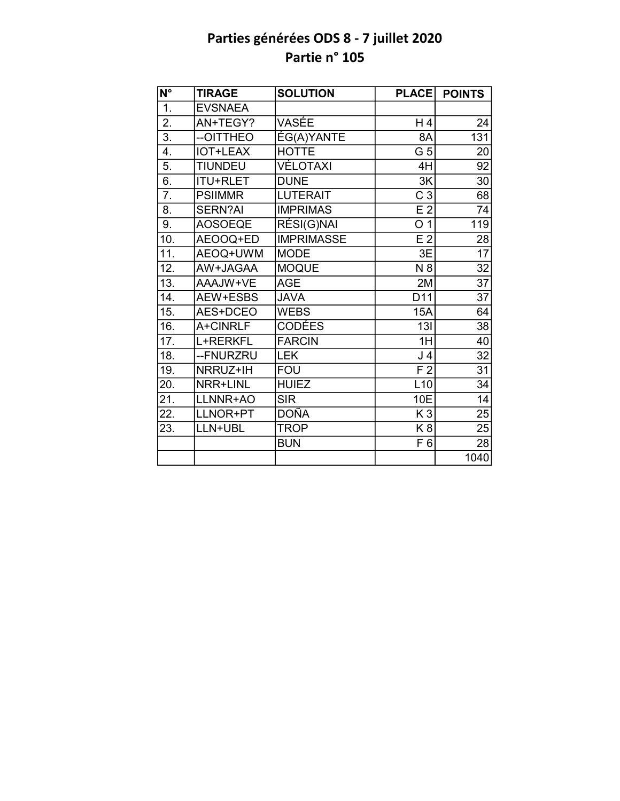| $\overline{\mathsf{N}^{\circ}}$ | <b>TIRAGE</b>   | <b>SOLUTION</b>   | <b>PLACE</b>   | <b>POINTS</b>   |
|---------------------------------|-----------------|-------------------|----------------|-----------------|
| 1.                              | <b>EVSNAEA</b>  |                   |                |                 |
| 2.                              | AN+TEGY?        | VASÉE             | H4             | 24              |
| $\overline{3}$ .                | --OITTHEO       | ÉG(A)YANTE        | 8A             | 131             |
| 4.                              | <b>IOT+LEAX</b> | <b>HOTTE</b>      | G 5            | 20              |
| 5.                              | <b>TIUNDEU</b>  | <b>VÉLOTAXI</b>   | 4H             | 92              |
| 6.                              | <b>ITU+RLET</b> | <b>DUNE</b>       | 3K             | 30              |
| $\overline{7}$ .                | <b>PSIIMMR</b>  | <b>LUTERAIT</b>   | C <sub>3</sub> | 68              |
| 8.                              | <b>SERN?AI</b>  | <b>IMPRIMAS</b>   | E <sub>2</sub> | 74              |
| 9.                              | <b>AOSOEQE</b>  | RÉSI(G)NAI        | O <sub>1</sub> | 119             |
| 10.                             | AEOOQ+ED        | <b>IMPRIMASSE</b> | E <sub>2</sub> | 28              |
| 11.                             | AEOQ+UWM        | <b>MODE</b>       | 3E             | $\overline{17}$ |
| 12.                             | AW+JAGAA        | <b>MOQUE</b>      | N 8            | 32              |
| $\overline{13}$ .               | AAAJW+VE        | <b>AGE</b>        | 2M             | 37              |
| 14.                             | AEW+ESBS        | <b>JAVA</b>       | D11            | 37              |
| 15.                             | AES+DCEO        | <b>WEBS</b>       | 15A            | 64              |
| 16.                             | A+CINRLF        | <b>CODÉES</b>     | 13I            | $\overline{38}$ |
| 17.                             | L+RERKFL        | <b>FARCIN</b>     | 1H             | 40              |
| $\overline{18}$ .               | --FNURZRU       | <b>LEK</b>        | J <sub>4</sub> | $\overline{32}$ |
| 19.                             | NRRUZ+IH        | <b>FOU</b>        | F <sub>2</sub> | 31              |
| 20.                             | NRR+LINL        | <b>HUIEZ</b>      | L10            | 34              |
| $\overline{21}$ .               | LLNNR+AO        | <b>SIR</b>        | 10E            | 14              |
| 22.                             | LLNOR+PT        | DOÑA              | K <sub>3</sub> | 25              |
| 23.                             | LLN+UBL         | <b>TROP</b>       | K <sub>8</sub> | 25              |
|                                 |                 | <b>BUN</b>        | F <sub>6</sub> | 28              |
|                                 |                 |                   |                | 1040            |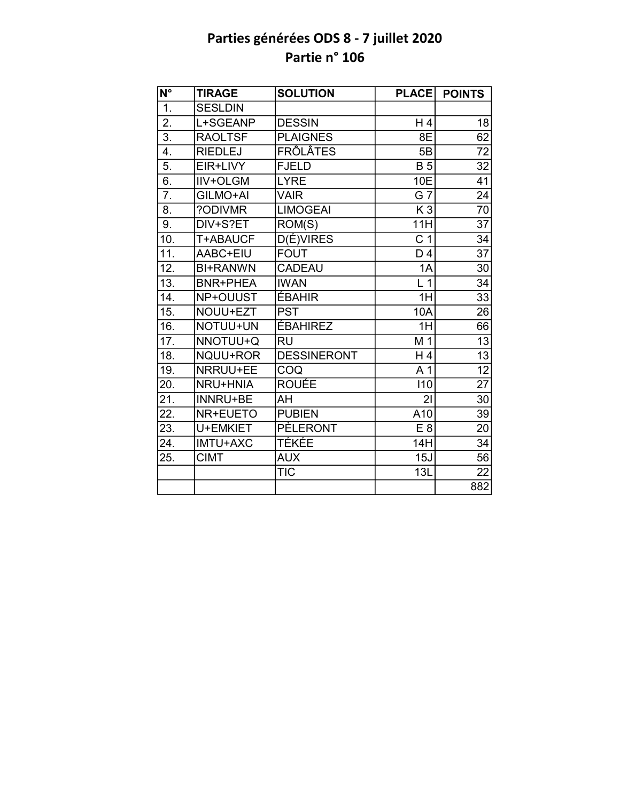| $N^{\circ}$       | <b>TIRAGE</b>   | <b>SOLUTION</b>    | <b>PLACE</b>   | <b>POINTS</b>   |
|-------------------|-----------------|--------------------|----------------|-----------------|
| $\overline{1}$ .  | <b>SESLDIN</b>  |                    |                |                 |
| $\overline{2}$ .  | L+SGEANP        | <b>DESSIN</b>      | H 4            | 18              |
| $\overline{3}$ .  | <b>RAOLTSF</b>  | <b>PLAIGNES</b>    | 8E             | $\overline{62}$ |
| 4.                | <b>RIEDLEJ</b>  | <b>FRÔLÂTES</b>    | 5B             | 72              |
| $\overline{5}$ .  | EIR+LIVY        | <b>FJELD</b>       | <b>B5</b>      | 32              |
| 6.                | <b>IIV+OLGM</b> | <b>LYRE</b>        | 10E            | 41              |
| 7.                | GILMO+AI        | <b>VAIR</b>        | G 7            | 24              |
| 8.                | ?ODIVMR         | <b>LIMOGEAI</b>    | K <sub>3</sub> | 70              |
| 9.                | DIV+S?ET        | ROM(S)             | 11H            | $\overline{37}$ |
| 10.               | T+ABAUCF        | <b>D(É)VIRES</b>   | C <sub>1</sub> | $\overline{34}$ |
| $\overline{11}$ . | AABC+EIU        | <b>FOUT</b>        | D <sub>4</sub> | $\overline{37}$ |
| 12.               | <b>BI+RANWN</b> | <b>CADEAU</b>      | 1A             | 30              |
| 13.               | <b>BNR+PHEA</b> | <b>IWAN</b>        | L <sub>1</sub> | 34              |
| 14.               | NP+OUUST        | ÉBAHIR             | 1H             | 33              |
| 15.               | NOUU+EZT        | <b>PST</b>         | 10A            | $\overline{26}$ |
| 16.               | NOTUU+UN        | <b>ÉBAHIREZ</b>    | 1H             | 66              |
| 17.               | NNOTUU+Q        | <b>RU</b>          | M 1            | 13              |
| 18.               | NQUU+ROR        | <b>DESSINERONT</b> | H <sub>4</sub> | $\overline{13}$ |
| 19.               | NRRUU+EE        | COQ                | A 1            | $\overline{12}$ |
| 20.               | <b>NRU+HNIA</b> | <b>ROUÉE</b>       | 110            | 27              |
| 21.               | <b>INNRU+BE</b> | AH                 | 21             | 30              |
| 22.               | NR+EUETO        | <b>PUBIEN</b>      | A10            | 39              |
| 23.               | U+EMKIET        | <b>PÈLERONT</b>    | E8             | 20              |
| 24.               | <b>IMTU+AXC</b> | TÉKÉE              | 14H            | 34              |
| 25.               | <b>CIMT</b>     | <b>AUX</b>         | 15J            | $\overline{56}$ |
|                   |                 | <b>TIC</b>         | 13L            | 22              |
|                   |                 |                    |                | 882             |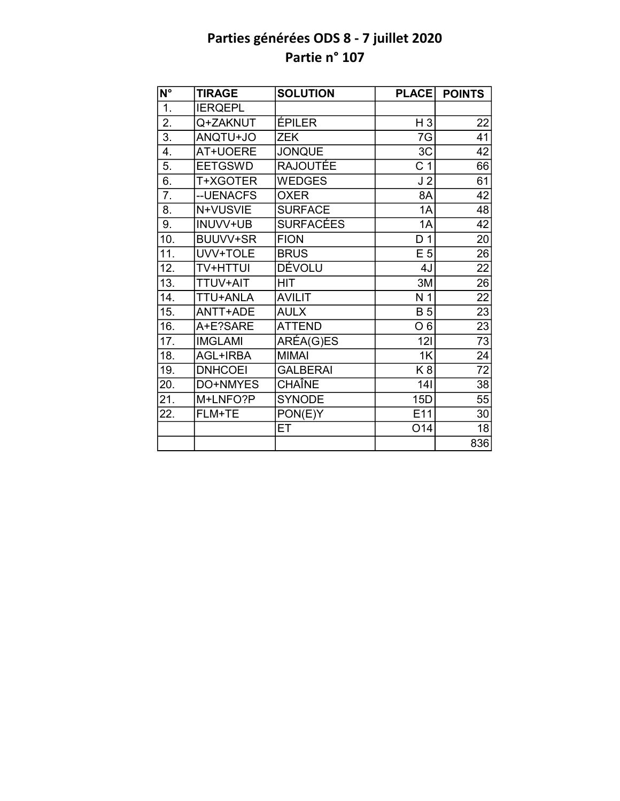| $\overline{\mathsf{N}^{\circ}}$ | <b>TIRAGE</b>   | <b>SOLUTION</b>  | <b>PLACE</b>   | <b>POINTS</b>   |
|---------------------------------|-----------------|------------------|----------------|-----------------|
| $\overline{1}$ .                | <b>IERQEPL</b>  |                  |                |                 |
| $\overline{2}$ .                | Q+ZAKNUT        | ÉPILER           | $H_3$          | 22              |
| $\overline{3}$ .                | OL+UTONA        | <b>ZEK</b>       | 7G             | 41              |
| 4.                              | AT+UOERE        | <b>JONQUE</b>    | 3C             | 42              |
| 5.                              | <b>EETGSWD</b>  | <b>RAJOUTÉE</b>  | C <sub>1</sub> | 66              |
| 6.                              | T+XGOTER        | <b>WEDGES</b>    | J <sub>2</sub> | 61              |
| 7.                              | -- UENACFS      | <b>OXER</b>      | 8A             | 42              |
| 8.                              | N+VUSVIE        | <b>SURFACE</b>   | 1A             | 48              |
| 9.                              | INUVV+UB        | <b>SURFACÉES</b> | 1A             | 42              |
| 10.                             | BUUVV+SR        | <b>FION</b>      | D <sub>1</sub> | 20              |
| 11.                             | UVV+TOLE        | <b>BRUS</b>      | E <sub>5</sub> | 26              |
| 12.                             | <b>TV+HTTUI</b> | <b>DÉVOLU</b>    | 4J             | $\overline{22}$ |
| 13.                             | TTUV+AIT        | <b>HIT</b>       | 3M             | $\overline{26}$ |
| 14.                             | TTU+ANLA        | <b>AVILIT</b>    | N <sub>1</sub> | $\overline{22}$ |
| 15.                             | ANTT+ADE        | <b>AULX</b>      | <b>B</b> 5     | $\overline{23}$ |
| 16.                             | A+E?SARE        | <b>ATTEND</b>    | O <sub>6</sub> | $\overline{23}$ |
| 17.                             | <b>IMGLAMI</b>  | ARÉA(G)ES        | 121            | $\overline{73}$ |
| 18.                             | AGL+IRBA        | <b>MIMAI</b>     | 1K             | 24              |
| 19.                             | <b>DNHCOEI</b>  | <b>GALBERAI</b>  | K <sub>8</sub> | $\overline{72}$ |
| 20.                             | DO+NMYES        | CHAÎNE           | 141            | 38              |
| 21.                             | M+LNFO?P        | <b>SYNODE</b>    | 15D            | 55              |
| 22.                             | FLM+TE          | PON(E)Y          | E11            | 30              |
|                                 |                 | ET               | O14            | 18              |
|                                 |                 |                  |                | 836             |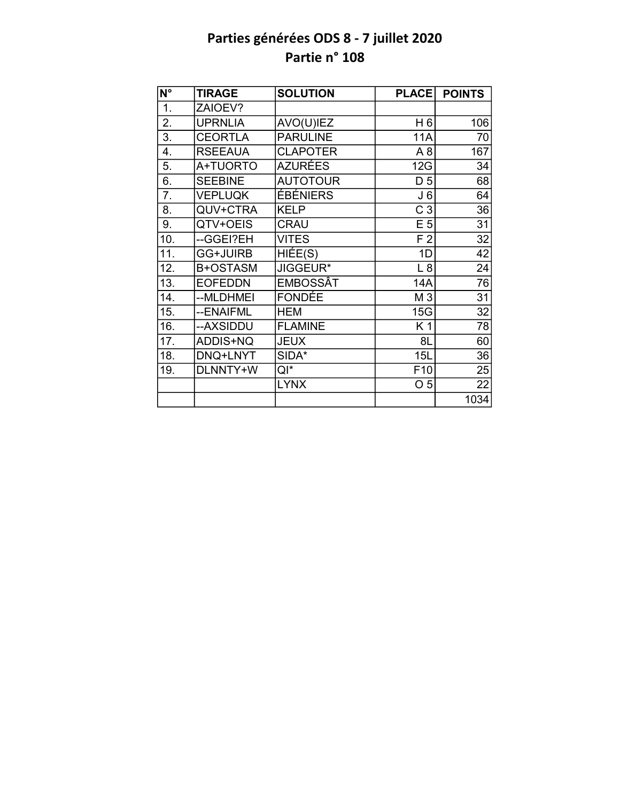| N°               | <b>TIRAGE</b>   | <b>SOLUTION</b>     | <b>PLACE</b>    | <b>POINTS</b>   |
|------------------|-----------------|---------------------|-----------------|-----------------|
| $\overline{1}$ . | ZAIOEV?         |                     |                 |                 |
| 2.               | <b>UPRNLIA</b>  | AVO(U)IEZ           | H <sub>6</sub>  | 106             |
| 3.               | <b>CEORTLA</b>  | <b>PARULINE</b>     | 11A             | 70              |
| 4.               | <b>RSEEAUA</b>  | <b>CLAPOTER</b>     | A <sub>8</sub>  | 167             |
| 5.               | A+TUORTO        | <b>AZURÉES</b>      | 12G             | 34              |
| 6.               | <b>SEEBINE</b>  | <b>AUTOTOUR</b>     | D <sub>5</sub>  | 68              |
| 7.               | <b>VEPLUQK</b>  | ÉBÉNIERS            | J <sub>6</sub>  | 64              |
| 8.               | QUV+CTRA        | <b>KELP</b>         | C <sub>3</sub>  | 36              |
| 9.               | QTV+OEIS        | <b>CRAU</b>         | E <sub>5</sub>  | 31              |
| 10.              | --GGEI?EH       | <b>VITES</b>        | F <sub>2</sub>  | $\overline{32}$ |
| 11.              | <b>GG+JUIRB</b> | $\overline{HIE}(S)$ | 1D              | 42              |
| 12.              | B+OSTASM        | JIGGEUR*            | L8              | 24              |
| 13.              | <b>EOFEDDN</b>  | EMBOSSÂT            | 14A             | 76              |
| 14.              | --MLDHMEI       | FONDÉE              | M <sub>3</sub>  | 31              |
| 15.              | --ENAIFML       | <b>HEM</b>          | 15G             | 32              |
| 16.              | --AXSIDDU       | <b>FLAMINE</b>      | K1              | 78              |
| 17.              | ADDIS+NQ        | <b>JEUX</b>         | 8L              | 60              |
| 18.              | DNQ+LNYT        | SIDA*               | 15L             | 36              |
| 19.              | DLNNTY+W        | QI*                 | F <sub>10</sub> | 25              |
|                  |                 | <b>LYNX</b>         | O <sub>5</sub>  | 22              |
|                  |                 |                     |                 | 1034            |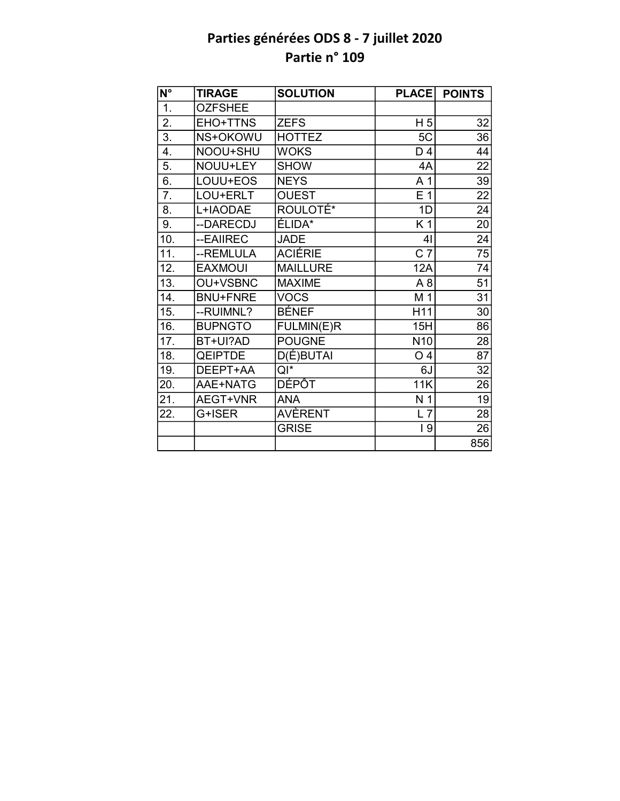| $N^{\circ}$      | <b>TIRAGE</b>   | <b>SOLUTION</b>      | <b>PLACE</b>     | <b>POINTS</b>   |
|------------------|-----------------|----------------------|------------------|-----------------|
| 1.               | <b>OZFSHEE</b>  |                      |                  |                 |
| $\overline{2}$ . | EHO+TTNS        | <b>ZEFS</b>          | H <sub>5</sub>   | 32              |
| $\overline{3}$ . | NS+OKOWU        | <b>HOTTEZ</b>        | 5C               | 36              |
| 4.               | NOOU+SHU        | <b>WOKS</b>          | D 4              | 44              |
| 5.               | NOUU+LEY        | <b>SHOW</b>          | 4A               | $\overline{22}$ |
| 6.               | LOUU+EOS        | <b>NEYS</b>          | A <sub>1</sub>   | 39              |
| 7.               | LOU+ERLT        | <b>OUEST</b>         | E <sub>1</sub>   | 22              |
| 8.               | L+IAODAE        | ROULOTE <sup>*</sup> | 1D               | 24              |
| 9.               | --DARECDJ       | ÉLIDA*               | K <sub>1</sub>   | 20              |
| 10.              | --EAIIREC       | <b>JADE</b>          | 4 <sub>l</sub>   | $\overline{24}$ |
| 11.              | --REMLULA       | <b>ACIÉRIE</b>       | $\overline{C}$ 7 | 75              |
| 12.              | <b>EAXMOUI</b>  | <b>MAILLURE</b>      | 12A              | $\overline{74}$ |
| 13.              | OU+VSBNC        | <b>MAXIME</b>        | A <sub>8</sub>   | $\overline{51}$ |
| 14.              | <b>BNU+FNRE</b> | <b>VOCS</b>          | M 1              | $\overline{31}$ |
| 15.              | --RUIMNL?       | <b>BÉNEF</b>         | H11              | 30              |
| 16.              | <b>BUPNGTO</b>  | FULMIN(E)R           | 15H              | 86              |
| 17.              | BT+UI?AD        | <b>POUGNE</b>        | N <sub>10</sub>  | 28              |
| 18.              | <b>QEIPTDE</b>  | D(É)BUTAI            | O <sub>4</sub>   | $\overline{87}$ |
| 19.              | DEEPT+AA        | $QI^*$               | 6J               | 32              |
| 20.              | AAE+NATG        | <b>DÉPÔT</b>         | 11K              | 26              |
| 21.              | AEGT+VNR        | <b>ANA</b>           | N <sub>1</sub>   | 19              |
| 22.              | G+ISER          | AVÈRENT              | $L$ 7            | 28              |
|                  |                 | <b>GRISE</b>         | 19               | 26              |
|                  |                 |                      |                  | 856             |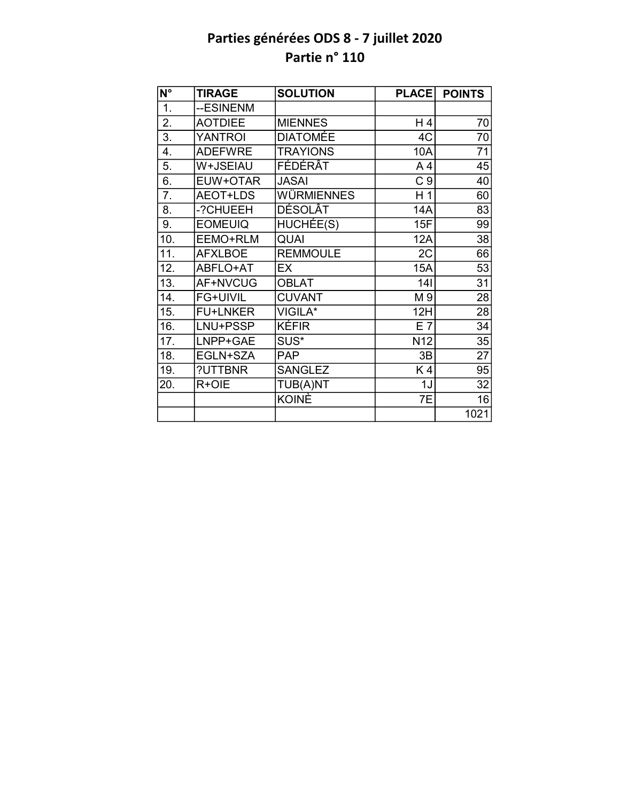| N°                | <b>TIRAGE</b>   | <b>SOLUTION</b>   | <b>PLACE</b>    | <b>POINTS</b>   |
|-------------------|-----------------|-------------------|-----------------|-----------------|
| $\overline{1}$ .  | --ESINENM       |                   |                 |                 |
| 2.                | <b>AOTDIEE</b>  | <b>MIENNES</b>    | H 4             | 70              |
| $\overline{3}$ .  | <b>YANTROI</b>  | <b>DIATOMÉE</b>   | 4C              | 70              |
| 4.                | <b>ADEFWRE</b>  | <b>TRAYIONS</b>   | 10A             | 71              |
| 5.                | W+JSEIAU        | FÉDÉRÂT           | A <sub>4</sub>  | 45              |
| 6.                | EUW+OTAR        | <b>JASAI</b>      | C <sub>9</sub>  | 40              |
| 7.                | AEOT+LDS        | <b>WÜRMIENNES</b> | H <sub>1</sub>  | 60              |
| $\overline{8}$ .  | -?CHUEEH        | DÉSOLÂT           | 14A             | 83              |
| 9.                | <b>EOMEUIQ</b>  | HUCHÉE(S)         | 15F             | 99              |
| 10.               | EEMO+RLM        | QUAI              | 12A             | 38              |
| 11.               | <b>AFXLBOE</b>  | <b>REMMOULE</b>   | 2C              | 66              |
| 12.               | ABFLO+AT        | EX                | <b>15A</b>      | 53              |
| $\overline{13}$ . | AF+NVCUG        | <b>OBLAT</b>      | 141             | $\overline{31}$ |
| 14.               | FG+UIVIL        | <b>CUVANT</b>     | M 9             | 28              |
| 15.               | <b>FU+LNKER</b> | VIGILA*           | 12H             | 28              |
| 16.               | LNU+PSSP        | KÉFIR             | E 7             | 34              |
| 17.               | LNPP+GAE        | SUS*              | N <sub>12</sub> | 35              |
| 18.               | EGLN+SZA        | <b>PAP</b>        | 3B              | $\overline{27}$ |
| 19.               | ?UTTBNR         | <b>SANGLEZ</b>    | K4              | 95              |
| 20.               | R+OIE           | TUB(A)NT          | 1J              | 32              |
|                   |                 | KOINÈ             | 7E              | 16              |
|                   |                 |                   |                 | 1021            |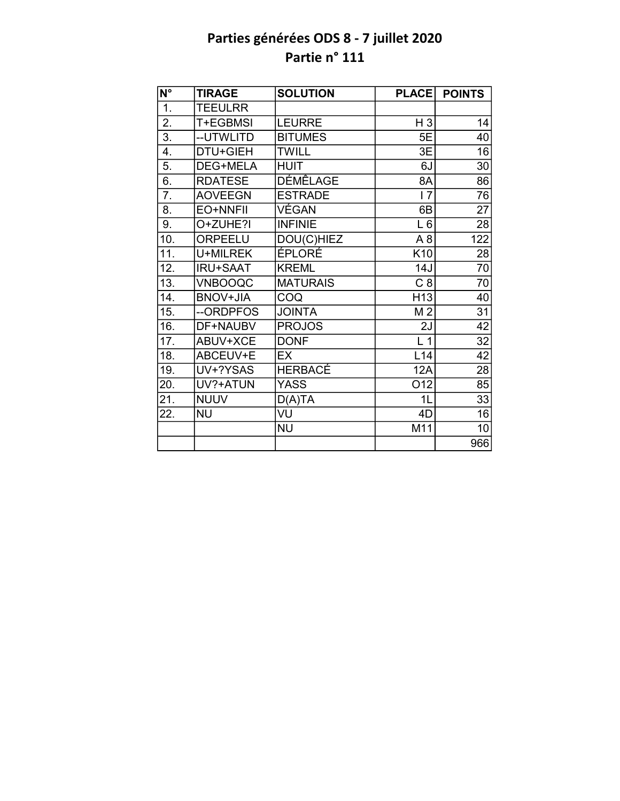| $\overline{\mathsf{N}^{\circ}}$ | <b>TIRAGE</b>   | <b>SOLUTION</b> | <b>PLACE</b>    | <b>POINTS</b>   |
|---------------------------------|-----------------|-----------------|-----------------|-----------------|
| 1.                              | <b>TEEULRR</b>  |                 |                 |                 |
| $\overline{2}$ .                | T+EGBMSI        | <b>LEURRE</b>   | $H_3$           | 14              |
| 3.                              | --UTWLITD       | <b>BITUMES</b>  | 5E              | 40              |
| 4.                              | DTU+GIEH        | <b>TWILL</b>    | 3E              | 16              |
| 5.                              | <b>DEG+MELA</b> | <b>HUIT</b>     | 6J              | 30              |
| 6.                              | <b>RDATESE</b>  | <b>DÉMÊLAGE</b> | 8A              | 86              |
| $\overline{7}$ .                | <b>AOVEEGN</b>  | <b>ESTRADE</b>  | 17              | 76              |
| 8.                              | EO+NNFII        | VÉGAN           | 6B              | $\overline{27}$ |
| 9.                              | O+ZUHE?I        | <b>INFINIE</b>  | $L_6$           | 28              |
| 10.                             | ORPEELU         | DOU(C)HIEZ      | A <sub>8</sub>  | 122             |
| $\overline{11}$ .               | U+MILREK        | <b>ÉPLORÉ</b>   | K <sub>10</sub> | 28              |
| 12.                             | <b>IRU+SAAT</b> | <b>KREML</b>    | 14J             | 70              |
| 13.                             | <b>VNBOOQC</b>  | <b>MATURAIS</b> | C8              | $\overline{70}$ |
| 14.                             | <b>BNOV+JIA</b> | COQ             | H <sub>13</sub> | 40              |
| 15.                             | --ORDPFOS       | <b>JOINTA</b>   | M <sub>2</sub>  | $\overline{31}$ |
| 16.                             | DF+NAUBV        | <b>PROJOS</b>   | 2J              | 42              |
| 17.                             | ABUV+XCE        | <b>DONF</b>     | L <sub>1</sub>  | 32              |
| 18.                             | ABCEUV+E        | <b>EX</b>       | L14             | 42              |
| 19.                             | UV+?YSAS        | <b>HERBACÉ</b>  | 12A             | 28              |
| 20.                             | UV?+ATUN        | <b>YASS</b>     | O12             | 85              |
| 21.                             | <b>NUUV</b>     | D(A)TA          | 1L              | 33              |
| 22.                             | <b>NU</b>       | VU              | 4D              | 16              |
|                                 |                 | <b>NU</b>       | M11             | 10              |
|                                 |                 |                 |                 | 966             |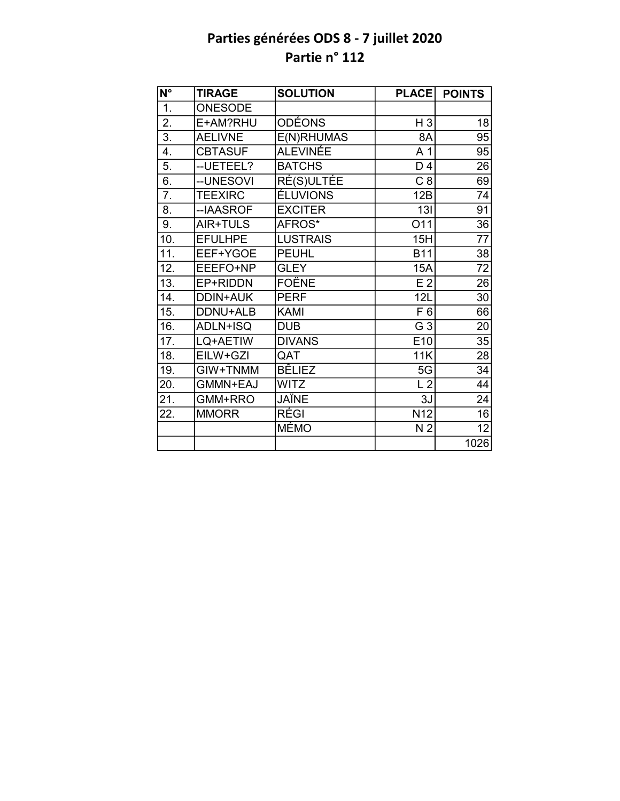| N°                | <b>TIRAGE</b>   | <b>SOLUTION</b> | <b>PLACE</b>    | <b>POINTS</b>   |
|-------------------|-----------------|-----------------|-----------------|-----------------|
| $\overline{1}$ .  | <b>ONESODE</b>  |                 |                 |                 |
| $\overline{2}$ .  | E+AM?RHU        | <b>ODÉONS</b>   | $H_3$           | 18              |
| $\overline{3}$ .  | <b>AELIVNE</b>  | E(N)RHUMAS      | 8A              | 95              |
| 4.                | <b>CBTASUF</b>  | <b>ALEVINÉE</b> | A <sub>1</sub>  | 95              |
| 5.                | -- UETEEL?      | <b>BATCHS</b>   | D 4             | 26              |
| 6.                | --UNESOVI       | RÉ(S)ULTÉE      | C8              | 69              |
| $\overline{7}$ .  | <b>TEEXIRC</b>  | <b>ÉLUVIONS</b> | 12B             | 74              |
| 8.                | --IAASROF       | <b>EXCITER</b>  | 13I             | $\overline{91}$ |
| 9.                | AIR+TULS        | AFROS*          | O11             | 36              |
| 10.               | <b>EFULHPE</b>  | <b>LUSTRAIS</b> | 15H             | 77              |
| $\overline{11}$ . | EEF+YGOE        | <b>PEUHL</b>    | <b>B11</b>      | 38              |
| 12.               | EEEFO+NP        | <b>GLEY</b>     | 15A             | 72              |
| 13.               | EP+RIDDN        | <b>FOËNE</b>    | E <sub>2</sub>  | 26              |
| 14.               | <b>DDIN+AUK</b> | <b>PERF</b>     | 12L             | 30              |
| 15.               | DDNU+ALB        | <b>KAMI</b>     | F 6             | 66              |
| 16.               | ADLN+ISQ        | <b>DUB</b>      | G 3             | 20              |
| 17.               | LQ+AETIW        | <b>DIVANS</b>   | E <sub>10</sub> | 35              |
| 18.               | EILW+GZI        | QAT             | 11K             | $\overline{28}$ |
| 19.               | GIW+TNMM        | <b>BÊLIEZ</b>   | 5G              | 34              |
| 20.               | GMMN+EAJ        | WITZ            | L <sub>2</sub>  | 44              |
| 21.               | GMM+RRO         | JAÏNE           | 3J              | $\overline{24}$ |
| 22.               | <b>MMORR</b>    | RÉGI            | N <sub>12</sub> | 16              |
|                   |                 | <b>MÉMO</b>     | N <sub>2</sub>  | $\overline{12}$ |
|                   |                 |                 |                 | 1026            |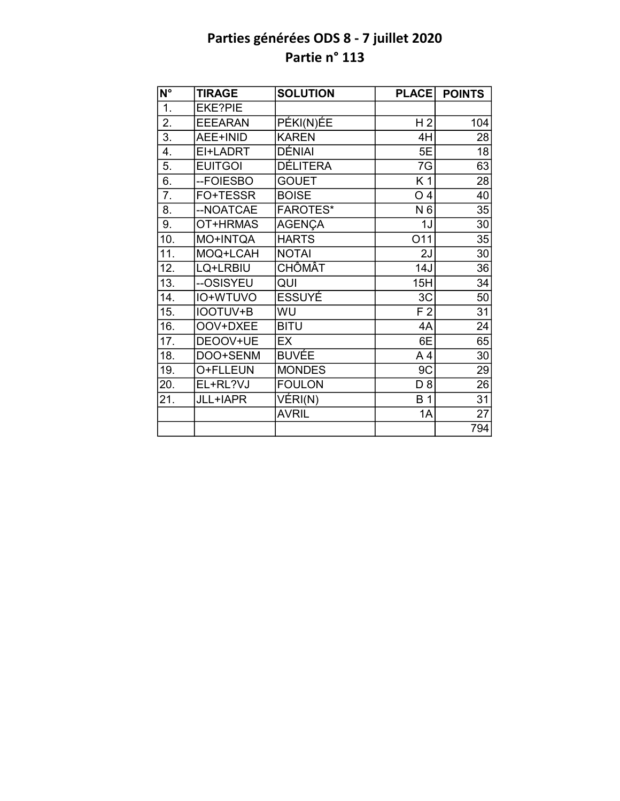| $N^{\circ}$       | <b>TIRAGE</b>  | <b>SOLUTION</b>               | <b>PLACE</b>   | <b>POINTS</b>   |
|-------------------|----------------|-------------------------------|----------------|-----------------|
| $\overline{1}$ .  | <b>EKE?PIE</b> |                               |                |                 |
| 2.                | <b>EEEARAN</b> | PÉKI(N)EE                     | H <sub>2</sub> | 104             |
| $\overline{3}$ .  | AEE+INID       | <b>KAREN</b>                  | 4H             | 28              |
| 4.                | EI+LADRT       | DÉNIAI                        | 5E             | 18              |
| 5.                | <b>EUITGOI</b> | <b>DÉLITERA</b>               | 7G             | 63              |
| 6.                | --FOIESBO      | <b>GOUET</b>                  | K 1            | 28              |
| 7.                | FO+TESSR       | <b>BOISE</b>                  | O <sub>4</sub> | 40              |
| 8.                | --NOATCAE      | <b>FAROTES*</b>               | N 6            | 35              |
| 9.                | OT+HRMAS       | <b>AGENÇA</b>                 | 1J             | 30              |
| 10.               | MO+INTQA       | <b>HARTS</b>                  | O11            | 35              |
| $\overline{11}$ . | MOQ+LCAH       | <b>NOTAI</b>                  | 2J             | 30              |
| 12.               | LQ+LRBIU       | <b>CHÔMÂT</b>                 | 14J            | 36              |
| $\overline{13}$ . | --OSISYEU      | QUI                           | 15H            | $\overline{34}$ |
| 14.               | IO+WTUVO       | <b>ESSUYÉ</b>                 | 3C             | $\overline{50}$ |
| 15.               | IOOTUV+B       | WU                            | F <sub>2</sub> | $\overline{31}$ |
| 16.               | OOV+DXEE       | <b>BITU</b>                   | 4A             | 24              |
| 17.               | DEOOV+UE       | EX                            | 6E             | 65              |
| 18.               | DOO+SENM       | <b>BUVÉE</b>                  | A4             | 30              |
| 19.               | O+FLLEUN       | <b>MONDES</b>                 | 9C             | 29              |
| 20.               | EL+RL?VJ       | <b>FOULON</b>                 | D <sub>8</sub> | $\overline{26}$ |
| 21.               | JLL+IAPR       | $\overline{\mathsf{VERI}}(N)$ | <b>B</b> 1     | 31              |
|                   |                | <b>AVRIL</b>                  | 1A             | $\overline{27}$ |
|                   |                |                               |                | 794             |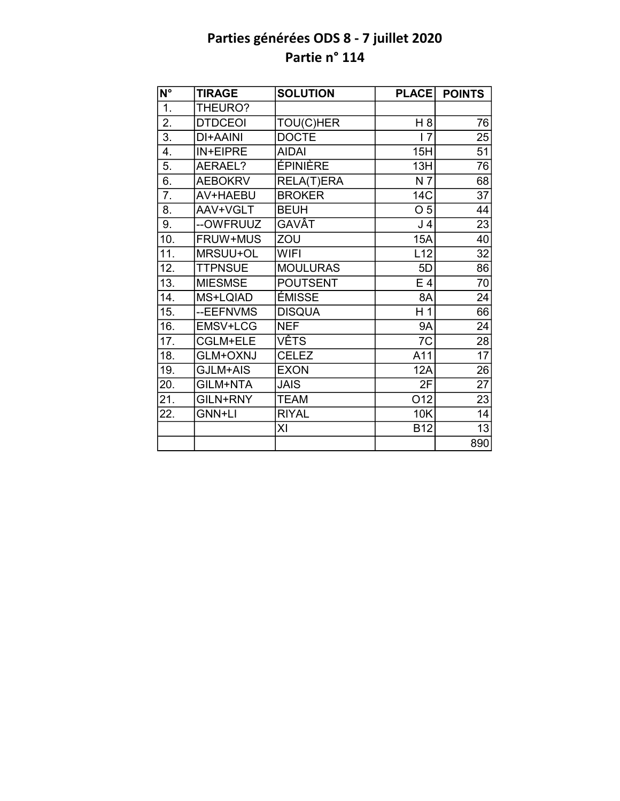| N°                | <b>TIRAGE</b>   | <b>SOLUTION</b> | <b>PLACE</b>   | <b>POINTS</b>   |
|-------------------|-----------------|-----------------|----------------|-----------------|
| $\overline{1}$ .  | THEURO?         |                 |                |                 |
| 2.                | <b>DTDCEOI</b>  | TOU(C)HER       | H 8            | 76              |
| 3.                | <b>DI+AAINI</b> | <b>DOCTE</b>    | 17             | 25              |
| 4.                | IN+EIPRE        | <b>AIDAI</b>    | 15H            | 51              |
| 5.                | AERAEL?         | ÉPINIÈRE        | 13H            | 76              |
| 6.                | <b>AEBOKRV</b>  | RELA(T)ERA      | N 7            | 68              |
| 7.                | AV+HAEBU        | <b>BROKER</b>   | 14C            | 37              |
| 8.                | AAV+VGLT        | <b>BEUH</b>     | O <sub>5</sub> | 44              |
| 9.                | --OWFRUUZ       | GAVÂT           | J 4            | 23              |
| 10.               | FRUW+MUS        | ZOU             | <b>15A</b>     | 40              |
| $\overline{11}$ . | MRSUU+OL        | <b>WIFI</b>     | L12            | $\overline{32}$ |
| 12.               | <b>TTPNSUE</b>  | <b>MOULURAS</b> | 5D             | 86              |
| 13.               | <b>MIESMSE</b>  | <b>POUTSENT</b> | $E_4$          | 70              |
| 14.               | MS+LQIAD        | ÉMISSE          | 8A             | 24              |
| 15.               | --EEFNVMS       | <b>DISQUA</b>   | H <sub>1</sub> | 66              |
| 16.               | EMSV+LCG        | <b>NEF</b>      | <b>9A</b>      | 24              |
| 17.               | CGLM+ELE        | <b>VÊTS</b>     | 7C             | 28              |
| 18.               | GLM+OXNJ        | <b>CELEZ</b>    | A11            | $\overline{17}$ |
| 19.               | GJLM+AIS        | <b>EXON</b>     | <b>12A</b>     | 26              |
| 20.               | GILM+NTA        | <b>JAIS</b>     | 2F             | $\overline{27}$ |
| 21.               | GILN+RNY        | <b>TEAM</b>     | O12            | 23              |
| 22.               | GNN+LI          | <b>RIYAL</b>    | <b>10K</b>     | 14              |
|                   |                 | XI              | <b>B12</b>     | 13              |
|                   |                 |                 |                | 890             |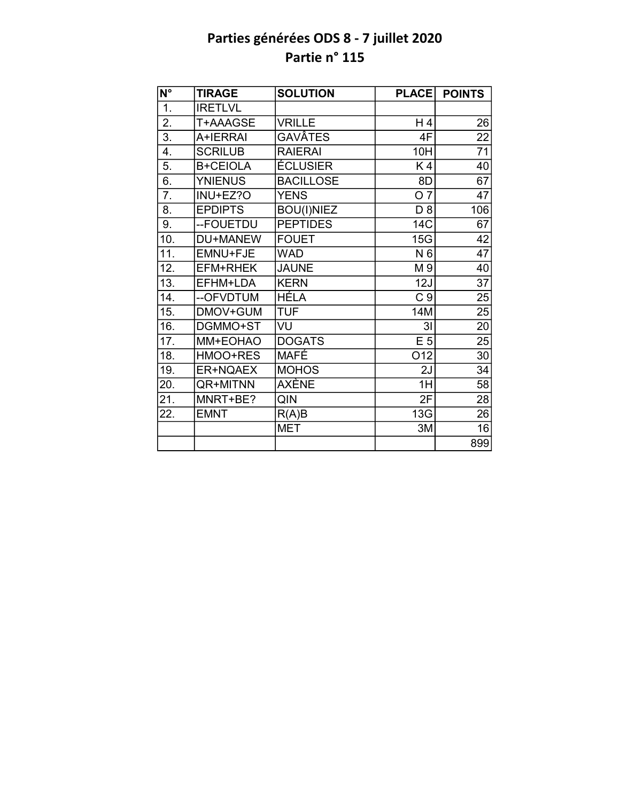| N°                | <b>TIRAGE</b>   | <b>SOLUTION</b>   | <b>PLACE</b>   | <b>POINTS</b>   |
|-------------------|-----------------|-------------------|----------------|-----------------|
| $\overline{1}$ .  | <b>IRETLVL</b>  |                   |                |                 |
| $\overline{2}$ .  | T+AAAGSE        | <b>VRILLE</b>     | H 4            | 26              |
| $\overline{3}$ .  | A+IERRAI        | GAVÂTES           | 4F             | 22              |
| 4.                | <b>SCRILUB</b>  | <b>RAIERAI</b>    | 10H            | 71              |
| 5.                | <b>B+CEIOLA</b> | ÉCLUSIER          | K4             | 40              |
| 6.                | <b>YNIENUS</b>  | <b>BACILLOSE</b>  | 8D             | 67              |
| 7.                | INU+EZ?O        | <b>YENS</b>       | O 7            | 47              |
| 8.                | <b>EPDIPTS</b>  | <b>BOU(I)NIEZ</b> | D <sub>8</sub> | 106             |
| 9.                | --FOUETDU       | <b>PEPTIDES</b>   | 14C            | 67              |
| 10.               | DU+MANEW        | <b>FOUET</b>      | 15G            | 42              |
| $\overline{11}$ . | EMNU+FJE        | <b>WAD</b>        | N 6            | $\overline{47}$ |
| 12.               | EFM+RHEK        | <b>JAUNE</b>      | M 9            | 40              |
| 13.               | EFHM+LDA        | <b>KERN</b>       | 12J            | $\overline{37}$ |
| 14.               | --OFVDTUM       | <b>HÉLA</b>       | C <sub>9</sub> | 25              |
| 15.               | DMOV+GUM        | <b>TUF</b>        | 14M            | 25              |
| 16.               | DGMMO+ST        | VU                | 3 <sub>l</sub> | $\overline{20}$ |
| 17.               | MM+EOHAO        | <b>DOGATS</b>     | E <sub>5</sub> | $\overline{25}$ |
| 18.               | HMOO+RES        | <b>MAFÉ</b>       | O12            | $\overline{30}$ |
| 19.               | <b>ER+NQAEX</b> | <b>MOHOS</b>      | 2J             | 34              |
| 20.               | QR+MITNN        | AXÈNE             | 1H             | $\overline{58}$ |
| 21.               | MNRT+BE?        | QIN               | 2F             | $\overline{28}$ |
| 22.               | <b>EMNT</b>     | R(A)B             | 13G            | 26              |
|                   |                 | <b>MET</b>        | 3M             | 16              |
|                   |                 |                   |                | 899             |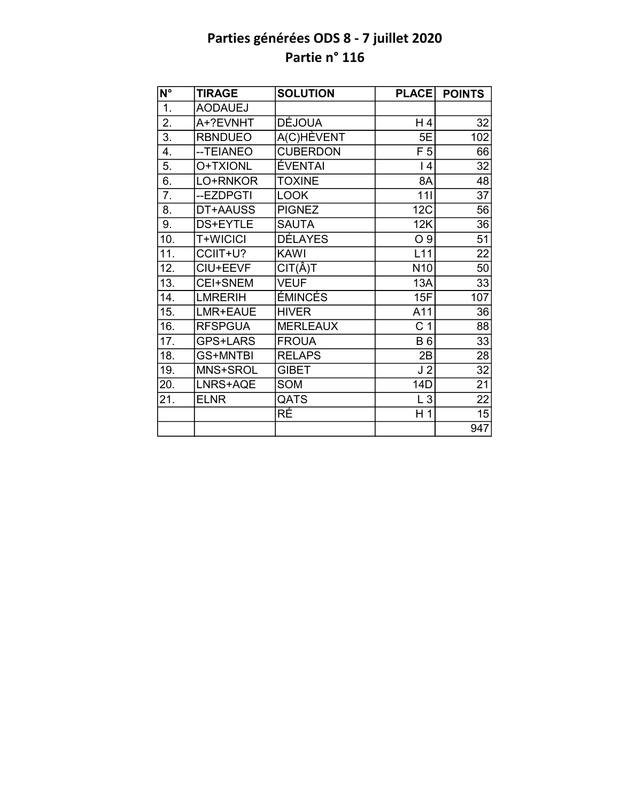| $\overline{\mathsf{N}^{\circ}}$ | <b>TIRAGE</b>   | <b>SOLUTION</b> | <b>PLACE</b>    | <b>POINTS</b>   |
|---------------------------------|-----------------|-----------------|-----------------|-----------------|
| 1.                              | <b>AODAUEJ</b>  |                 |                 |                 |
| 2.                              | A+?EVNHT        | DÉJOUA          | H 4             | 32              |
| $\overline{3}$ .                | <b>RBNDUEO</b>  | A(C)HÈVENT      | 5E              | 102             |
| 4.                              | -- TEIANEO      | <b>CUBERDON</b> | F <sub>5</sub>  | 66              |
| 5.                              | O+TXIONL        | <b>ÉVENTAI</b>  | 4               | 32              |
| 6.                              | LO+RNKOR        | <b>TOXINE</b>   | 8A              | 48              |
| 7.                              | --EZDPGTI       | <b>LOOK</b>     | 111             | 37              |
| 8.                              | DT+AAUSS        | <b>PIGNEZ</b>   | <b>12C</b>      | 56              |
| 9.                              | DS+EYTLE        | <b>SAUTA</b>    | 12K             | 36              |
| 10.                             | T+WICICI        | <b>DÉLAYES</b>  | O <sub>9</sub>  | 51              |
| 11.                             | CCIIT+U?        | <b>KAWI</b>     | L11             | $\overline{22}$ |
| 12.                             | CIU+EEVF        | $CIT(\hat{A})T$ | N <sub>10</sub> | 50              |
| 13.                             | CEI+SNEM        | <b>VEUF</b>     | 13A             | 33              |
| 14.                             | <b>LMRERIH</b>  | ÉMINCÉS         | 15F             | 107             |
| 15.                             | LMR+EAUE        | <b>HIVER</b>    | A11             | 36              |
| 16.                             | <b>RFSPGUA</b>  | <b>MERLEAUX</b> | C <sub>1</sub>  | $\overline{88}$ |
| 17.                             | GPS+LARS        | <b>FROUA</b>    | <b>B6</b>       | 33              |
| 18.                             | <b>GS+MNTBI</b> | <b>RELAPS</b>   | 2B              | 28              |
| 19.                             | MNS+SROL        | <b>GIBET</b>    | J <sub>2</sub>  | 32              |
| 20.                             | LNRS+AQE        | SOM             | 14D             | 21              |
| 21.                             | <b>ELNR</b>     | QATS            | $L_3$           | 22              |
|                                 |                 | RÉ              | H <sub>1</sub>  | 15              |
|                                 |                 |                 |                 | 947             |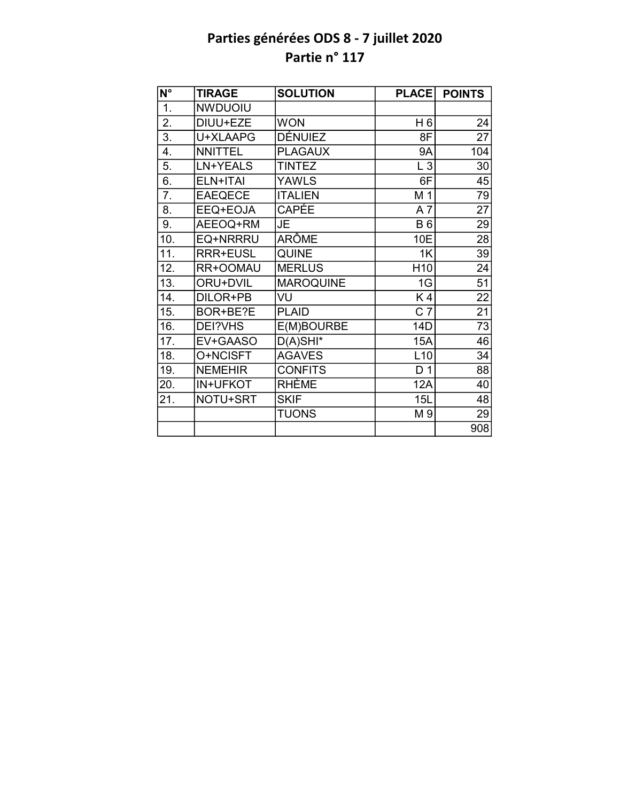| $\overline{\mathsf{N}^{\circ}}$ | <b>TIRAGE</b>  | <b>SOLUTION</b>  | <b>PLACE</b>     | <b>POINTS</b>   |
|---------------------------------|----------------|------------------|------------------|-----------------|
| 1.                              | <b>NWDUOIU</b> |                  |                  |                 |
| 2.                              | DIUU+EZE       | <b>WON</b>       | H 6              | 24              |
| $\overline{3}$ .                | U+XLAAPG       | <b>DÉNUIEZ</b>   | 8F               | $\overline{27}$ |
| 4.                              | <b>NNITTEL</b> | <b>PLAGAUX</b>   | <b>9A</b>        | 104             |
| 5.                              | LN+YEALS       | <b>TINTEZ</b>    | $L_3$            | 30              |
| 6.                              | ELN+ITAI       | <b>YAWLS</b>     | 6F               | 45              |
| 7.                              | <b>EAEQECE</b> | <b>ITALIEN</b>   | M <sub>1</sub>   | 79              |
| 8.                              | EEQ+EOJA       | CAPÉE            | A7               | $\overline{27}$ |
| 9.                              | AEEOQ+RM       | JE               | <b>B6</b>        | 29              |
| 10.                             | EQ+NRRRU       | ARÔME            | 10E              | 28              |
| 11.                             | RRR+EUSL       | <b>QUINE</b>     | 1K               | 39              |
| 12.                             | RR+OOMAU       | <b>MERLUS</b>    | H <sub>10</sub>  | 24              |
| 13.                             | ORU+DVIL       | <b>MAROQUINE</b> | 1G               | $\overline{51}$ |
| 14.                             | DILOR+PB       | VU               | K4               | 22              |
| 15.                             | BOR+BE?E       | <b>PLAID</b>     | $\overline{C}$ 7 | $\overline{21}$ |
| 16.                             | DEI?VHS        | E(M)BOURBE       | 14D              | $\overline{73}$ |
| 17.                             | EV+GAASO       | $D(A)$ SHI*      | <b>15A</b>       | 46              |
| 18.                             | O+NCISFT       | <b>AGAVES</b>    | L10              | 34              |
| 19.                             | <b>NEMEHIR</b> | <b>CONFITS</b>   | D <sub>1</sub>   | 88              |
| 20.                             | IN+UFKOT       | <b>RHÈME</b>     | 12A              | 40              |
| 21.                             | NOTU+SRT       | <b>SKIF</b>      | 15L              | 48              |
|                                 |                | <b>TUONS</b>     | M 9              | 29              |
|                                 |                |                  |                  | 908             |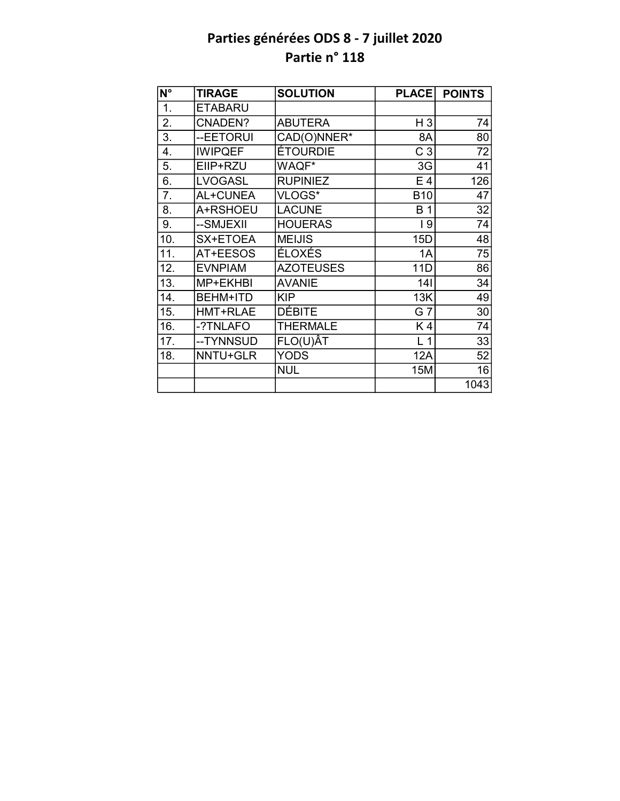| N°                | <b>TIRAGE</b>   | <b>SOLUTION</b>  | <b>PLACE</b>   | <b>POINTS</b> |
|-------------------|-----------------|------------------|----------------|---------------|
| 1.                | <b>ETABARU</b>  |                  |                |               |
| 2.                | CNADEN?         | <b>ABUTERA</b>   | $H_3$          | 74            |
| 3.                | --EETORUI       | CAD(O)NNER*      | 8A             | 80            |
| 4.                | <b>IWIPQEF</b>  | ÉTOURDIE         | C <sub>3</sub> | 72            |
| 5.                | EIIP+RZU        | WAQF*            | 3G             | 41            |
| 6.                | <b>LVOGASL</b>  | <b>RUPINIEZ</b>  | E 4            | 126           |
| $\overline{7}$ .  | AL+CUNEA        | VLOGS*           | <b>B10</b>     | 47            |
| 8.                | A+RSHOEU        | <b>LACUNE</b>    | <b>B</b> 1     | 32            |
| 9.                | --SMJEXII       | <b>HOUERAS</b>   | 19             | 74            |
| 10.               | SX+ETOEA        | <b>MEIJIS</b>    | 15D            | 48            |
| 11.               | AT+EESOS        | ÉLOXÉS           | 1A             | 75            |
| 12.               | <b>EVNPIAM</b>  | <b>AZOTEUSES</b> | 11D            | 86            |
| $\overline{13}$ . | MP+EKHBI        | <b>AVANIE</b>    | 141            | 34            |
| 14.               | <b>BEHM+ITD</b> | <b>KIP</b>       | 13K            | 49            |
| 15.               | HMT+RLAE        | <b>DÉBITE</b>    | G 7            | 30            |
| 16.               | -?TNLAFO        | <b>THERMALE</b>  | K4             | 74            |
| 17.               | --TYNNSUD       | $FLO(U)\hat{A}T$ | L <sub>1</sub> | 33            |
| 18.               | NNTU+GLR        | <b>YODS</b>      | <b>12A</b>     | 52            |
|                   |                 | <b>NUL</b>       | 15M            | 16            |
|                   |                 |                  |                | 1043          |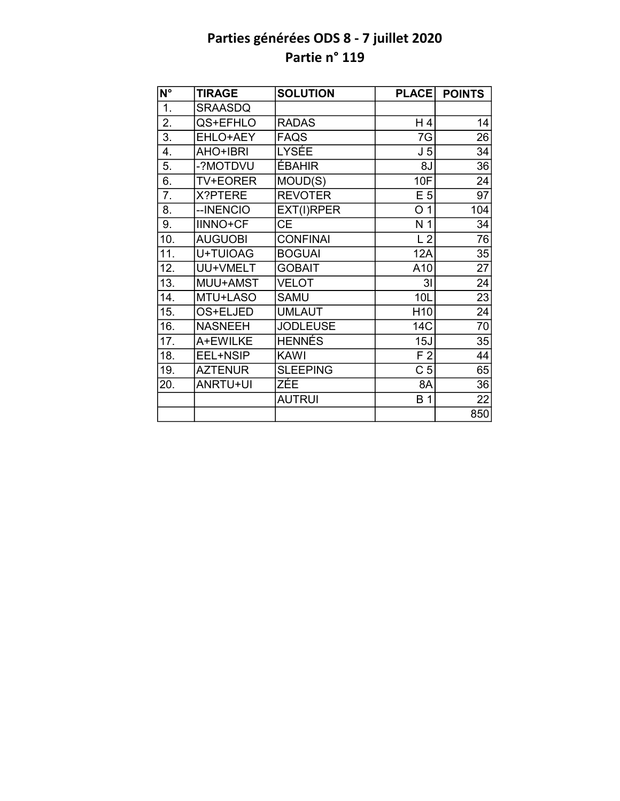| N°               | <b>TIRAGE</b>   | <b>SOLUTION</b> | <b>PLACE</b>    | <b>POINTS</b> |
|------------------|-----------------|-----------------|-----------------|---------------|
| $\overline{1}$ . | <b>SRAASDQ</b>  |                 |                 |               |
| 2.               | QS+EFHLO        | <b>RADAS</b>    | H 4             | 14            |
| 3.               | EHLO+AEY        | <b>FAQS</b>     | 7G              | 26            |
| 4.               | AHO+IBRI        | LYSÉE           | J <sub>5</sub>  | 34            |
| 5.               | -?MOTDVU        | <b>ÉBAHIR</b>   | 8J              | 36            |
| 6.               | <b>TV+EORER</b> | MOUD(S)         | 10F             | 24            |
| 7.               | X?PTERE         | <b>REVOTER</b>  | E <sub>5</sub>  | 97            |
| 8.               | --INENCIO       | EXT(I)RPER      | O <sub>1</sub>  | 104           |
| 9.               | <b>IINNO+CF</b> | <b>CE</b>       | N 1             | 34            |
| 10.              | <b>AUGUOBI</b>  | <b>CONFINAI</b> | L <sub>2</sub>  | 76            |
| 11.              | U+TUIOAG        | <b>BOGUAI</b>   | 12A             | 35            |
| 12.              | UU+VMELT        | <b>GOBAIT</b>   | A10             | 27            |
| 13.              | MUU+AMST        | <b>VELOT</b>    | 3 <sub>l</sub>  | 24            |
| 14.              | MTU+LASO        | <b>SAMU</b>     | 10L             | 23            |
| 15.              | OS+ELJED        | <b>UMLAUT</b>   | H <sub>10</sub> | 24            |
| 16.              | <b>NASNEEH</b>  | <b>JODLEUSE</b> | 14C             | 70            |
| 17.              | A+EWILKE        | <b>HENNÉS</b>   | 15J             | 35            |
| 18.              | EEL+NSIP        | <b>KAWI</b>     | F <sub>2</sub>  | 44            |
| 19.              | <b>AZTENUR</b>  | <b>SLEEPING</b> | C <sub>5</sub>  | 65            |
| 20.              | ANRTU+UI        | ZÉE             | 8A              | 36            |
|                  |                 | <b>AUTRUI</b>   | <b>B</b> 1      | 22            |
|                  |                 |                 |                 | 850           |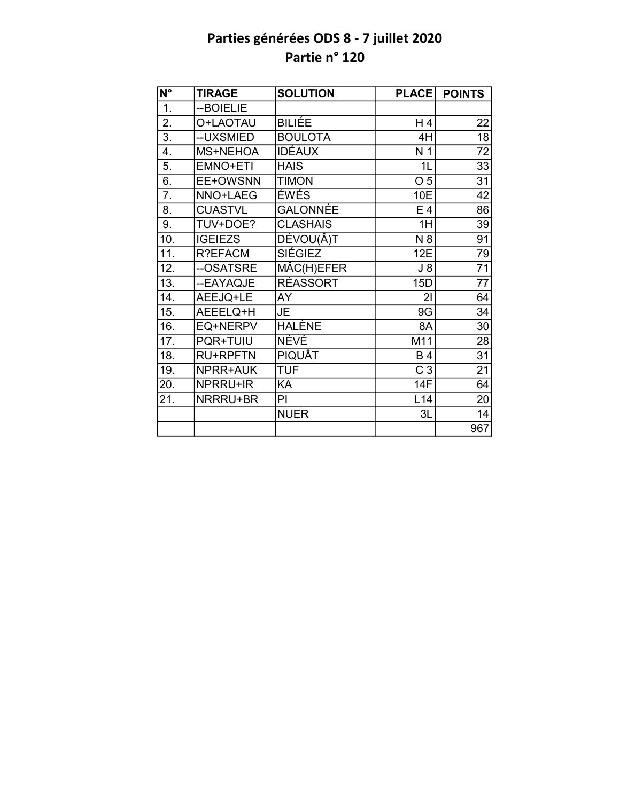| $\overline{\mathsf{N}^{\circ}}$ | <b>TIRAGE</b>   | <b>SOLUTION</b> | <b>PLACE</b>   | <b>POINTS</b>   |
|---------------------------------|-----------------|-----------------|----------------|-----------------|
| $\overline{1}$ .                | --BOIELIE       |                 |                |                 |
| 2.                              | O+LAOTAU        | BILIÉE          | $H_4$          | 22              |
| $\overline{3}$ .                | --UXSMIED       | <b>BOULOTA</b>  | 4H             | $\overline{18}$ |
| $\overline{4}$ .                | MS+NEHOA        | <b>IDÉAUX</b>   | N <sub>1</sub> | 72              |
| 5.                              | EMNO+ETI        | <b>HAIS</b>     | 1 <sub>L</sub> | $\overline{33}$ |
| 6.                              | EE+OWSNN        | <b>TIMON</b>    | O <sub>5</sub> | 31              |
| $\overline{7}$ .                | NNO+LAEG        | ÉWÉS            | 10E            | 42              |
| 8.                              | <b>CUASTVL</b>  | <b>GALONNÉE</b> | $E_4$          | 86              |
| 9.                              | TUV+DOE?        | <b>CLASHAIS</b> | 1H             | 39              |
| 10.                             | <b>IGEIEZS</b>  | DÉVOU(Â)T       | N 8            | 91              |
| 11.                             | R?EFACM         | <b>SIÉGIEZ</b>  | 12E            | $\overline{79}$ |
| 12.                             | --OSATSRE       | MÂC(H)EFER      | $J_8$          | $\overline{71}$ |
| 13.                             | --EAYAQJE       | <b>RÉASSORT</b> | 15D            | $\overline{77}$ |
| 14.                             | AEEJQ+LE        | AY              | 21             | 64              |
| 15.                             | AEEELQ+H        | JE.             | 9G             | $\overline{34}$ |
| 16.                             | EQ+NERPV        | <b>HALÈNE</b>   | 8A             | 30              |
| 17.                             | PQR+TUIU        | <b>NÉVÉ</b>     | M11            | 28              |
| 18.                             | <b>RU+RPFTN</b> | <b>PIQUÂT</b>   | <b>B4</b>      | $\overline{31}$ |
| 19.                             | NPRR+AUK        | <b>TUF</b>      | C <sub>3</sub> | 21              |
| 20.                             | NPRRU+IR        | KA              | 14F            | 64              |
| 21.                             | NRRRU+BR        | ΡI              | L14            | 20              |
|                                 |                 | <b>NUER</b>     | 3L             | 14              |
|                                 |                 |                 |                | 967             |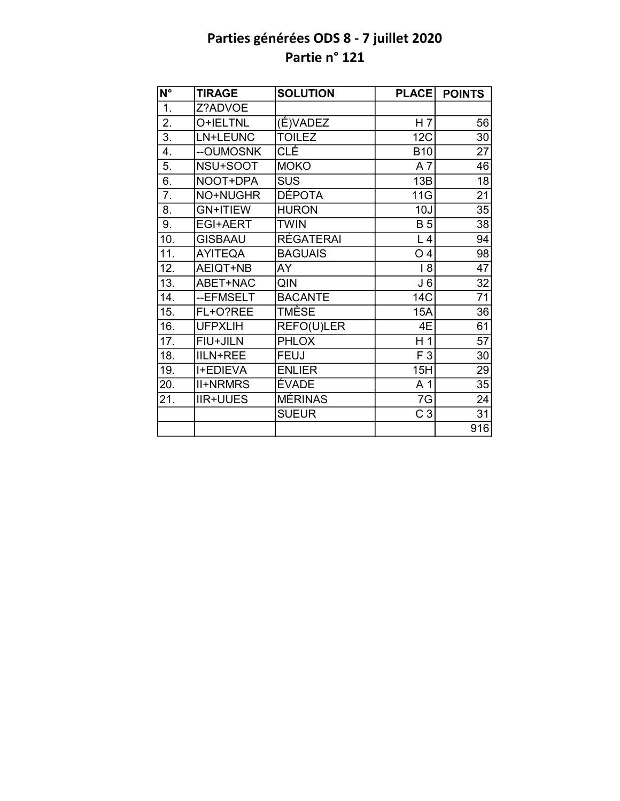| $N^{\circ}$      | <b>TIRAGE</b>   | <b>SOLUTION</b>  | <b>PLACE</b>   | <b>POINTS</b>   |
|------------------|-----------------|------------------|----------------|-----------------|
| $\overline{1}$ . | Z?ADVOE         |                  |                |                 |
| $\overline{2}$ . | O+IELTNL        | (É)VADEZ         | H <sub>7</sub> | 56              |
| 3.               | LN+LEUNC        | <b>TOILEZ</b>    | 12C            | 30              |
| $\overline{4}$ . | --OUMOSNK       | <b>CLÉ</b>       | <b>B10</b>     | 27              |
| 5.               | NSU+SOOT        | <b>MOKO</b>      | A7             | 46              |
| 6.               | NOOT+DPA        | <b>SUS</b>       | 13B            | $\overline{18}$ |
| 7.               | NO+NUGHR        | <b>DÉPOTA</b>    | 11G            | 21              |
| 8.               | <b>GN+ITIEW</b> | <b>HURON</b>     | 10J            | 35              |
| 9.               | <b>EGI+AERT</b> | <b>TWIN</b>      | <b>B</b> 5     | 38              |
| 10.              | <b>GISBAAU</b>  | <b>RÉGATERAI</b> | L <sub>4</sub> | 94              |
| 11.              | <b>AYITEQA</b>  | <b>BAGUAIS</b>   | O <sub>4</sub> | 98              |
| 12.              | AEIQT+NB        | AY               | 8              | 47              |
| 13.              | ABET+NAC        | QIN              | J <sub>6</sub> | 32              |
| 14.              | --EFMSELT       | <b>BACANTE</b>   | <b>14C</b>     | 71              |
| 15.              | FL+O?REE        | TMÈSE            | <b>15A</b>     | 36              |
| 16.              | <b>UFPXLIH</b>  | REFO(U)LER       | 4E             | $\overline{61}$ |
| 17.              | FIU+JILN        | <b>PHLOX</b>     | H <sub>1</sub> | $\overline{57}$ |
| 18.              | <b>IILN+REE</b> | <b>FEUJ</b>      | F 3            | 30              |
| 19.              | <b>I+EDIEVA</b> | <b>ENLIER</b>    | 15H            | 29              |
| 20.              | <b>II+NRMRS</b> | ÉVADE            | A <sub>1</sub> | 35              |
| 21.              | <b>IIR+UUES</b> | <b>MÉRINAS</b>   | 7G             | 24              |
|                  |                 | <b>SUEUR</b>     | C <sub>3</sub> | 31              |
|                  |                 |                  |                | 916             |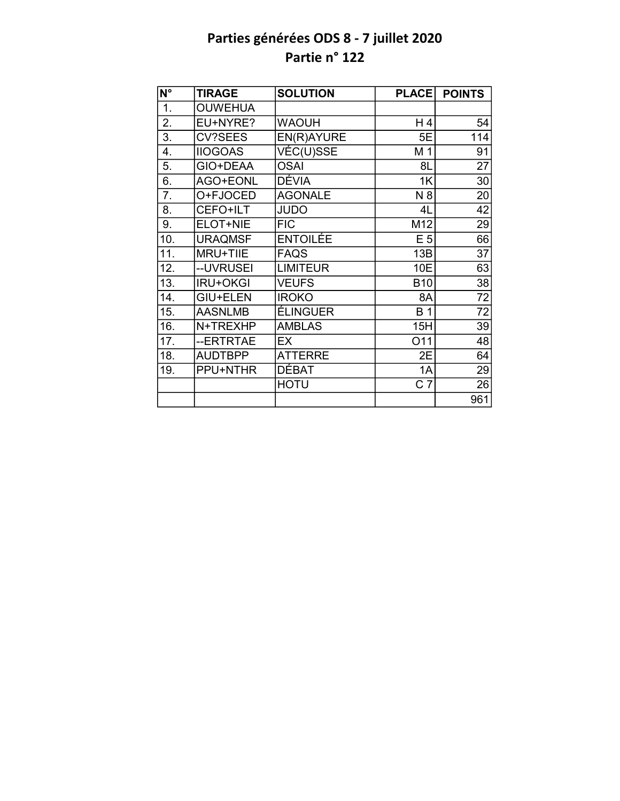| N°  | <b>TIRAGE</b>   | <b>SOLUTION</b> | <b>PLACE</b>   | <b>POINTS</b> |
|-----|-----------------|-----------------|----------------|---------------|
| 1.  | <b>OUWEHUA</b>  |                 |                |               |
| 2.  | EU+NYRE?        | <b>WAOUH</b>    | H 4            | 54            |
| 3.  | <b>CV?SEES</b>  | EN(R)AYURE      | 5E             | 114           |
| 4.  | <b>IIOGOAS</b>  | VÉC(U)SSE       | M <sub>1</sub> | 91            |
| 5.  | GIO+DEAA        | <b>OSAI</b>     | 8L             | 27            |
| 6.  | AGO+EONL        | <b>DÉVIA</b>    | 1K             | 30            |
| 7.  | O+FJOCED        | <b>AGONALE</b>  | N 8            | 20            |
| 8.  | CEFO+ILT        | <b>JUDO</b>     | 4L             | 42            |
| 9.  | ELOT+NIE        | <b>FIC</b>      | M12            | 29            |
| 10. | <b>URAQMSF</b>  | ENTOILÉE        | E <sub>5</sub> | 66            |
| 11. | MRU+TIIE        | <b>FAQS</b>     | 13B            | 37            |
| 12. | --UVRUSEI       | <b>LIMITEUR</b> | 10E            | 63            |
| 13. | <b>IRU+OKGI</b> | <b>VEUFS</b>    | <b>B10</b>     | 38            |
| 14. | <b>GIU+ELEN</b> | <b>IROKO</b>    | 8A             | 72            |
| 15. | <b>AASNLMB</b>  | ÉLINGUER        | <b>B1</b>      | 72            |
| 16. | N+TREXHP        | <b>AMBLAS</b>   | 15H            | 39            |
| 17. | --ERTRTAE       | EX              | O11            | 48            |
| 18. | <b>AUDTBPP</b>  | <b>ATTERRE</b>  | 2E             | 64            |
| 19. | PPU+NTHR        | DÉBAT           | 1A             | 29            |
|     |                 | <b>HOTU</b>     | C <sub>7</sub> | 26            |
|     |                 |                 |                | 961           |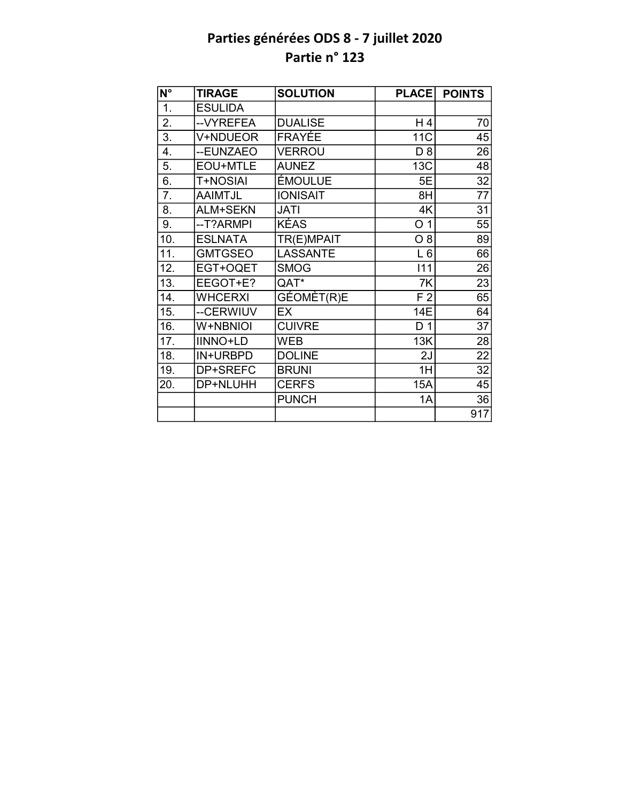| N°                | <b>TIRAGE</b>   | <b>SOLUTION</b> | <b>PLACE</b>    | <b>POINTS</b>   |
|-------------------|-----------------|-----------------|-----------------|-----------------|
| $\overline{1}$ .  | <b>ESULIDA</b>  |                 |                 |                 |
| 2.                | --VYREFEA       | <b>DUALISE</b>  | H 4             | 70              |
| $\overline{3}$ .  | V+NDUEOR        | FRAYÉE          | 11 <sub>C</sub> | 45              |
| 4.                | --EUNZAEO       | <b>VERROU</b>   | D 8             | 26              |
| 5.                | EOU+MTLE        | <b>AUNEZ</b>    | 13C             | 48              |
| 6.                | <b>T+NOSIAI</b> | ÉMOULUE         | 5E              | 32              |
| 7.                | <b>AAIMTJL</b>  | <b>IONISAIT</b> | 8H              | 77              |
| 8.                | ALM+SEKN        | <b>JATI</b>     | 4K              | 31              |
| 9.                | --T?ARMPI       | <b>KÉAS</b>     | O <sub>1</sub>  | 55              |
| 10.               | <b>ESLNATA</b>  | TR(E)MPAIT      | $O_8$           | 89              |
| 11.               | <b>GMTGSEO</b>  | <b>LASSANTE</b> | $L_6$           | 66              |
| 12.               | EGT+OQET        | <b>SMOG</b>     | 111             | 26              |
| $\overline{13}$ . | EEGOT+E?        | QAT*            | 7K              | $\overline{23}$ |
| 14.               | <b>WHCERXI</b>  | GÉOMÈT(R)E      | F <sub>2</sub>  | 65              |
| 15.               | --CERWIUV       | EX              | <b>14E</b>      | 64              |
| 16.               | W+NBNIOI        | <b>CUIVRE</b>   | D <sub>1</sub>  | $\overline{37}$ |
| 17.               | <b>IINNO+LD</b> | WEB             | 13K             | 28              |
| 18.               | IN+URBPD        | <b>DOLINE</b>   | 2J              | $\overline{22}$ |
| 19.               | DP+SREFC        | <b>BRUNI</b>    | 1H              | 32              |
| 20.               | DP+NLUHH        | <b>CERFS</b>    | 15A             | 45              |
|                   |                 | <b>PUNCH</b>    | 1A              | 36              |
|                   |                 |                 |                 | 917             |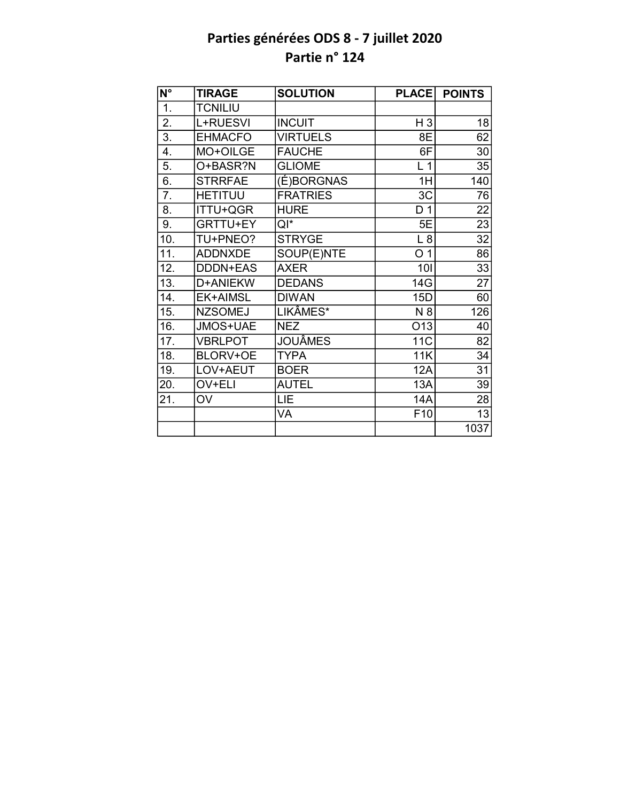| $\overline{\mathsf{N}^\circ}$ | <b>TIRAGE</b>   | <b>SOLUTION</b> | <b>PLACE</b>    | <b>POINTS</b>   |
|-------------------------------|-----------------|-----------------|-----------------|-----------------|
| 1.                            | <b>TCNILIU</b>  |                 |                 |                 |
| 2.                            | L+RUESVI        | <b>INCUIT</b>   | H <sub>3</sub>  | 18              |
| $\overline{3}$ .              | <b>EHMACFO</b>  | <b>VIRTUELS</b> | 8E              | 62              |
| 4.                            | MO+OILGE        | <b>FAUCHE</b>   | 6F              | 30              |
| 5.                            | O+BASR?N        | <b>GLIOME</b>   | L <sub>1</sub>  | 35              |
| 6.                            | <b>STRRFAE</b>  | (É)BORGNAS      | 1H              | 140             |
| 7.                            | <b>HETITUU</b>  | <b>FRATRIES</b> | 3C              | 76              |
| 8.                            | <b>ITTU+QGR</b> | <b>HURE</b>     | D <sub>1</sub>  | 22              |
| 9.                            | <b>GRTTU+EY</b> | Qľ*             | 5E              | 23              |
| 10.                           | TU+PNEO?        | <b>STRYGE</b>   | L8              | 32              |
| 11.                           | <b>ADDNXDE</b>  | SOUP(E)NTE      | O <sub>1</sub>  | 86              |
| 12.                           | <b>DDDN+EAS</b> | <b>AXER</b>     | 101             | 33              |
| $\overline{13}$ .             | D+ANIEKW        | <b>DEDANS</b>   | 14G             | $\overline{27}$ |
| 14.                           | EK+AIMSL        | <b>DIWAN</b>    | 15D             | 60              |
| 15.                           | <b>NZSOMEJ</b>  | LIKÂMES*        | N 8             | 126             |
| 16.                           | JMOS+UAE        | <b>NEZ</b>      | O13             | 40              |
| 17.                           | <b>VBRLPOT</b>  | <b>JOUÂMES</b>  | 11 <sub>C</sub> | 82              |
| 18.                           | BLORV+OE        | <b>TYPA</b>     | 11K             | 34              |
| 19.                           | LOV+AEUT        | <b>BOER</b>     | <b>12A</b>      | 31              |
| 20.                           | OV+ELI          | <b>AUTEL</b>    | 13A             | 39              |
| 21.                           | <b>OV</b>       | LIE             | 14A             | 28              |
|                               |                 | VA              | F <sub>10</sub> | 13              |
|                               |                 |                 |                 | 1037            |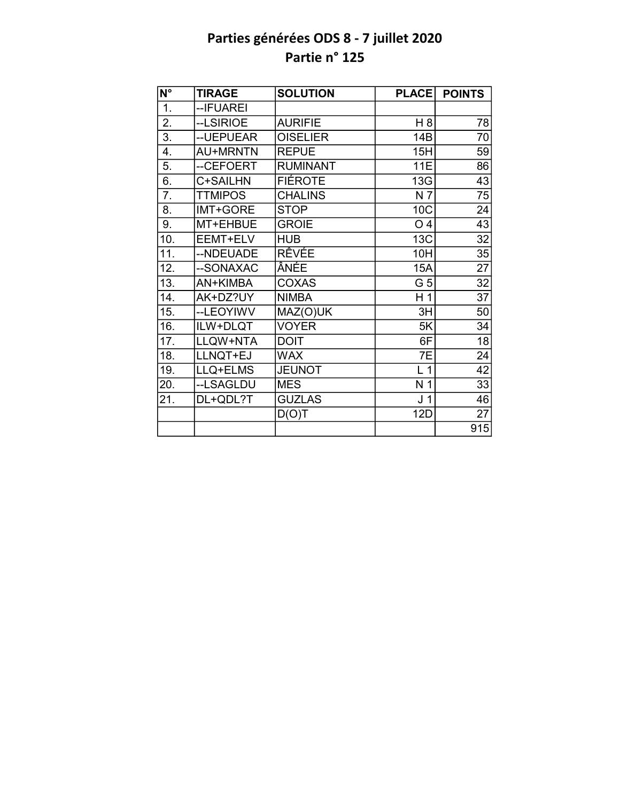| $\overline{\mathsf{N}^{\circ}}$ | <b>TIRAGE</b>   | <b>SOLUTION</b> | <b>PLACE</b>   | <b>POINTS</b>   |
|---------------------------------|-----------------|-----------------|----------------|-----------------|
| 1.                              | -- IFUAREI      |                 |                |                 |
| 2.                              | --LSIRIOE       | <b>AURIFIE</b>  | H 8            | 78              |
| $\overline{3}$ .                | -- UEPUEAR      | <b>OISELIER</b> | 14B            | 70              |
| 4.                              | <b>AU+MRNTN</b> | <b>REPUE</b>    | 15H            | 59              |
| 5.                              | --CEFOERT       | <b>RUMINANT</b> | <b>11E</b>     | 86              |
| 6.                              | C+SAILHN        | <b>FIÉROTE</b>  | 13G            | 43              |
| 7.                              | <b>TTMIPOS</b>  | <b>CHALINS</b>  | N 7            | 75              |
| 8.                              | IMT+GORE        | <b>STOP</b>     | 10C            | 24              |
| 9.                              | MT+EHBUE        | <b>GROIE</b>    | O <sub>4</sub> | 43              |
| 10.                             | EEMT+ELV        | <b>HUB</b>      | <b>13C</b>     | 32              |
| 11.                             | --NDEUADE       | RÊVÉE           | 10H            | $\overline{35}$ |
| 12.                             | --SONAXAC       | ÂNÉE            | 15A            | 27              |
| 13.                             | AN+KIMBA        | <b>COXAS</b>    | G 5            | $\overline{32}$ |
| 14.                             | AK+DZ?UY        | <b>NIMBA</b>    | H <sub>1</sub> | 37              |
| 15.                             | --LEOYIWV       | MAZ(O)UK        | 3H             | 50              |
| 16.                             | ILW+DLQT        | <b>VOYER</b>    | 5K             | 34              |
| 17.                             | LLQW+NTA        | <b>DOIT</b>     | 6F             | 18              |
| 18.                             | LLNQT+EJ        | <b>WAX</b>      | 7E             | 24              |
| 19.                             | LLQ+ELMS        | <b>JEUNOT</b>   | L <sub>1</sub> | 42              |
| 20.                             | --LSAGLDU       | <b>MES</b>      | N <sub>1</sub> | 33              |
| 21.                             | DL+QDL?T        | <b>GUZLAS</b>   | J <sub>1</sub> | 46              |
|                                 |                 | D(O)T           | <b>12D</b>     | 27              |
|                                 |                 |                 |                | 915             |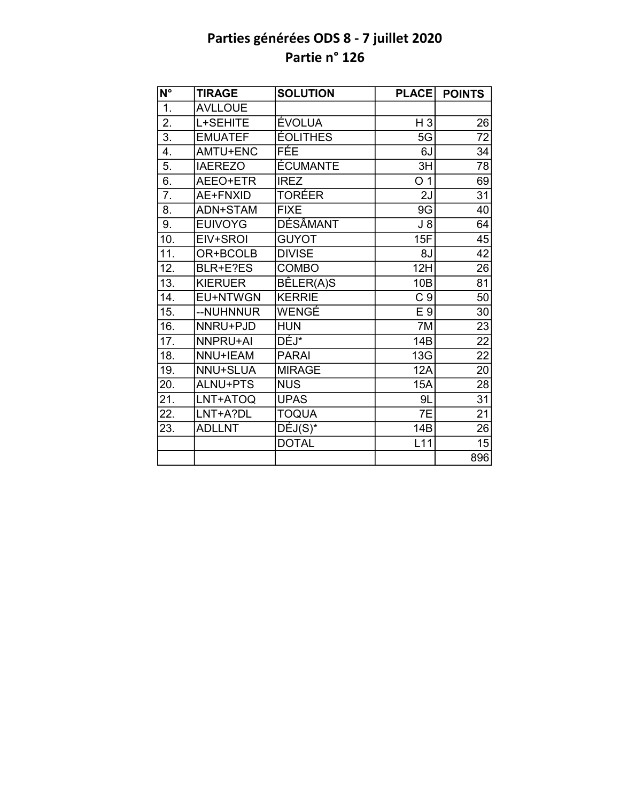| $\overline{\mathsf{N}^{\circ}}$ | <b>TIRAGE</b>  | <b>SOLUTION</b>       | <b>PLACE</b>    | <b>POINTS</b>   |
|---------------------------------|----------------|-----------------------|-----------------|-----------------|
| 1.                              | <b>AVLLOUE</b> |                       |                 |                 |
| 2.                              | L+SEHITE       | ÉVOLUA                | $H_3$           | 26              |
| $\overline{3}$ .                | <b>EMUATEF</b> | <b>ÉOLITHES</b>       | 5G              | $\overline{72}$ |
| 4.                              | AMTU+ENC       | FÉE                   | 6J              | 34              |
| 5.                              | <b>IAEREZO</b> | <b>ÉCUMANTE</b>       | 3H              | 78              |
| 6.                              | AEEO+ETR       | <b>IREZ</b>           | O <sub>1</sub>  | 69              |
| $\overline{7}$ .                | AE+FNXID       | TORÉER                | 2J              | 31              |
| 8.                              | ADN+STAM       | <b>FIXE</b>           | 9G              | 40              |
| 9.                              | <b>EUIVOYG</b> | DÉSÂMANT              | $J_8$           | 64              |
| 10.                             | EIV+SROI       | <b>GUYOT</b>          | 15F             | 45              |
| 11.                             | OR+BCOLB       | <b>DIVISE</b>         | 8J              | $\overline{42}$ |
| 12.                             | BLR+E?ES       | COMBO                 | 12H             | 26              |
| 13.                             | <b>KIERUER</b> | BÊLER(A)S             | 10 <sub>B</sub> | 81              |
| 14.                             | EU+NTWGN       | <b>KERRIE</b>         | C <sub>9</sub>  | 50              |
| 15.                             | --NUHNNUR      | WENGÉ                 | E 9             | 30              |
| 16.                             | NNRU+PJD       | <b>HUN</b>            | $\overline{7}M$ | $\overline{23}$ |
| 17.                             | NNPRU+AI       | DÉJ*                  | 14B             | $\overline{22}$ |
| 18.                             | NNU+IEAM       | <b>PARAI</b>          | 13G             | $\overline{22}$ |
| 19.                             | NNU+SLUA       | <b>MIRAGE</b>         | 12A             | 20              |
| 20.                             | ALNU+PTS       | <b>NUS</b>            | 15A             | 28              |
| 21.                             | LNT+ATOQ       | <b>UPAS</b>           | 9L              | $\overline{31}$ |
| 22.                             | LNT+A?DL       | <b>TOQUA</b>          | 7E              | $\overline{21}$ |
| 23.                             | <b>ADLLNT</b>  | $\overline{DÉJ}(S)^*$ | 14B             | $\overline{26}$ |
|                                 |                | <b>DOTAL</b>          | L11             | 15              |
|                                 |                |                       |                 | 896             |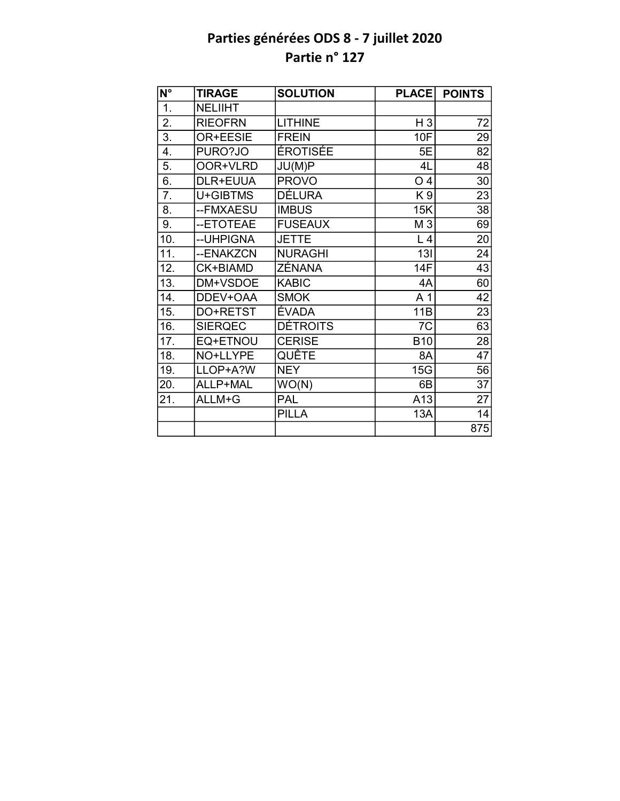| $\overline{\mathsf{N}^{\circ}}$ | <b>TIRAGE</b>  | <b>SOLUTION</b> | <b>PLACE</b>   | <b>POINTS</b>   |
|---------------------------------|----------------|-----------------|----------------|-----------------|
| 1.                              | NELIIHT        |                 |                |                 |
| 2.                              | <b>RIEOFRN</b> | <b>LITHINE</b>  | $H_3$          | 72              |
| $\overline{3}$ .                | OR+EESIE       | <b>FREIN</b>    | 10F            | 29              |
| 4.                              | PURO?JO        | <b>ÉROTISÉE</b> | 5E             | 82              |
| 5.                              | OOR+VLRD       | JU(M)P          | 4L             | 48              |
| 6.                              | DLR+EUUA       | <b>PROVO</b>    | O <sub>4</sub> | 30              |
| 7.                              | U+GIBTMS       | <b>DÉLURA</b>   | K <sub>9</sub> | 23              |
| 8.                              | --FMXAESU      | <b>IMBUS</b>    | 15K            | 38              |
| 9.                              | --ETOTEAE      | <b>FUSEAUX</b>  | M 3            | 69              |
| 10.                             | --UHPIGNA      | <b>JETTE</b>    | L <sub>4</sub> | 20              |
| 11.                             | --ENAKZCN      | <b>NURAGHI</b>  | 13I            | 24              |
| 12.                             | CK+BIAMD       | ZÉNANA          | 14F            | 43              |
| 13.                             | DM+VSDOE       | <b>KABIC</b>    | 4A             | 60              |
| 14.                             | DDEV+OAA       | <b>SMOK</b>     | A 1            | 42              |
| 15.                             | DO+RETST       | ÉVADA           | 11B            | 23              |
| 16.                             | <b>SIERQEC</b> | <b>DÉTROITS</b> | 7C             | 63              |
| 17.                             | EQ+ETNOU       | <b>CERISE</b>   | <b>B10</b>     | 28              |
| 18.                             | NO+LLYPE       | QUÊTE           | 8A             | $\overline{47}$ |
| 19.                             | LLOP+A?W       | <b>NEY</b>      | 15G            | 56              |
| 20.                             | ALLP+MAL       | WO(N)           | 6B             | $\overline{37}$ |
| 21.                             | ALLM+G         | <b>PAL</b>      | A13            | 27              |
|                                 |                | <b>PILLA</b>    | 13A            | 14              |
|                                 |                |                 |                | 875             |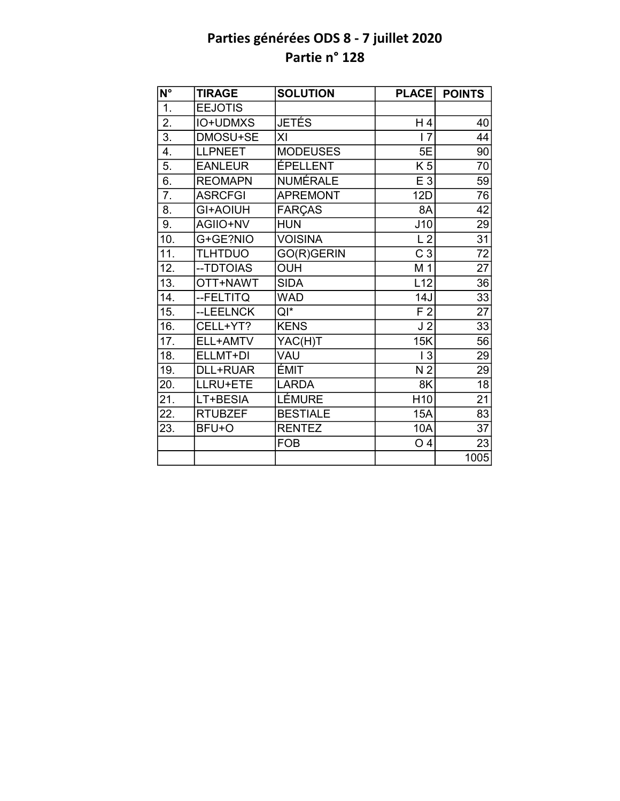| $\overline{\mathsf{N}^{\circ}}$ | <b>TIRAGE</b>   | <b>SOLUTION</b> | <b>PLACE</b>    | <b>POINTS</b>   |
|---------------------------------|-----------------|-----------------|-----------------|-----------------|
| 1.                              | <b>EEJOTIS</b>  |                 |                 |                 |
| $\overline{2}$ .                | IO+UDMXS        | <b>JETÉS</b>    | H4              | 40              |
| $\overline{3}$ .                | DMOSU+SE        | XI              | $\overline{17}$ | 44              |
| 4.                              | <b>LLPNEET</b>  | <b>MODEUSES</b> | 5E              | 90              |
| 5.                              | <b>EANLEUR</b>  | ÉPELLENT        | $\overline{K5}$ | 70              |
| 6.                              | <b>REOMAPN</b>  | <b>NUMÉRALE</b> | E 3             | $\overline{59}$ |
| $\overline{7}$ .                | <b>ASRCFGI</b>  | <b>APREMONT</b> | 12D             | 76              |
| 8.                              | GI+AOIUH        | <b>FARÇAS</b>   | 8A              | 42              |
| 9.                              | AGIIO+NV        | <b>HUN</b>      | J10             | 29              |
| 10.                             | G+GE?NIO        | <b>VOISINA</b>  | L <sub>2</sub>  | $\overline{31}$ |
| 11.                             | <b>TLHTDUO</b>  | GO(R)GERIN      | C <sub>3</sub>  | $\overline{72}$ |
| 12.                             | -- TDTOIAS      | <b>OUH</b>      | M 1             | $\overline{27}$ |
| $\overline{13}$ .               | OTT+NAWT        | <b>SIDA</b>     | L12             | 36              |
| 14.                             | --FELTITQ       | <b>WAD</b>      | 14J             | 33              |
| 15.                             | --LEELNCK       | $QI^*$          | F <sub>2</sub>  | $\overline{27}$ |
| 16.                             | CELL+YT?        | <b>KENS</b>     | J <sub>2</sub>  | $\overline{33}$ |
| 17.                             | ELL+AMTV        | YAC(H)T         | 15K             | 56              |
| $\overline{18}$ .               | ELLMT+DI        | VAU             | $\overline{3}$  | $\overline{29}$ |
| 19.                             | <b>DLL+RUAR</b> | <b>ÉMIT</b>     | N <sub>2</sub>  | 29              |
| 20.                             | LLRU+ETE        | <b>LARDA</b>    | 8K              | 18              |
| $\overline{21}$ .               | LT+BESIA        | <b>LÉMURE</b>   | H <sub>10</sub> | $\overline{21}$ |
| 22.                             | <b>RTUBZEF</b>  | <b>BESTIALE</b> | 15A             | 83              |
| 23.                             | BFU+O           | <b>RENTEZ</b>   | 10A             | $\overline{37}$ |
|                                 |                 | <b>FOB</b>      | O <sub>4</sub>  | 23              |
|                                 |                 |                 |                 | 1005            |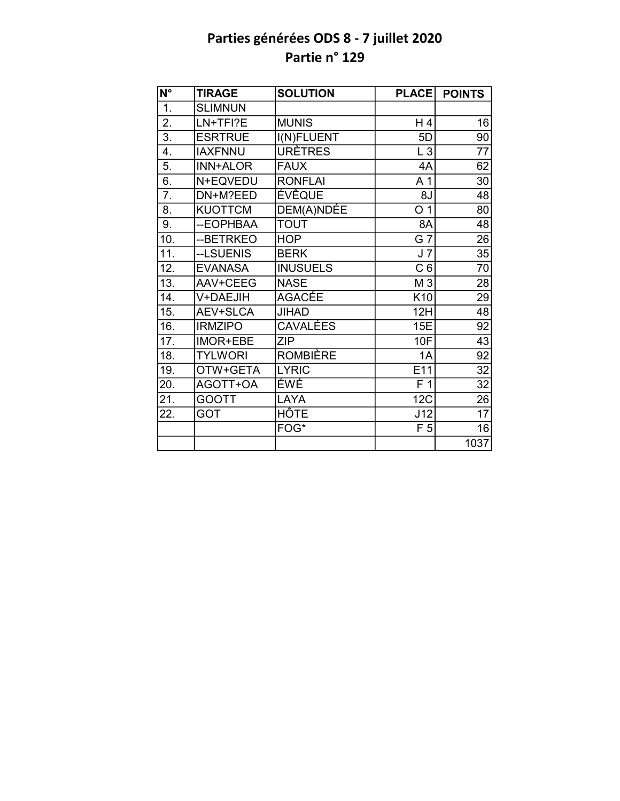| $N^{\circ}$      | <b>TIRAGE</b>   | <b>SOLUTION</b> | <b>PLACE</b>     | <b>POINTS</b>   |
|------------------|-----------------|-----------------|------------------|-----------------|
| 1.               | <b>SLIMNUN</b>  |                 |                  |                 |
| $\overline{2}$ . | LN+TFI?E        | <b>MUNIS</b>    | H 4              | 16              |
| $\overline{3}$ . | <b>ESRTRUE</b>  | I(N)FLUENT      | 5D               | 90              |
| 4.               | <b>IAXFNNU</b>  | <b>URÈTRES</b>  | L3               | 77              |
| $\overline{5}$ . | <b>INN+ALOR</b> | <b>FAUX</b>     | 4A               | 62              |
| 6.               | N+EQVEDU        | <b>RONFLAI</b>  | A <sub>1</sub>   | 30              |
| 7.               | DN+M?EED        | <b>ÉVÊQUE</b>   | 8J               | 48              |
| 8.               | <b>KUOTTCM</b>  | DEM(A)NDÉE      | O <sub>1</sub>   | 80              |
| 9.               | --EOPHBAA       | <b>TOUT</b>     | 8A               | 48              |
| 10.              | --BETRKEO       | <b>HOP</b>      | G 7              | $\overline{26}$ |
| 11.              | --LSUENIS       | <b>BERK</b>     | J <sub>7</sub>   | $\overline{35}$ |
| 12.              | <b>EVANASA</b>  | <b>INUSUELS</b> | C <sub>6</sub>   | 70              |
| 13.              | AAV+CEEG        | <b>NASE</b>     | M 3              | 28              |
| 14.              | V+DAEJIH        | <b>AGACÉE</b>   | K10              | 29              |
| 15.              | AEV+SLCA        | <b>JIHAD</b>    | 12H              | $\overline{48}$ |
| 16.              | <b>IRMZIPO</b>  | <b>CAVALÉES</b> | 15E              | $\overline{92}$ |
| 17.              | IMOR+EBE        | <b>ZIP</b>      | <b>10F</b>       | $\overline{43}$ |
| 18.              | <b>TYLWORI</b>  | <b>ROMBIÈRE</b> | 1A               | $\overline{92}$ |
| 19.              | OTW+GETA        | <b>LYRIC</b>    | E11              | 32              |
| 20.              | AGOTT+OA        | ÉWÉ             | $\overline{F}$ 1 | 32              |
| 21.              | <b>GOOTT</b>    | LAYA            | 12C              | 26              |
| 22.              | <b>GOT</b>      | HÔTE            | J12              | 17              |
|                  |                 | FOG*            | F <sub>5</sub>   | 16              |
|                  |                 |                 |                  | 1037            |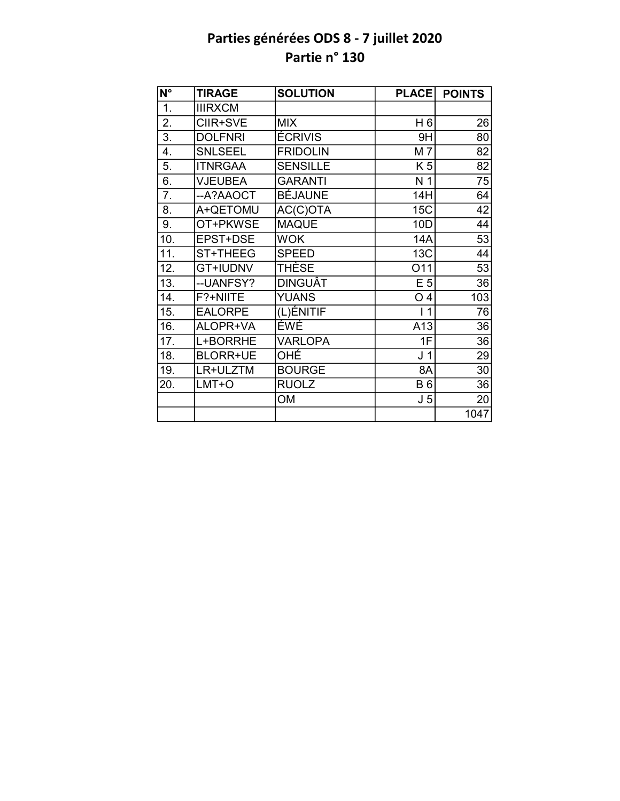| N°  | <b>TIRAGE</b>   | <b>SOLUTION</b> | <b>PLACE</b>      | <b>POINTS</b> |
|-----|-----------------|-----------------|-------------------|---------------|
| 1.  | <b>IIIRXCM</b>  |                 |                   |               |
| 2.  | CIIR+SVE        | <b>MIX</b>      | H 6               | 26            |
| 3.  | <b>DOLFNRI</b>  | <b>ÉCRIVIS</b>  | 9H                | 80            |
| 4.  | <b>SNLSEEL</b>  | <b>FRIDOLIN</b> | M7                | 82            |
| 5.  | <b>ITNRGAA</b>  | <b>SENSILLE</b> | K <sub>5</sub>    | 82            |
| 6.  | <b>VJEUBEA</b>  | <b>GARANTI</b>  | N <sub>1</sub>    | 75            |
| 7.  | --A?AAOCT       | <b>BÉJAUNE</b>  | 14H               | 64            |
| 8.  | A+QETOMU        | AC(C)OTA        | 15C               | 42            |
| 9.  | OT+PKWSE        | <b>MAQUE</b>    | 10D               | 44            |
| 10. | EPST+DSE        | <b>WOK</b>      | 14A               | 53            |
| 11. | ST+THEEG        | <b>SPEED</b>    | 13C               | 44            |
| 12. | <b>GT+IUDNV</b> | <b>THÈSE</b>    | 011               | 53            |
| 13. | --UANFSY?       | <b>DINGUÂT</b>  | E <sub>5</sub>    | 36            |
| 14. | F?+NIITE        | <b>YUANS</b>    | O <sub>4</sub>    | 103           |
| 15. | <b>EALORPE</b>  | (L)ÉNITIF       | $\mathbf{1}$<br>L | 76            |
| 16. | ALOPR+VA        | ÉWÉ             | A13               | 36            |
| 17. | L+BORRHE        | <b>VARLOPA</b>  | 1F                | 36            |
| 18. | <b>BLORR+UE</b> | OHÉ             | J <sub>1</sub>    | 29            |
| 19. | LR+ULZTM        | <b>BOURGE</b>   | 8A                | 30            |
| 20. | LMT+O           | <b>RUOLZ</b>    | <b>B6</b>         | 36            |
|     |                 | <b>OM</b>       | J <sub>5</sub>    | 20            |
|     |                 |                 |                   | 1047          |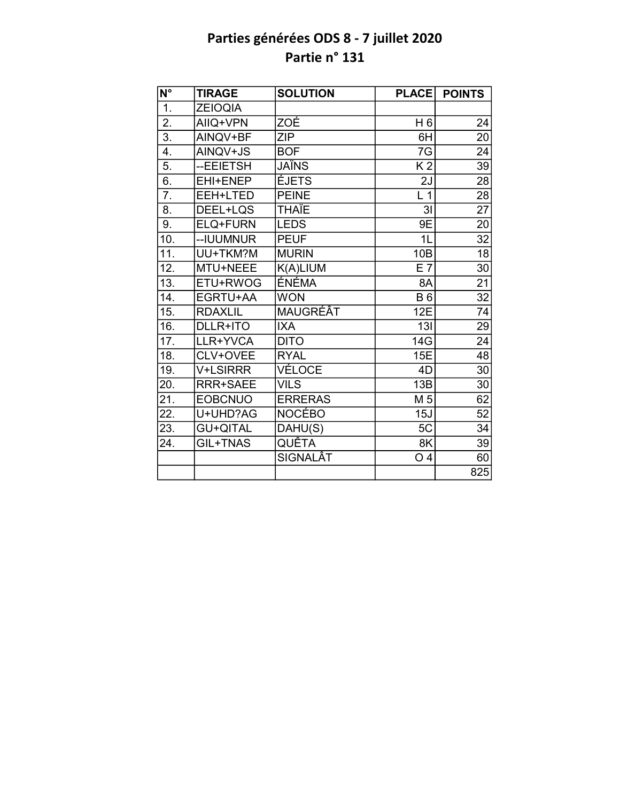| N°                | <b>TIRAGE</b>   | <b>SOLUTION</b> | <b>PLACE</b>   | <b>POINTS</b>   |
|-------------------|-----------------|-----------------|----------------|-----------------|
| 1.                | <b>ZEIOQIA</b>  |                 |                |                 |
| 2.                | AIIQ+VPN        | ZOÉ             | H 6            | 24              |
| $\overline{3}$ .  | AINQV+BF        | <b>ZIP</b>      | 6H             | 20              |
| 4.                | AINQV+JS        | <b>BOF</b>      | 7G             | 24              |
| 5.                | --EEIETSH       | JAÏNS           | K <sub>2</sub> | 39              |
| 6.                | EHI+ENEP        | <b>ÉJETS</b>    | 2J             | 28              |
| $\overline{7}$ .  | EEH+LTED        | <b>PEINE</b>    | L <sub>1</sub> | 28              |
| 8.                | DEEL+LQS        | <b>THAÏE</b>    | 3 <sub>l</sub> | $\overline{27}$ |
| 9.                | ELQ+FURN        | <b>LEDS</b>     | 9E             | 20              |
| 10.               | --IUUMNUR       | <b>PEUF</b>     | 1L             | $\overline{32}$ |
| 11.               | UU+TKM?M        | <b>MURIN</b>    | 10B            | 18              |
| 12.               | MTU+NEEE        | K(A)LIUM        | E7             | 30              |
| $\overline{1}3.$  | ETU+RWOG        | ÉNÉMA           | 8A             | $\overline{21}$ |
| 14.               | EGRTU+AA        | <b>WON</b>      | <b>B6</b>      | $\overline{32}$ |
| 15.               | <b>RDAXLIL</b>  | MAUGRÉÂT        | 12E            | 74              |
| $\overline{16}$ . | DLLR+ITO        | <b>IXA</b>      | 13I            | 29              |
| 17.               | LLR+YVCA        | <b>DITO</b>     | 14G            | 24              |
| $\overline{18}$ . | CLV+OVEE        | <b>RYAL</b>     | <b>15E</b>     | $\overline{48}$ |
| 19.               | <b>V+LSIRRR</b> | VÉLOCE          | 4D             | 30              |
| 20.               | <b>RRR+SAEE</b> | <b>VILS</b>     | 13B            | 30              |
| 21.               | <b>EOBCNUO</b>  | <b>ERRERAS</b>  | M <sub>5</sub> | 62              |
| 22.               | U+UHD?AG        | <b>NOCÉBO</b>   | 15J            | $\overline{52}$ |
| 23.               | <b>GU+QITAL</b> | DAHU(S)         | 5C             | 34              |
| 24.               | GIL+TNAS        | QUÊTA           | 8K             | 39              |
|                   |                 | <b>SIGNALÂT</b> | O <sub>4</sub> | 60              |
|                   |                 |                 |                | 825             |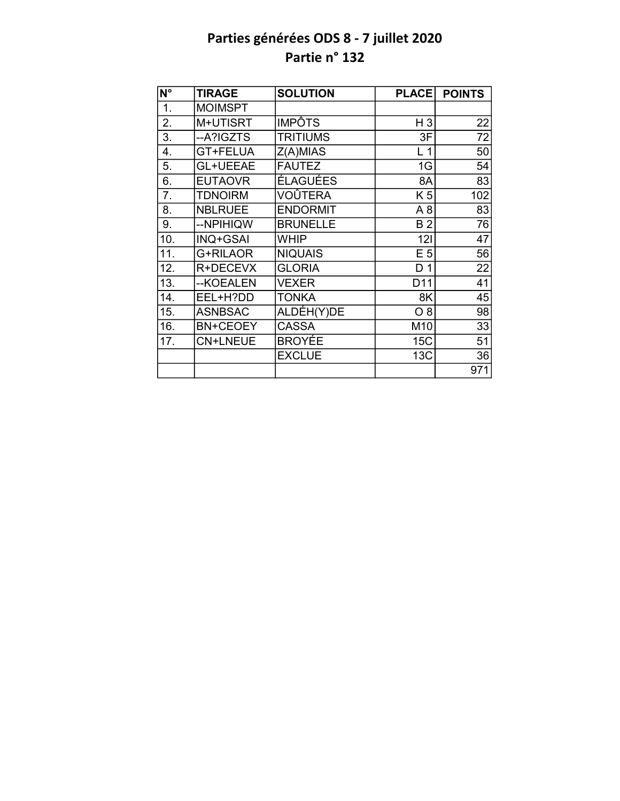| N°               | <b>TIRAGE</b>   | <b>SOLUTION</b> | <b>PLACE</b>    | <b>POINTS</b> |
|------------------|-----------------|-----------------|-----------------|---------------|
| 1.               | <b>MOIMSPT</b>  |                 |                 |               |
| 2.               | M+UTISRT        | <b>IMPÔTS</b>   | $H_3$           | 22            |
| $\overline{3}$ . | --A?IGZTS       | <b>TRITIUMS</b> | 3F              | 72            |
| 4.               | GT+FELUA        | Z(A)MIAS        | L <sub>1</sub>  | 50            |
| 5.               | GL+UEEAE        | <b>FAUTEZ</b>   | 1G              | 54            |
| 6.               | <b>EUTAOVR</b>  | <b>ÉLAGUÉES</b> | 8A              | 83            |
| 7.               | <b>TDNOIRM</b>  | <b>VOÛTERA</b>  | K 5             | 102           |
| 8.               | <b>NBLRUEE</b>  | <b>ENDORMIT</b> | A8              | 83            |
| 9.               | --NPIHIQW       | <b>BRUNELLE</b> | B <sub>2</sub>  | 76            |
| 10.              | <b>INQ+GSAI</b> | WHIP            | 121             | 47            |
| 11.              | G+RILAOR        | <b>NIQUAIS</b>  | E <sub>5</sub>  | 56            |
| 12.              | R+DECEVX        | <b>GLORIA</b>   | D <sub>1</sub>  | 22            |
| 13.              | --KOEALEN       | <b>VEXER</b>    | D <sub>11</sub> | 41            |
| 14.              | EEL+H?DD        | <b>TONKA</b>    | 8K              | 45            |
| 15.              | <b>ASNBSAC</b>  | ALDÉH(Y)DE      | $O_8$           | 98            |
| 16.              | <b>BN+CEOEY</b> | <b>CASSA</b>    | M10             | 33            |
| 17.              | <b>CN+LNEUE</b> | BROYÉE          | 15C             | 51            |
|                  |                 | <b>EXCLUE</b>   | 13C             | 36            |
|                  |                 |                 |                 | 971           |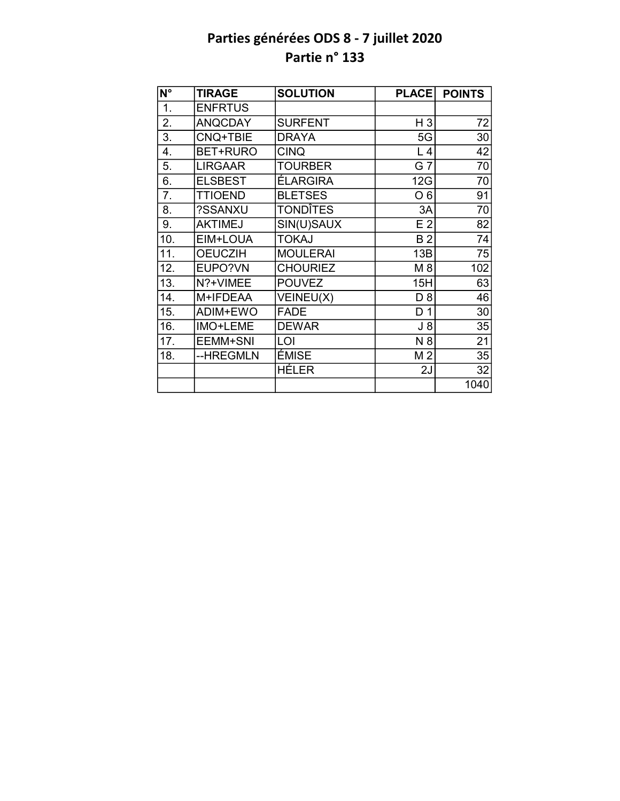| N°               | <b>TIRAGE</b>  | <b>SOLUTION</b> | <b>PLACE</b>   | <b>POINTS</b> |
|------------------|----------------|-----------------|----------------|---------------|
| 1.               | <b>ENFRTUS</b> |                 |                |               |
| 2.               | <b>ANQCDAY</b> | <b>SURFENT</b>  | $H_3$          | 72            |
| 3.               | CNQ+TBIE       | <b>DRAYA</b>    | 5G             | 30            |
| 4.               | BET+RURO       | <b>CINQ</b>     | L <sub>4</sub> | 42            |
| 5.               | <b>LIRGAAR</b> | <b>TOURBER</b>  | G 7            | 70            |
| 6.               | <b>ELSBEST</b> | <b>ÉLARGIRA</b> | 12G            | 70            |
| $\overline{7}$ . | <b>TTIOEND</b> | <b>BLETSES</b>  | O <sub>6</sub> | 91            |
| 8.               | ?SSANXU        | <b>TONDÎTES</b> | 3A             | 70            |
| 9.               | <b>AKTIMEJ</b> | SIN(U)SAUX      | E <sub>2</sub> | 82            |
| 10.              | EIM+LOUA       | <b>TOKAJ</b>    | <b>B2</b>      | 74            |
| 11.              | <b>OEUCZIH</b> | <b>MOULERAI</b> | 13B            | 75            |
| 12.              | EUPO?VN        | <b>CHOURIEZ</b> | M 8            | 102           |
| 13.              | N?+VIMEE       | <b>POUVEZ</b>   | 15H            | 63            |
| 14.              | M+IFDEAA       | VEINEU(X)       | D <sub>8</sub> | 46            |
| 15.              | ADIM+EWO       | <b>FADE</b>     | D <sub>1</sub> | 30            |
| 16.              | IMO+LEME       | <b>DEWAR</b>    | $J_8$          | 35            |
| 17.              | EEMM+SNI       | LOI             | N 8            | 21            |
| 18.              | --HREGMLN      | ÉMISE           | M <sub>2</sub> | 35            |
|                  |                | HÉLER           | 2J             | 32            |
|                  |                |                 |                | 1040          |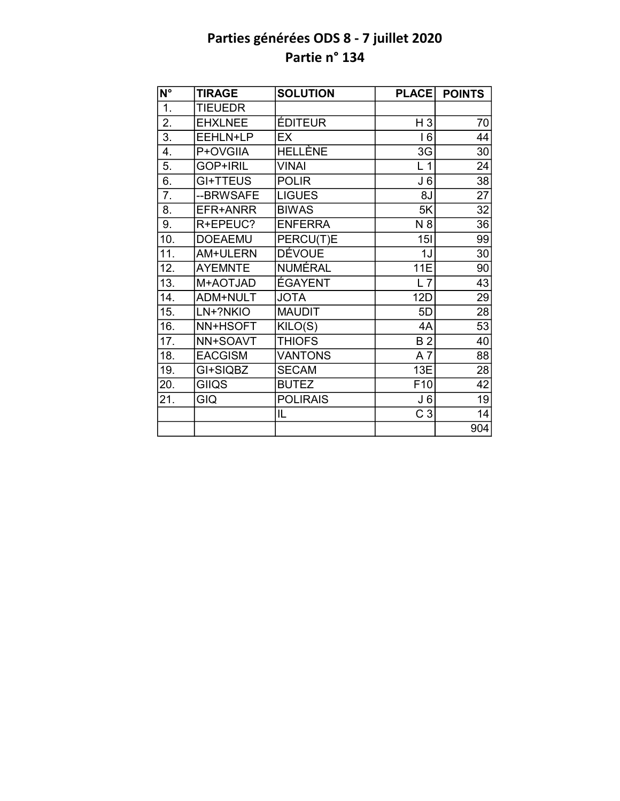| $\overline{\mathsf{N}^{\circ}}$ | <b>TIRAGE</b>  | <b>SOLUTION</b> | <b>PLACE</b>    | <b>POINTS</b>   |
|---------------------------------|----------------|-----------------|-----------------|-----------------|
| $\overline{1}$ .                | TIEUEDR        |                 |                 |                 |
| 2.                              | <b>EHXLNEE</b> | <b>ÉDITEUR</b>  | $H_3$           | 70              |
| $\overline{3}$ .                | EEHLN+LP       | EX              | 16              | 44              |
| 4.                              | P+OVGIIA       | <b>HELLÈNE</b>  | 3G              | 30              |
| 5.                              | GOP+IRIL       | <b>VINAI</b>    | L <sub>1</sub>  | 24              |
| 6.                              | GI+TTEUS       | <b>POLIR</b>    | J <sub>6</sub>  | 38              |
| 7.                              | --BRWSAFE      | <b>LIGUES</b>   | 8J              | 27              |
| 8.                              | EFR+ANRR       | <b>BIWAS</b>    | 5K              | 32              |
| 9.                              | R+EPEUC?       | <b>ENFERRA</b>  | N 8             | 36              |
| 10.                             | <b>DOEAEMU</b> | PERCU(T)E       | 15I             | 99              |
| 11.                             | AM+ULERN       | <b>DÉVOUE</b>   | 1J              | 30              |
| 12.                             | <b>AYEMNTE</b> | NUMÉRAL         | <b>11E</b>      | 90              |
| $\overline{13}$ .               | M+AOTJAD       | <b>ÉGAYENT</b>  | L7              | 43              |
| 14.                             | ADM+NULT       | <b>JOTA</b>     | 12D             | 29              |
| 15.                             | LN+?NKIO       | <b>MAUDIT</b>   | 5D              | 28              |
| 16.                             | NN+HSOFT       | KILO(S)         | 4A              | $\overline{53}$ |
| 17.                             | NN+SOAVT       | <b>THIOFS</b>   | <b>B2</b>       | 40              |
| 18.                             | <b>EACGISM</b> | <b>VANTONS</b>  | $A\overline{7}$ | 88              |
| 19.                             | GI+SIQBZ       | <b>SECAM</b>    | 13E             | 28              |
| 20.                             | <b>GIIQS</b>   | <b>BUTEZ</b>    | F10             | 42              |
| 21.                             | GIQ            | <b>POLIRAIS</b> | J <sub>6</sub>  | 19              |
|                                 |                | IL              | C <sub>3</sub>  | 14              |
|                                 |                |                 |                 | 904             |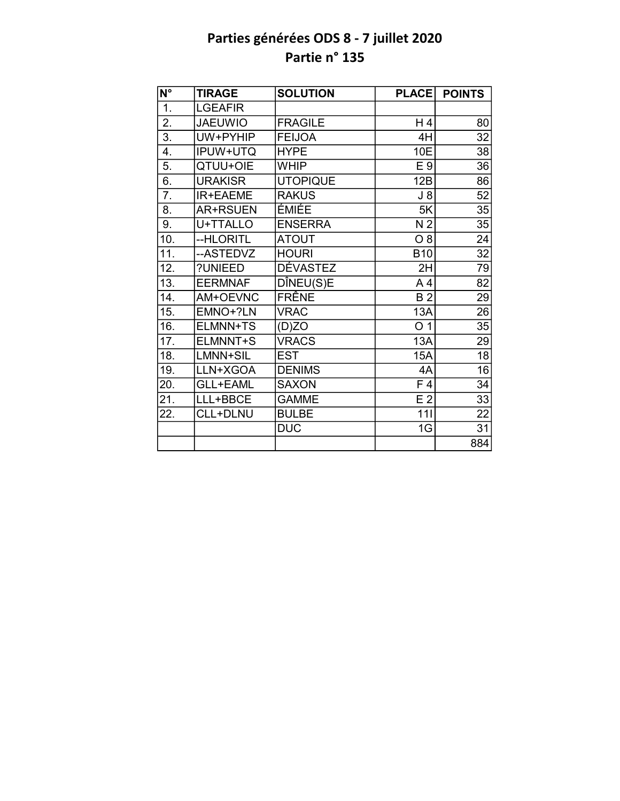| N°                | <b>TIRAGE</b>   | <b>SOLUTION</b> | <b>PLACE</b>   | <b>POINTS</b>   |
|-------------------|-----------------|-----------------|----------------|-----------------|
| $\overline{1}$ .  | <b>LGEAFIR</b>  |                 |                |                 |
| $\overline{2}$ .  | <b>JAEUWIO</b>  | <b>FRAGILE</b>  | H4             | 80              |
| $\overline{3}$ .  | UW+PYHIP        | <b>FEIJOA</b>   | 4H             | 32              |
| 4.                | IPUW+UTQ        | <b>HYPE</b>     | 10E            | 38              |
| 5.                | QTUU+OIE        | <b>WHIP</b>     | E 9            | 36              |
| $\overline{6}$ .  | <b>URAKISR</b>  | <b>UTOPIQUE</b> | 12B            | 86              |
| $\overline{7}$ .  | IR+EAEME        | <b>RAKUS</b>    | $J_8$          | 52              |
| 8.                | <b>AR+RSUEN</b> | ÉMIÉE           | 5K             | 35              |
| 9.                | U+TTALLO        | <b>ENSERRA</b>  | N <sub>2</sub> | 35              |
| 10.               | --HLORITL       | <b>ATOUT</b>    | $O_8$          | 24              |
| $\overline{11}$ . | --ASTEDVZ       | <b>HOURI</b>    | <b>B10</b>     | $\overline{32}$ |
| 12.               | ?UNIEED         | <b>DÉVASTEZ</b> | 2H             | 79              |
| 13.               | <b>EERMNAF</b>  | DÎNEU(S)E       | A <sub>4</sub> | 82              |
| 14.               | AM+OEVNC        | FRÊNE           | <b>B2</b>      | 29              |
| 15.               | EMNO+?LN        | <b>VRAC</b>     | 13A            | 26              |
| 16.               | ELMNN+TS        | (D)ZO           | O <sub>1</sub> | $\overline{35}$ |
| 17.               | ELMNNT+S        | <b>VRACS</b>    | 13A            | 29              |
| 18.               | LMNN+SIL        | <b>EST</b>      | <b>15A</b>     | $\overline{18}$ |
| 19.               | LLN+XGOA        | <b>DENIMS</b>   | 4A             | $\overline{16}$ |
| 20.               | <b>GLL+EAML</b> | <b>SAXON</b>    | F <sub>4</sub> | $\overline{34}$ |
| 21.               | LLL+BBCE        | <b>GAMME</b>    | E <sub>2</sub> | $\overline{33}$ |
| 22.               | CLL+DLNU        | <b>BULBE</b>    | 111            | 22              |
|                   |                 | <b>DUC</b>      | 1G             | $\overline{31}$ |
|                   |                 |                 |                | 884             |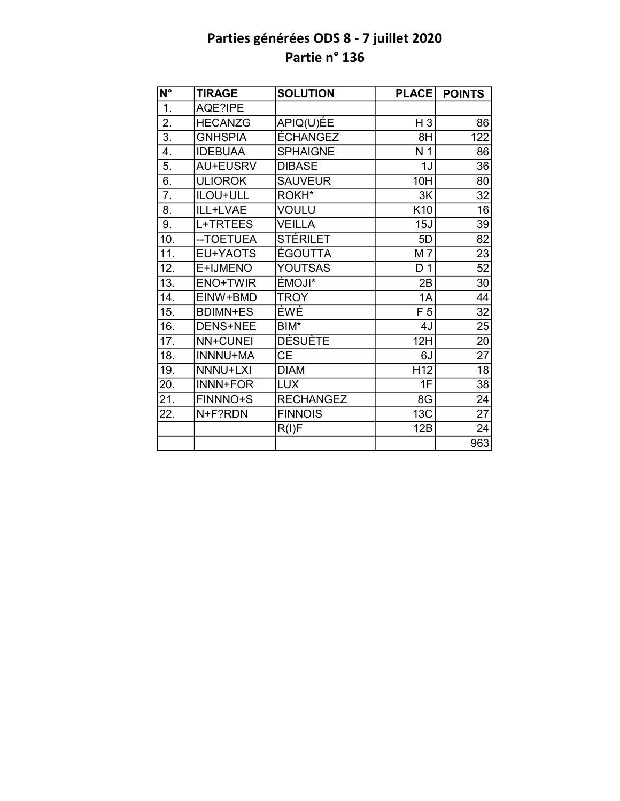| $\overline{\mathsf{N}^{\circ}}$ | <b>TIRAGE</b>   | <b>SOLUTION</b>  | <b>PLACE</b>    | <b>POINTS</b>   |
|---------------------------------|-----------------|------------------|-----------------|-----------------|
| $\overline{1}$ .                | AQE?IPE         |                  |                 |                 |
| $\overline{2}$ .                | <b>HECANZG</b>  | APIQ(U)ÉE        | $H_3$           | 86              |
| $\overline{3}$ .                | <b>GNHSPIA</b>  | ÉCHANGEZ         | 8H              | 122             |
| 4.                              | <b>IDEBUAA</b>  | <b>SPHAIGNE</b>  | N <sub>1</sub>  | 86              |
| 5.                              | AU+EUSRV        | <b>DIBASE</b>    | 1J              | 36              |
| 6.                              | <b>ULIOROK</b>  | <b>SAUVEUR</b>   | 10H             | 80              |
| $\overline{7}$ .                | ILOU+ULL        | ROKH*            | 3K              | 32              |
| 8.                              | ILL+LVAE        | <b>VOULU</b>     | K10             | 16              |
| 9.                              | L+TRTEES        | <b>VEILLA</b>    | 15J             | 39              |
| 10.                             | -- TOETUEA      | <b>STÉRILET</b>  | 5D              | 82              |
| $\overline{11}$ .               | EU+YAOTS        | <b>ÉGOUTTA</b>   | M 7             | 23              |
| 12.                             | E+IJMENO        | <b>YOUTSAS</b>   | D <sub>1</sub>  | 52              |
| 13.                             | <b>ENO+TWIR</b> | <b>ÉMOJI*</b>    | 2B              | 30              |
| 14.                             | EINW+BMD        | <b>TROY</b>      | 1A              | 44              |
| 15.                             | <b>BDIMN+ES</b> | ÉWÉ              | F <sub>5</sub>  | $\overline{32}$ |
| 16.                             | DENS+NEE        | BIM*             | 4J              | $\overline{25}$ |
| $\overline{17}$ .               | <b>NN+CUNEI</b> | <b>DÉSUÈTE</b>   | 12H             | $\overline{20}$ |
| 18.                             | <b>INNNU+MA</b> | <b>CE</b>        | 6J              | $\overline{27}$ |
| 19.                             | NNNU+LXI        | <b>DIAM</b>      | H <sub>12</sub> | $\overline{18}$ |
| 20.                             | INNN+FOR        | <b>LUX</b>       | 1F              | $\overline{38}$ |
| 21.                             | FINNNO+S        | <b>RECHANGEZ</b> | 8G              | $\overline{24}$ |
| 22.                             | N+F?RDN         | <b>FINNOIS</b>   | 13C             | 27              |
|                                 |                 | R(I)F            | 12B             | 24              |
|                                 |                 |                  |                 | 963             |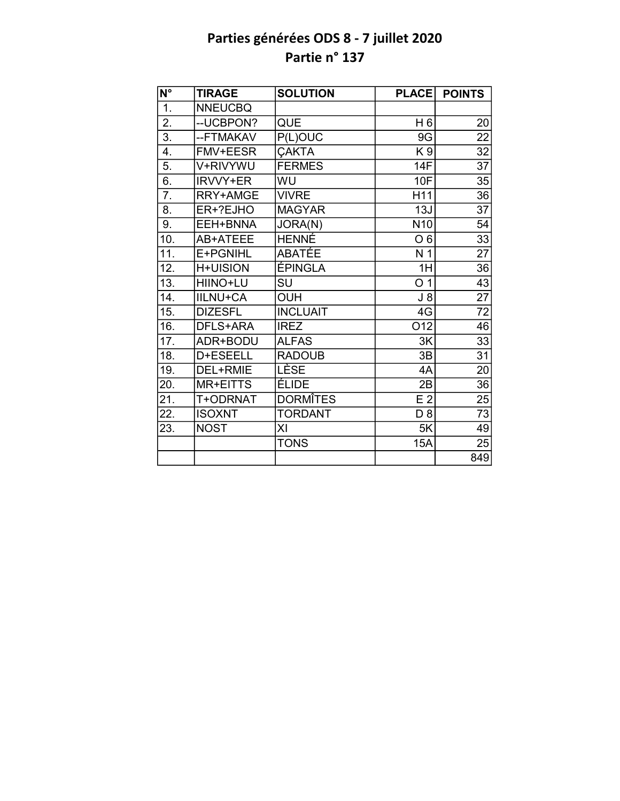| $\overline{\mathsf{N}^{\circ}}$ | <b>TIRAGE</b>   | <b>SOLUTION</b> | <b>PLACE</b>    | <b>POINTS</b>   |
|---------------------------------|-----------------|-----------------|-----------------|-----------------|
| $\overline{1}$ .                | <b>NNEUCBQ</b>  |                 |                 |                 |
| 2.                              | -- UCBPON?      | QUE             | H <sub>6</sub>  | 20              |
| $\overline{3}$ .                | --FTMAKAV       | P(L)OUC         | 9G              | $\overline{22}$ |
| 4.                              | <b>FMV+EESR</b> | <b>ÇAKTA</b>    | K9              | 32              |
| 5.                              | V+RIVYWU        | <b>FERMES</b>   | <b>14F</b>      | $\overline{37}$ |
| 6.                              | <b>IRVVY+ER</b> | WU              | 10F             | 35              |
| $\overline{7}$ .                | RRY+AMGE        | <b>VIVRE</b>    | H11             | 36              |
| 8.                              | ER+?EJHO        | <b>MAGYAR</b>   | 13J             | $\overline{37}$ |
| 9.                              | EEH+BNNA        | JORA(N)         | N <sub>10</sub> | 54              |
| 10.                             | AB+ATEEE        | <b>HENNÉ</b>    | O <sub>6</sub>  | $\overline{33}$ |
| 11.                             | E+PGNIHL        | ABATÉE          | N <sub>1</sub>  | $\overline{27}$ |
| 12.                             | <b>H+UISION</b> | <b>ÉPINGLA</b>  | 1H              | 36              |
| 13.                             | HIINO+LU        | SU              | O <sub>1</sub>  | $\overline{43}$ |
| 14.                             | <b>IILNU+CA</b> | <b>OUH</b>      | $J_8$           | 27              |
| 15.                             | <b>DIZESFL</b>  | <b>INCLUAIT</b> | 4G              | 72              |
| 16.                             | DFLS+ARA        | <b>IREZ</b>     | O12             | 46              |
| 17.                             | ADR+BODU        | <b>ALFAS</b>    | 3K              | 33              |
| $\overline{18}$ .               | D+ESEELL        | <b>RADOUB</b>   | 3B              | $\overline{31}$ |
| 19.                             | DEL+RMIE        | <b>LÈSE</b>     | 4A              | 20              |
| 20.                             | MR+EITTS        | <b>ÉLIDE</b>    | 2B              | 36              |
| 21.                             | T+ODRNAT        | <b>DORMITES</b> | E <sub>2</sub>  | $\overline{25}$ |
| 22.                             | <b>ISOXNT</b>   | <b>TORDANT</b>  | D <sub>8</sub>  | 73              |
| 23.                             | <b>NOST</b>     | XI              | 5K              | 49              |
|                                 |                 | <b>TONS</b>     | 15A             | 25              |
|                                 |                 |                 |                 | 849             |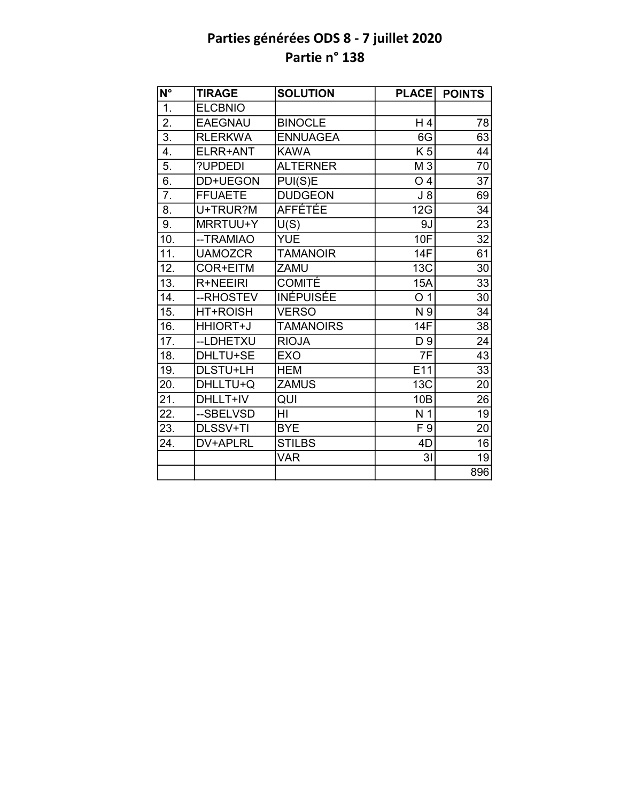| N°               | <b>TIRAGE</b>   | <b>SOLUTION</b>  | <b>PLACE</b>   | <b>POINTS</b>   |
|------------------|-----------------|------------------|----------------|-----------------|
| $\overline{1}$ . | <b>ELCBNIO</b>  |                  |                |                 |
| $\overline{2}$ . | <b>EAEGNAU</b>  | <b>BINOCLE</b>   | H 4            | 78              |
| $\overline{3}$ . | <b>RLERKWA</b>  | <b>ENNUAGEA</b>  | 6G             | $\overline{63}$ |
| 4.               | ELRR+ANT        | <b>KAWA</b>      | K <sub>5</sub> | 44              |
| $\overline{5}$ . | ?UPDEDI         | <b>ALTERNER</b>  | M 3            | 70              |
| 6.               | DD+UEGON        | PUI(S)E          | O <sub>4</sub> | $\overline{37}$ |
| $\overline{7}$ . | <b>FFUAETE</b>  | <b>DUDGEON</b>   | $J_8$          | 69              |
| 8.               | U+TRUR?M        | <b>AFFÉTÉE</b>   | 12G            | 34              |
| 9.               | MRRTUU+Y        | U(S)             | 9J             | 23              |
| 10.              | --TRAMIAO       | <b>YUE</b>       | 10F            | 32              |
| 11.              | <b>UAMOZCR</b>  | <b>TAMANOIR</b>  | <b>14F</b>     | 61              |
| 12.              | COR+EITM        | <b>ZAMU</b>      | 13C            | 30              |
| 13.              | R+NEEIRI        | <b>COMITÉ</b>    | <b>15A</b>     | 33              |
| 14.              | --RHOSTEV       | <b>INÉPUISÉE</b> | O <sub>1</sub> | 30              |
| 15.              | <b>HT+ROISH</b> | <b>VERSO</b>     | N 9            | 34              |
| 16.              | HHIORT+J        | <b>TAMANOIRS</b> | 14F            | 38              |
| 17.              | --LDHETXU       | <b>RIOJA</b>     | D 9            | 24              |
| 18.              | DHLTU+SE        | <b>EXO</b>       | 7F             | $\overline{43}$ |
| 19.              | DLSTU+LH        | <b>HEM</b>       | E11            | 33              |
| 20.              | DHLLTU+Q        | <b>ZAMUS</b>     | 13C            | 20              |
| 21.              | DHLLT+IV        | QUI              | 10B            | 26              |
| 22.              | --SBELVSD       | HI               | N <sub>1</sub> | 19              |
| 23.              | DLSSV+TI        | <b>BYE</b>       | F 9            | 20              |
| 24.              | DV+APLRL        | <b>STILBS</b>    | 4D             | 16              |
|                  |                 | <b>VAR</b>       | 3 <sub>l</sub> | 19              |
|                  |                 |                  |                | 896             |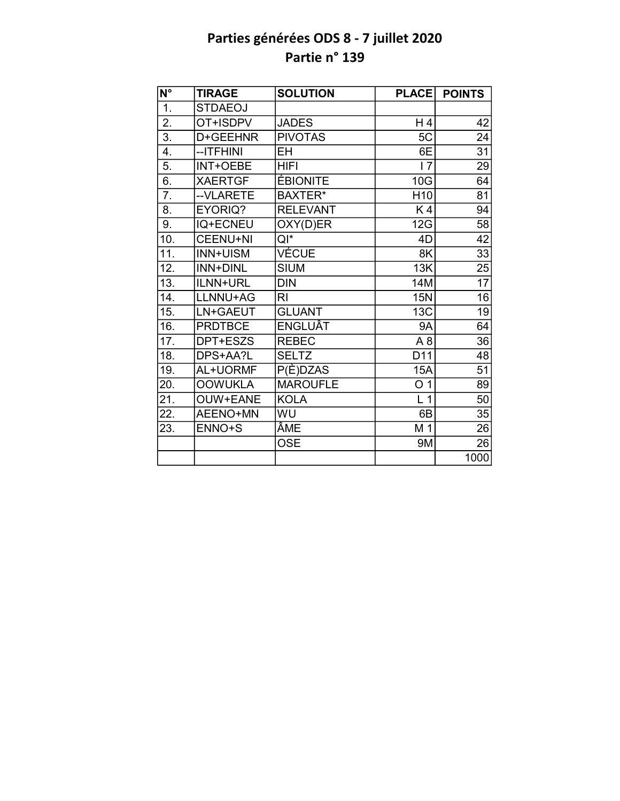| $\overline{\mathsf{N}^{\circ}}$ | <b>TIRAGE</b>   | <b>SOLUTION</b> | <b>PLACE</b>    | <b>POINTS</b>   |
|---------------------------------|-----------------|-----------------|-----------------|-----------------|
| 1.                              | <b>STDAEOJ</b>  |                 |                 |                 |
| 2.                              | OT+ISDPV        | <b>JADES</b>    | H 4             | 42              |
| $\overline{3}$ .                | D+GEEHNR        | <b>PIVOTAS</b>  | 5C              | 24              |
| 4.                              | --ITFHINI       | <b>EH</b>       | 6E              | 31              |
| 5.                              | <b>INT+OEBE</b> | <b>HIFI</b>     | 17              | 29              |
| 6.                              | <b>XAERTGF</b>  | <b>ÉBIONITE</b> | 10G             | 64              |
| $\overline{7}$ .                | --VLARETE       | BAXTER*         | H <sub>10</sub> | 81              |
| 8.                              | EYORIQ?         | <b>RELEVANT</b> | K4              | 94              |
| 9.                              | <b>IQ+ECNEU</b> | OXY(D)ER        | 12G             | 58              |
| 10.                             | <b>CEENU+NI</b> | $QI^*$          | 4D              | 42              |
| 11.                             | <b>INN+UISM</b> | <b>VÉCUE</b>    | 8K              | $\overline{33}$ |
| 12.                             | <b>INN+DINL</b> | <b>SIUM</b>     | 13K             | 25              |
| 13.                             | ILNN+URL        | <b>DIN</b>      | 14M             | 17              |
| 14.                             | LLNNU+AG        | R <sub>l</sub>  | <b>15N</b>      | 16              |
| 15.                             | LN+GAEUT        | <b>GLUANT</b>   | 13C             | 19              |
| 16.                             | <b>PRDTBCE</b>  | ENGLUÂT         | <b>9A</b>       | 64              |
| 17.                             | DPT+ESZS        | <b>REBEC</b>    | A <sub>8</sub>  | 36              |
| 18.                             | DPS+AA?L        | <b>SELTZ</b>    | D <sub>11</sub> | 48              |
| 19.                             | AL+UORMF        | P(È)DZAS        | <b>15A</b>      | 51              |
| 20.                             | <b>OOWUKLA</b>  | <b>MAROUFLE</b> | O <sub>1</sub>  | 89              |
| 21.                             | OUW+EANE        | <b>KOLA</b>     | L <sub>1</sub>  | 50              |
| 22.                             | AEENO+MN        | WU              | 6B              | 35              |
| 23.                             | ENNO+S          | ÂME             | M 1             | 26              |
|                                 |                 | <b>OSE</b>      | 9M              | 26              |
|                                 |                 |                 |                 | 1000            |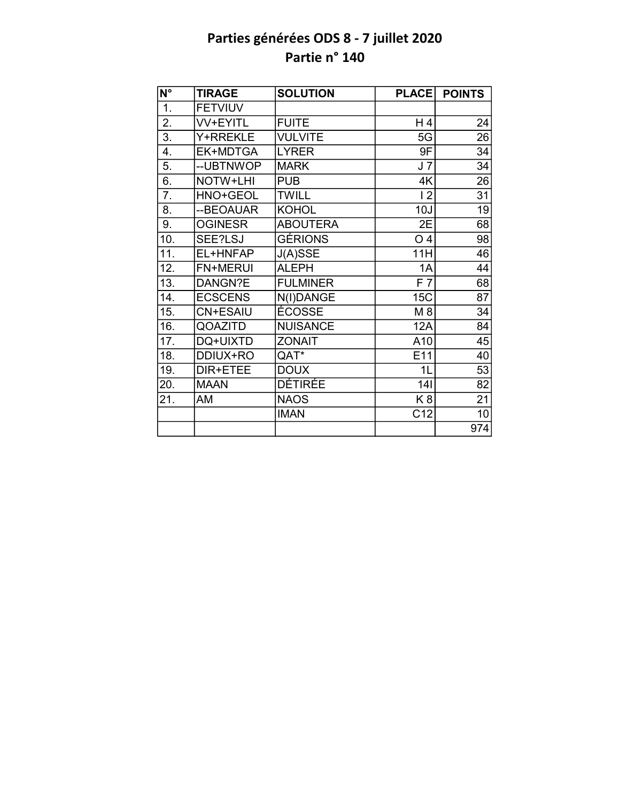| $\overline{\mathsf{N}^\circ}$ | <b>TIRAGE</b>   | <b>SOLUTION</b> | <b>PLACE</b>   | <b>POINTS</b>   |
|-------------------------------|-----------------|-----------------|----------------|-----------------|
| 1.                            | <b>FETVIUV</b>  |                 |                |                 |
| 2.                            | <b>VV+EYITL</b> | <b>FUITE</b>    | $H_4$          | 24              |
| $\overline{3}$ .              | Y+RREKLE        | <b>VULVITE</b>  | 5G             | $\overline{26}$ |
| 4.                            | EK+MDTGA        | <b>LYRER</b>    | 9F             | 34              |
| 5.                            | --UBTNWOP       | <b>MARK</b>     | J <sub>7</sub> | 34              |
| $\overline{6}$ .              | NOTW+LHI        | <b>PUB</b>      | 4K             | $\overline{26}$ |
| 7.                            | HNO+GEOL        | <b>TWILL</b>    | 12             | 31              |
| 8.                            | --BEOAUAR       | <b>KOHOL</b>    | 10J            | 19              |
| 9.                            | <b>OGINESR</b>  | <b>ABOUTERA</b> | 2E             | 68              |
| 10.                           | SEE?LSJ         | <b>GÉRIONS</b>  | O <sub>4</sub> | 98              |
| 11.                           | EL+HNFAP        | J(A)SSE         | 11H            | 46              |
| 12.                           | <b>FN+MERUI</b> | <b>ALEPH</b>    | 1A             | 44              |
| 13.                           | DANGN?E         | <b>FULMINER</b> | F7             | $\overline{68}$ |
| 14.                           | <b>ECSCENS</b>  | N(I)DANGE       | 15C            | 87              |
| 15.                           | <b>CN+ESAIU</b> | ÉCOSSE          | M 8            | 34              |
| 16.                           | QOAZITD         | <b>NUISANCE</b> | <b>12A</b>     | 84              |
| 17.                           | DQ+UIXTD        | <b>ZONAIT</b>   | A10            | 45              |
| 18.                           | DDIUX+RO        | QAT*            | E11            | 40              |
| 19.                           | DIR+ETEE        | <b>DOUX</b>     | 1L             | 53              |
| 20.                           | <b>MAAN</b>     | <b>DÉTIRÉE</b>  | 141            | 82              |
| 21.                           | AM              | <b>NAOS</b>     | K <sub>8</sub> | 21              |
|                               |                 | <b>IMAN</b>     | C12            | 10              |
|                               |                 |                 |                | 974             |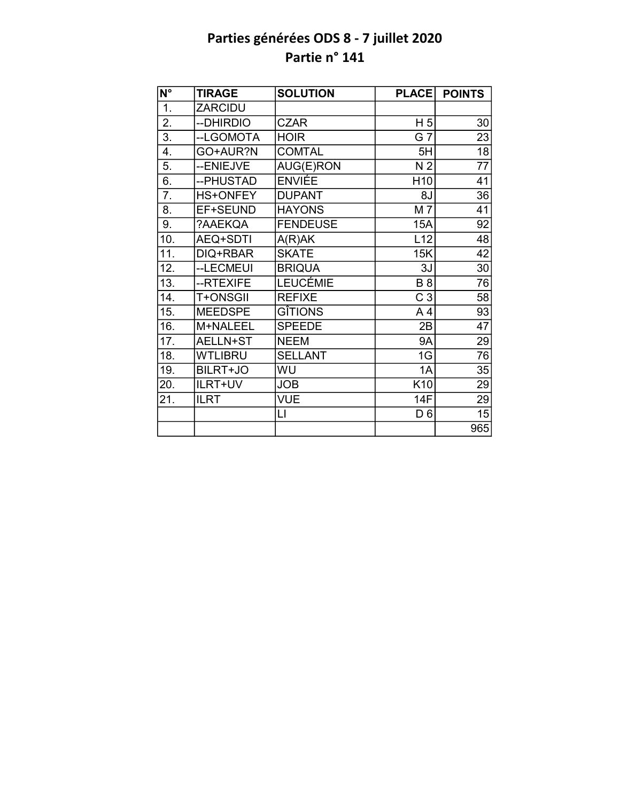| $\overline{N^{\circ}}$ | <b>TIRAGE</b>   | <b>SOLUTION</b> | <b>PLACE</b>    | <b>POINTS</b>   |
|------------------------|-----------------|-----------------|-----------------|-----------------|
| 1.                     | ZARCIDU         |                 |                 |                 |
| 2.                     | --DHIRDIO       | <b>CZAR</b>     | H <sub>5</sub>  | 30              |
| $\overline{3}$ .       | --LGOMOTA       | <b>HOIR</b>     | $G\bar{T}$      | 23              |
| 4.                     | GO+AUR?N        | <b>COMTAL</b>   | 5H              | 18              |
| 5.                     | --ENIEJVE       | AUG(E)RON       | N <sub>2</sub>  | $\overline{77}$ |
| 6.                     | --PHUSTAD       | <b>ENVIÉE</b>   | H <sub>10</sub> | 41              |
| 7.                     | <b>HS+ONFEY</b> | <b>DUPANT</b>   | 8J              | 36              |
| 8.                     | EF+SEUND        | <b>HAYONS</b>   | M 7             | 41              |
| 9.                     | ?AAEKQA         | <b>FENDEUSE</b> | 15A             | 92              |
| 10.                    | <b>AEQ+SDTI</b> | A(R)AK          | L12             | 48              |
| 11.                    | DIQ+RBAR        | <b>SKATE</b>    | 15K             | $\overline{42}$ |
| 12.                    | --LECMEUI       | <b>BRIQUA</b>   | 3J              | 30              |
| $\overline{13}$ .      | --RTEXIFE       | <b>LEUCÉMIE</b> | <b>B</b> 8      | 76              |
| 14.                    | T+ONSGII        | <b>REFIXE</b>   | C <sub>3</sub>  | 58              |
| 15.                    | <b>MEEDSPE</b>  | <b>GITIONS</b>  | A <sub>4</sub>  | 93              |
| 16.                    | M+NALEEL        | <b>SPEEDE</b>   | 2B              | $\overline{47}$ |
| 17.                    | AELLN+ST        | <b>NEEM</b>     | <b>9A</b>       | 29              |
| 18.                    | <b>WTLIBRU</b>  | <b>SELLANT</b>  | 1G              | 76              |
| 19.                    | BILRT+JO        | WU              | 1A              | 35              |
| 20.                    | ILRT+UV         | <b>JOB</b>      | K10             | 29              |
| 21.                    | <b>ILRT</b>     | <b>VUE</b>      | 14F             | 29              |
|                        |                 | LI              | D <sub>6</sub>  | 15              |
|                        |                 |                 |                 | 965             |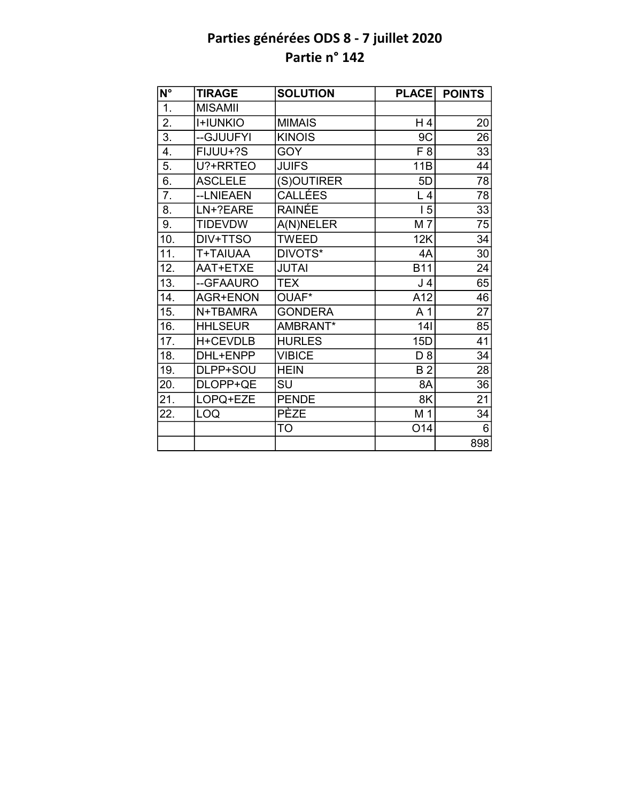| $N^{\circ}$      | <b>TIRAGE</b>   | <b>SOLUTION</b> | <b>PLACE</b>    | <b>POINTS</b>   |
|------------------|-----------------|-----------------|-----------------|-----------------|
| 1.               | <b>MISAMII</b>  |                 |                 |                 |
| $\overline{2}$ . | <b>I+IUNKIO</b> | <b>MIMAIS</b>   | H 4             | 20              |
| $\overline{3}$ . | --GJUUFYI       | <b>KINOIS</b>   | 9C              | 26              |
| 4.               | FIJUU+?S        | <b>GOY</b>      | F 8             | 33              |
| 5.               | U?+RRTEO        | <b>JUIFS</b>    | 11B             | 44              |
| 6.               | <b>ASCLELE</b>  | (S)OUTIRER      | 5D              | 78              |
| 7.               | --LNIEAEN       | <b>CALLÉES</b>  | L <sub>4</sub>  | 78              |
| 8.               | LN+?EARE        | RAINÉE          | 15              | 33              |
| 9.               | <b>TIDEVDW</b>  | A(N)NELER       | M 7             | 75              |
| 10.              | DIV+TTSO        | <b>TWEED</b>    | 12K             | 34              |
| 11.              | T+TAIUAA        | DIVOTS*         | 4A              | 30              |
| 12.              | AAT+ETXE        | <b>JUTAI</b>    | <b>B11</b>      | 24              |
| 13.              | --GFAAURO       | <b>TEX</b>      | J <sub>4</sub>  | 65              |
| 14.              | <b>AGR+ENON</b> | OUAF*           | A12             | 46              |
| 15.              | N+TBAMRA        | <b>GONDERA</b>  | A <sub>1</sub>  | $\overline{27}$ |
| 16.              | <b>HHLSEUR</b>  | AMBRANT*        | 141             | 85              |
| 17.              | H+CEVDLB        | <b>HURLES</b>   | 15D             | 41              |
| 18.              | DHL+ENPP        | <b>VIBICE</b>   | D 8             | 34              |
| 19.              | DLPP+SOU        | <b>HEIN</b>     | <b>B2</b>       | 28              |
| 20.              | DLOPP+QE        | SU              | 8A              | 36              |
| 21.              | LOPQ+EZE        | <b>PENDE</b>    | 8K              | 21              |
| 22.              | LOQ             | <b>PEZE</b>     | M 1             | 34              |
|                  |                 | TO              | O <sub>14</sub> | 6               |
|                  |                 |                 |                 | 898             |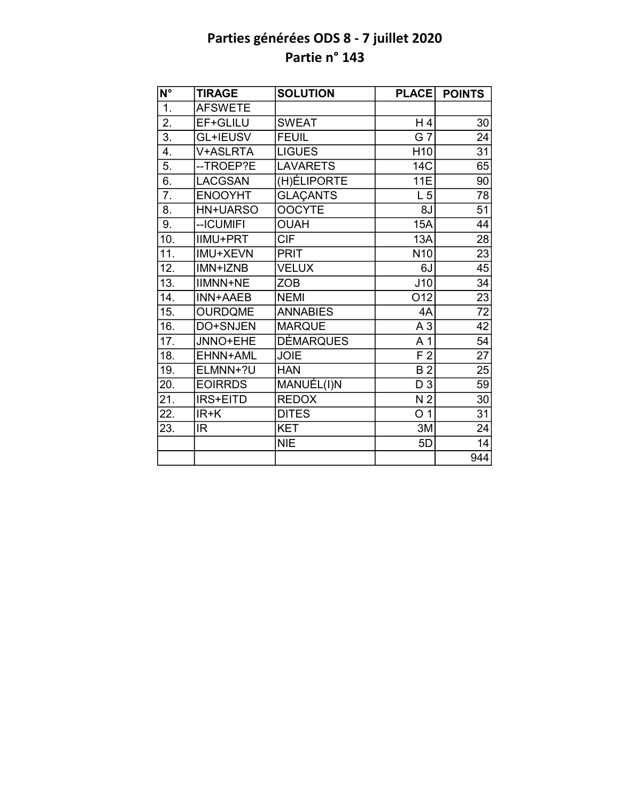| $\overline{\mathsf{N}^{\circ}}$ | <b>TIRAGE</b>   | <b>SOLUTION</b>  | <b>PLACE</b>    | <b>POINTS</b>   |
|---------------------------------|-----------------|------------------|-----------------|-----------------|
| 1.                              | <b>AFSWETE</b>  |                  |                 |                 |
| 2.                              | EF+GLILU        | <b>SWEAT</b>     | H 4             | 30              |
| $\overline{3}$ .                | <b>GL+IEUSV</b> | <b>FEUIL</b>     | G <sub>7</sub>  | 24              |
| 4.                              | V+ASLRTA        | <b>LIGUES</b>    | H <sub>10</sub> | 31              |
| 5.                              | --TROEP?E       | <b>LAVARETS</b>  | 14C             | 65              |
| 6.                              | <b>LACGSAN</b>  | (H) ELIPORTE     | 11E             | 90              |
| $\overline{7}$ .                | <b>ENOOYHT</b>  | <b>GLAÇANTS</b>  | L <sub>5</sub>  | 78              |
| 8.                              | <b>HN+UARSO</b> | <b>OOCYTE</b>    | 8J              | $\overline{51}$ |
| 9.                              | -- ICUMIFI      | <b>OUAH</b>      | <b>15A</b>      | 44              |
| 10.                             | <b>IIMU+PRT</b> | <b>CIF</b>       | 13A             | 28              |
| 11.                             | IMU+XEVN        | <b>PRIT</b>      | N <sub>10</sub> | $\overline{23}$ |
| 12.                             | IMN+IZNB        | <b>VELUX</b>     | 6J              | 45              |
| 13.                             | <b>IIMNN+NE</b> | <b>ZOB</b>       | J10             | 34              |
| 14.                             | <b>INN+AAEB</b> | <b>NEMI</b>      | O <sub>12</sub> | 23              |
| 15.                             | <b>OURDQME</b>  | <b>ANNABIES</b>  | 4A              | $\overline{72}$ |
| 16.                             | DO+SNJEN        | <b>MARQUE</b>    | A <sub>3</sub>  | 42              |
| 17.                             | JNNO+EHE        | <b>DÉMARQUES</b> | A 1             | 54              |
| 18.                             | EHNN+AML        | <b>JOIE</b>      | F <sub>2</sub>  | $\overline{27}$ |
| 19.                             | ELMNN+?U        | <b>HAN</b>       | <b>B2</b>       | 25              |
| 20.                             | <b>EOIRRDS</b>  | MANUÉL(I)N       | D <sub>3</sub>  | 59              |
| 21.                             | IRS+EITD        | <b>REDOX</b>     | N <sub>2</sub>  | 30              |
| 22.                             | $IR+K$          | <b>DITES</b>     | O <sub>1</sub>  | 31              |
| 23.                             | IR              | <b>KET</b>       | 3M              | $\overline{24}$ |
|                                 |                 | <b>NIE</b>       | 5D              | 14              |
|                                 |                 |                  |                 | 944             |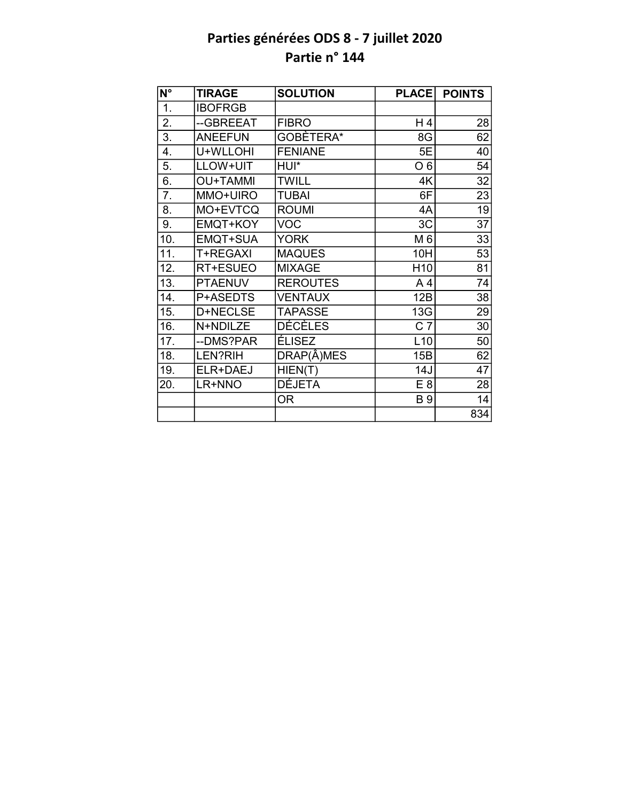| N°                | <b>TIRAGE</b>   | <b>SOLUTION</b> | <b>PLACE</b>    | <b>POINTS</b>   |
|-------------------|-----------------|-----------------|-----------------|-----------------|
| $\overline{1}$ .  | <b>IBOFRGB</b>  |                 |                 |                 |
| 2.                | --GBREEAT       | <b>FIBRO</b>    | H 4             | 28              |
| $\overline{3}$ .  | <b>ANEEFUN</b>  | GOBÈTERA*       | 8G              | 62              |
| 4.                | U+WLLOHI        | <b>FENIANE</b>  | 5E              | 40              |
| 5.                | LLOW+UIT        | HUI*            | O <sub>6</sub>  | 54              |
| 6.                | <b>OU+TAMMI</b> | <b>TWILL</b>    | 4K              | 32              |
| 7.                | MMO+UIRO        | <b>TUBAI</b>    | 6F              | 23              |
| 8.                | MO+EVTCQ        | <b>ROUMI</b>    | 4A              | 19              |
| 9.                | EMQT+KOY        | <b>VOC</b>      | 3C              | 37              |
| 10.               | EMQT+SUA        | <b>YORK</b>     | M 6             | 33              |
| 11.               | <b>T+REGAXI</b> | <b>MAQUES</b>   | 10H             | 53              |
| 12.               | RT+ESUEO        | <b>MIXAGE</b>   | H <sub>10</sub> | 81              |
| $\overline{13}$ . | <b>PTAENUV</b>  | <b>REROUTES</b> | A <sub>4</sub>  | $\overline{74}$ |
| 14.               | P+ASEDTS        | <b>VENTAUX</b>  | 12B             | 38              |
| 15.               | D+NECLSE        | <b>TAPASSE</b>  | 13G             | 29              |
| 16.               | N+NDILZE        | <b>DÉCÈLES</b>  | C <sub>7</sub>  | 30              |
| 17.               | --DMS?PAR       | ÉLISEZ          | L10             | 50              |
| 18.               | LEN?RIH         | DRAP(Â)MES      | 15B             | 62              |
| 19.               | ELR+DAEJ        | HIENT(T)        | 14J             | 47              |
| 20.               | LR+NNO          | <b>DÉJETA</b>   | E <sub>8</sub>  | 28              |
|                   |                 | <b>OR</b>       | <b>B</b> 9      | 14              |
|                   |                 |                 |                 | 834             |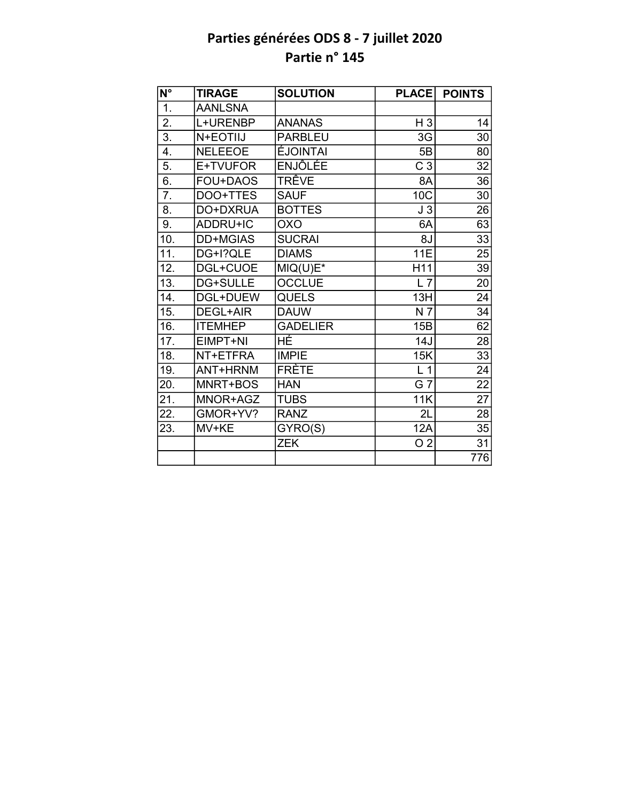| $\overline{\mathsf{N}^{\circ}}$ | <b>TIRAGE</b>  | <b>SOLUTION</b> | <b>PLACE</b>     | <b>POINTS</b>   |
|---------------------------------|----------------|-----------------|------------------|-----------------|
| 1.                              | <b>AANLSNA</b> |                 |                  |                 |
| 2.                              | L+URENBP       | <b>ANANAS</b>   | $H_3$            | 14              |
| $\overline{3}$ .                | N+EOTIIJ       | <b>PARBLEU</b>  | 3G               | 30              |
| 4.                              | <b>NELEEOE</b> | <b>ÉJOINTAI</b> | 5B               | 80              |
| 5.                              | E+TVUFOR       | <b>ENJÔLÉE</b>  | $\overline{C}$ 3 | $\overline{32}$ |
| 6.                              | FOU+DAOS       | TRÊVE           | 8A               | 36              |
| 7.                              | DOO+TTES       | <b>SAUF</b>     | 10C              | 30              |
| 8.                              | DO+DXRUA       | <b>BOTTES</b>   | J3               | 26              |
| 9.                              | ADDRU+IC       | <b>OXO</b>      | 6A               | 63              |
| 10.                             | DD+MGIAS       | <b>SUCRAI</b>   | 8J               | $\overline{33}$ |
| $\overline{1}1.$                | DG+I?QLE       | <b>DIAMS</b>    | <b>11E</b>       | 25              |
| 12.                             | DGL+CUOE       | $MIQ(U)E*$      | H11              | 39              |
| $\overline{13}$ .               | DG+SULLE       | <b>OCCLUE</b>   | $L$ 7            | 20              |
| 14.                             | DGL+DUEW       | <b>QUELS</b>    | 13H              | 24              |
| 15.                             | DEGL+AIR       | <b>DAUW</b>     | N <sub>7</sub>   | 34              |
| 16.                             | <b>ITEMHEP</b> | <b>GADELIER</b> | 15B              | 62              |
| 17.                             | EIMPT+NI       | HÉ              | 14J              | 28              |
| 18.                             | NT+ETFRA       | <b>IMPIE</b>    | 15K              | $\overline{33}$ |
| 19.                             | ANT+HRNM       | <b>FRÈTE</b>    | L <sub>1</sub>   | 24              |
| 20.                             | MNRT+BOS       | <b>HAN</b>      | G 7              | 22              |
| 21.                             | MNOR+AGZ       | <b>TUBS</b>     | 11K              | $\overline{27}$ |
| 22.                             | GMOR+YV?       | <b>RANZ</b>     | 2L               | 28              |
| 23.                             | MV+KE          | GYRO(S)         | 12A              | 35              |
|                                 |                | <b>ZEK</b>      | O <sub>2</sub>   | 31              |
|                                 |                |                 |                  | 776             |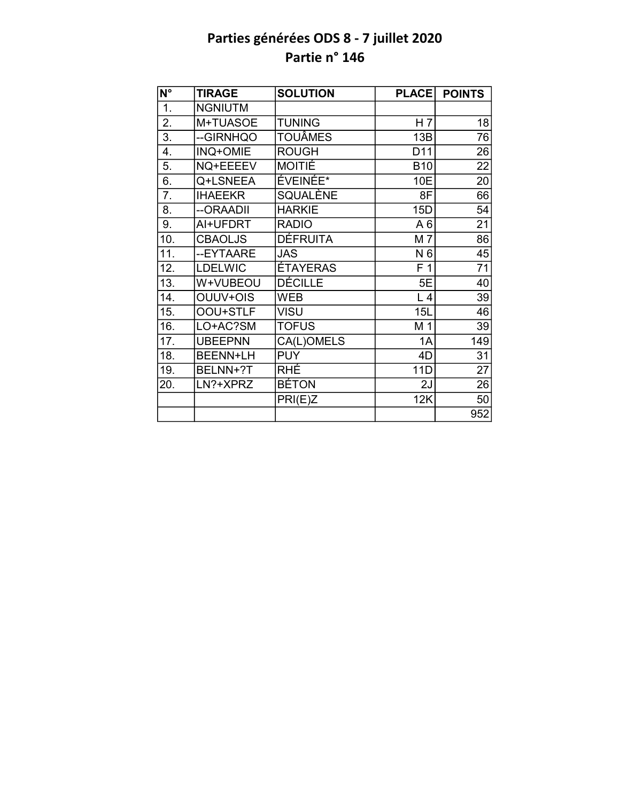| $N^{\circ}$       | <b>TIRAGE</b>   | <b>SOLUTION</b> | <b>PLACE</b>    | <b>POINTS</b>   |
|-------------------|-----------------|-----------------|-----------------|-----------------|
| $\overline{1}$ .  | <b>NGNIUTM</b>  |                 |                 |                 |
| 2.                | M+TUASOE        | <b>TUNING</b>   | H <sub>7</sub>  | 18              |
| $\overline{3}$ .  | --GIRNHQO       | <b>TOUÂMES</b>  | 13B             | 76              |
| 4.                | INQ+OMIE        | <b>ROUGH</b>    | D <sub>11</sub> | 26              |
| 5.                | NQ+EEEEV        | <b>MOITIÉ</b>   | <b>B10</b>      | $\overline{22}$ |
| 6.                | Q+LSNEEA        | ÉVEINÉE*        | 10E             | 20              |
| 7.                | <b>IHAEEKR</b>  | SQUALÈNE        | 8F              | 66              |
| 8.                | --ORAADII       | <b>HARKIE</b>   | 15D             | 54              |
| 9.                | AI+UFDRT        | <b>RADIO</b>    | A6              | 21              |
| 10.               | <b>CBAOLJS</b>  | <b>DÉFRUITA</b> | M 7             | $\overline{86}$ |
| 11.               | --EYTAARE       | <b>JAS</b>      | N 6             | $\overline{45}$ |
| 12.               | <b>LDELWIC</b>  | <b>ÉTAYERAS</b> | F <sub>1</sub>  | 71              |
| $\overline{13}$ . | W+VUBEOU        | <b>DÉCILLE</b>  | 5E              | $\overline{40}$ |
| 14.               | OUUV+OIS        | <b>WEB</b>      | L4              | 39              |
| 15.               | OOU+STLF        | <b>VISU</b>     | 15L             | 46              |
| 16.               | LO+AC?SM        | <b>TOFUS</b>    | M <sub>1</sub>  | 39              |
| 17.               | <b>UBEEPNN</b>  | CA(L)OMELS      | 1A              | 149             |
| 18.               | <b>BEENN+LH</b> | <b>PUY</b>      | 4D              | 31              |
| 19.               | BELNN+?T        | RHÉ             | 11D             | 27              |
| 20.               | LN?+XPRZ        | <b>BÉTON</b>    | 2J              | 26              |
|                   |                 | PRI(E)Z         | 12K             | 50              |
|                   |                 |                 |                 | 952             |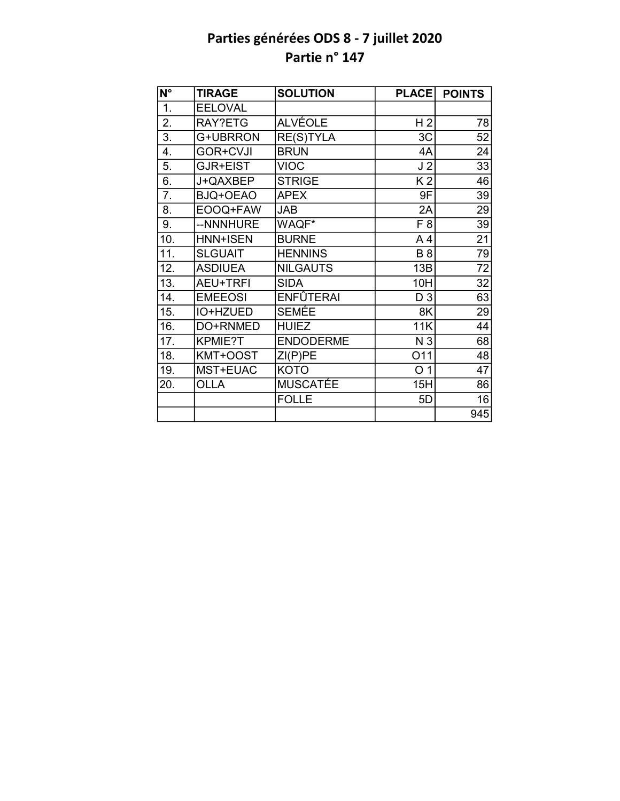| $N^{\circ}$      | <b>TIRAGE</b>   | <b>SOLUTION</b>  | <b>PLACE</b>   | <b>POINTS</b> |
|------------------|-----------------|------------------|----------------|---------------|
| $\overline{1}$ . | <b>EELOVAL</b>  |                  |                |               |
| 2.               | RAY?ETG         | <b>ALVÉOLE</b>   | H <sub>2</sub> | 78            |
| $\overline{3}$ . | G+UBRRON        | <b>RE(S)TYLA</b> | 3C             | 52            |
| 4.               | <b>GOR+CVJI</b> | <b>BRUN</b>      | 4A             | 24            |
| 5.               | GJR+EIST        | <b>VIOC</b>      | J <sub>2</sub> | 33            |
| 6.               | J+QAXBEP        | <b>STRIGE</b>    | K <sub>2</sub> | 46            |
| 7.               | BJQ+OEAO        | <b>APEX</b>      | 9F             | 39            |
| 8.               | EOOQ+FAW        | <b>JAB</b>       | 2A             | 29            |
| 9.               | --NNNHURE       | WAQF*            | F <sub>8</sub> | 39            |
| 10.              | <b>HNN+ISEN</b> | <b>BURNE</b>     | A <sub>4</sub> | 21            |
| 11.              | <b>SLGUAIT</b>  | <b>HENNINS</b>   | <b>B</b> 8     | 79            |
| 12.              | <b>ASDIUEA</b>  | <b>NILGAUTS</b>  | 13B            | 72            |
| 13.              | <b>AEU+TRFI</b> | <b>SIDA</b>      | 10H            | 32            |
| 14.              | <b>EMEEOSI</b>  | <b>ENFÛTERAI</b> | D <sub>3</sub> | 63            |
| 15.              | IO+HZUED        | <b>SEMÉE</b>     | 8K             | 29            |
| 16.              | DO+RNMED        | <b>HUIEZ</b>     | 11K            | 44            |
| 17.              | KPMIE?T         | <b>ENDODERME</b> | N <sub>3</sub> | 68            |
| 18.              | KMT+OOST        | ZI(P)PE          | O11            | 48            |
| 19.              | MST+EUAC        | <b>KOTO</b>      | O <sub>1</sub> | 47            |
| 20.              | OLLA            | <b>MUSCATÉE</b>  | 15H            | 86            |
|                  |                 | <b>FOLLE</b>     | 5D             | 16            |
|                  |                 |                  |                | 945           |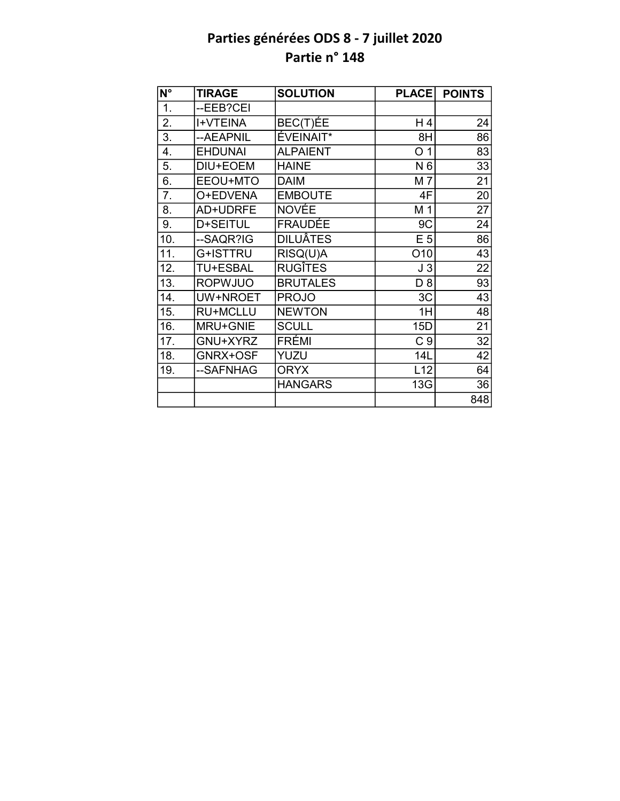| N°               | <b>TIRAGE</b>   | <b>SOLUTION</b> | <b>PLACE</b>   | <b>POINTS</b>   |
|------------------|-----------------|-----------------|----------------|-----------------|
| $\overline{1}$ . | --EEB?CEI       |                 |                |                 |
| 2.               | <b>I+VTEINA</b> | BEC(T)ÉE        | H4             | 24              |
| $\overline{3}$ . | --AEAPNIL       | ÉVEINAIT*       | 8H             | 86              |
| 4.               | <b>EHDUNAI</b>  | <b>ALPAIENT</b> | O<br>1         | 83              |
| 5.               | DIU+EOEM        | <b>HAINE</b>    | N 6            | 33              |
| $\overline{6}$ . | EEOU+MTO        | <b>DAIM</b>     | M 7            | 21              |
| 7.               | O+EDVENA        | <b>EMBOUTE</b>  | 4F             | $\overline{20}$ |
| 8.               | AD+UDRFE        | <b>NOVÉE</b>    | M 1            | 27              |
| 9.               | D+SEITUL        | <b>FRAUDÉE</b>  | 9C             | 24              |
| 10.              | --SAQR?IG       | <b>DILUÂTES</b> | E <sub>5</sub> | 86              |
| 11.              | G+ISTTRU        | RISQ(U)A        | O10            | 43              |
| 12.              | <b>TU+ESBAL</b> | <b>RUGITES</b>  | J3             | 22              |
| 13.              | <b>ROPWJUO</b>  | <b>BRUTALES</b> | D <sub>8</sub> | 93              |
| 14.              | UW+NROET        | <b>PROJO</b>    | 3C             | 43              |
| 15.              | <b>RU+MCLLU</b> | <b>NEWTON</b>   | 1H             | 48              |
| 16.              | MRU+GNIE        | <b>SCULL</b>    | 15D            | 21              |
| 17.              | GNU+XYRZ        | FRÉMI           | C <sub>9</sub> | 32              |
| 18.              | GNRX+OSF        | YUZU            | 14L            | 42              |
| 19.              | --SAFNHAG       | <b>ORYX</b>     | L12            | 64              |
|                  |                 | <b>HANGARS</b>  | 13G            | 36              |
|                  |                 |                 |                | 848             |